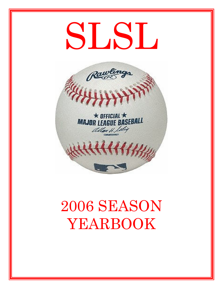# SLSL



# 2006 SEASON YEARBOOK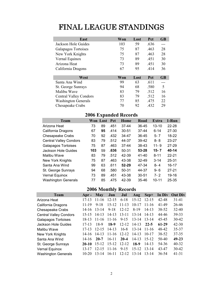# FINAL LEAGUE STANDINGS

| East                          | Won | Lost | Pct  | <b>GB</b> |
|-------------------------------|-----|------|------|-----------|
| Jackson Hole Guides           | 103 | 59   | .636 |           |
| Galapagos Tortoises           | 75  | 87   | .463 | 28        |
| New York Knights              | 75  | 87   | .463 | 28        |
| Vernal Equinox                | 73  | 89   | .451 | 30        |
| Arizona Heat                  | 73  | 89   | .451 | 30        |
| California Dragons            | 67  | 95   | .414 | 36        |
|                               |     |      |      |           |
| West                          | Won | Lost | Pct  | <b>GB</b> |
| Santa Ana Wind                | 99  | 63   | .611 |           |
| St. George Sunrays            | 94  | 68   | .580 | 5         |
| Malibu Wave                   | 83  | 79   | .512 | 16        |
| <b>Central Valley Condors</b> | 83  | 79   | .512 | 16        |
| <b>Washington Generals</b>    | 77  | 85   | .475 | 22        |
| Chesapeake Crabs              | 70  | 92   | .432 | 29        |

# 2006 Expanded Records

| <b>Team</b>                   |     | Won Lost | Pct  | Home      | Road      | Extra     | 1-Run     |
|-------------------------------|-----|----------|------|-----------|-----------|-----------|-----------|
| Arizona Heat                  | 73  | 89       | .451 | 37-44     | 36-45     | $13 - 10$ | $22 - 28$ |
| California Dragons            | 67  | 95       | .414 | $30 - 51$ | $37-44$   | $6 - 14$  | $27 - 30$ |
| <b>Chesapeake Crabs</b>       | 70  | 92       | .432 | 34-47     | 36-45     | $5 - 7$   | 18-22     |
| <b>Central Valley Condors</b> | 83  | 79       | .512 | 44-37     | 39-42     | $8 - 8$   | 23-27     |
| <b>Galapagos Tortoises</b>    | 75  | 87       | .463 | $37-44$   | 38-43     | $11 - 9$  | $27 - 29$ |
| Jackson Hole Guides           | 103 | 59       | .636 | 50-31     | 53-28     | $15 - 7$  | 40-14     |
| Malibu Wave                   | 83  | 79       | .512 | 42-39     | 41-40     | $8 - 11$  | $22 - 21$ |
| New York Knights              | 75  | 87       | .463 | 43-38     | $32 - 49$ | $3 - 14$  | 25-31     |
| Santa Ana Wind                | 99  | 63       | .611 | $52 - 29$ | 47-34     | $8 - 4$   | $16 - 17$ |
| St. George Sunrays            | 94  | 68       | .580 | 50-31     | 44-37     | $9 - 6$   | $27 - 21$ |
| Vernal Equinox                | 73  | 89       | .451 | 43-38     | $30 - 51$ | $7 - 2$   | 19-16     |
| <b>Washington Generals</b>    | 77  | 85       | .475 | 42-39     | 35-46     | $10 - 11$ | 25-35     |

# 2006 Monthly Records

| <b>Team</b>                   | Apr $-$   | <b>May</b> | Jun       | Jul       | Aug       | Sep+      | In Div  | <b>Out Div</b> |
|-------------------------------|-----------|------------|-----------|-----------|-----------|-----------|---------|----------------|
| Arizona Heat                  | $17 - 13$ | $11 - 16$  | $12 - 15$ | $6 - 18$  | $15 - 12$ | $12 - 15$ | 42-48   | $31-41$        |
| California Dragons            | 11-19     | $9 - 18$   | $15 - 12$ | $11 - 13$ | $10 - 17$ | 11-16     | 41-49   | 26-46          |
| Chesapeake Crabs              | $14-16$   | $13 - 14$  | $9 - 18$  | $12 - 12$ | $8-19$    | $14 - 13$ | 38-52   | $32 - 40$      |
| <b>Central Valley Condors</b> | $15 - 15$ | $14 - 13$  | $14 - 13$ | $13 - 11$ | $13 - 14$ | $14-13$   | 44-46   | 39-33          |
| <b>Galapagos Tortoises</b>    | 18-13     | $11 - 16$  | $11 - 16$ | $9 - 15$  | $13 - 14$ | 13-14     | 45-45   | $30 - 42$      |
| Jackson Hole Guides           | 17-13     | 18-9       | 18-9      | $12 - 12$ | $14-13$   | $22 - 5$  | 61-29   | $42 - 30$      |
| Malibu Wave                   | $17-13$   | $12 - 15$  | $14-13$   | $16-8$    | $13 - 14$ | 11-16     | 48-42   | 35-37          |
| New York Knights              | 14-16     | $14-13$    | $11 - 16$ | $12 - 12$ | $14 - 13$ | $10 - 17$ | 38-52   | 37-35          |
| Santa Ana Wind                | 14-16     | $20 - 7$   | $16-11$   | $20 - 4$  | $14 - 13$ | 15-12     | $50-40$ | 49-23          |
| St. George Sunrays            | $20-10$   | $15 - 12$  | $15 - 12$ | $12 - 12$ | $18-9$    | $14-13$   | 54-36   | $40 - 32$      |
| Vernal Equinox                | 13-17     | $12 - 15$  | $11 - 16$ | $9 - 15$  | $15 - 12$ | $13 - 14$ | 43-47   | $30 - 42$      |
| <b>Washington Generals</b>    | 10-20     | $13 - 14$  | $16 - 11$ | $12 - 12$ | $13 - 14$ | 13-14     | 36-54   | $41 - 31$      |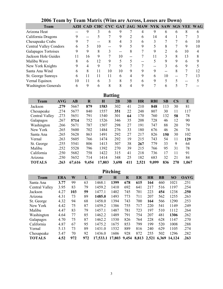| <b>Team</b>                   |    |    |    |               |    |   | AZH CAD CHC CVC GAT JAG MAW NYK SAW SGS VEE WAG |    |    |   |    |    |
|-------------------------------|----|----|----|---------------|----|---|-------------------------------------------------|----|----|---|----|----|
| Arizona Heat                  |    | 9  |    | 6             | 9  |   |                                                 |    | h  | 6 | 8  |    |
| California Dragons            | 9  |    |    |               | 9  |   | h                                               | 14 |    |   |    |    |
| Chesapeake Crabs              |    |    |    |               | 4  |   | 6                                               |    |    |   | h  | 10 |
| <b>Central Valley Condors</b> | 6  |    | 10 |               | 9  |   | 9                                               |    |    |   | 9  | 10 |
| Galapagos Tortoises           |    | 9  | 8  |               |    | 8 |                                                 |    |    | 6 | 10 |    |
| Jackson Hole Guides           | 11 | 16 | 9  |               | 10 |   |                                                 |    |    | 8 | 13 |    |
| Malibu Wave                   |    | h  | 12 | 9             | 5  |   |                                                 |    | 9  | 9 | 6  |    |
| New York Knights              |    |    | 9  |               | 9  |   |                                                 |    |    | h | 9  |    |
| Santa Ana Wind                | h  | 8  | 11 | 10            | 10 | 9 |                                                 |    |    | 8 |    | 12 |
| St. George Sunrays            | 6  | 11 | 11 | 11            | 6  | 4 | 9                                               | 6  | 10 |   |    | 13 |
| Vernal Equinox                | 10 | 11 | 6  | $\mathcal{F}$ | 8  |   | 6                                               |    |    |   |    |    |
| <b>Washington Generals</b>    | 6  | 9  | h  |               |    |   |                                                 |    |    |   |    |    |

# 2006 Team by Team Matrix (Wins are Across, Losses are Down)

|                | <b>Batting</b> |        |             |             |       |     |           |            |     |                        |       |  |  |
|----------------|----------------|--------|-------------|-------------|-------|-----|-----------|------------|-----|------------------------|-------|--|--|
| <b>Team</b>    | <b>AVG</b>     | AB     | $\mathbf R$ | $\mathbf H$ | 2B    | 3B  | <b>HR</b> | <b>RBI</b> | SB  | $\overline{\text{CS}}$ | E     |  |  |
| Jackson        | .279           | 5667   | 879         | 1583        | 302   | 41  | 210       | 848        | 113 | 30                     | 81    |  |  |
| Chesapeake     | .274           | 5677   | 840         | 1557        | 351   | 22  | 248       | 807        | 30  | 11                     | 117   |  |  |
| Central Valley | .273           | 5651   | 791         | 1540        | 301   | 64  | 170       | 760        | 132 | 58                     | 78    |  |  |
| Galapagos      | .267           | 5714   | 752         | 1526        | 346   | 35  | 208       | 728        | 46  | 12                     | 90    |  |  |
| Washington     | .266           | 5671   | 787         | 1507        | 298   | 27  | 191       | 747        | 88  | 20                     | 79    |  |  |
| New York       | .265           | 5600   | 702         | 1484        | 276   | 33  | 180       | 676        | 46  | 26                     | 74    |  |  |
| Santa Ana      | .265           | 5628   | 863         | 1491        | 292   | 27  | 217       | 826        | 150 | 30                     | 102   |  |  |
| Vernal         | .263           | 5605   | 766         | 1474        | 292   | 19  | 215       | 743        | 54  | 11                     | 129   |  |  |
| St. George     | .255           | 5541   | 806         | 1413        | 307   | 38  | 267       | 779        | 33  | 9                      | 64    |  |  |
| Malibu         | .252           | 5528   | 796         | 1392        | 270   | 39  | 215       | 766        | 95  | 31                     | 78    |  |  |
| California     | .250           | 5682   | 758         | 1422        | 315   | 41  | 218       | 736        | 17  | 11                     | 91    |  |  |
| Arizona        | .250           | 5652   | 714         | 1414        | 348   | 25  | 182       | 683        | 32  | 21                     | 84    |  |  |
| <b>TOTALS</b>  | .263           | 67,616 | 9,454       | 17,803      | 3,698 | 411 | 2,521     | 9,099      | 836 | 270                    | 1,067 |  |  |

| <i>itching</i> |
|----------------|
|                |
|                |

| ERA  | W   | L   | $\mathbf{I} \mathbf{P}$ | H    | R   | ER     | <b>HR</b> | <b>BB</b> | <b>SO</b>    | <b>OAVG</b> |
|------|-----|-----|-------------------------|------|-----|--------|-----------|-----------|--------------|-------------|
| 3.77 | 99  | 63  | 1468.1                  | 1399 | 678 | 615    | 164       | 460       | 1021         | .251        |
| 3.95 | 83  | 79  | 1459.2                  | 1410 | 692 | 641    | 217       | 516       | 1197         | .254        |
| 4.27 | 103 | 59  | 1477.1                  | 1402 | 745 | 701    | 223       | 454       | 1238         | .250        |
| 4.31 | 73  | 89  | 1485.0                  | 1493 | 773 | 711    | 207       | 562       | 1255         | .263        |
| 4.32 | 94  | 68  | 1458.0                  | 1394 | 743 | 700    | 164       | 566       | 1290         | .253        |
| 4.42 | 75  | 87  | 1459.2                  | 1386 | 755 | 717    | 220       | 541       | 1149         | .249        |
| 4.47 | 83  | 79  | 1457.1                  | 1487 | 781 | 723    | 197       | 510       | 1112         | .264        |
| 4.64 | 77  | 85  | 1462.2                  | 1489 | 791 | 754    | 207       | 481       | 1306         | .262        |
| 4.70 | 75  | 87  | 1462.2                  | 1530 | 826 | 764    | 228       | 628       | 1147         | .270        |
| 4.87 | 67  | 95  | 1475.2                  | 1675 | 853 | 799    | 199       | 520       | 1008         | .288        |
| 5.13 | 73  | 89  | 1431.0                  | 1532 | 889 | 816    | 240       | 629       | 1105         | .274        |
| 5.47 | 70  | 92  | 1436.0                  | 1606 | 928 | 872    | 255       | 502       | 1296         | .282        |
| 4.52 | 972 | 972 | 17,533.1                |      |     | 8,813  |           | 6,369     | 14,124       | .263        |
|      |     |     |                         |      |     | 17,803 | 9,454     |           | . .<br>2,521 |             |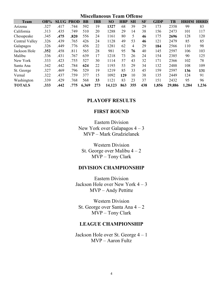Miscellaneous Team Offense

| <b>Team</b>    | $OB\%$ |      | <b>SLUG PROD</b> | <b>BB</b> | <b>IBB</b> | <b>SO</b> | <b>HBP</b> | <b>SH</b> | <b>SF</b> | <b>GIDP</b> | TB     | <b>HRHM HRRD</b> |       |
|----------------|--------|------|------------------|-----------|------------|-----------|------------|-----------|-----------|-------------|--------|------------------|-------|
| Arizona        | .327   | .417 | .744             | 592       | 19         | 1327      | 68         | 39        | 29        | 173         | 2358   | 99               | 83    |
| California     | .313   | .435 | .749             | 510       | 20         | 1288      | 29         | 14        | 38        | 156         | 2473   | 101              | 117   |
| Chesapeake     | .345   | .475 | .820             | 556       | 24         | 1161      | 80         | 5         | 46        | 175         | 2696   | 128              | 120   |
| Central Valley | .326   | .439 | .765             | 426       | 24         | 1128      | 49         | 53        | 46        | 121         | 2479   | 85               | 85    |
| Galapagos      | .326   | .449 | .776             | 456       | 22         | 1281      | 62         | 4         | 29        | 184         | 2566   | 110              | 98    |
| Jackson Hole   | .352   | .458 | .811             | 565       | 28         | 981       | 95         | 76        | 40        | 145         | 2597   | 106              | 103   |
| Malibu         | .336   | .431 | .767             | 639       | 17         | 1218      | 73         | 26        | 24        | 154         | 2385   | 90               | 125   |
| New York       | .333   | .423 | .755             | 527       | 30         | 1114      | 57         | 43        | 32        | 171         | 2366   | 102              | 78    |
| Santa Ana      | .342   | .442 | .784             | 624       | 22         | 1193      | 53         | 29        | 34        | 132         | 2488   | 108              | 109   |
| St. George     | .327   | .469 | .796             | 529       | 19         | 1219      | 85         | 33        | 45        | 159         | 2597   | 136              | 131   |
| Vernal         | .322   | .437 | .759             | 377       | 15         | 1092      | 129        | 10        | 38        | 135         | 2449   | 124              | 91    |
| Washington     | .339   | .429 | .768             | 568       | 33         | 1121      | 83         | 23        | 37        | 151         | 2432   | 95               | 96    |
| <b>TOTALS</b>  | .333   | .442 | .775             | 6,369     | 273        | 14,123    | 863        | 355       | 438       | 1,856       | 29,886 | 1,284            | 1,236 |

# PLAYOFF RESULTS

# FIRST ROUND

Eastern Division New York over Galapagos 4 – 3 MVP – Mark Grudzielanek

Western Division St. George over Malibu  $4 - 2$ MVP – Tony Clark

# DIVISION CHAMPIONSHIP

Eastern Division Jackson Hole over New York 4 – 3 MVP – Andy Pettitte

Western Division St. George over Santa Ana 4 – 2 MVP – Tony Clark

# LEAGUE CHAMPIONSHIP

Jackson Hole over St. George 4 – 1 MVP – Aaron Fultz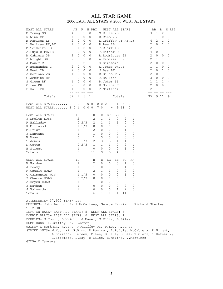# ALL STAR GAME 2006 EAST ALL STARS at 2006 WEST ALL STARS

| EAST ALL STARS<br>M. Young SS<br>R.Winn CF<br>M.Ramirez LF<br>L.Berkman PH, LF<br>M.Teixeira 1B<br>A. Pujols PH, 1B<br>M.Cabrera 3B<br>D. Wright 3B<br>J.Mauer C<br>R.Hernandez C<br>J.Kent 2B<br>A.Soriano 2B<br>G.Jenkins RF<br>S.Green RF<br>C.Lee DH<br>B.Hall PH                                                                                                                                                                                                                                                                                                                                                        | AВ<br>4<br>4<br>2<br>1<br>2<br>2<br>2<br>2<br>2<br>2<br>2<br>$\mathbf{1}$<br>2<br>1<br>$\overline{2}$<br>1 | R<br>$\mathbf{1}$<br>0<br>0<br>0<br>0<br>0<br>0<br>0<br>2<br>1<br>0<br>0<br>0<br>0<br>0<br>1<br>2<br>0<br>0<br>0<br>0<br>0<br>0<br>0<br>0<br>0<br>0<br>0<br>0<br>0<br>0<br>0 | H RBI<br>0<br>0<br>0<br>0<br>0<br>0<br>0<br>0<br>1<br>0<br>0<br>0<br>0<br>0<br>0<br>0 |                                                                           | WEST ALL STARS<br>M.Ellis 2B<br>R.Cano 2B<br>K.Griffey Jr RF, LF<br>D.Lee 1B<br>T.Clark 1B<br>T.Hafner DH<br>A.Rodriguez 3B<br>A.Ramirez PH, 3B<br>G.Sizemore CF<br>A.Jones PH, CF<br>J.Bay LF<br>B.Giles PH, RF<br>J.Rollins SS<br>D.Jeter SS<br>B.Molina C<br>V.Martinez C |                                                                        |                                                         |                                                               | 3<br>1<br>4<br>2<br>2<br>4<br>2<br>2<br>2<br>1<br>2<br>2<br>3<br>$\mathbf{1}$<br>$\overline{c}$<br>2<br>$-$ | AB<br>$\mathbf 1$<br>1<br>2<br>0<br>1<br>0<br>0<br>1<br>0<br>1<br>0<br>0<br>0<br>1<br>0<br>1<br>$- -$ | R<br>2<br>0<br>1<br>1<br>1<br>1<br>0<br>1<br>0<br>0<br>1<br>1<br>0<br>1<br>0<br>1 | H RBI<br>0<br>0<br>1<br>0<br>1<br>1<br>0<br>1<br>0<br>1<br>0<br>0<br>0<br>4<br>0<br>0 |
|------------------------------------------------------------------------------------------------------------------------------------------------------------------------------------------------------------------------------------------------------------------------------------------------------------------------------------------------------------------------------------------------------------------------------------------------------------------------------------------------------------------------------------------------------------------------------------------------------------------------------|------------------------------------------------------------------------------------------------------------|------------------------------------------------------------------------------------------------------------------------------------------------------------------------------|---------------------------------------------------------------------------------------|---------------------------------------------------------------------------|------------------------------------------------------------------------------------------------------------------------------------------------------------------------------------------------------------------------------------------------------------------------------|------------------------------------------------------------------------|---------------------------------------------------------|---------------------------------------------------------------|-------------------------------------------------------------------------------------------------------------|-------------------------------------------------------------------------------------------------------|-----------------------------------------------------------------------------------|---------------------------------------------------------------------------------------|
| Totals                                                                                                                                                                                                                                                                                                                                                                                                                                                                                                                                                                                                                       | 32                                                                                                         | 1<br>6                                                                                                                                                                       | 1                                                                                     |                                                                           |                                                                                                                                                                                                                                                                              | Totals                                                                 |                                                         |                                                               | 35                                                                                                          | 9 11                                                                                                  |                                                                                   | 9                                                                                     |
| EAST ALL STARS 0 0 0<br>WEST ALL STARS 1 0 1                                                                                                                                                                                                                                                                                                                                                                                                                                                                                                                                                                                 |                                                                                                            |                                                                                                                                                                              | 1 0 0<br>$0\quad 0\quad 0$                                                            | $0\quad 0\quad 0$<br>70                                                   | $-$<br>$\overline{\phantom{a}}$                                                                                                                                                                                                                                              | 1<br>9                                                                 | 6<br>11                                                 | 0<br>0                                                        |                                                                                                             |                                                                                                       |                                                                                   |                                                                                       |
| EAST ALL STARS<br>J.Smoltz LOSS<br>R.Halladay<br>K.Millwood<br>M.Prior<br>J.Santana<br>B.Ryan<br>T.Jones<br>N.Cotts<br>H.Street<br>Totals                                                                                                                                                                                                                                                                                                                                                                                                                                                                                    | ΙP                                                                                                         | 2<br>02/3<br>$1 \t1/3$<br>1<br>1<br>0<br>$0 \t1/3$<br>$0\;\;2/3$<br>1<br>8                                                                                                   | Η<br>2<br>2<br>0<br>2<br>1<br>$\mathbf{1}$<br>2<br>$\mathbf{1}$<br>0<br>11            | R<br>$\mathbf{1}$<br>1<br>0<br>0<br>0<br>3<br>3<br>$\mathbf{1}$<br>0<br>9 | ER<br>1<br>1<br>0<br>0<br>0<br>3<br>3<br>$\mathbf{1}$<br>0<br>9                                                                                                                                                                                                              | BB<br>0<br>1<br>0<br>0<br>0<br>2<br>$\mathbf{1}$<br>$\Omega$<br>0<br>4 | SO<br>2<br>0<br>2<br>1<br>0<br>0<br>1<br>2<br>1<br>9    | HR<br>1<br>0<br>0<br>0<br>0<br>0<br>0<br>1<br>0<br>2          |                                                                                                             |                                                                                                       |                                                                                   |                                                                                       |
| WEST ALL STARS<br>R.Harden<br>J.Peavy<br>R.Oswalt HOLD<br>C.Carpenter WIN<br>S.Chacon HOLD<br>A. Reyes HOLD<br>J.Nathan<br>J.Valverde<br>Totals                                                                                                                                                                                                                                                                                                                                                                                                                                                                              | ΙP                                                                                                         | 2<br>$\mathbf 1$<br>1<br>$1\;\;1/3$<br>02/3<br>1<br>1<br>1<br>9                                                                                                              | Н<br>2<br>1<br>2<br>0<br>0<br>1<br>0<br>0                                             | R<br>0<br>0<br>1<br>0<br>0<br>0<br>0<br>$\Omega$                          | ER<br>0<br>0<br>$\mathbf{1}$<br>0<br>0<br>0<br>0<br>$\Omega$<br>6 1 1 1 1 1                                                                                                                                                                                                  | BB<br>0<br>0<br>0<br>0<br>0<br>0<br>0<br>$\mathbf{1}$                  | SO<br>1<br>1<br>2<br>1<br>0<br>2<br>2<br>$\overline{2}$ | HR.<br>0<br>0<br>0<br>0<br>0<br>0<br>0<br>$\Omega$<br>$\circ$ |                                                                                                             |                                                                                                       |                                                                                   |                                                                                       |
| ATTENDANCE- 37, 922 TIME- Day<br>UMPIRES- John Lennon, Paul McCartney, George Harrison, Richard Starkey<br>$T - 2:38$<br>LEFT ON BASE- EAST ALL STARS: 5 WEST ALL STARS: 6<br>DOUBLE PLAYS- EAST ALL STARS: 0 WEST ALL STARS: 1<br>DOUBLES- M. Young, D. Wright, J. Mauer, M. Ellis, B. Giles<br>HOME RUNS- K.Griffey Jr, D.Jeter<br>WALKS- L.Berkman, R.Cano, K.Griffey Jr, D.Lee, A.Jones<br>STRIKE OUTS- M. Young-2, R. Winn, M. Ramirez, A. Pujols, M. Cabrera, D. Wright,<br>A.Soriano, S.Green, C.Lee, B.Hall, D.Lee, T.Clark, T.Hafner-2,<br>G. Sizemore, J. Bay, B. Giles, B. Molina, V. Martinez<br>GIDP- M.Cabrera |                                                                                                            |                                                                                                                                                                              |                                                                                       |                                                                           |                                                                                                                                                                                                                                                                              |                                                                        |                                                         |                                                               |                                                                                                             |                                                                                                       |                                                                                   |                                                                                       |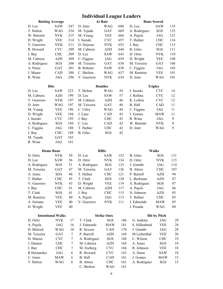# Individual League Leaders

| <b>At Bats</b><br><b>Batting Average</b> |                          |      |                   |                    | <b>Runs Scored</b> |                 |                     |     |  |  |
|------------------------------------------|--------------------------|------|-------------------|--------------------|--------------------|-----------------|---------------------|-----|--|--|
| D. Lee                                   | SAW                      | .347 | D. Jeter          | <b>WAG</b>         | 688                | D. Lee          | <b>SAW</b>          | 135 |  |  |
| T. Helton                                | WAG                      | .324 | M. Tejada         | GAT                | 669                | A. Rodriguez    | SGS                 | 135 |  |  |
| W. Betemit                               | <b>NYK</b>               | .315 | M. Young          | <b>VEE</b>         | 666                | A. Pujols       | JAG                 | 121 |  |  |
| D. Wright                                | <b>VEE</b>               | .314 | I. Suzuki         | <b>CVC</b>         | 657                | T. Hafner       | <b>CHC</b>          | 116 |  |  |
| V. Guerrero                              | <b>NYK</b>               | .311 | D. Dejesus        | <b>NYK</b>         | 653                | J. Bay          | <b>CHC</b>          | 115 |  |  |
| R. Howard                                | <b>CVC</b>               | .309 | M. Cabrera        | <b>AZH</b>         | 644                | <b>B.</b> Giles | SGS                 | 111 |  |  |
| J. Bay                                   | <b>CHC</b>               | .309 | D. Lee            | <b>SAW</b>         | 643                | D. Ortiz        | <b>NYK</b>          | 110 |  |  |
| M. Cabrera                               | AZH                      | .309 | C. Figgins        | JAG                | 639                | D. Wright       | <b>VEE</b>          | 108 |  |  |
| A. Rodriguez                             | SGS                      | .308 | M. Teixeira       | GAT                | 638                | M. Teixeira     | <b>GAT</b>          | 106 |  |  |
| A. Perez                                 | <b>GAT</b>               | .301 | <b>B.</b> Roberts | <b>SAW</b>         | 638                | C. Figgins      | JAG                 | 103 |  |  |
| J. Mauer                                 | CAD                      | .300 | C. Shelton        | <b>WAG</b>         | 637                | M. Ramirez      | <b>VEE</b>          | 101 |  |  |
| R. Winn                                  | JAG                      | .296 | V. Guerrero       | <b>NYK</b>         | 634                | D. Jeter        | <b>WAG</b>          | 101 |  |  |
|                                          | <b>Hits</b>              |      |                   | <b>Doubles</b>     |                    |                 | <b>Triples</b>      |     |  |  |
| D. Lee                                   | <b>SAW</b>               | 223  | T. Helton         | <b>WAG</b>         | 58                 | I. Suzuki       | <b>CVC</b>          | 14  |  |  |
| M. Cabrera                               | AZH                      | 199  | D. Lee            | SAW                | 57                 | J. Rollins      | <b>CVC</b>          | 12  |  |  |
| V. Guerrero                              | <b>NYK</b>               | 197  | M. Cabrera        | AZH                | 46                 | K. Lofton       | <b>CVC</b>          | 12  |  |  |
| D. Jeter                                 | <b>WAG</b>               | 197  | M. Teixeira       | <b>GAT</b>         | 46                 | B. Hall         | CAD                 | 11  |  |  |
| M. Young                                 | <b>VEE</b>               | 196  | C. Utley          | <b>WAG</b>         | 44                 | C. Figgins      | <b>JAG</b>          | 11  |  |  |
| D. Wright                                | <b>VEE</b>               | 194  | J. Lane           | CAD                | 43                 | J. Gomes        | <b>MAW</b>          | 11  |  |  |
| I. Suzuki                                | <b>CVC</b>               | 192  | J. Bay            | <b>CHC</b>         | 43                 | R. Winn         | JAG                 | 9   |  |  |
| A. Rodriguez                             | SGS                      | 189  | C. Lee            | CAD                | 42                 | W. Betemit      | <b>NYK</b>          | 9   |  |  |
| C. Figgins                               | JAG                      | 188  | T. Hafner         | <b>CHC</b>         | 42                 | D. Jeter        | WAG                 | 9   |  |  |
| J. Bay                                   | <b>CHC</b>               | 188  | <b>B.</b> Giles   | SGS                | 42                 |                 |                     |     |  |  |
| M. Tejada                                | GAT                      | 183  |                   |                    |                    |                 |                     |     |  |  |
| R. Winn                                  | JAG                      | 181  |                   |                    |                    |                 |                     |     |  |  |
|                                          |                          |      |                   |                    |                    |                 |                     |     |  |  |
|                                          |                          |      |                   |                    |                    |                 |                     |     |  |  |
|                                          | <b>Home Runs</b>         |      |                   | <b>RBIs</b>        |                    |                 | <b>Walks</b>        |     |  |  |
| D. Ortiz                                 | <b>NYK</b>               | 59   | D. Lee            | <b>SAW</b>         | 152                | <b>B.</b> Giles | SGS                 | 131 |  |  |
| D. Lee                                   | <b>SAW</b>               | 56   | D. Ortiz          | <b>NYK</b>         | 134                | D. Ortiz        | <b>NYK</b>          | 115 |  |  |
| A. Rodriguez                             | SGS                      | 51   | A. Rodriguez      | SGS                | 133                | J. Giambi       | JAG                 | 114 |  |  |
| M. Teixeira                              | GAT                      | 47   | M. Teixeira       | <b>GAT</b>         | 126                | B. Abreu        | <b>CHC</b>          | 107 |  |  |
| A. Jones                                 | SGS                      | 46   | T. Hafner         | <b>CHC</b>         | 121                | P. Burrell      | AZH                 | 94  |  |  |
| T. Hafner                                | <b>CHC</b>               | 45   | T. Clark          | SGS                | 120                | L. Berkman      | AZH                 | 87  |  |  |
| V. Guerrero                              | <b>NYK</b>               | 43   | D. Wright         | <b>VEE</b>         | 119                | A. Rodriguez    | SGS                 | 87  |  |  |
| J. Bay                                   | <b>CHC</b>               | 41   | M. Cabrera        | AZH                | 117                | A. Pujols       | JAG                 | 86  |  |  |
| T. Clark                                 | SGS                      | 41   | J. Bay            | ${\rm CHC}$        | 115                | N. Johnson      | AZH                 | 85  |  |  |
| M. Ramirez                               | <b>VEE</b>               | 40   | A. Pujols         | JAG                | 113                | T. Hafner       | <b>CHC</b>          | 85  |  |  |
| A. Soriano                               | <b>VEE</b>               | 40   | V. Guerrero       | <b>NYK</b>         | 111                | J. Edmonds      | <b>MAW</b>          | 85  |  |  |
| D. Wright                                | <b>VEE</b>               | 40   |                   |                    |                    | J. Posada       | <b>WAG</b>          | 80  |  |  |
|                                          | <b>Intentional Walks</b> |      |                   | <b>Strike Outs</b> |                    |                 | <b>Hit by Pitch</b> |     |  |  |
| D. Ortiz                                 | <b>NYK</b>               | 17   | T. Clark          | SGS                | 186                | G. Jenkins      | JAG                 | 29  |  |  |
| A. Pujols                                | JAG                      | 16   | J. Edmonds        | <b>MAW</b>         | 181                | S. Hillenbrnd   | <b>VEE</b>          | 28  |  |  |
| H. Blalock                               | <b>WAG</b>               | 10   | R. Sexson         | CAD                | 170                | J. Giambi       | JAG                 | 20  |  |  |
| M. Teixeira                              | GAT                      | 7    | P. Burrell        | AZH                | 169                | M Lieberthal    | <b>VEE</b>          | 20  |  |  |
| H. Matsui                                | <b>CVC</b>               | 7    | A. Rodriguez      | SGS                | 168                | C. Wilson       | <b>CHC</b>          | 19  |  |  |
| J. Damon                                 | <b>CHC</b>               | 7    | M. Cabrera        | AZH                | 164                | A. Jones        | SGS                 | 19  |  |  |
| J. Bay                                   | <b>CHC</b>               | 7    | M. Ensberg        | <b>CVC</b>         | 164                | R. Johnson      | <b>VEE</b>          | 18  |  |  |
| R Hernandez                              | JAG                      | 6    | R. Howard         | <b>CVC</b>         | 163                | A. Dunn         | <b>SAW</b>          | 18  |  |  |
| C. Jones                                 | <b>MAW</b>               | 6    | B. Hall           | CAD                | 161                | J. Gomes        | <b>MAW</b>          | 15  |  |  |
| T. Helton                                | WAG                      | 6    | B. Abreu          | <b>CHC</b>         | 161                | A. Rodriguez    | SGS                 | 15  |  |  |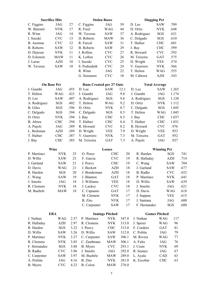| <b>Sacrifice Hits</b> |            |      | <b>Stolen Bases</b>             |                        |       | <b>Slugging Pct</b> |                      |                |              |
|-----------------------|------------|------|---------------------------------|------------------------|-------|---------------------|----------------------|----------------|--------------|
| C. Figgins            | JAG        | 27   | C. Figgins                      | <b>JAG</b>             | 59    | D. Lee              | <b>SAW</b>           | .709           |              |
| W. Betemit            | <b>NYK</b> | 17   | R. Freel                        | WAG                    | 44    | D. Ortiz            | <b>NYK</b>           | .648           |              |
| R. Winn               | <b>JAG</b> | 14   | W. Taveras                      | SAW                    | 37    | A. Rodriguez        | SGS                  | .621           |              |
| I. Suzuki             | <b>CVC</b> | 13   | D. Roberts                      | <b>MAW</b>             | 36    | C. Delgado          | SGS                  | .610           |              |
| <b>B.</b> Ausmus      | <b>CVC</b> | 12   | R. Furcal                       | <b>SAW</b>             | 31    | T. Hafner           | <b>CHC</b>           | .601           |              |
| <b>B.</b> Roberts     | <b>SAW</b> | 12   | <b>B.</b> Roberts               | <b>SAW</b>             | 29    | J. Bay              | <b>CHC</b>           | .599           |              |
| D. Dejesus            | <b>NYK</b> | 11   | J. Rollins                      | <b>CVC</b>             | 27    | R. Howard           | <b>CVC</b>           | .592           |              |
| D. Eckstein           | <b>MAW</b> | 11   | K. Lofton                       | <b>CVC</b>             | 26    | M. Teixeira         | <b>GAT</b>           | .575           |              |
| J. Larue              | <b>AZH</b> | 10   | I. Suzuki                       | <b>CVC</b>             | 25    | D. Wright           | <b>VEE</b>           | .574           |              |
| W. Taveras            | <b>SAW</b> | 10   | S. Podsednik                    | <b>CVC</b>             | 24    | V. Guerrero         | <b>NYK</b>           | .566           |              |
|                       |            |      | R. Winn                         | <b>JAG</b>             | 22    | T. Helton           | <b>WAG</b>           | .555           |              |
|                       |            |      | G. Sizemore                     | <b>CVC</b>             | 18    | M. Cabrera          | <b>AZH</b>           | .543           |              |
| <b>On Base Pct</b>    |            |      | <b>Runs Created per 27 Outs</b> |                        |       |                     | <b>Total Average</b> |                |              |
| J. Giambi             | JAG        | .455 | D. Lee                          | <b>SAW</b>             | 12.1  | D. Lee              | <b>SAW</b>           | 1.265          |              |
| T. Helton             | <b>WAG</b> | .423 | J. Giambi                       | JAG                    | 9.8   | J. Giambi           | JAG                  | 1.174          |              |
| D. Lee                | <b>SAW</b> | .407 | A. Rodriguez                    | SGS                    | 9.6   | A. Rodriguez        | SGS                  | 1.120          |              |
| A. Rodriguez          | SGS        | .402 | T. Helton                       | <b>WAG</b>             | 9.2   | D. Ortiz            | <b>NYK</b>           | 1.112          |              |
| <b>B.</b> Giles       | SGS        | .396 | D. Ortiz                        | <b>NYK</b>             | 8.7   | C. Delgado          | SGS                  | 1.045          |              |
| C. Delgado            | SGS        | .394 | C. Delgado                      | SGS                    | 8.5   | T. Helton           | WAG                  | 1.045          |              |
| D. Ortiz              | <b>NYK</b> | .394 | J. Bay                          | <b>CHC</b>             | 8.5   | J. Bay              | <b>CHC</b>           | 1.037          |              |
| B. Abreu              | <b>CHC</b> | .394 | T. Hafner                       | <b>CHC</b>             | 8.4   | T. Hafner           | <b>CHC</b>           | 1.031          |              |
| A. Pujols             | <b>JAG</b> | .389 | R. Howard                       | <b>CVC</b>             | 8.2   | R. Howard           | <b>CVC</b>           | .976           |              |
| L. Berkman            | <b>AZH</b> | .389 | D. Wright                       | <b>VEE</b>             | 7.9   | D. Wright           | <b>VEE</b>           | .953           |              |
| T. Hafner             | <b>CHC</b> | .387 | V. Guerrero                     | <b>NYK</b>             | 7.3   | M. Teixeira         | <b>GAT</b>           | .952           |              |
| J. Bay                | <b>CHC</b> | .385 | M. Teixeira                     | <b>GAT</b>             | 7.3   | A. Pujols           | JAG                  | .927           |              |
|                       |            |      |                                 |                        |       |                     |                      |                |              |
| <b>Wins</b>           |            |      |                                 | <b>Losses</b>          |       |                     |                      |                |              |
| P. Martinez           | <b>NYK</b> | 25   | O. Perez                        | <b>CHC</b>             | 20    | R. Harden           | <b>Winning Pct</b>   | SGS            | .741         |
| D. Willis             | <b>SAW</b> | 23   | F. Garcia                       | <b>CVC</b>             | 19    | R. Halladay         |                      | $\mathbf{AZH}$ | .714         |
| J. Garland            | <b>SAW</b> | 21   | J. Peavy                        | <b>CHC</b>             | 19    | C. Wang             |                      | <b>SAW</b>     | .704         |
| D. Davis              | <b>WAG</b> | 21   | J. Beckett                      | <b>AZH</b>             | 18    | J. Garland          |                      | <b>SAW</b>     | .677         |
| R. Harden             | SGS        | 20   | J. Bonderman                    | <b>AZH</b>             | 18    | <b>B.</b> Radke     |                      | <b>CVC</b>     | .652         |
| C. Wang               | <b>SAW</b> | 19   | J. Blanton                      | <b>GAT</b>             | 18    | P. Martinez         |                      | <b>NYK</b>     | .641         |
| J. Smoltz             | JAG        | 18   | J. Williams                     | VEE                    | 18    | D. Willis           |                      | <b>SAW</b>     |              |
| R. Clemens            | <b>NYK</b> | 18   | J. Lackey                       | <b>CVC</b>             | 18    | J. Smoltz           |                      | JAG            | .621         |
| M. Buehrle            | <b>MAW</b> | 18   | C. Capuano                      | GAT                    | 17    | D. Davis            |                      | <b>WAG</b>     | .618         |
|                       |            |      | M. Clement                      | NYK                    | 17    | J. Suppan           |                      | <b>VEE</b>     | .615         |
|                       |            |      | B. Zito                         | <b>NYK</b>             | 17    | J. Santana          |                      | JAG            | .639<br>.600 |
|                       |            |      | C. Carpenter                    | SAW                    | 17    | F. Hernandez        |                      | SGS            | .600         |
| <b>ERA</b>            |            |      |                                 | <b>Innings Pitched</b> |       |                     | <b>Games Pitched</b> |                |              |
| J. Nathan             | WAG        | 2.57 | P. Martinez                     | <b>NYK</b>             | 347.0 | J. Nathan           | WAG                  | 117            |              |
| R. Halladay           | AZH        | 2.97 | R. Clemens                      | <b>NYK</b>             | 313.0 | J. Speier           | <b>WAG</b>           | 96             |              |
| R. Harden             | SGS        | 3.22 | J. Peavy                        | <b>CHC</b>             | 313.0 | F. Cordero          | GAT                  | 81             |              |
| D. Willis             | SAW        | 3.26 | D. Willis                       | SAW                    | 312.0 | C. Politte          | JAG                  | 79             |              |
| P. Martinez           | <b>NYK</b> | 3.27 | C. Carpenter                    | SAW                    | 306.1 | M. Rivera           | <b>WAG</b>           | 77             |              |
| R. Clemens            | NYK        | 3.85 | C. Zambrano                     | MAW                    | 306.1 | A. Fultz            | JAG                  | 76             |              |
| F. Hernandez          | SGS        | 3.88 | <b>B.</b> Myers                 | <b>CVC</b>             | 293.1 | J. Crain            | <b>NYK</b>           | 69             |              |
| <b>B.</b> Radke       | <b>CVC</b> | 3.96 | J. Smoltz                       | JAG                    | 292.0 | R. Seanez           | JAG                  | 67             |              |
| C. Carpenter          | SAW        | 3.97 | M. Buehrle                      | MAW                    | 289.0 | L. Ayala            | CAD                  | 63             |              |
| A. Pettitte           | JAG        | 4.16 | B. Zito                         | <b>NYK</b>             | 281.0 | K. Escobar          | <b>CHC</b>           | 63             |              |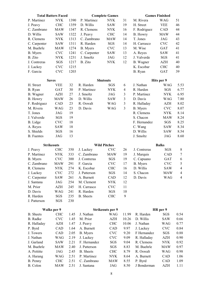|                      | <b>Total Batters Faced</b><br><b>Complete Games</b> |              |                           |                         |              | <b>Games Finished</b>  |              |                |  |  |  |
|----------------------|-----------------------------------------------------|--------------|---------------------------|-------------------------|--------------|------------------------|--------------|----------------|--|--|--|
| P. Martinez          | <b>NYK</b>                                          | 1390         | P. Martinez               | <b>NYK</b>              | 31           | M. Rivera              | <b>WAG</b>   | 51             |  |  |  |
| J. Peavy             | <b>CHC</b>                                          | 1359         | D. Willis                 | <b>SAW</b>              | 19           | H. Street              | <b>VEE</b>   | 46             |  |  |  |
| C. Zambrano          | <b>MAW</b>                                          | 1347         | R. Clemens                | <b>NYK</b>              | 16           | F. Rodriguez           | <b>CAD</b>   | 44             |  |  |  |
| D. Willis            | <b>SAW</b>                                          | 1322         | J. Peavy                  | <b>CHC</b>              | 14           | B. Howry               | <b>MAW</b>   | 44             |  |  |  |
| R. Clemens           | <b>NYK</b>                                          | 1313         | C. Zambrano               | <b>MAW</b>              | 14           | T. Jones               | JAG          | 43             |  |  |  |
| C. Carpenter         | <b>SAW</b>                                          | 1311         | R. Harden                 | SGS                     | 14           | H. Carrasco            | <b>CVC</b>   | 42             |  |  |  |
| M. Buehrle           | <b>MAW</b>                                          | 1274         | B. Myers                  | <b>CVC</b>              | 13           | M. Wise                | <b>GAT</b>   | 41             |  |  |  |
| B. Myers             | <b>CVC</b>                                          | 1241         | C. Carpenter              | <b>SAW</b>              | 13           | A. Reyes               | <b>SAW</b>   | 41             |  |  |  |
| B. Zito              | <b>NYK</b>                                          | 1231         | J. Smoltz                 | JAG                     | 12           | J. Valverde            | SGS          | 41             |  |  |  |
| J. Contreras         | SGS                                                 | 1217         | B. Zito                   | <b>NYK</b>              | 12           | B. Wagner              | AZH          | 40             |  |  |  |
| J. Lackey            | <b>CVC</b>                                          | 1215         |                           |                         |              | K. Escobar             | <b>CHC</b>   | 40             |  |  |  |
| F. Garcia            | <b>CVC</b>                                          | 1203         |                           |                         |              | B. Ryan                | <b>GAT</b>   | 39             |  |  |  |
|                      |                                                     |              |                           |                         |              |                        |              |                |  |  |  |
| <b>Saves</b>         |                                                     |              |                           | <b>Shutouts</b>         |              |                        | Hits per 9   |                |  |  |  |
| H. Street            | <b>VEE</b>                                          | 32           | R. Harden                 | SGS                     | 6            | J. Nathan              | <b>WAG</b>   | 5.53           |  |  |  |
| B. Ryan              | <b>GAT</b>                                          | 30           | P. Martinez               | <b>NYK</b>              | 4            | R. Harden              | SGS          | 6.77           |  |  |  |
| B. Wagner            | <b>AZH</b>                                          | 27           | J. Smoltz                 | JAG                     | 3            | P. Martinez            | <b>NYK</b>   | 6.95           |  |  |  |
| <b>B.</b> Howry      | <b>MAW</b>                                          | 26           | D. Willis                 | <b>SAW</b>              | 3            | D. Davis               | WAG          | 7.80           |  |  |  |
| F. Rodriguez         | CAD                                                 | 23           | R. Oswalt                 | WAG                     | 3            | R. Halladay            | AZH          | 8.02           |  |  |  |
| M. Rivera            | <b>WAG</b>                                          | 23           | D. Davis                  | <b>WAG</b>              | 3            | B. Myers               | <b>CVC</b>   | 8.07           |  |  |  |
| T. Jones             | JAG                                                 | 19           |                           |                         |              | R. Clemens             | <b>NYK</b>   | 8.14           |  |  |  |
| J. Valverde          | SGS                                                 | 19           |                           |                         |              | S. Chacon              | <b>MAW</b>   | 8.24           |  |  |  |
| B. Lidge             | <b>CVC</b>                                          | 18           |                           |                         |              | F. Hernandez           | SGS          | 8.25           |  |  |  |
| A. Reyes             | <b>SAW</b>                                          | 18           |                           |                         |              | C. Wang                | <b>SAW</b>   | 8.34           |  |  |  |
| S. Shields           | SGS                                                 | 16           |                           |                         |              | D. Willis              | <b>SAW</b>   | 8.54           |  |  |  |
| <b>B.</b> Fuentes    | JAG                                                 | 13           |                           |                         |              | J. Smoltz              | JAG          | 8.60           |  |  |  |
|                      |                                                     |              |                           |                         |              |                        |              |                |  |  |  |
| <b>Strikeouts</b>    |                                                     |              |                           | <b>Wild Pitches</b>     |              |                        | <b>Balks</b> |                |  |  |  |
| J. Peavy             | <b>CHC</b>                                          | 350          | J. Lackey                 | <b>CVC</b>              | 26           | J. Contreras           | SGS          | 8              |  |  |  |
| P. Martinez          | <b>NYK</b>                                          | 333          | C. Zambrano               | <b>MAW</b>              | 19           | J. Marquis             | <b>CAD</b>   | 7              |  |  |  |
| B. Myers             | <b>CVC</b>                                          | 300          | J. Contreras              | SGS                     | 19           | C. Capuano             | GAT          | 6              |  |  |  |
| C. Zambrano          | <b>MAW</b>                                          | 291          | F. Garcia                 | <b>CVC</b>              | 17           | B. Myers               | <b>CVC</b>   | 5              |  |  |  |
| R. Clemens           | <b>NYK</b>                                          | 274          | K. Escobar                | <b>CHC</b>              | 16           | D. Willis              | <b>SAW</b>   | $\overline{4}$ |  |  |  |
| J. Lackey            | <b>CVC</b>                                          | 272          | J. Patterson              | SGS                     | 14           | S. Chacon              | <b>MAW</b>   | $\overline{4}$ |  |  |  |
| C. Carpenter         | SAW                                                 | 261          | A. Burnett                | CAD                     | 12           | D. Davis               | <b>WAG</b>   | $\overline{4}$ |  |  |  |
| J. Santana           | JAG                                                 | 254          | M. Clement                | <b>NYK</b>              | 12           |                        |              |                |  |  |  |
| M. Prior             | AZH                                                 | 245          | H. Carrasco               | <b>CVC</b>              | 11           |                        |              |                |  |  |  |
| D. Davis             | <b>WAG</b>                                          | 241          | R. Harden                 | SGS                     | 10           |                        |              |                |  |  |  |
| R. Harden            | SGS                                                 | 235          | <b>B.</b> Sheets          | <b>CHC</b>              | 9            |                        |              |                |  |  |  |
| J. Patterson         | SGS                                                 | 230          |                           |                         |              |                        |              |                |  |  |  |
|                      |                                                     |              |                           |                         |              |                        |              |                |  |  |  |
|                      | Walks per 9                                         |              |                           | <b>Strikeouts per 9</b> |              |                        | HR per 9     |                |  |  |  |
| <b>B.</b> Sheets     | <b>CHC</b>                                          | 1.45         | J. Nathan                 | <b>WAG</b>              | 11.99        | R. Harden              | SGS          | 0.54           |  |  |  |
| <b>B.</b> Radke      | <b>CVC</b>                                          | 1.45         | M. Prior                  | AZH                     | 10.26        | D. Willis              | SAW          | 0.66           |  |  |  |
| R. Halladay          | AZH                                                 | 1.47         | J. Peavy                  | <b>CHC</b>              | 10.06        | J. Nathan              | <b>WAG</b>   | 0.77           |  |  |  |
| P. Byrd              | CAD                                                 | 1.64         | A. Burnett                | CAD                     | 9.97         | J. Lackey              | <b>CVC</b>   | 0.84           |  |  |  |
| J. Towers            | CAD                                                 | 2.05         | B. Myers                  | <b>CVC</b>              | 9.20         | F Hernandez            | SGS          | 0.88           |  |  |  |
| J. Nathan            | WAG                                                 | 2.19         | J. Lackey                 | <b>CVC</b>              | 9.09         | R. Halladay            | AZH          | 0.90           |  |  |  |
| J. Garland           | SAW                                                 | 2.21         | F. Hernandez              | SGS                     | 9.04         | R. Clemens             | <b>NYK</b>   | 0.92           |  |  |  |
| M. Buehrle           | <b>MAW</b>                                          | 2.40         | J. Patterson              | SGS                     | 8.83         | M. Buehrle             | MAW          | 0.97           |  |  |  |
| A. Pettitte          | JAG                                                 | 2.45         | <b>B.</b> Sheets          | <b>CHC</b>              | 8.79         | R. Oswalt              | WAG          | 0.98           |  |  |  |
| A. Harang            | WAG                                                 | 2.51         | P. Martinez               | <b>NYK</b>              | 8.64         | A. Burnett             | CAD          | 1.06           |  |  |  |
|                      |                                                     |              |                           |                         |              |                        |              |                |  |  |  |
| B. Penny<br>B. Colon | <b>CHC</b><br>MAW                                   | 2.51<br>2.51 | C. Zambrano<br>J. Santana | MAW<br>JAG              | 8.55<br>8.50 | P. Byrd<br>J Bonderman | CAD<br>AZH   | 1.09<br>1.11   |  |  |  |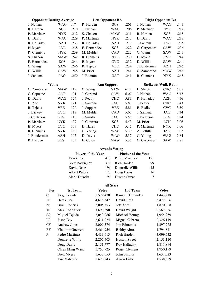| <b>Opponent Batting Average</b> |            |      |              | <b>Left Opponent BA</b> | <b>Right Opponent BA</b> |                             |             |      |  |  |  |
|---------------------------------|------------|------|--------------|-------------------------|--------------------------|-----------------------------|-------------|------|--|--|--|
| J. Nathan                       | WAG        | .174 | R. Harden    | SGS                     | .201                     | J. Nathan                   | WAG         | .143 |  |  |  |
| R. Harden                       | SGS        | .210 | J. Nathan    | WAG                     | .206                     | P. Martinez                 | <b>NYK</b>  | .212 |  |  |  |
| P. Martinez                     | <b>NYK</b> | .212 | S. Chacon    | <b>MAW</b>              | .211                     | R. Harden                   | SGS         | .218 |  |  |  |
| D. Davis                        | WAG        | .229 | P. Martinez  | <b>NYK</b>              | .213                     | D. Davis                    | WAG         | .218 |  |  |  |
| R. Halladay                     | AZH        | .237 | R. Halladay  | AZH                     | .213                     | J. Santana                  | .235<br>JAG |      |  |  |  |
| B. Myers                        | <b>CVC</b> | .238 | F. Hernandez | SGS                     | .222                     | C. Carpenter                | <b>SAW</b>  | .236 |  |  |  |
| R. Clemens                      | <b>NYK</b> | .239 | M. Mulder    | CAD                     | .222                     | C. Wang                     | <b>SAW</b>  | .243 |  |  |  |
| S. Chacon                       | <b>MAW</b> | .242 | R. Clemens   | <b>NYK</b>              | .230                     | B. Myers                    | <b>CVC</b>  | .244 |  |  |  |
| F. Hernandez                    | SGS        | .244 | B. Myers     | <b>CVC</b>              | .232                     | D. Willis                   | <b>SAW</b>  | .244 |  |  |  |
| C. Wang                         | <b>SAW</b> | .246 | R. Tejeda    | <b>VEE</b>              | .234                     | J Bonderman                 | AZH         | .246 |  |  |  |
| D. Willis                       | <b>SAW</b> | .248 | M. Prior     | <b>AZH</b>              | .241                     | C. Zambrano                 | <b>MAW</b>  | .246 |  |  |  |
| J. Santana                      | JAG        | .250 | J. Blanton   | <b>GAT</b>              | .241                     | R. Clemens                  | <b>NYK</b>  | .248 |  |  |  |
|                                 |            |      |              |                         |                          |                             |             |      |  |  |  |
| <b>Walks</b>                    |            |      |              | <b>Run Support</b>      |                          | <b>Strikeout/Walk Ratio</b> |             |      |  |  |  |
| C. Zambrano                     | <b>MAW</b> | 149  | C. Wang      | <b>SAW</b>              | 6.12                     | <b>B.</b> Sheets            | <b>CHC</b>  | 6.05 |  |  |  |
| C. Capuano                      | <b>GAT</b> | 131  | J. Garland   | <b>SAW</b>              | 6.07                     | J. Nathan                   | WAG         | 5.47 |  |  |  |
| D. Davis                        | <b>WAG</b> | 124  | J. Peavy     | <b>CHC</b>              | 5.83                     | R. Halladay                 | AZH         | 4.56 |  |  |  |
| B. Zito                         | <b>NYK</b> | 121  | J. Santana   | JAG                     | 5.83                     | J. Peavy                    | <b>CHC</b>  | 3.43 |  |  |  |
| R. Tejeda                       | <b>VEE</b> | 120  | J. Suppan    | <b>VEE</b>              | 5.81                     | B. Radke                    | <b>CVC</b>  | 3.39 |  |  |  |
| J. Lackey                       | <b>CVC</b> | 118  | M. Mulder    | CAD                     | 5.63                     | J. Santana                  | JAG         | 3.34 |  |  |  |
| J. Contreras                    | SGS        | 116  | J. Smoltz    | JAG                     | 5.55                     | J. Patterson                | SGS         | 3.24 |  |  |  |
| P. Martinez                     | <b>NYK</b> | 109  | J. Contreras | SGS                     | 5.53                     | M. Prior                    | AZH         | 3.06 |  |  |  |
| B. Myers                        | <b>CVC</b> | 107  | D. Haren     | <b>CHC</b>              | 5.45                     | P. Martinez                 | <b>NYK</b>  | 3.06 |  |  |  |
| R. Clemens                      | <b>NYK</b> | 106  | C. Young     | WAG                     | 5.39                     | A. Pettitte                 | JAG         | 3.02 |  |  |  |
| J. Bonderman                    | AZH        | 105  | D. Davis     | WAG                     | 5.37                     | C. Young                    | WAG         | 2.84 |  |  |  |

# Awards Voting

| <b>Player of the Year</b> |      | <b>Pitcher of the Year</b> |     |  |  |  |  |  |  |
|---------------------------|------|----------------------------|-----|--|--|--|--|--|--|
| Derek Lee                 | 413  | Pedro Martinez             | 121 |  |  |  |  |  |  |
| Alex Rodriguez            | 371  | Rich Harden                | 99  |  |  |  |  |  |  |
| David Ortiz               | 196. | Dontrelle Willis           | 45  |  |  |  |  |  |  |
| Albert Pujols             | 127  | Doug Davis                 | 16  |  |  |  |  |  |  |
| Mark Teixeira             | 91   | <b>Huston Street</b>       |     |  |  |  |  |  |  |

# All Stars

| Pos       | 1st Team             | <b>Votes</b> | 2nd Team             | <b>Votes</b> |
|-----------|----------------------|--------------|----------------------|--------------|
| C         | Jorge Posada         | 1,579,470    | Ramon Hernandez      | 1,443,918    |
| 1B        | Derek Lee            | 4,618,347    | David Ortiz          | 3,472,366    |
| 2B        | <b>Brian Roberts</b> | 2,005,353    | Jeff Kent            | 1,870,088    |
| 3B        | Alex Rodriguez       | 3,690,590    | David Wright         | 2,562,856    |
| <b>SS</b> | Miguel Tejada        | 2,043,086    | Michael Young        | 1,954,959    |
| LF        | Jason Bay            | 2,611,024    | Miguel Cabrera       | 2,326,119    |
| <b>CF</b> | <b>Andruw Jones</b>  | 2,009,574    | Jim Edmonds          | 1,397,275    |
| RF        | Vladimir Guerrero    | 2,464,954    | Bobby Abreu          | 1,794,841    |
| P         | Pedro Martinez       | 4,433,613    | Rich Harden          | 3,099,732    |
|           | Dontrelle Willis     | 2,205,503    | <b>Huston Street</b> | 2,153,110    |
|           | Doug Davis           | 2,151,777    | Roy Halladay         | 1,811,894    |
|           | Chien Ming Wang      | 1,753,725    | Roger Clemens        | 1,750,199    |
|           | <b>Brett Myers</b>   | 1,632,653    | John Smoltz          | 1,631,523    |
|           | Jose Valverde        | 1,620,243    | Aaron Fultz          | 1,538,059    |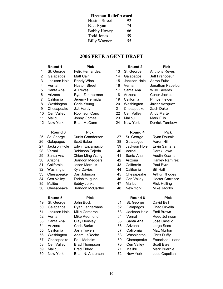# Fireman Relief Award

| <b>Huston Street</b> | 92 |
|----------------------|----|
| B. J. Ryan           | 74 |
| <b>Bobby Howry</b>   | 66 |
| Todd Jones           | 59 |
| Billy Wagner         | 55 |

# 2006 FREE AGENT DRAFT

1 St. George Felix Hernandez 13 St. George Anthony Reyes 2 Galapagos Matt Cain 14 Galapagos Jeff Francoeur 3 Jackson Hole Randy Winn 15 Jackson Hole Aaron Fultz 4 Vernal Huston Street 16 Vernal Jonathan Papelbon 5 Santa Ana Al Reyes 17 Santa Ana Willy Taveras 6 Arizona Ryan Zimmerman 18 Arizona Conor Jackson 7 California Jeremy Hermida 19 California Prince Fielder 8 Washington Chris Young 20 Washington Javier Vazquez 9 Chesapeake J.J. Hardy 21 Chesapeake Zach Duke 10 Cen Valley Robinson Cano 22 Cen Valley Andy Marte 11 Malibu Jonny Gomes 23 Malibu Mark Ellis 12 New York Brian McCann 24 New York Derrick Turnbow

| 25 | St. George   | <b>Curtis Granderson</b> | 37 | St. George   | Ryan Doumit          |
|----|--------------|--------------------------|----|--------------|----------------------|
| 26 | Galapagos    | Scott Baker              | 38 | Galapagos    | Aaron Hill           |
| 27 | Jackson Hole | <b>Edwin Encarnacion</b> | 39 | Jackson Hole | Ervin Santana        |
| 28 | Vernal       | Robinson Tejeda          | 40 | Vernal       | Derek Lowe           |
| 29 | Santa Ana    | Chien Ming Wang          | 41 | Santa Ana    | <b>Austin Kearns</b> |
| 30 | Arizona      | <b>Brandon Medders</b>   | 42 | Arizona      | <b>Hanley Ramir</b>  |
| 31 | California   | Jason Marquis            | 43 | California   | Paul Byrd            |
| 32 | Washington   | <b>Kyle Davies</b>       | 44 | California   | <b>Bill Hall</b>     |
| 33 | Chesapeake   | Dan Johnson              | 45 | Chesapeake   | <b>Arthur Rhodes</b> |
| 34 | Cen Valley   | Tadahito Iguchi          | 46 | Cen Valley   | <b>Hector Carras</b> |
| 35 | Malibu       | Bobby Jenks              | 47 | Malibu       | <b>Rick Helling</b>  |
| 36 | Chesapeake   | <b>Brandon McCarthy</b>  | 48 | New York     | Mike Jacobs          |
|    |              |                          |    |              |                      |

# Round 5 Pick Round 6 Pick

49 St. George John Buck 61 St. George David Bell 50 Galapagos Ryan Langerhans 62 Galapagos Chad Orvella 51 Jackson Hole Mike Cameron 63 Jackson Hole Emil Brown 52 Vernal Mike Redmond 64 Vernal Reed Johnson 53 Santa Ana Clay Hensley 65 Santa Ana Jose Castillo 54 Arizona Chris Burke 66 Arizona Jorge Sosa 55 California Josh Towers 67 California Matt Murton 56 Washington Adam LaRoche 68 Washington Chris Duffy 57 Chesapeake Paul Maholm 69 Chesapeake Francisco Liriano 58 Cen Valley Brad Thompson 70 Cen Valley Scott Eyre 59 Malibu Brad Eldred 71 Malibu Mark Buerhle 60 New York Brian N. Anderson 72 New York Jose Capellan

- Round 1 Pick Round 2 Pick
	-

# Round 3 Pick Round 4 Pick

38 Galapagos Aaron Hill n 39 Jackson Hole Ervin Santana 40 Vernal Derek Lowe 41 Santa Ana Austin Kearns 42 Arizona Hanley Ramirez 43 California Paul Byrd 45 Chesapeake Arthur Rhodes 46 Cen Valley Hector Carrasco 47 Malibu Rick Helling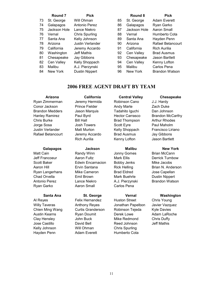|    | Round 7      | <b>Pick</b>             |    | Round 8      | <b>Pick</b>       |
|----|--------------|-------------------------|----|--------------|-------------------|
| 73 | St. George   | Will Ohman              | 85 | St. George   | Adam Evere        |
| 74 | Galapagos    | Antonio Perez           | 86 | Galapagos    | Ryan Garko        |
| 75 | Jackson Hole | Lance Niekro            | 87 | Jackson Hole | Aaron Small       |
| 76 | Vernal       | Chris Spurling          | 88 | Vernal       | Humberto Co       |
| 77 | Santa Ana    | Kelly Johnson           | 89 | Santa Ana    | Hayden Pen        |
| 78 | Arizona      | <b>Justin Verlander</b> | 90 | Arizona      | Rafael Betar      |
| 79 | California   | Jeremy Accardo          | 91 | California   | Rich Aurilia      |
| 80 | Washington   | Jeff Mathis             | 92 | Cen Valley   | <b>Brad Ausmu</b> |
| 81 | Chesapeake   | Jay Gibbons             | 93 | Chesapeake   | Jason Bartle      |
| 82 | Cen Valley   | Kelly Shoppach          | 94 | Cen Valley   | Kenny Loftor      |
| 83 | Malibu       | A.J. Pierzynski         | 95 | Malibu       | Carlos Pena       |
| 84 | New York     | <b>Dustin Nippert</b>   | 96 | New York     | Brandon Wa        |

- 86 Galapagos Ryan Garko 87 Jackson Hole Aaron Small 88 Vernal Humberto Cota 89 Santa Ana Hayden Penn 78 Arizona Justin Verlander 90 Arizona Rafael Betancourt o 91 California Rich Aurilia 92 Cen Valley Brad Ausmus 93 Chesapeake Jason Bartlett 94 Cen Valley Kenny Lofton 95 Malibu Carlos Pena
- 85 St. George Adam Everett 96 New York Brandon Watson

# 2006 FREE AGENT DRAFT BY TEAM

Ryan Zimmerman Jeremy Hermida Robinson Cano J.J. Hardy Conor Jackson **Prince Fielder** Andy Marte **Zach Duke** Brandon Medders Jason Marquis Tadahito Iguchi Dan Johnson Hanley Ramirez **Paul Byrd** Hector Carrasco Brandon McCarthy Chris Burke **Bill Hall** Brad Thompson Arthur Rhodes Jorge Sosa Josh Towers Scott Eyre Paul Maholm Justin Verlander Matt Murton Kelly Shoppach Francisco Liriano Rafael Betancourt Jeremy Accardo Brad Ausmus Jay Gibbons

# Galapagos **Jackson** Malibu New York

- 
- Matt Cain **Randy Winn** Jonny Gomes Brian McCann Jeff Francoeur **Aaron Fultz** Mark Ellis **Derrick Turnbow** Scott Baker Edwin Encarnacion Bobby Jenks Mike Jacobs Aaron Hill **Ervin Santana** Rick Helling Brian N. Anderson Ryan Langerhans Mike Cameron Brad Eldred Jose Capellan Chad Orvella **Emil Brown** Mark Buehrle Dustin Nippert Antonio Perez Lance Niekro A.J. Pierzynski Brandon Watson Ryan Garko **Aaron Small** Carlos Pena

Al Reyes Felix Hernandez Huston Street Chris Young Willy Taveras **Anthony Reyes** Jonathan Papelbon Javier Vazquez Chien Ming Wang Curtis Granderson Robinson Tejeda Kyle Davies Austin Kearns Ryan Doumit Derek Lowe Adam LaRoche Clay Hensley John Buck Mike Redmond Chris Duffy Jose Castillo David Bell Reed Johnson Jeff Mathis Kelly Johnson Will Ohman Chris Spurling Hayden Penn **Adam Everett** Humberto Cota

# Rich Aurilia **Kenny Lofton** Jason Bartlett

- 
- 

# Arizona California Central Valley Chesapeake

## Santa Ana St. George **Vernal Washington**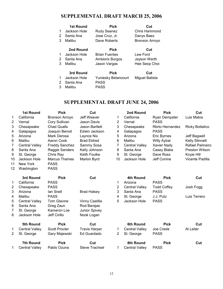# SUPPLEMENTAL DRAFT MARCH 25, 2006

|   | <b>1st Round</b> | <b>Pick</b>            | Cut                   |
|---|------------------|------------------------|-----------------------|
| 1 | Jackson Hole     | <b>Rudy Seanez</b>     | Chris Hammond         |
| 2 | Santa Ana        | Jose Cruz, Jr.         | Danys Baez            |
| 3 | Malibu           | Dave Roberts           | <b>Bronson Arroyo</b> |
|   |                  | <b>Pick</b>            | Cut                   |
|   | 2nd Round        |                        |                       |
| 1 | Jackson Hole     | <b>Brian Fuentes</b>   | Lew Ford              |
| 2 | Santa Ana        | <b>Ambiorix Burgos</b> | Jayson Werth          |
| 3 | Malibu           | Jason Vargas           | Hee Seop Choi         |
|   |                  |                        |                       |
|   | 3rd Round        | <b>Pick</b>            | Cut                   |
|   | Jackson Hole     | Yuniesky Betancourt    | Miguel Batista        |

2 Santa Ana PASS 3 Malibu PASS

# SUPPLEMENTAL DRAFT JUNE 24, 2006

|                | <b>1st Round</b>      | <b>Pick</b>           | Cut                   |                | 2nd Round             | <b>Pick</b>        | Cut                    |
|----------------|-----------------------|-----------------------|-----------------------|----------------|-----------------------|--------------------|------------------------|
| 1              | California            | Bronson Arroyo        | Jeff Weaver           | 1              | California            | Ryan Dempster      | Luis Matos             |
| 2              | Vernal                | Cory Sullivan         | Jason Davis           | 2              | Vernal                | <b>PASS</b>        |                        |
| 3              | Chesapeake            | <b>Chad Qualls</b>    | <b>Jason Bartlett</b> | 3              | Chesapeake            | Rbrto Hernandez    | <b>Ricky Bottalico</b> |
| 4              | Galapagos             | Joaquin Benoit        | Edwin Jackson         | 4              | Galapagos             | <b>PASS</b>        |                        |
| 5              | Arizona               | Mark Derosa           | Laynce Nix            | 5              | Arizona               | <b>Eric Byrnes</b> | Jeff Bagwell           |
| 6              | Malibu                | Aaron Cook            | <b>Brad Eldred</b>    | 6              | Malibu                | Willy Aybar        | <b>Kelly Stinnett</b>  |
| 7              | <b>Central Valley</b> | <b>Freddy Sanchez</b> | Sammy Sosa            | 7              | <b>Central Valley</b> | Xavier Nady        | Rafael Palmeiro        |
| 8              | Santa Ana             | Reggie Sanders        | Kelly Johnson         | 8              | Santa Ana             | Casey Blake        | Preston Wilson         |
| 9              | St. George            | Chris Ray             | <b>Keith Foulke</b>   | 9              | St. George            | Dave Ross          | Koyie Hill             |
| 10             | Jackson Hole          | <b>Marcus Thames</b>  | Marlon Byrd           | 10             | Jackson Hole          | Jeff Conine        | Vicente Padilla        |
| 11             | New York              | <b>PASS</b>           |                       |                |                       |                    |                        |
| 12             | Washington            | <b>PASS</b>           |                       |                |                       |                    |                        |
|                | 3rd Round             | <b>Pick</b>           | Cut                   |                | 4th Round             | <b>Pick</b>        | Cut                    |
| 1              | California            | <b>PASS</b>           |                       | 1              | Arizona               | <b>PASS</b>        |                        |
| $\overline{2}$ | Chesapeake            | <b>PASS</b>           |                       | $\overline{2}$ | <b>Central Valley</b> | <b>Todd Coffey</b> | Josh Fogg              |
| 3              | Arizona               | lan Snell             | <b>Brad Halsey</b>    | 3              | Santa Ana             | <b>PASS</b>        |                        |
| 4              | Malibu                | <b>PASS</b>           |                       | 4              | St. George            | J.J. Putz          | Luis Terrero           |
| 5              | <b>Central Valley</b> | <b>Tom Glavine</b>    | Vinny Castilla        | 5              | Jackson Hole          | <b>PASS</b>        |                        |
| 6              | Santa Ana             | Greg Zaun             | Rod Barajas           |                |                       |                    |                        |
| 7              | St. George            | Kameron Loe           | <b>Junior Spivey</b>  |                |                       |                    |                        |
| 8              | Jackson Hole          | Jeff Cirillo          | Nook Logan            |                |                       |                    |                        |
|                | 5th Round             | <b>Pick</b>           | Cut                   |                | 6th Round             | <b>Pick</b>        | Cut                    |
| 1              | <b>Central Valley</b> | <b>Scott Procter</b>  | <b>Travis Harper</b>  | 1              | <b>Central Valley</b> | Joe Crede          | Al Leiter              |
| $\overline{2}$ | St. George            | Gary Majewski         | Ed Guardado           | $\overline{2}$ | St. George            | <b>PASS</b>        |                        |
|                | <b>7th Round</b>      | <b>Pick</b>           | Cut                   |                | 8th Round             | <b>Pick</b>        | Cut                    |
| 1              | <b>Central Valley</b> | Pablo Ozuna           | <b>Steve Trachsel</b> | 1              | <b>Central Valley</b> | <b>PASS</b>        |                        |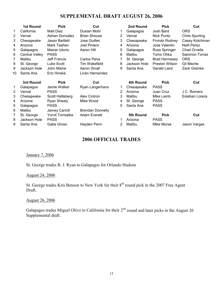# SUPPLEMENTAL DRAFT AUGUST 26, 2006

|                | <b>1st Round</b> | <b>Pick</b>             | Cut                     |   | 2nd Round    | <b>Pick</b>          | Cut                   |
|----------------|------------------|-------------------------|-------------------------|---|--------------|----------------------|-----------------------|
| 1              | California       | Matt Diaz               | Dustan Mohr             |   | Galapagos    | Josh Bard            | <b>ORS</b>            |
| 2              | Vernal           | <b>Adrian Gonzalez</b>  | <b>Brian Shouse</b>     | 2 | Vernal       | Nick Punto           | <b>Chris Spurling</b> |
| 3              | Chesapeake       | Jason Bartlett          | Jose Guillen            | 3 | Chesapeake   | Frnndo Rodney        | Casey Kotchman        |
| 4              | Arizona          | Mark Teahen             | Joel Piniero            | 4 | Arizona      | Jose Valentin        | Neifi Perez           |
| 5              | Galapagos        | Maicer Izturis          | Aaron Hill              | 5 | Galapagos    | Russ Springer        | Chad Orvella          |
| 6              | Central Valley   | <b>PASS</b>             |                         | 6 | Malibu       | Tomo Ohka            | Salomon Torres        |
| 7              | Malibu           | <b>Jeff Francis</b>     | Carlos Pena             |   | St. George   | <b>Brad Hennesey</b> | <b>ORS</b>            |
| 8              | St. George       | Luke Scott              | <b>Tim Wakefield</b>    | 8 | Jackson Hole | Preston Wilson       | Gil Meche             |
| 9              | Jackson Hole     | John Maine              | <b>Aaron Small</b>      | 9 | Santa Ana    | Gerald Laird         | Zack Greinke          |
| 10             | Santa Ana        | Eric Hinske             | Livan Hernandez         |   |              |                      |                       |
|                | 3rd Round        | <b>Pick</b>             | Cut                     |   | 4th Round    | <b>Pick</b>          | Cut                   |
| 1              | Galapagos        | Jamie Walker            | Ryan Langerhans         |   | Chesapeake   | <b>PASS</b>          |                       |
| $\overline{2}$ | Vernal           | <b>PASS</b>             |                         | 2 | Arizona      | Juan Cruz            | J.C. Romero           |
| 3              | Chesapeake       | Scott Hatteberg         | Alex Cintron            | 3 | Malibu       | Mike Lamb            | Esteban Loiaza        |
| 4              | Arizona          | Ryan Shealy             | Mike Wood               | 4 | St. George   | <b>PASS</b>          |                       |
| 5              | Galapagos        | <b>PASS</b>             |                         | 5 | Santa Ana    | <b>PASS</b>          |                       |
| 6              | Malibu           | Jamey Carroll           | <b>Brendan Donnelly</b> |   |              |                      |                       |
| 7              | St. George       | <b>Yorvit Torrealba</b> | <b>Adam Everett</b>     |   | 5th Round    | <b>Pick</b>          | Cut                   |
| 8              | Jackson Hole     | <b>PASS</b>             |                         |   | Arizona      | <b>PASS</b>          |                       |
| 9              | Santa Ana        | Gabe Gross              | Hayden Penn             | 2 | Malibu       | Mike Morse           | Jason Vargas          |

# 2006 OFFICIAL TRADES

# January 7, 2006

St. George trades B. J. Ryan to Galapagos for Orlando Hudson

# August 24, 2006

St. George trades Kris Benson to New York for their 8<sup>th</sup> round pick in the 2007 Free Agent Draft.

# August 26, 2006

Galapagos trades Miguel Olivo to California for their 2<sup>nd</sup> round and later picks in the August 26 Supplemental draft.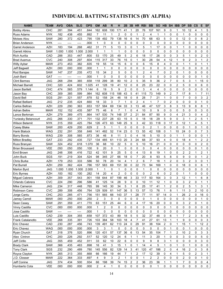# INDIVIDUAL BATTING STATISTICS (BY ALPHA)

| CHC<br>162<br>5<br><b>Bobby Abreu</b><br>.281<br>.394<br>451<br>.844<br>608<br>100<br>171<br>20<br>76<br>107<br>161<br>9<br>0<br>10<br>12<br>41<br>1<br>4<br>1<br>1<br>$\overline{c}$<br><b>NYK</b><br>.182<br>.438<br>.455<br>.892<br>7<br>1<br>0<br>0<br>1<br>2<br>0<br>0<br>1<br>0<br>0<br>11<br>4<br>1<br>1<br>0<br>0<br>Russ Adams<br>5<br>$\overline{c}$<br>Moises Alou<br>SAW<br>.280<br>372<br>423<br>.795<br>139<br>492<br>79<br>138<br>16<br>6<br>14<br>70<br>68<br>63<br>0<br>0<br>12<br>0<br>0<br>8<br>0<br>0<br>0<br>0<br>0<br>0<br>0<br>0<br>$\mathbf 0$<br><b>NYK</b><br>.000<br>1<br>0<br>0<br>0<br>0<br>0<br>0<br>0<br>0<br><b>Brian Anderson</b><br>----<br>----<br>----<br>.462<br>31<br>71<br>13<br>3<br>5<br>$\mathbf{1}$<br>0<br>0<br>0<br>$\mathbf 0$<br><b>AZH</b><br>.183<br>.194<br>268<br>5<br>0<br>1<br>17<br>0<br>1<br>1<br>0<br>Garret Anderson<br>$\mathbf 0$<br>0<br><b>SAW</b><br>1.000<br>1.000<br>2.000<br>$\mathbf{1}$<br>0<br>0<br>0<br>0<br>0<br>0<br>0<br>0<br>0<br>0<br>0<br>$\mathbf 0$<br>1.000<br>1<br>$\mathbf 1$<br>1<br><b>Garrett Atkins</b><br>5<br>6<br>5<br>$\overline{2}$<br>3<br>170<br>25<br>49<br>18<br>26<br>0<br>$\overline{2}$<br>CAD<br>353<br>53<br>17<br>0<br>0<br>$\mathbf 0$<br><b>Rich Aurilia</b><br>.288<br>447<br>.800<br>1<br>$\overline{c}$<br>3<br>$\overline{2}$<br><b>CVC</b><br>.240<br>.308<br>297<br>.604<br>317<br>33<br>76<br>15<br>0<br>30<br>28<br>54<br>12<br>$\mathbf{1}$<br>9<br>115<br>1<br>4<br>1<br><b>Brad Ausmus</b><br><b>MAW</b><br>.273<br>.453<br>382<br>835<br>55<br>14<br>15<br>6<br>0<br>0<br>6<br>15<br>8<br>4<br>0<br>0<br>1<br>0<br><b>Willy Aybar</b><br>19<br>1<br>1<br>1<br><b>AZH</b><br>.000<br>.000<br>.000<br>.000<br>1<br>0<br>$\mathbf 0$<br>0<br>0<br>0<br>0<br>0<br>0<br>0<br>0<br>0<br>0<br>0<br>0<br>0<br>$\mathbf 0$<br>Jeff Bagwell<br>1<br>2<br>5<br>0<br>$\overline{c}$<br>$\overline{7}$<br>$\overline{c}$<br>0<br>.472<br>34<br>0<br>1<br>4<br>0<br>0<br>1<br>0<br>0<br>$\mathbf 0$<br>SAW<br>237<br>.235<br>15<br>Rod Barajas<br>.147<br>.000<br>1<br>0<br>0<br>$\mathbf 0$<br>0<br>0<br>0<br>0<br>0<br>0<br>0<br>0<br>0<br>0<br>0<br>0<br>$\mathbf 0$<br>Josh Bard<br>GAT<br>1<br>$---$<br>$---$<br>----<br>5<br>$\overline{7}$<br>0<br>5<br><b>JAG</b><br>.268<br>.294<br>365<br>.658<br>118<br>299<br>38<br>80<br>10<br>2<br>35<br>9<br>36<br>$\overline{2}$<br>3<br>15<br>$\mathbf 0$<br><b>Clint Barmes</b><br>1<br>8<br>2<br>5<br><b>Michael Barrett</b><br>CHC<br>320<br>424<br>.602<br>1.025<br>41<br>128<br>19<br>41<br>12<br>0<br>25<br>23<br>22<br>0<br>0<br>0<br>0<br>6<br>0<br>5<br>9<br>$\overline{c}$<br>3<br>CHC<br>474<br>.565<br>.579<br>6<br>19<br>0<br>0<br>4<br>4<br>0<br>0<br>0<br>0<br>0<br>0<br>0<br>$\mathbf 0$<br>Jason Bartlett<br>1.144<br>CHC<br>.599<br>162<br>43<br>5<br>9<br>2<br>7<br>17<br>8<br>11<br>Jason Bay<br>.309<br>385<br>.984<br>608<br>115<br>188<br>41<br>115<br>73<br>149<br>1<br>7<br>$\overline{7}$<br>$\overline{7}$<br>.291<br>.321<br>557<br>.878<br>52<br>158<br>24<br>18<br>$\mathbf 0$<br>8<br>28<br>21<br>0<br>0<br>0<br>3<br>$\overline{2}$<br>David Bell<br>SGS<br>46<br>1<br>0<br>$\overline{c}$<br><b>JAG</b><br>.235<br>33<br>3<br>$\overline{7}$<br>7<br>0<br>$\overline{2}$<br>0<br>0<br>0<br>$\mathbf 0$<br>Rafael Belliard<br>.212<br>424<br>.660<br>18<br>1<br>0<br>4<br>1<br>0<br>1<br>127<br><b>AZH</b><br>229<br>.290<br>363<br>157<br>584<br>69<br>134<br>33<br>3<br>3<br>8<br>3<br>13<br>9<br>8<br>8<br>653<br>13<br>46<br>47<br>1<br>Carlos Beltran<br>6<br>4<br>9<br>0<br>5<br>0<br><b>MAW</b><br>.152<br>.152<br>435<br>587<br>75<br>46<br>7<br>$\mathbf{1}$<br>0<br>10<br>$\mathbf 0$<br>0<br>0<br>0<br>3<br>$\mathbf 0$<br><b>Adrian Beltre</b><br>21<br>$\overline{2}$<br><b>AZH</b><br>.279<br>.389<br>475<br>.864<br>74<br>148<br>37<br>$\overline{c}$<br>21<br>84<br>87<br>90<br>9<br>0<br>4<br>3<br>0<br>147<br>530<br>4<br>Lance Berkman<br>5<br>5<br>0<br>3<br>$\overline{c}$<br>5<br>.266<br>.330<br>371<br>.701<br>132<br>237<br>28<br>63<br>15<br>0<br>18<br>18<br>29<br>9<br>Yuniesky Betancourt<br>JAG<br>1<br>1<br>3<br>5<br>.425<br>126<br>25<br>9<br>42<br>33<br>118<br>$\mathbf 0$<br>17<br>0<br>12<br>4<br><b>NYK</b><br>.315<br>359<br>.784<br>473<br>63<br>149<br>1<br>1<br><b>Wilson Betemit</b><br>$\overline{2}$<br>5<br>$\overline{c}$<br>0<br>0<br>0<br>.200<br>.429<br>.200<br>.629<br>1<br>$\mathbf{1}$<br>0<br>$\mathbf 0$<br>0<br>0<br>0<br>$\mathbf 0$<br>SAW<br>$\mathbf{1}$<br>0<br>1<br>1<br>Casey Blake<br>$\overline{7}$<br>3<br>.291<br>.358<br>23<br>$\mathbf 0$<br>24<br>0<br><b>Hank Blalock</b><br>WAG<br>.232<br>.648<br>141<br>492<br>52<br>0<br>13<br>55<br>42<br>108<br>$\mathbf{1}$<br>10<br>0<br>114<br>5<br>.239<br>.308<br>.565<br>.873<br>36<br>46<br>8<br>11<br>3<br>0<br>4<br>10<br>0<br>0<br>$\mathbf{1}$<br>0<br>0<br>0<br><b>Barry Bonds</b><br><b>WAG</b><br>16<br>1<br>1<br>.727<br>$\overline{2}$<br>$\overline{2}$<br>GAT<br>.233<br>.292<br>435<br>134<br>485<br>113<br>20<br>3<br>24<br>68<br>37<br>93<br>4<br>0<br>0<br>18<br><b>Milton Bradley</b><br>61<br>4<br>1<br>.324<br>22<br>5<br>5<br>21<br>0<br>2<br><b>SAW</b><br>.452<br>.618<br>1.070<br>36<br>68<br>0<br>10<br>16<br>0<br>0<br>0<br>0<br>0<br>0<br>Russ Branyan<br>10<br><b>VEE</b><br>9<br>20<br>0<br>1<br>0<br>0<br>0<br>0<br>0<br>0<br>0<br>0<br>0<br>$\mathbf 0$<br><b>Brian Broussard</b><br>.050<br>050<br>.050<br>.100<br>0<br>4<br>0<br>1<br>.722<br>25<br>5<br>4<br>0<br>$\overline{c}$<br>2<br>.248<br>.306<br>42<br>101<br>9<br>0<br>13<br>8<br>19<br>0<br>2<br>JAG<br>.416<br>$\mathbf 1$<br>1<br>$\mathbf{1}$<br>Emil Brown<br>SGS<br>.219<br>.304<br>524<br>345<br>27<br>66<br>18<br>$\overline{7}$<br>20<br>8<br>5<br>8<br>0<br>9<br>0<br>$\overline{c}$<br>.191<br>98<br>0<br>93<br>0<br>1<br>John Buck<br>$\overline{7}$<br>78<br>$\overline{c}$<br>$\overline{c}$<br>0<br>3<br>$\overline{c}$<br>3<br><b>AZH</b><br>.179<br>.253<br>.333<br>.586<br>50<br>20<br>14<br>4<br>6<br>18<br>$\mathbf 1$<br>0<br>$\mathbf{1}$<br>1<br><b>Chris Burke</b><br>0<br>0<br><b>AZH</b><br>.259<br>362<br>424<br>.786<br>157<br>583<br>69<br>151<br>30<br>0<br>22<br>73<br>94<br>169<br>$\mathbf{1}$<br>0<br>18<br>0<br><b>Pat Burrell</b><br>6<br>1<br><b>JAG</b><br>0<br>0<br>0<br>0<br>0<br>1.000<br>1.000<br>1.000<br>2.000<br>$\mathbf{1}$<br>0<br>1<br>0<br>0<br>1<br>0<br>0<br>0<br>0<br>0<br>0<br>Marlon Byrd<br>1<br>20<br>$\overline{c}$<br>0<br>0<br>$\overline{c}$<br>6<br>$\overline{c}$<br><b>AZH</b><br>.100<br>.182<br>.100<br>.282<br>14<br>4<br>0<br>$\mathbf 0$<br>0<br>0<br>$\mathbf{1}$<br>0<br>0<br>$\mathbf 0$<br><b>Eric Byrnes</b><br>1<br>3<br><b>AZH</b><br>.309<br>.357<br>.543<br>.901<br>158<br>87<br>199<br>46<br>3<br>33<br>117<br>50<br>164<br>3<br>0<br>12<br>1<br>1<br>6<br>8<br>644<br>Miguel Cabrera<br>.296<br>28<br>0<br>0<br>3<br>2<br>0<br><b>CVC</b><br>.224<br>290<br>.586<br>41<br>9<br>$\mathbf 0$<br>11<br>12<br>0<br>Orlando Cabrera<br>125<br>14<br>10<br>$\mathbf 1$<br>1<br>1<br>Mike Cameron<br>.234<br>.317<br>.765<br>99<br>25<br>2<br><b>JAG</b><br>.448<br>30<br>34<br>5<br>8<br>17<br>2<br>5<br>3<br>1<br>145<br>41<br>0<br>1<br>1<br>1<br>2<br><b>CVC</b><br>.289<br>.308<br>.456<br>129<br>61<br>36<br>5<br>13<br>57<br>13<br>76<br>1<br>8<br>1<br>3<br>10<br>0<br>Robinson Cano<br>.764<br>509<br>147<br>11<br>CHC<br>151<br>37<br>28<br>11<br>97<br>26<br>2<br>0<br>16<br>.253<br>.285<br>.471<br>.756<br>565<br>66<br>143<br>1<br>77<br>14<br>0<br>1<br>0<br>Jorge Cantu<br>.250<br>.000<br>.250<br>2<br>3<br>0<br>Jamey Carroll<br><b>MAW</b><br>.000<br>0<br>0<br>0<br>0<br>0<br>$\mathbf{1}$<br>0<br>0<br>0<br>0<br>0<br>0<br>0<br>0<br>1<br>6<br>SAW<br>.291<br>.359<br>.411<br>.770<br>63<br>151<br>25<br>44<br>0<br>16<br>20<br>0<br>0<br>0<br>3<br>2<br>0<br>0<br>Sean Casey<br>4<br>17<br>1<br><b>CVC</b><br>Vinny Castilla<br>.000<br>.000<br>.000<br>.000<br>2<br>0<br>0<br>0<br>0<br>0<br>0<br>0<br>0<br>1<br>0<br>0<br>0<br>0<br>0<br>1<br>0<br>0<br>Jose Castillo<br>SAW<br>.000<br>1<br>0<br>0<br>0<br>0<br>0<br>0<br>0<br>0<br>0<br>0<br>0<br>0<br>0<br>0<br>0<br>0<br>0<br>----<br>----<br>----<br>107<br>372<br>$18\,$<br>5<br>5<br>6<br>7<br>Luis Castillo<br>CAD<br>.304<br>.355<br>.658<br>43<br>89<br>32<br>37<br>48<br>0<br>2<br>3<br>5<br>6<br>.239<br>1<br><b>VEE</b><br>18<br>7<br>9<br>0<br>.268<br>.335<br>.391<br>.726<br>103<br>384<br>58<br>103<br>4<br>41<br>27<br>61<br>13<br>1<br>1<br>0<br>0<br>3<br>Frank Catalanotto<br>.743<br>491<br>24<br>29<br>$\overline{2}$<br>15<br>12<br>$\overline{2}$<br>CAD<br>.230<br>.287<br>.456<br>139<br>62<br>113<br>0<br>91<br>38<br>104<br>0<br>1<br>$\mathbf{1}$<br>1<br>Eric Chavez<br>3<br>0<br><b>WAG</b><br>.000<br>.000<br>.000<br>.000<br>3<br>1<br>0<br>0<br>0<br>0<br>0<br>0<br>0<br>0<br>1<br>0<br>0<br>Eric Chavez<br>0<br>1<br>0<br>2<br>.520<br>431<br>137<br>36<br>6<br>13<br>$\overline{7}$<br>2<br>10<br>0<br>3<br>3<br><b>GAT</b><br>.318<br>.376<br>.896<br>120<br>57<br>54<br>35<br>104<br>$\mathbf 1$<br>Ryan Church | <b>NAME</b>   | <b>TEAM</b> | <b>AVG</b> | <b>OBA</b> | <b>SLG</b> | <b>OPS</b> | <b>GM</b> | AB | $\mathsf{R}$ | н |  | 2B 3B HR | <b>RBI</b> | <b>BB</b> | <b>SO</b> | <b>HB</b> | <b>SH</b> | <b>IBB</b> | <b>DP</b> | <b>SB</b> | $\mathsf{cs}$ | E | <b>SF</b> |
|-----------------------------------------------------------------------------------------------------------------------------------------------------------------------------------------------------------------------------------------------------------------------------------------------------------------------------------------------------------------------------------------------------------------------------------------------------------------------------------------------------------------------------------------------------------------------------------------------------------------------------------------------------------------------------------------------------------------------------------------------------------------------------------------------------------------------------------------------------------------------------------------------------------------------------------------------------------------------------------------------------------------------------------------------------------------------------------------------------------------------------------------------------------------------------------------------------------------------------------------------------------------------------------------------------------------------------------------------------------------------------------------------------------------------------------------------------------------------------------------------------------------------------------------------------------------------------------------------------------------------------------------------------------------------------------------------------------------------------------------------------------------------------------------------------------------------------------------------------------------------------------------------------------------------------------------------------------------------------------------------------------------------------------------------------------------------------------------------------------------------------------------------------------------------------------------------------------------------------------------------------------------------------------------------------------------------------------------------------------------------------------------------------------------------------------------------------------------------------------------------------------------------------------------------------------------------------------------------------------------------------------------------------------------------------------------------------------------------------------------------------------------------------------------------------------------------------------------------------------------------------------------------------------------------------------------------------------------------------------------------------------------------------------------------------------------------------------------------------------------------------------------------------------------------------------------------------------------------------------------------------------------------------------------------------------------------------------------------------------------------------------------------------------------------------------------------------------------------------------------------------------------------------------------------------------------------------------------------------------------------------------------------------------------------------------------------------------------------------------------------------------------------------------------------------------------------------------------------------------------------------------------------------------------------------------------------------------------------------------------------------------------------------------------------------------------------------------------------------------------------------------------------------------------------------------------------------------------------------------------------------------------------------------------------------------------------------------------------------------------------------------------------------------------------------------------------------------------------------------------------------------------------------------------------------------------------------------------------------------------------------------------------------------------------------------------------------------------------------------------------------------------------------------------------------------------------------------------------------------------------------------------------------------------------------------------------------------------------------------------------------------------------------------------------------------------------------------------------------------------------------------------------------------------------------------------------------------------------------------------------------------------------------------------------------------------------------------------------------------------------------------------------------------------------------------------------------------------------------------------------------------------------------------------------------------------------------------------------------------------------------------------------------------------------------------------------------------------------------------------------------------------------------------------------------------------------------------------------------------------------------------------------------------------------------------------------------------------------------------------------------------------------------------------------------------------------------------------------------------------------------------------------------------------------------------------------------------------------------------------------------------------------------------------------------------------------------------------------------------------------------------------------------------------------------------------------------------------------------------------------------------------------------------------------------------------------------------------------------------------------------------------------------------------------------------------------------------------------------------------------------------------------------------------------------------------------------------------------------------------------------------------------------------------------------------------------------------------------------------------------------------------------------------------------------------------------------------------------------------------------------------------------------------------------------------------------------------------------------------------------------------------------------------------------------------------------------------------------------------------------------------------------------------------------------------------------------------------------------------------------------------------------------------------------------------------------------------------------------------------------------------------------------------------------------------------------------------------------------------------------------------------------------------------------------------------------------------------------------------------------------------------------------------------------------------------------------------------------------------------------------------------------------------------------------------------------------------------------------------------------------------------------------------------------------------------------------------------------------------------------------------------------------------------------------------------------------------------------------------------------------------------------------------------------------------------------------------------------------------------------------------------------------------------------------------------------------------------------------------------------------------------------------------------------------------------------------------------------------------------------------------------------------------------------------------------------------------------------------------------------------------------------------------------------------------------------------------------------------------------------------------------------------------------------------------------------------------------------------------|---------------|-------------|------------|------------|------------|------------|-----------|----|--------------|---|--|----------|------------|-----------|-----------|-----------|-----------|------------|-----------|-----------|---------------|---|-----------|
|                                                                                                                                                                                                                                                                                                                                                                                                                                                                                                                                                                                                                                                                                                                                                                                                                                                                                                                                                                                                                                                                                                                                                                                                                                                                                                                                                                                                                                                                                                                                                                                                                                                                                                                                                                                                                                                                                                                                                                                                                                                                                                                                                                                                                                                                                                                                                                                                                                                                                                                                                                                                                                                                                                                                                                                                                                                                                                                                                                                                                                                                                                                                                                                                                                                                                                                                                                                                                                                                                                                                                                                                                                                                                                                                                                                                                                                                                                                                                                                                                                                                                                                                                                                                                                                                                                                                                                                                                                                                                                                                                                                                                                                                                                                                                                                                                                                                                                                                                                                                                                                                                                                                                                                                                                                                                                                                                                                                                                                                                                                                                                                                                                                                                                                                                                                                                                                                                                                                                                                                                                                                                                                                                                                                                                                                                                                                                                                                                                                                                                                                                                                                                                                                                                                                                                                                                                                                                                                                                                                                                                                                                                                                                                                                                                                                                                                                                                                                                                                                                                                                                                                                                                                                                                                                                                                                                                                                                                                                                                                                                                                                                                                                                                                                                                                                                                                                                                                                                                                                                                                                                                                                                                                                                                                                                                                                                                                                                                                                                                                                                                                                                                           |               |             |            |            |            |            |           |    |              |   |  |          |            |           |           |           |           |            |           |           |               |   |           |
|                                                                                                                                                                                                                                                                                                                                                                                                                                                                                                                                                                                                                                                                                                                                                                                                                                                                                                                                                                                                                                                                                                                                                                                                                                                                                                                                                                                                                                                                                                                                                                                                                                                                                                                                                                                                                                                                                                                                                                                                                                                                                                                                                                                                                                                                                                                                                                                                                                                                                                                                                                                                                                                                                                                                                                                                                                                                                                                                                                                                                                                                                                                                                                                                                                                                                                                                                                                                                                                                                                                                                                                                                                                                                                                                                                                                                                                                                                                                                                                                                                                                                                                                                                                                                                                                                                                                                                                                                                                                                                                                                                                                                                                                                                                                                                                                                                                                                                                                                                                                                                                                                                                                                                                                                                                                                                                                                                                                                                                                                                                                                                                                                                                                                                                                                                                                                                                                                                                                                                                                                                                                                                                                                                                                                                                                                                                                                                                                                                                                                                                                                                                                                                                                                                                                                                                                                                                                                                                                                                                                                                                                                                                                                                                                                                                                                                                                                                                                                                                                                                                                                                                                                                                                                                                                                                                                                                                                                                                                                                                                                                                                                                                                                                                                                                                                                                                                                                                                                                                                                                                                                                                                                                                                                                                                                                                                                                                                                                                                                                                                                                                                                                           |               |             |            |            |            |            |           |    |              |   |  |          |            |           |           |           |           |            |           |           |               |   |           |
|                                                                                                                                                                                                                                                                                                                                                                                                                                                                                                                                                                                                                                                                                                                                                                                                                                                                                                                                                                                                                                                                                                                                                                                                                                                                                                                                                                                                                                                                                                                                                                                                                                                                                                                                                                                                                                                                                                                                                                                                                                                                                                                                                                                                                                                                                                                                                                                                                                                                                                                                                                                                                                                                                                                                                                                                                                                                                                                                                                                                                                                                                                                                                                                                                                                                                                                                                                                                                                                                                                                                                                                                                                                                                                                                                                                                                                                                                                                                                                                                                                                                                                                                                                                                                                                                                                                                                                                                                                                                                                                                                                                                                                                                                                                                                                                                                                                                                                                                                                                                                                                                                                                                                                                                                                                                                                                                                                                                                                                                                                                                                                                                                                                                                                                                                                                                                                                                                                                                                                                                                                                                                                                                                                                                                                                                                                                                                                                                                                                                                                                                                                                                                                                                                                                                                                                                                                                                                                                                                                                                                                                                                                                                                                                                                                                                                                                                                                                                                                                                                                                                                                                                                                                                                                                                                                                                                                                                                                                                                                                                                                                                                                                                                                                                                                                                                                                                                                                                                                                                                                                                                                                                                                                                                                                                                                                                                                                                                                                                                                                                                                                                                                           |               |             |            |            |            |            |           |    |              |   |  |          |            |           |           |           |           |            |           |           |               |   |           |
|                                                                                                                                                                                                                                                                                                                                                                                                                                                                                                                                                                                                                                                                                                                                                                                                                                                                                                                                                                                                                                                                                                                                                                                                                                                                                                                                                                                                                                                                                                                                                                                                                                                                                                                                                                                                                                                                                                                                                                                                                                                                                                                                                                                                                                                                                                                                                                                                                                                                                                                                                                                                                                                                                                                                                                                                                                                                                                                                                                                                                                                                                                                                                                                                                                                                                                                                                                                                                                                                                                                                                                                                                                                                                                                                                                                                                                                                                                                                                                                                                                                                                                                                                                                                                                                                                                                                                                                                                                                                                                                                                                                                                                                                                                                                                                                                                                                                                                                                                                                                                                                                                                                                                                                                                                                                                                                                                                                                                                                                                                                                                                                                                                                                                                                                                                                                                                                                                                                                                                                                                                                                                                                                                                                                                                                                                                                                                                                                                                                                                                                                                                                                                                                                                                                                                                                                                                                                                                                                                                                                                                                                                                                                                                                                                                                                                                                                                                                                                                                                                                                                                                                                                                                                                                                                                                                                                                                                                                                                                                                                                                                                                                                                                                                                                                                                                                                                                                                                                                                                                                                                                                                                                                                                                                                                                                                                                                                                                                                                                                                                                                                                                                           |               |             |            |            |            |            |           |    |              |   |  |          |            |           |           |           |           |            |           |           |               |   |           |
|                                                                                                                                                                                                                                                                                                                                                                                                                                                                                                                                                                                                                                                                                                                                                                                                                                                                                                                                                                                                                                                                                                                                                                                                                                                                                                                                                                                                                                                                                                                                                                                                                                                                                                                                                                                                                                                                                                                                                                                                                                                                                                                                                                                                                                                                                                                                                                                                                                                                                                                                                                                                                                                                                                                                                                                                                                                                                                                                                                                                                                                                                                                                                                                                                                                                                                                                                                                                                                                                                                                                                                                                                                                                                                                                                                                                                                                                                                                                                                                                                                                                                                                                                                                                                                                                                                                                                                                                                                                                                                                                                                                                                                                                                                                                                                                                                                                                                                                                                                                                                                                                                                                                                                                                                                                                                                                                                                                                                                                                                                                                                                                                                                                                                                                                                                                                                                                                                                                                                                                                                                                                                                                                                                                                                                                                                                                                                                                                                                                                                                                                                                                                                                                                                                                                                                                                                                                                                                                                                                                                                                                                                                                                                                                                                                                                                                                                                                                                                                                                                                                                                                                                                                                                                                                                                                                                                                                                                                                                                                                                                                                                                                                                                                                                                                                                                                                                                                                                                                                                                                                                                                                                                                                                                                                                                                                                                                                                                                                                                                                                                                                                                                           |               |             |            |            |            |            |           |    |              |   |  |          |            |           |           |           |           |            |           |           |               |   |           |
|                                                                                                                                                                                                                                                                                                                                                                                                                                                                                                                                                                                                                                                                                                                                                                                                                                                                                                                                                                                                                                                                                                                                                                                                                                                                                                                                                                                                                                                                                                                                                                                                                                                                                                                                                                                                                                                                                                                                                                                                                                                                                                                                                                                                                                                                                                                                                                                                                                                                                                                                                                                                                                                                                                                                                                                                                                                                                                                                                                                                                                                                                                                                                                                                                                                                                                                                                                                                                                                                                                                                                                                                                                                                                                                                                                                                                                                                                                                                                                                                                                                                                                                                                                                                                                                                                                                                                                                                                                                                                                                                                                                                                                                                                                                                                                                                                                                                                                                                                                                                                                                                                                                                                                                                                                                                                                                                                                                                                                                                                                                                                                                                                                                                                                                                                                                                                                                                                                                                                                                                                                                                                                                                                                                                                                                                                                                                                                                                                                                                                                                                                                                                                                                                                                                                                                                                                                                                                                                                                                                                                                                                                                                                                                                                                                                                                                                                                                                                                                                                                                                                                                                                                                                                                                                                                                                                                                                                                                                                                                                                                                                                                                                                                                                                                                                                                                                                                                                                                                                                                                                                                                                                                                                                                                                                                                                                                                                                                                                                                                                                                                                                                                           |               |             |            |            |            |            |           |    |              |   |  |          |            |           |           |           |           |            |           |           |               |   |           |
|                                                                                                                                                                                                                                                                                                                                                                                                                                                                                                                                                                                                                                                                                                                                                                                                                                                                                                                                                                                                                                                                                                                                                                                                                                                                                                                                                                                                                                                                                                                                                                                                                                                                                                                                                                                                                                                                                                                                                                                                                                                                                                                                                                                                                                                                                                                                                                                                                                                                                                                                                                                                                                                                                                                                                                                                                                                                                                                                                                                                                                                                                                                                                                                                                                                                                                                                                                                                                                                                                                                                                                                                                                                                                                                                                                                                                                                                                                                                                                                                                                                                                                                                                                                                                                                                                                                                                                                                                                                                                                                                                                                                                                                                                                                                                                                                                                                                                                                                                                                                                                                                                                                                                                                                                                                                                                                                                                                                                                                                                                                                                                                                                                                                                                                                                                                                                                                                                                                                                                                                                                                                                                                                                                                                                                                                                                                                                                                                                                                                                                                                                                                                                                                                                                                                                                                                                                                                                                                                                                                                                                                                                                                                                                                                                                                                                                                                                                                                                                                                                                                                                                                                                                                                                                                                                                                                                                                                                                                                                                                                                                                                                                                                                                                                                                                                                                                                                                                                                                                                                                                                                                                                                                                                                                                                                                                                                                                                                                                                                                                                                                                                                                           |               |             |            |            |            |            |           |    |              |   |  |          |            |           |           |           |           |            |           |           |               |   |           |
|                                                                                                                                                                                                                                                                                                                                                                                                                                                                                                                                                                                                                                                                                                                                                                                                                                                                                                                                                                                                                                                                                                                                                                                                                                                                                                                                                                                                                                                                                                                                                                                                                                                                                                                                                                                                                                                                                                                                                                                                                                                                                                                                                                                                                                                                                                                                                                                                                                                                                                                                                                                                                                                                                                                                                                                                                                                                                                                                                                                                                                                                                                                                                                                                                                                                                                                                                                                                                                                                                                                                                                                                                                                                                                                                                                                                                                                                                                                                                                                                                                                                                                                                                                                                                                                                                                                                                                                                                                                                                                                                                                                                                                                                                                                                                                                                                                                                                                                                                                                                                                                                                                                                                                                                                                                                                                                                                                                                                                                                                                                                                                                                                                                                                                                                                                                                                                                                                                                                                                                                                                                                                                                                                                                                                                                                                                                                                                                                                                                                                                                                                                                                                                                                                                                                                                                                                                                                                                                                                                                                                                                                                                                                                                                                                                                                                                                                                                                                                                                                                                                                                                                                                                                                                                                                                                                                                                                                                                                                                                                                                                                                                                                                                                                                                                                                                                                                                                                                                                                                                                                                                                                                                                                                                                                                                                                                                                                                                                                                                                                                                                                                                                           |               |             |            |            |            |            |           |    |              |   |  |          |            |           |           |           |           |            |           |           |               |   |           |
|                                                                                                                                                                                                                                                                                                                                                                                                                                                                                                                                                                                                                                                                                                                                                                                                                                                                                                                                                                                                                                                                                                                                                                                                                                                                                                                                                                                                                                                                                                                                                                                                                                                                                                                                                                                                                                                                                                                                                                                                                                                                                                                                                                                                                                                                                                                                                                                                                                                                                                                                                                                                                                                                                                                                                                                                                                                                                                                                                                                                                                                                                                                                                                                                                                                                                                                                                                                                                                                                                                                                                                                                                                                                                                                                                                                                                                                                                                                                                                                                                                                                                                                                                                                                                                                                                                                                                                                                                                                                                                                                                                                                                                                                                                                                                                                                                                                                                                                                                                                                                                                                                                                                                                                                                                                                                                                                                                                                                                                                                                                                                                                                                                                                                                                                                                                                                                                                                                                                                                                                                                                                                                                                                                                                                                                                                                                                                                                                                                                                                                                                                                                                                                                                                                                                                                                                                                                                                                                                                                                                                                                                                                                                                                                                                                                                                                                                                                                                                                                                                                                                                                                                                                                                                                                                                                                                                                                                                                                                                                                                                                                                                                                                                                                                                                                                                                                                                                                                                                                                                                                                                                                                                                                                                                                                                                                                                                                                                                                                                                                                                                                                                                           |               |             |            |            |            |            |           |    |              |   |  |          |            |           |           |           |           |            |           |           |               |   |           |
|                                                                                                                                                                                                                                                                                                                                                                                                                                                                                                                                                                                                                                                                                                                                                                                                                                                                                                                                                                                                                                                                                                                                                                                                                                                                                                                                                                                                                                                                                                                                                                                                                                                                                                                                                                                                                                                                                                                                                                                                                                                                                                                                                                                                                                                                                                                                                                                                                                                                                                                                                                                                                                                                                                                                                                                                                                                                                                                                                                                                                                                                                                                                                                                                                                                                                                                                                                                                                                                                                                                                                                                                                                                                                                                                                                                                                                                                                                                                                                                                                                                                                                                                                                                                                                                                                                                                                                                                                                                                                                                                                                                                                                                                                                                                                                                                                                                                                                                                                                                                                                                                                                                                                                                                                                                                                                                                                                                                                                                                                                                                                                                                                                                                                                                                                                                                                                                                                                                                                                                                                                                                                                                                                                                                                                                                                                                                                                                                                                                                                                                                                                                                                                                                                                                                                                                                                                                                                                                                                                                                                                                                                                                                                                                                                                                                                                                                                                                                                                                                                                                                                                                                                                                                                                                                                                                                                                                                                                                                                                                                                                                                                                                                                                                                                                                                                                                                                                                                                                                                                                                                                                                                                                                                                                                                                                                                                                                                                                                                                                                                                                                                                                           |               |             |            |            |            |            |           |    |              |   |  |          |            |           |           |           |           |            |           |           |               |   |           |
|                                                                                                                                                                                                                                                                                                                                                                                                                                                                                                                                                                                                                                                                                                                                                                                                                                                                                                                                                                                                                                                                                                                                                                                                                                                                                                                                                                                                                                                                                                                                                                                                                                                                                                                                                                                                                                                                                                                                                                                                                                                                                                                                                                                                                                                                                                                                                                                                                                                                                                                                                                                                                                                                                                                                                                                                                                                                                                                                                                                                                                                                                                                                                                                                                                                                                                                                                                                                                                                                                                                                                                                                                                                                                                                                                                                                                                                                                                                                                                                                                                                                                                                                                                                                                                                                                                                                                                                                                                                                                                                                                                                                                                                                                                                                                                                                                                                                                                                                                                                                                                                                                                                                                                                                                                                                                                                                                                                                                                                                                                                                                                                                                                                                                                                                                                                                                                                                                                                                                                                                                                                                                                                                                                                                                                                                                                                                                                                                                                                                                                                                                                                                                                                                                                                                                                                                                                                                                                                                                                                                                                                                                                                                                                                                                                                                                                                                                                                                                                                                                                                                                                                                                                                                                                                                                                                                                                                                                                                                                                                                                                                                                                                                                                                                                                                                                                                                                                                                                                                                                                                                                                                                                                                                                                                                                                                                                                                                                                                                                                                                                                                                                                           |               |             |            |            |            |            |           |    |              |   |  |          |            |           |           |           |           |            |           |           |               |   |           |
|                                                                                                                                                                                                                                                                                                                                                                                                                                                                                                                                                                                                                                                                                                                                                                                                                                                                                                                                                                                                                                                                                                                                                                                                                                                                                                                                                                                                                                                                                                                                                                                                                                                                                                                                                                                                                                                                                                                                                                                                                                                                                                                                                                                                                                                                                                                                                                                                                                                                                                                                                                                                                                                                                                                                                                                                                                                                                                                                                                                                                                                                                                                                                                                                                                                                                                                                                                                                                                                                                                                                                                                                                                                                                                                                                                                                                                                                                                                                                                                                                                                                                                                                                                                                                                                                                                                                                                                                                                                                                                                                                                                                                                                                                                                                                                                                                                                                                                                                                                                                                                                                                                                                                                                                                                                                                                                                                                                                                                                                                                                                                                                                                                                                                                                                                                                                                                                                                                                                                                                                                                                                                                                                                                                                                                                                                                                                                                                                                                                                                                                                                                                                                                                                                                                                                                                                                                                                                                                                                                                                                                                                                                                                                                                                                                                                                                                                                                                                                                                                                                                                                                                                                                                                                                                                                                                                                                                                                                                                                                                                                                                                                                                                                                                                                                                                                                                                                                                                                                                                                                                                                                                                                                                                                                                                                                                                                                                                                                                                                                                                                                                                                                           |               |             |            |            |            |            |           |    |              |   |  |          |            |           |           |           |           |            |           |           |               |   |           |
|                                                                                                                                                                                                                                                                                                                                                                                                                                                                                                                                                                                                                                                                                                                                                                                                                                                                                                                                                                                                                                                                                                                                                                                                                                                                                                                                                                                                                                                                                                                                                                                                                                                                                                                                                                                                                                                                                                                                                                                                                                                                                                                                                                                                                                                                                                                                                                                                                                                                                                                                                                                                                                                                                                                                                                                                                                                                                                                                                                                                                                                                                                                                                                                                                                                                                                                                                                                                                                                                                                                                                                                                                                                                                                                                                                                                                                                                                                                                                                                                                                                                                                                                                                                                                                                                                                                                                                                                                                                                                                                                                                                                                                                                                                                                                                                                                                                                                                                                                                                                                                                                                                                                                                                                                                                                                                                                                                                                                                                                                                                                                                                                                                                                                                                                                                                                                                                                                                                                                                                                                                                                                                                                                                                                                                                                                                                                                                                                                                                                                                                                                                                                                                                                                                                                                                                                                                                                                                                                                                                                                                                                                                                                                                                                                                                                                                                                                                                                                                                                                                                                                                                                                                                                                                                                                                                                                                                                                                                                                                                                                                                                                                                                                                                                                                                                                                                                                                                                                                                                                                                                                                                                                                                                                                                                                                                                                                                                                                                                                                                                                                                                                                           |               |             |            |            |            |            |           |    |              |   |  |          |            |           |           |           |           |            |           |           |               |   |           |
|                                                                                                                                                                                                                                                                                                                                                                                                                                                                                                                                                                                                                                                                                                                                                                                                                                                                                                                                                                                                                                                                                                                                                                                                                                                                                                                                                                                                                                                                                                                                                                                                                                                                                                                                                                                                                                                                                                                                                                                                                                                                                                                                                                                                                                                                                                                                                                                                                                                                                                                                                                                                                                                                                                                                                                                                                                                                                                                                                                                                                                                                                                                                                                                                                                                                                                                                                                                                                                                                                                                                                                                                                                                                                                                                                                                                                                                                                                                                                                                                                                                                                                                                                                                                                                                                                                                                                                                                                                                                                                                                                                                                                                                                                                                                                                                                                                                                                                                                                                                                                                                                                                                                                                                                                                                                                                                                                                                                                                                                                                                                                                                                                                                                                                                                                                                                                                                                                                                                                                                                                                                                                                                                                                                                                                                                                                                                                                                                                                                                                                                                                                                                                                                                                                                                                                                                                                                                                                                                                                                                                                                                                                                                                                                                                                                                                                                                                                                                                                                                                                                                                                                                                                                                                                                                                                                                                                                                                                                                                                                                                                                                                                                                                                                                                                                                                                                                                                                                                                                                                                                                                                                                                                                                                                                                                                                                                                                                                                                                                                                                                                                                                                           |               |             |            |            |            |            |           |    |              |   |  |          |            |           |           |           |           |            |           |           |               |   |           |
|                                                                                                                                                                                                                                                                                                                                                                                                                                                                                                                                                                                                                                                                                                                                                                                                                                                                                                                                                                                                                                                                                                                                                                                                                                                                                                                                                                                                                                                                                                                                                                                                                                                                                                                                                                                                                                                                                                                                                                                                                                                                                                                                                                                                                                                                                                                                                                                                                                                                                                                                                                                                                                                                                                                                                                                                                                                                                                                                                                                                                                                                                                                                                                                                                                                                                                                                                                                                                                                                                                                                                                                                                                                                                                                                                                                                                                                                                                                                                                                                                                                                                                                                                                                                                                                                                                                                                                                                                                                                                                                                                                                                                                                                                                                                                                                                                                                                                                                                                                                                                                                                                                                                                                                                                                                                                                                                                                                                                                                                                                                                                                                                                                                                                                                                                                                                                                                                                                                                                                                                                                                                                                                                                                                                                                                                                                                                                                                                                                                                                                                                                                                                                                                                                                                                                                                                                                                                                                                                                                                                                                                                                                                                                                                                                                                                                                                                                                                                                                                                                                                                                                                                                                                                                                                                                                                                                                                                                                                                                                                                                                                                                                                                                                                                                                                                                                                                                                                                                                                                                                                                                                                                                                                                                                                                                                                                                                                                                                                                                                                                                                                                                                           |               |             |            |            |            |            |           |    |              |   |  |          |            |           |           |           |           |            |           |           |               |   |           |
|                                                                                                                                                                                                                                                                                                                                                                                                                                                                                                                                                                                                                                                                                                                                                                                                                                                                                                                                                                                                                                                                                                                                                                                                                                                                                                                                                                                                                                                                                                                                                                                                                                                                                                                                                                                                                                                                                                                                                                                                                                                                                                                                                                                                                                                                                                                                                                                                                                                                                                                                                                                                                                                                                                                                                                                                                                                                                                                                                                                                                                                                                                                                                                                                                                                                                                                                                                                                                                                                                                                                                                                                                                                                                                                                                                                                                                                                                                                                                                                                                                                                                                                                                                                                                                                                                                                                                                                                                                                                                                                                                                                                                                                                                                                                                                                                                                                                                                                                                                                                                                                                                                                                                                                                                                                                                                                                                                                                                                                                                                                                                                                                                                                                                                                                                                                                                                                                                                                                                                                                                                                                                                                                                                                                                                                                                                                                                                                                                                                                                                                                                                                                                                                                                                                                                                                                                                                                                                                                                                                                                                                                                                                                                                                                                                                                                                                                                                                                                                                                                                                                                                                                                                                                                                                                                                                                                                                                                                                                                                                                                                                                                                                                                                                                                                                                                                                                                                                                                                                                                                                                                                                                                                                                                                                                                                                                                                                                                                                                                                                                                                                                                                           |               |             |            |            |            |            |           |    |              |   |  |          |            |           |           |           |           |            |           |           |               |   |           |
|                                                                                                                                                                                                                                                                                                                                                                                                                                                                                                                                                                                                                                                                                                                                                                                                                                                                                                                                                                                                                                                                                                                                                                                                                                                                                                                                                                                                                                                                                                                                                                                                                                                                                                                                                                                                                                                                                                                                                                                                                                                                                                                                                                                                                                                                                                                                                                                                                                                                                                                                                                                                                                                                                                                                                                                                                                                                                                                                                                                                                                                                                                                                                                                                                                                                                                                                                                                                                                                                                                                                                                                                                                                                                                                                                                                                                                                                                                                                                                                                                                                                                                                                                                                                                                                                                                                                                                                                                                                                                                                                                                                                                                                                                                                                                                                                                                                                                                                                                                                                                                                                                                                                                                                                                                                                                                                                                                                                                                                                                                                                                                                                                                                                                                                                                                                                                                                                                                                                                                                                                                                                                                                                                                                                                                                                                                                                                                                                                                                                                                                                                                                                                                                                                                                                                                                                                                                                                                                                                                                                                                                                                                                                                                                                                                                                                                                                                                                                                                                                                                                                                                                                                                                                                                                                                                                                                                                                                                                                                                                                                                                                                                                                                                                                                                                                                                                                                                                                                                                                                                                                                                                                                                                                                                                                                                                                                                                                                                                                                                                                                                                                                                           |               |             |            |            |            |            |           |    |              |   |  |          |            |           |           |           |           |            |           |           |               |   |           |
|                                                                                                                                                                                                                                                                                                                                                                                                                                                                                                                                                                                                                                                                                                                                                                                                                                                                                                                                                                                                                                                                                                                                                                                                                                                                                                                                                                                                                                                                                                                                                                                                                                                                                                                                                                                                                                                                                                                                                                                                                                                                                                                                                                                                                                                                                                                                                                                                                                                                                                                                                                                                                                                                                                                                                                                                                                                                                                                                                                                                                                                                                                                                                                                                                                                                                                                                                                                                                                                                                                                                                                                                                                                                                                                                                                                                                                                                                                                                                                                                                                                                                                                                                                                                                                                                                                                                                                                                                                                                                                                                                                                                                                                                                                                                                                                                                                                                                                                                                                                                                                                                                                                                                                                                                                                                                                                                                                                                                                                                                                                                                                                                                                                                                                                                                                                                                                                                                                                                                                                                                                                                                                                                                                                                                                                                                                                                                                                                                                                                                                                                                                                                                                                                                                                                                                                                                                                                                                                                                                                                                                                                                                                                                                                                                                                                                                                                                                                                                                                                                                                                                                                                                                                                                                                                                                                                                                                                                                                                                                                                                                                                                                                                                                                                                                                                                                                                                                                                                                                                                                                                                                                                                                                                                                                                                                                                                                                                                                                                                                                                                                                                                                           |               |             |            |            |            |            |           |    |              |   |  |          |            |           |           |           |           |            |           |           |               |   |           |
|                                                                                                                                                                                                                                                                                                                                                                                                                                                                                                                                                                                                                                                                                                                                                                                                                                                                                                                                                                                                                                                                                                                                                                                                                                                                                                                                                                                                                                                                                                                                                                                                                                                                                                                                                                                                                                                                                                                                                                                                                                                                                                                                                                                                                                                                                                                                                                                                                                                                                                                                                                                                                                                                                                                                                                                                                                                                                                                                                                                                                                                                                                                                                                                                                                                                                                                                                                                                                                                                                                                                                                                                                                                                                                                                                                                                                                                                                                                                                                                                                                                                                                                                                                                                                                                                                                                                                                                                                                                                                                                                                                                                                                                                                                                                                                                                                                                                                                                                                                                                                                                                                                                                                                                                                                                                                                                                                                                                                                                                                                                                                                                                                                                                                                                                                                                                                                                                                                                                                                                                                                                                                                                                                                                                                                                                                                                                                                                                                                                                                                                                                                                                                                                                                                                                                                                                                                                                                                                                                                                                                                                                                                                                                                                                                                                                                                                                                                                                                                                                                                                                                                                                                                                                                                                                                                                                                                                                                                                                                                                                                                                                                                                                                                                                                                                                                                                                                                                                                                                                                                                                                                                                                                                                                                                                                                                                                                                                                                                                                                                                                                                                                                           |               |             |            |            |            |            |           |    |              |   |  |          |            |           |           |           |           |            |           |           |               |   |           |
|                                                                                                                                                                                                                                                                                                                                                                                                                                                                                                                                                                                                                                                                                                                                                                                                                                                                                                                                                                                                                                                                                                                                                                                                                                                                                                                                                                                                                                                                                                                                                                                                                                                                                                                                                                                                                                                                                                                                                                                                                                                                                                                                                                                                                                                                                                                                                                                                                                                                                                                                                                                                                                                                                                                                                                                                                                                                                                                                                                                                                                                                                                                                                                                                                                                                                                                                                                                                                                                                                                                                                                                                                                                                                                                                                                                                                                                                                                                                                                                                                                                                                                                                                                                                                                                                                                                                                                                                                                                                                                                                                                                                                                                                                                                                                                                                                                                                                                                                                                                                                                                                                                                                                                                                                                                                                                                                                                                                                                                                                                                                                                                                                                                                                                                                                                                                                                                                                                                                                                                                                                                                                                                                                                                                                                                                                                                                                                                                                                                                                                                                                                                                                                                                                                                                                                                                                                                                                                                                                                                                                                                                                                                                                                                                                                                                                                                                                                                                                                                                                                                                                                                                                                                                                                                                                                                                                                                                                                                                                                                                                                                                                                                                                                                                                                                                                                                                                                                                                                                                                                                                                                                                                                                                                                                                                                                                                                                                                                                                                                                                                                                                                                           |               |             |            |            |            |            |           |    |              |   |  |          |            |           |           |           |           |            |           |           |               |   |           |
|                                                                                                                                                                                                                                                                                                                                                                                                                                                                                                                                                                                                                                                                                                                                                                                                                                                                                                                                                                                                                                                                                                                                                                                                                                                                                                                                                                                                                                                                                                                                                                                                                                                                                                                                                                                                                                                                                                                                                                                                                                                                                                                                                                                                                                                                                                                                                                                                                                                                                                                                                                                                                                                                                                                                                                                                                                                                                                                                                                                                                                                                                                                                                                                                                                                                                                                                                                                                                                                                                                                                                                                                                                                                                                                                                                                                                                                                                                                                                                                                                                                                                                                                                                                                                                                                                                                                                                                                                                                                                                                                                                                                                                                                                                                                                                                                                                                                                                                                                                                                                                                                                                                                                                                                                                                                                                                                                                                                                                                                                                                                                                                                                                                                                                                                                                                                                                                                                                                                                                                                                                                                                                                                                                                                                                                                                                                                                                                                                                                                                                                                                                                                                                                                                                                                                                                                                                                                                                                                                                                                                                                                                                                                                                                                                                                                                                                                                                                                                                                                                                                                                                                                                                                                                                                                                                                                                                                                                                                                                                                                                                                                                                                                                                                                                                                                                                                                                                                                                                                                                                                                                                                                                                                                                                                                                                                                                                                                                                                                                                                                                                                                                                           |               |             |            |            |            |            |           |    |              |   |  |          |            |           |           |           |           |            |           |           |               |   |           |
|                                                                                                                                                                                                                                                                                                                                                                                                                                                                                                                                                                                                                                                                                                                                                                                                                                                                                                                                                                                                                                                                                                                                                                                                                                                                                                                                                                                                                                                                                                                                                                                                                                                                                                                                                                                                                                                                                                                                                                                                                                                                                                                                                                                                                                                                                                                                                                                                                                                                                                                                                                                                                                                                                                                                                                                                                                                                                                                                                                                                                                                                                                                                                                                                                                                                                                                                                                                                                                                                                                                                                                                                                                                                                                                                                                                                                                                                                                                                                                                                                                                                                                                                                                                                                                                                                                                                                                                                                                                                                                                                                                                                                                                                                                                                                                                                                                                                                                                                                                                                                                                                                                                                                                                                                                                                                                                                                                                                                                                                                                                                                                                                                                                                                                                                                                                                                                                                                                                                                                                                                                                                                                                                                                                                                                                                                                                                                                                                                                                                                                                                                                                                                                                                                                                                                                                                                                                                                                                                                                                                                                                                                                                                                                                                                                                                                                                                                                                                                                                                                                                                                                                                                                                                                                                                                                                                                                                                                                                                                                                                                                                                                                                                                                                                                                                                                                                                                                                                                                                                                                                                                                                                                                                                                                                                                                                                                                                                                                                                                                                                                                                                                                           |               |             |            |            |            |            |           |    |              |   |  |          |            |           |           |           |           |            |           |           |               |   |           |
|                                                                                                                                                                                                                                                                                                                                                                                                                                                                                                                                                                                                                                                                                                                                                                                                                                                                                                                                                                                                                                                                                                                                                                                                                                                                                                                                                                                                                                                                                                                                                                                                                                                                                                                                                                                                                                                                                                                                                                                                                                                                                                                                                                                                                                                                                                                                                                                                                                                                                                                                                                                                                                                                                                                                                                                                                                                                                                                                                                                                                                                                                                                                                                                                                                                                                                                                                                                                                                                                                                                                                                                                                                                                                                                                                                                                                                                                                                                                                                                                                                                                                                                                                                                                                                                                                                                                                                                                                                                                                                                                                                                                                                                                                                                                                                                                                                                                                                                                                                                                                                                                                                                                                                                                                                                                                                                                                                                                                                                                                                                                                                                                                                                                                                                                                                                                                                                                                                                                                                                                                                                                                                                                                                                                                                                                                                                                                                                                                                                                                                                                                                                                                                                                                                                                                                                                                                                                                                                                                                                                                                                                                                                                                                                                                                                                                                                                                                                                                                                                                                                                                                                                                                                                                                                                                                                                                                                                                                                                                                                                                                                                                                                                                                                                                                                                                                                                                                                                                                                                                                                                                                                                                                                                                                                                                                                                                                                                                                                                                                                                                                                                                                           |               |             |            |            |            |            |           |    |              |   |  |          |            |           |           |           |           |            |           |           |               |   |           |
|                                                                                                                                                                                                                                                                                                                                                                                                                                                                                                                                                                                                                                                                                                                                                                                                                                                                                                                                                                                                                                                                                                                                                                                                                                                                                                                                                                                                                                                                                                                                                                                                                                                                                                                                                                                                                                                                                                                                                                                                                                                                                                                                                                                                                                                                                                                                                                                                                                                                                                                                                                                                                                                                                                                                                                                                                                                                                                                                                                                                                                                                                                                                                                                                                                                                                                                                                                                                                                                                                                                                                                                                                                                                                                                                                                                                                                                                                                                                                                                                                                                                                                                                                                                                                                                                                                                                                                                                                                                                                                                                                                                                                                                                                                                                                                                                                                                                                                                                                                                                                                                                                                                                                                                                                                                                                                                                                                                                                                                                                                                                                                                                                                                                                                                                                                                                                                                                                                                                                                                                                                                                                                                                                                                                                                                                                                                                                                                                                                                                                                                                                                                                                                                                                                                                                                                                                                                                                                                                                                                                                                                                                                                                                                                                                                                                                                                                                                                                                                                                                                                                                                                                                                                                                                                                                                                                                                                                                                                                                                                                                                                                                                                                                                                                                                                                                                                                                                                                                                                                                                                                                                                                                                                                                                                                                                                                                                                                                                                                                                                                                                                                                                           |               |             |            |            |            |            |           |    |              |   |  |          |            |           |           |           |           |            |           |           |               |   |           |
|                                                                                                                                                                                                                                                                                                                                                                                                                                                                                                                                                                                                                                                                                                                                                                                                                                                                                                                                                                                                                                                                                                                                                                                                                                                                                                                                                                                                                                                                                                                                                                                                                                                                                                                                                                                                                                                                                                                                                                                                                                                                                                                                                                                                                                                                                                                                                                                                                                                                                                                                                                                                                                                                                                                                                                                                                                                                                                                                                                                                                                                                                                                                                                                                                                                                                                                                                                                                                                                                                                                                                                                                                                                                                                                                                                                                                                                                                                                                                                                                                                                                                                                                                                                                                                                                                                                                                                                                                                                                                                                                                                                                                                                                                                                                                                                                                                                                                                                                                                                                                                                                                                                                                                                                                                                                                                                                                                                                                                                                                                                                                                                                                                                                                                                                                                                                                                                                                                                                                                                                                                                                                                                                                                                                                                                                                                                                                                                                                                                                                                                                                                                                                                                                                                                                                                                                                                                                                                                                                                                                                                                                                                                                                                                                                                                                                                                                                                                                                                                                                                                                                                                                                                                                                                                                                                                                                                                                                                                                                                                                                                                                                                                                                                                                                                                                                                                                                                                                                                                                                                                                                                                                                                                                                                                                                                                                                                                                                                                                                                                                                                                                                                           |               |             |            |            |            |            |           |    |              |   |  |          |            |           |           |           |           |            |           |           |               |   |           |
|                                                                                                                                                                                                                                                                                                                                                                                                                                                                                                                                                                                                                                                                                                                                                                                                                                                                                                                                                                                                                                                                                                                                                                                                                                                                                                                                                                                                                                                                                                                                                                                                                                                                                                                                                                                                                                                                                                                                                                                                                                                                                                                                                                                                                                                                                                                                                                                                                                                                                                                                                                                                                                                                                                                                                                                                                                                                                                                                                                                                                                                                                                                                                                                                                                                                                                                                                                                                                                                                                                                                                                                                                                                                                                                                                                                                                                                                                                                                                                                                                                                                                                                                                                                                                                                                                                                                                                                                                                                                                                                                                                                                                                                                                                                                                                                                                                                                                                                                                                                                                                                                                                                                                                                                                                                                                                                                                                                                                                                                                                                                                                                                                                                                                                                                                                                                                                                                                                                                                                                                                                                                                                                                                                                                                                                                                                                                                                                                                                                                                                                                                                                                                                                                                                                                                                                                                                                                                                                                                                                                                                                                                                                                                                                                                                                                                                                                                                                                                                                                                                                                                                                                                                                                                                                                                                                                                                                                                                                                                                                                                                                                                                                                                                                                                                                                                                                                                                                                                                                                                                                                                                                                                                                                                                                                                                                                                                                                                                                                                                                                                                                                                                           |               |             |            |            |            |            |           |    |              |   |  |          |            |           |           |           |           |            |           |           |               |   |           |
|                                                                                                                                                                                                                                                                                                                                                                                                                                                                                                                                                                                                                                                                                                                                                                                                                                                                                                                                                                                                                                                                                                                                                                                                                                                                                                                                                                                                                                                                                                                                                                                                                                                                                                                                                                                                                                                                                                                                                                                                                                                                                                                                                                                                                                                                                                                                                                                                                                                                                                                                                                                                                                                                                                                                                                                                                                                                                                                                                                                                                                                                                                                                                                                                                                                                                                                                                                                                                                                                                                                                                                                                                                                                                                                                                                                                                                                                                                                                                                                                                                                                                                                                                                                                                                                                                                                                                                                                                                                                                                                                                                                                                                                                                                                                                                                                                                                                                                                                                                                                                                                                                                                                                                                                                                                                                                                                                                                                                                                                                                                                                                                                                                                                                                                                                                                                                                                                                                                                                                                                                                                                                                                                                                                                                                                                                                                                                                                                                                                                                                                                                                                                                                                                                                                                                                                                                                                                                                                                                                                                                                                                                                                                                                                                                                                                                                                                                                                                                                                                                                                                                                                                                                                                                                                                                                                                                                                                                                                                                                                                                                                                                                                                                                                                                                                                                                                                                                                                                                                                                                                                                                                                                                                                                                                                                                                                                                                                                                                                                                                                                                                                                                           |               |             |            |            |            |            |           |    |              |   |  |          |            |           |           |           |           |            |           |           |               |   |           |
|                                                                                                                                                                                                                                                                                                                                                                                                                                                                                                                                                                                                                                                                                                                                                                                                                                                                                                                                                                                                                                                                                                                                                                                                                                                                                                                                                                                                                                                                                                                                                                                                                                                                                                                                                                                                                                                                                                                                                                                                                                                                                                                                                                                                                                                                                                                                                                                                                                                                                                                                                                                                                                                                                                                                                                                                                                                                                                                                                                                                                                                                                                                                                                                                                                                                                                                                                                                                                                                                                                                                                                                                                                                                                                                                                                                                                                                                                                                                                                                                                                                                                                                                                                                                                                                                                                                                                                                                                                                                                                                                                                                                                                                                                                                                                                                                                                                                                                                                                                                                                                                                                                                                                                                                                                                                                                                                                                                                                                                                                                                                                                                                                                                                                                                                                                                                                                                                                                                                                                                                                                                                                                                                                                                                                                                                                                                                                                                                                                                                                                                                                                                                                                                                                                                                                                                                                                                                                                                                                                                                                                                                                                                                                                                                                                                                                                                                                                                                                                                                                                                                                                                                                                                                                                                                                                                                                                                                                                                                                                                                                                                                                                                                                                                                                                                                                                                                                                                                                                                                                                                                                                                                                                                                                                                                                                                                                                                                                                                                                                                                                                                                                                           |               |             |            |            |            |            |           |    |              |   |  |          |            |           |           |           |           |            |           |           |               |   |           |
|                                                                                                                                                                                                                                                                                                                                                                                                                                                                                                                                                                                                                                                                                                                                                                                                                                                                                                                                                                                                                                                                                                                                                                                                                                                                                                                                                                                                                                                                                                                                                                                                                                                                                                                                                                                                                                                                                                                                                                                                                                                                                                                                                                                                                                                                                                                                                                                                                                                                                                                                                                                                                                                                                                                                                                                                                                                                                                                                                                                                                                                                                                                                                                                                                                                                                                                                                                                                                                                                                                                                                                                                                                                                                                                                                                                                                                                                                                                                                                                                                                                                                                                                                                                                                                                                                                                                                                                                                                                                                                                                                                                                                                                                                                                                                                                                                                                                                                                                                                                                                                                                                                                                                                                                                                                                                                                                                                                                                                                                                                                                                                                                                                                                                                                                                                                                                                                                                                                                                                                                                                                                                                                                                                                                                                                                                                                                                                                                                                                                                                                                                                                                                                                                                                                                                                                                                                                                                                                                                                                                                                                                                                                                                                                                                                                                                                                                                                                                                                                                                                                                                                                                                                                                                                                                                                                                                                                                                                                                                                                                                                                                                                                                                                                                                                                                                                                                                                                                                                                                                                                                                                                                                                                                                                                                                                                                                                                                                                                                                                                                                                                                                                           |               |             |            |            |            |            |           |    |              |   |  |          |            |           |           |           |           |            |           |           |               |   |           |
|                                                                                                                                                                                                                                                                                                                                                                                                                                                                                                                                                                                                                                                                                                                                                                                                                                                                                                                                                                                                                                                                                                                                                                                                                                                                                                                                                                                                                                                                                                                                                                                                                                                                                                                                                                                                                                                                                                                                                                                                                                                                                                                                                                                                                                                                                                                                                                                                                                                                                                                                                                                                                                                                                                                                                                                                                                                                                                                                                                                                                                                                                                                                                                                                                                                                                                                                                                                                                                                                                                                                                                                                                                                                                                                                                                                                                                                                                                                                                                                                                                                                                                                                                                                                                                                                                                                                                                                                                                                                                                                                                                                                                                                                                                                                                                                                                                                                                                                                                                                                                                                                                                                                                                                                                                                                                                                                                                                                                                                                                                                                                                                                                                                                                                                                                                                                                                                                                                                                                                                                                                                                                                                                                                                                                                                                                                                                                                                                                                                                                                                                                                                                                                                                                                                                                                                                                                                                                                                                                                                                                                                                                                                                                                                                                                                                                                                                                                                                                                                                                                                                                                                                                                                                                                                                                                                                                                                                                                                                                                                                                                                                                                                                                                                                                                                                                                                                                                                                                                                                                                                                                                                                                                                                                                                                                                                                                                                                                                                                                                                                                                                                                                           |               |             |            |            |            |            |           |    |              |   |  |          |            |           |           |           |           |            |           |           |               |   |           |
|                                                                                                                                                                                                                                                                                                                                                                                                                                                                                                                                                                                                                                                                                                                                                                                                                                                                                                                                                                                                                                                                                                                                                                                                                                                                                                                                                                                                                                                                                                                                                                                                                                                                                                                                                                                                                                                                                                                                                                                                                                                                                                                                                                                                                                                                                                                                                                                                                                                                                                                                                                                                                                                                                                                                                                                                                                                                                                                                                                                                                                                                                                                                                                                                                                                                                                                                                                                                                                                                                                                                                                                                                                                                                                                                                                                                                                                                                                                                                                                                                                                                                                                                                                                                                                                                                                                                                                                                                                                                                                                                                                                                                                                                                                                                                                                                                                                                                                                                                                                                                                                                                                                                                                                                                                                                                                                                                                                                                                                                                                                                                                                                                                                                                                                                                                                                                                                                                                                                                                                                                                                                                                                                                                                                                                                                                                                                                                                                                                                                                                                                                                                                                                                                                                                                                                                                                                                                                                                                                                                                                                                                                                                                                                                                                                                                                                                                                                                                                                                                                                                                                                                                                                                                                                                                                                                                                                                                                                                                                                                                                                                                                                                                                                                                                                                                                                                                                                                                                                                                                                                                                                                                                                                                                                                                                                                                                                                                                                                                                                                                                                                                                                           |               |             |            |            |            |            |           |    |              |   |  |          |            |           |           |           |           |            |           |           |               |   |           |
|                                                                                                                                                                                                                                                                                                                                                                                                                                                                                                                                                                                                                                                                                                                                                                                                                                                                                                                                                                                                                                                                                                                                                                                                                                                                                                                                                                                                                                                                                                                                                                                                                                                                                                                                                                                                                                                                                                                                                                                                                                                                                                                                                                                                                                                                                                                                                                                                                                                                                                                                                                                                                                                                                                                                                                                                                                                                                                                                                                                                                                                                                                                                                                                                                                                                                                                                                                                                                                                                                                                                                                                                                                                                                                                                                                                                                                                                                                                                                                                                                                                                                                                                                                                                                                                                                                                                                                                                                                                                                                                                                                                                                                                                                                                                                                                                                                                                                                                                                                                                                                                                                                                                                                                                                                                                                                                                                                                                                                                                                                                                                                                                                                                                                                                                                                                                                                                                                                                                                                                                                                                                                                                                                                                                                                                                                                                                                                                                                                                                                                                                                                                                                                                                                                                                                                                                                                                                                                                                                                                                                                                                                                                                                                                                                                                                                                                                                                                                                                                                                                                                                                                                                                                                                                                                                                                                                                                                                                                                                                                                                                                                                                                                                                                                                                                                                                                                                                                                                                                                                                                                                                                                                                                                                                                                                                                                                                                                                                                                                                                                                                                                                                           |               |             |            |            |            |            |           |    |              |   |  |          |            |           |           |           |           |            |           |           |               |   |           |
|                                                                                                                                                                                                                                                                                                                                                                                                                                                                                                                                                                                                                                                                                                                                                                                                                                                                                                                                                                                                                                                                                                                                                                                                                                                                                                                                                                                                                                                                                                                                                                                                                                                                                                                                                                                                                                                                                                                                                                                                                                                                                                                                                                                                                                                                                                                                                                                                                                                                                                                                                                                                                                                                                                                                                                                                                                                                                                                                                                                                                                                                                                                                                                                                                                                                                                                                                                                                                                                                                                                                                                                                                                                                                                                                                                                                                                                                                                                                                                                                                                                                                                                                                                                                                                                                                                                                                                                                                                                                                                                                                                                                                                                                                                                                                                                                                                                                                                                                                                                                                                                                                                                                                                                                                                                                                                                                                                                                                                                                                                                                                                                                                                                                                                                                                                                                                                                                                                                                                                                                                                                                                                                                                                                                                                                                                                                                                                                                                                                                                                                                                                                                                                                                                                                                                                                                                                                                                                                                                                                                                                                                                                                                                                                                                                                                                                                                                                                                                                                                                                                                                                                                                                                                                                                                                                                                                                                                                                                                                                                                                                                                                                                                                                                                                                                                                                                                                                                                                                                                                                                                                                                                                                                                                                                                                                                                                                                                                                                                                                                                                                                                                                           |               |             |            |            |            |            |           |    |              |   |  |          |            |           |           |           |           |            |           |           |               |   |           |
|                                                                                                                                                                                                                                                                                                                                                                                                                                                                                                                                                                                                                                                                                                                                                                                                                                                                                                                                                                                                                                                                                                                                                                                                                                                                                                                                                                                                                                                                                                                                                                                                                                                                                                                                                                                                                                                                                                                                                                                                                                                                                                                                                                                                                                                                                                                                                                                                                                                                                                                                                                                                                                                                                                                                                                                                                                                                                                                                                                                                                                                                                                                                                                                                                                                                                                                                                                                                                                                                                                                                                                                                                                                                                                                                                                                                                                                                                                                                                                                                                                                                                                                                                                                                                                                                                                                                                                                                                                                                                                                                                                                                                                                                                                                                                                                                                                                                                                                                                                                                                                                                                                                                                                                                                                                                                                                                                                                                                                                                                                                                                                                                                                                                                                                                                                                                                                                                                                                                                                                                                                                                                                                                                                                                                                                                                                                                                                                                                                                                                                                                                                                                                                                                                                                                                                                                                                                                                                                                                                                                                                                                                                                                                                                                                                                                                                                                                                                                                                                                                                                                                                                                                                                                                                                                                                                                                                                                                                                                                                                                                                                                                                                                                                                                                                                                                                                                                                                                                                                                                                                                                                                                                                                                                                                                                                                                                                                                                                                                                                                                                                                                                                           |               |             |            |            |            |            |           |    |              |   |  |          |            |           |           |           |           |            |           |           |               |   |           |
|                                                                                                                                                                                                                                                                                                                                                                                                                                                                                                                                                                                                                                                                                                                                                                                                                                                                                                                                                                                                                                                                                                                                                                                                                                                                                                                                                                                                                                                                                                                                                                                                                                                                                                                                                                                                                                                                                                                                                                                                                                                                                                                                                                                                                                                                                                                                                                                                                                                                                                                                                                                                                                                                                                                                                                                                                                                                                                                                                                                                                                                                                                                                                                                                                                                                                                                                                                                                                                                                                                                                                                                                                                                                                                                                                                                                                                                                                                                                                                                                                                                                                                                                                                                                                                                                                                                                                                                                                                                                                                                                                                                                                                                                                                                                                                                                                                                                                                                                                                                                                                                                                                                                                                                                                                                                                                                                                                                                                                                                                                                                                                                                                                                                                                                                                                                                                                                                                                                                                                                                                                                                                                                                                                                                                                                                                                                                                                                                                                                                                                                                                                                                                                                                                                                                                                                                                                                                                                                                                                                                                                                                                                                                                                                                                                                                                                                                                                                                                                                                                                                                                                                                                                                                                                                                                                                                                                                                                                                                                                                                                                                                                                                                                                                                                                                                                                                                                                                                                                                                                                                                                                                                                                                                                                                                                                                                                                                                                                                                                                                                                                                                                                           |               |             |            |            |            |            |           |    |              |   |  |          |            |           |           |           |           |            |           |           |               |   |           |
|                                                                                                                                                                                                                                                                                                                                                                                                                                                                                                                                                                                                                                                                                                                                                                                                                                                                                                                                                                                                                                                                                                                                                                                                                                                                                                                                                                                                                                                                                                                                                                                                                                                                                                                                                                                                                                                                                                                                                                                                                                                                                                                                                                                                                                                                                                                                                                                                                                                                                                                                                                                                                                                                                                                                                                                                                                                                                                                                                                                                                                                                                                                                                                                                                                                                                                                                                                                                                                                                                                                                                                                                                                                                                                                                                                                                                                                                                                                                                                                                                                                                                                                                                                                                                                                                                                                                                                                                                                                                                                                                                                                                                                                                                                                                                                                                                                                                                                                                                                                                                                                                                                                                                                                                                                                                                                                                                                                                                                                                                                                                                                                                                                                                                                                                                                                                                                                                                                                                                                                                                                                                                                                                                                                                                                                                                                                                                                                                                                                                                                                                                                                                                                                                                                                                                                                                                                                                                                                                                                                                                                                                                                                                                                                                                                                                                                                                                                                                                                                                                                                                                                                                                                                                                                                                                                                                                                                                                                                                                                                                                                                                                                                                                                                                                                                                                                                                                                                                                                                                                                                                                                                                                                                                                                                                                                                                                                                                                                                                                                                                                                                                                                           |               |             |            |            |            |            |           |    |              |   |  |          |            |           |           |           |           |            |           |           |               |   |           |
|                                                                                                                                                                                                                                                                                                                                                                                                                                                                                                                                                                                                                                                                                                                                                                                                                                                                                                                                                                                                                                                                                                                                                                                                                                                                                                                                                                                                                                                                                                                                                                                                                                                                                                                                                                                                                                                                                                                                                                                                                                                                                                                                                                                                                                                                                                                                                                                                                                                                                                                                                                                                                                                                                                                                                                                                                                                                                                                                                                                                                                                                                                                                                                                                                                                                                                                                                                                                                                                                                                                                                                                                                                                                                                                                                                                                                                                                                                                                                                                                                                                                                                                                                                                                                                                                                                                                                                                                                                                                                                                                                                                                                                                                                                                                                                                                                                                                                                                                                                                                                                                                                                                                                                                                                                                                                                                                                                                                                                                                                                                                                                                                                                                                                                                                                                                                                                                                                                                                                                                                                                                                                                                                                                                                                                                                                                                                                                                                                                                                                                                                                                                                                                                                                                                                                                                                                                                                                                                                                                                                                                                                                                                                                                                                                                                                                                                                                                                                                                                                                                                                                                                                                                                                                                                                                                                                                                                                                                                                                                                                                                                                                                                                                                                                                                                                                                                                                                                                                                                                                                                                                                                                                                                                                                                                                                                                                                                                                                                                                                                                                                                                                                           |               |             |            |            |            |            |           |    |              |   |  |          |            |           |           |           |           |            |           |           |               |   |           |
|                                                                                                                                                                                                                                                                                                                                                                                                                                                                                                                                                                                                                                                                                                                                                                                                                                                                                                                                                                                                                                                                                                                                                                                                                                                                                                                                                                                                                                                                                                                                                                                                                                                                                                                                                                                                                                                                                                                                                                                                                                                                                                                                                                                                                                                                                                                                                                                                                                                                                                                                                                                                                                                                                                                                                                                                                                                                                                                                                                                                                                                                                                                                                                                                                                                                                                                                                                                                                                                                                                                                                                                                                                                                                                                                                                                                                                                                                                                                                                                                                                                                                                                                                                                                                                                                                                                                                                                                                                                                                                                                                                                                                                                                                                                                                                                                                                                                                                                                                                                                                                                                                                                                                                                                                                                                                                                                                                                                                                                                                                                                                                                                                                                                                                                                                                                                                                                                                                                                                                                                                                                                                                                                                                                                                                                                                                                                                                                                                                                                                                                                                                                                                                                                                                                                                                                                                                                                                                                                                                                                                                                                                                                                                                                                                                                                                                                                                                                                                                                                                                                                                                                                                                                                                                                                                                                                                                                                                                                                                                                                                                                                                                                                                                                                                                                                                                                                                                                                                                                                                                                                                                                                                                                                                                                                                                                                                                                                                                                                                                                                                                                                                                           |               |             |            |            |            |            |           |    |              |   |  |          |            |           |           |           |           |            |           |           |               |   |           |
|                                                                                                                                                                                                                                                                                                                                                                                                                                                                                                                                                                                                                                                                                                                                                                                                                                                                                                                                                                                                                                                                                                                                                                                                                                                                                                                                                                                                                                                                                                                                                                                                                                                                                                                                                                                                                                                                                                                                                                                                                                                                                                                                                                                                                                                                                                                                                                                                                                                                                                                                                                                                                                                                                                                                                                                                                                                                                                                                                                                                                                                                                                                                                                                                                                                                                                                                                                                                                                                                                                                                                                                                                                                                                                                                                                                                                                                                                                                                                                                                                                                                                                                                                                                                                                                                                                                                                                                                                                                                                                                                                                                                                                                                                                                                                                                                                                                                                                                                                                                                                                                                                                                                                                                                                                                                                                                                                                                                                                                                                                                                                                                                                                                                                                                                                                                                                                                                                                                                                                                                                                                                                                                                                                                                                                                                                                                                                                                                                                                                                                                                                                                                                                                                                                                                                                                                                                                                                                                                                                                                                                                                                                                                                                                                                                                                                                                                                                                                                                                                                                                                                                                                                                                                                                                                                                                                                                                                                                                                                                                                                                                                                                                                                                                                                                                                                                                                                                                                                                                                                                                                                                                                                                                                                                                                                                                                                                                                                                                                                                                                                                                                                                           |               |             |            |            |            |            |           |    |              |   |  |          |            |           |           |           |           |            |           |           |               |   |           |
|                                                                                                                                                                                                                                                                                                                                                                                                                                                                                                                                                                                                                                                                                                                                                                                                                                                                                                                                                                                                                                                                                                                                                                                                                                                                                                                                                                                                                                                                                                                                                                                                                                                                                                                                                                                                                                                                                                                                                                                                                                                                                                                                                                                                                                                                                                                                                                                                                                                                                                                                                                                                                                                                                                                                                                                                                                                                                                                                                                                                                                                                                                                                                                                                                                                                                                                                                                                                                                                                                                                                                                                                                                                                                                                                                                                                                                                                                                                                                                                                                                                                                                                                                                                                                                                                                                                                                                                                                                                                                                                                                                                                                                                                                                                                                                                                                                                                                                                                                                                                                                                                                                                                                                                                                                                                                                                                                                                                                                                                                                                                                                                                                                                                                                                                                                                                                                                                                                                                                                                                                                                                                                                                                                                                                                                                                                                                                                                                                                                                                                                                                                                                                                                                                                                                                                                                                                                                                                                                                                                                                                                                                                                                                                                                                                                                                                                                                                                                                                                                                                                                                                                                                                                                                                                                                                                                                                                                                                                                                                                                                                                                                                                                                                                                                                                                                                                                                                                                                                                                                                                                                                                                                                                                                                                                                                                                                                                                                                                                                                                                                                                                                                           |               |             |            |            |            |            |           |    |              |   |  |          |            |           |           |           |           |            |           |           |               |   |           |
|                                                                                                                                                                                                                                                                                                                                                                                                                                                                                                                                                                                                                                                                                                                                                                                                                                                                                                                                                                                                                                                                                                                                                                                                                                                                                                                                                                                                                                                                                                                                                                                                                                                                                                                                                                                                                                                                                                                                                                                                                                                                                                                                                                                                                                                                                                                                                                                                                                                                                                                                                                                                                                                                                                                                                                                                                                                                                                                                                                                                                                                                                                                                                                                                                                                                                                                                                                                                                                                                                                                                                                                                                                                                                                                                                                                                                                                                                                                                                                                                                                                                                                                                                                                                                                                                                                                                                                                                                                                                                                                                                                                                                                                                                                                                                                                                                                                                                                                                                                                                                                                                                                                                                                                                                                                                                                                                                                                                                                                                                                                                                                                                                                                                                                                                                                                                                                                                                                                                                                                                                                                                                                                                                                                                                                                                                                                                                                                                                                                                                                                                                                                                                                                                                                                                                                                                                                                                                                                                                                                                                                                                                                                                                                                                                                                                                                                                                                                                                                                                                                                                                                                                                                                                                                                                                                                                                                                                                                                                                                                                                                                                                                                                                                                                                                                                                                                                                                                                                                                                                                                                                                                                                                                                                                                                                                                                                                                                                                                                                                                                                                                                                                           |               |             |            |            |            |            |           |    |              |   |  |          |            |           |           |           |           |            |           |           |               |   |           |
|                                                                                                                                                                                                                                                                                                                                                                                                                                                                                                                                                                                                                                                                                                                                                                                                                                                                                                                                                                                                                                                                                                                                                                                                                                                                                                                                                                                                                                                                                                                                                                                                                                                                                                                                                                                                                                                                                                                                                                                                                                                                                                                                                                                                                                                                                                                                                                                                                                                                                                                                                                                                                                                                                                                                                                                                                                                                                                                                                                                                                                                                                                                                                                                                                                                                                                                                                                                                                                                                                                                                                                                                                                                                                                                                                                                                                                                                                                                                                                                                                                                                                                                                                                                                                                                                                                                                                                                                                                                                                                                                                                                                                                                                                                                                                                                                                                                                                                                                                                                                                                                                                                                                                                                                                                                                                                                                                                                                                                                                                                                                                                                                                                                                                                                                                                                                                                                                                                                                                                                                                                                                                                                                                                                                                                                                                                                                                                                                                                                                                                                                                                                                                                                                                                                                                                                                                                                                                                                                                                                                                                                                                                                                                                                                                                                                                                                                                                                                                                                                                                                                                                                                                                                                                                                                                                                                                                                                                                                                                                                                                                                                                                                                                                                                                                                                                                                                                                                                                                                                                                                                                                                                                                                                                                                                                                                                                                                                                                                                                                                                                                                                                                           |               |             |            |            |            |            |           |    |              |   |  |          |            |           |           |           |           |            |           |           |               |   |           |
|                                                                                                                                                                                                                                                                                                                                                                                                                                                                                                                                                                                                                                                                                                                                                                                                                                                                                                                                                                                                                                                                                                                                                                                                                                                                                                                                                                                                                                                                                                                                                                                                                                                                                                                                                                                                                                                                                                                                                                                                                                                                                                                                                                                                                                                                                                                                                                                                                                                                                                                                                                                                                                                                                                                                                                                                                                                                                                                                                                                                                                                                                                                                                                                                                                                                                                                                                                                                                                                                                                                                                                                                                                                                                                                                                                                                                                                                                                                                                                                                                                                                                                                                                                                                                                                                                                                                                                                                                                                                                                                                                                                                                                                                                                                                                                                                                                                                                                                                                                                                                                                                                                                                                                                                                                                                                                                                                                                                                                                                                                                                                                                                                                                                                                                                                                                                                                                                                                                                                                                                                                                                                                                                                                                                                                                                                                                                                                                                                                                                                                                                                                                                                                                                                                                                                                                                                                                                                                                                                                                                                                                                                                                                                                                                                                                                                                                                                                                                                                                                                                                                                                                                                                                                                                                                                                                                                                                                                                                                                                                                                                                                                                                                                                                                                                                                                                                                                                                                                                                                                                                                                                                                                                                                                                                                                                                                                                                                                                                                                                                                                                                                                                           |               |             |            |            |            |            |           |    |              |   |  |          |            |           |           |           |           |            |           |           |               |   |           |
|                                                                                                                                                                                                                                                                                                                                                                                                                                                                                                                                                                                                                                                                                                                                                                                                                                                                                                                                                                                                                                                                                                                                                                                                                                                                                                                                                                                                                                                                                                                                                                                                                                                                                                                                                                                                                                                                                                                                                                                                                                                                                                                                                                                                                                                                                                                                                                                                                                                                                                                                                                                                                                                                                                                                                                                                                                                                                                                                                                                                                                                                                                                                                                                                                                                                                                                                                                                                                                                                                                                                                                                                                                                                                                                                                                                                                                                                                                                                                                                                                                                                                                                                                                                                                                                                                                                                                                                                                                                                                                                                                                                                                                                                                                                                                                                                                                                                                                                                                                                                                                                                                                                                                                                                                                                                                                                                                                                                                                                                                                                                                                                                                                                                                                                                                                                                                                                                                                                                                                                                                                                                                                                                                                                                                                                                                                                                                                                                                                                                                                                                                                                                                                                                                                                                                                                                                                                                                                                                                                                                                                                                                                                                                                                                                                                                                                                                                                                                                                                                                                                                                                                                                                                                                                                                                                                                                                                                                                                                                                                                                                                                                                                                                                                                                                                                                                                                                                                                                                                                                                                                                                                                                                                                                                                                                                                                                                                                                                                                                                                                                                                                                                           |               |             |            |            |            |            |           |    |              |   |  |          |            |           |           |           |           |            |           |           |               |   |           |
|                                                                                                                                                                                                                                                                                                                                                                                                                                                                                                                                                                                                                                                                                                                                                                                                                                                                                                                                                                                                                                                                                                                                                                                                                                                                                                                                                                                                                                                                                                                                                                                                                                                                                                                                                                                                                                                                                                                                                                                                                                                                                                                                                                                                                                                                                                                                                                                                                                                                                                                                                                                                                                                                                                                                                                                                                                                                                                                                                                                                                                                                                                                                                                                                                                                                                                                                                                                                                                                                                                                                                                                                                                                                                                                                                                                                                                                                                                                                                                                                                                                                                                                                                                                                                                                                                                                                                                                                                                                                                                                                                                                                                                                                                                                                                                                                                                                                                                                                                                                                                                                                                                                                                                                                                                                                                                                                                                                                                                                                                                                                                                                                                                                                                                                                                                                                                                                                                                                                                                                                                                                                                                                                                                                                                                                                                                                                                                                                                                                                                                                                                                                                                                                                                                                                                                                                                                                                                                                                                                                                                                                                                                                                                                                                                                                                                                                                                                                                                                                                                                                                                                                                                                                                                                                                                                                                                                                                                                                                                                                                                                                                                                                                                                                                                                                                                                                                                                                                                                                                                                                                                                                                                                                                                                                                                                                                                                                                                                                                                                                                                                                                                                           |               |             |            |            |            |            |           |    |              |   |  |          |            |           |           |           |           |            |           |           |               |   |           |
|                                                                                                                                                                                                                                                                                                                                                                                                                                                                                                                                                                                                                                                                                                                                                                                                                                                                                                                                                                                                                                                                                                                                                                                                                                                                                                                                                                                                                                                                                                                                                                                                                                                                                                                                                                                                                                                                                                                                                                                                                                                                                                                                                                                                                                                                                                                                                                                                                                                                                                                                                                                                                                                                                                                                                                                                                                                                                                                                                                                                                                                                                                                                                                                                                                                                                                                                                                                                                                                                                                                                                                                                                                                                                                                                                                                                                                                                                                                                                                                                                                                                                                                                                                                                                                                                                                                                                                                                                                                                                                                                                                                                                                                                                                                                                                                                                                                                                                                                                                                                                                                                                                                                                                                                                                                                                                                                                                                                                                                                                                                                                                                                                                                                                                                                                                                                                                                                                                                                                                                                                                                                                                                                                                                                                                                                                                                                                                                                                                                                                                                                                                                                                                                                                                                                                                                                                                                                                                                                                                                                                                                                                                                                                                                                                                                                                                                                                                                                                                                                                                                                                                                                                                                                                                                                                                                                                                                                                                                                                                                                                                                                                                                                                                                                                                                                                                                                                                                                                                                                                                                                                                                                                                                                                                                                                                                                                                                                                                                                                                                                                                                                                                           |               |             |            |            |            |            |           |    |              |   |  |          |            |           |           |           |           |            |           |           |               |   |           |
|                                                                                                                                                                                                                                                                                                                                                                                                                                                                                                                                                                                                                                                                                                                                                                                                                                                                                                                                                                                                                                                                                                                                                                                                                                                                                                                                                                                                                                                                                                                                                                                                                                                                                                                                                                                                                                                                                                                                                                                                                                                                                                                                                                                                                                                                                                                                                                                                                                                                                                                                                                                                                                                                                                                                                                                                                                                                                                                                                                                                                                                                                                                                                                                                                                                                                                                                                                                                                                                                                                                                                                                                                                                                                                                                                                                                                                                                                                                                                                                                                                                                                                                                                                                                                                                                                                                                                                                                                                                                                                                                                                                                                                                                                                                                                                                                                                                                                                                                                                                                                                                                                                                                                                                                                                                                                                                                                                                                                                                                                                                                                                                                                                                                                                                                                                                                                                                                                                                                                                                                                                                                                                                                                                                                                                                                                                                                                                                                                                                                                                                                                                                                                                                                                                                                                                                                                                                                                                                                                                                                                                                                                                                                                                                                                                                                                                                                                                                                                                                                                                                                                                                                                                                                                                                                                                                                                                                                                                                                                                                                                                                                                                                                                                                                                                                                                                                                                                                                                                                                                                                                                                                                                                                                                                                                                                                                                                                                                                                                                                                                                                                                                                           |               |             |            |            |            |            |           |    |              |   |  |          |            |           |           |           |           |            |           |           |               |   |           |
|                                                                                                                                                                                                                                                                                                                                                                                                                                                                                                                                                                                                                                                                                                                                                                                                                                                                                                                                                                                                                                                                                                                                                                                                                                                                                                                                                                                                                                                                                                                                                                                                                                                                                                                                                                                                                                                                                                                                                                                                                                                                                                                                                                                                                                                                                                                                                                                                                                                                                                                                                                                                                                                                                                                                                                                                                                                                                                                                                                                                                                                                                                                                                                                                                                                                                                                                                                                                                                                                                                                                                                                                                                                                                                                                                                                                                                                                                                                                                                                                                                                                                                                                                                                                                                                                                                                                                                                                                                                                                                                                                                                                                                                                                                                                                                                                                                                                                                                                                                                                                                                                                                                                                                                                                                                                                                                                                                                                                                                                                                                                                                                                                                                                                                                                                                                                                                                                                                                                                                                                                                                                                                                                                                                                                                                                                                                                                                                                                                                                                                                                                                                                                                                                                                                                                                                                                                                                                                                                                                                                                                                                                                                                                                                                                                                                                                                                                                                                                                                                                                                                                                                                                                                                                                                                                                                                                                                                                                                                                                                                                                                                                                                                                                                                                                                                                                                                                                                                                                                                                                                                                                                                                                                                                                                                                                                                                                                                                                                                                                                                                                                                                                           |               |             |            |            |            |            |           |    |              |   |  |          |            |           |           |           |           |            |           |           |               |   |           |
|                                                                                                                                                                                                                                                                                                                                                                                                                                                                                                                                                                                                                                                                                                                                                                                                                                                                                                                                                                                                                                                                                                                                                                                                                                                                                                                                                                                                                                                                                                                                                                                                                                                                                                                                                                                                                                                                                                                                                                                                                                                                                                                                                                                                                                                                                                                                                                                                                                                                                                                                                                                                                                                                                                                                                                                                                                                                                                                                                                                                                                                                                                                                                                                                                                                                                                                                                                                                                                                                                                                                                                                                                                                                                                                                                                                                                                                                                                                                                                                                                                                                                                                                                                                                                                                                                                                                                                                                                                                                                                                                                                                                                                                                                                                                                                                                                                                                                                                                                                                                                                                                                                                                                                                                                                                                                                                                                                                                                                                                                                                                                                                                                                                                                                                                                                                                                                                                                                                                                                                                                                                                                                                                                                                                                                                                                                                                                                                                                                                                                                                                                                                                                                                                                                                                                                                                                                                                                                                                                                                                                                                                                                                                                                                                                                                                                                                                                                                                                                                                                                                                                                                                                                                                                                                                                                                                                                                                                                                                                                                                                                                                                                                                                                                                                                                                                                                                                                                                                                                                                                                                                                                                                                                                                                                                                                                                                                                                                                                                                                                                                                                                                                           |               |             |            |            |            |            |           |    |              |   |  |          |            |           |           |           |           |            |           |           |               |   |           |
| 5<br>CHC<br>.517<br>12<br>6<br>$\mathbf{1}$<br>0<br>3<br>0<br>0<br>.200<br>.226<br>.292<br>52<br>120<br>24<br>1<br>1<br>11<br>3<br>20<br>0<br>0<br>Alex Cintron                                                                                                                                                                                                                                                                                                                                                                                                                                                                                                                                                                                                                                                                                                                                                                                                                                                                                                                                                                                                                                                                                                                                                                                                                                                                                                                                                                                                                                                                                                                                                                                                                                                                                                                                                                                                                                                                                                                                                                                                                                                                                                                                                                                                                                                                                                                                                                                                                                                                                                                                                                                                                                                                                                                                                                                                                                                                                                                                                                                                                                                                                                                                                                                                                                                                                                                                                                                                                                                                                                                                                                                                                                                                                                                                                                                                                                                                                                                                                                                                                                                                                                                                                                                                                                                                                                                                                                                                                                                                                                                                                                                                                                                                                                                                                                                                                                                                                                                                                                                                                                                                                                                                                                                                                                                                                                                                                                                                                                                                                                                                                                                                                                                                                                                                                                                                                                                                                                                                                                                                                                                                                                                                                                                                                                                                                                                                                                                                                                                                                                                                                                                                                                                                                                                                                                                                                                                                                                                                                                                                                                                                                                                                                                                                                                                                                                                                                                                                                                                                                                                                                                                                                                                                                                                                                                                                                                                                                                                                                                                                                                                                                                                                                                                                                                                                                                                                                                                                                                                                                                                                                                                                                                                                                                                                                                                                                                                                                                                                           |               |             |            |            |            |            |           |    |              |   |  |          |            |           |           |           |           |            |           |           |               |   |           |
| 6<br>0<br>0<br>3<br>Jeff Cirillo<br><b>JAG</b><br>.452<br>.911<br>33<br>62<br>22<br>0<br>9<br>9<br>8<br>3<br>1<br>0<br>0<br>0<br>0<br>.355<br>.459<br>10                                                                                                                                                                                                                                                                                                                                                                                                                                                                                                                                                                                                                                                                                                                                                                                                                                                                                                                                                                                                                                                                                                                                                                                                                                                                                                                                                                                                                                                                                                                                                                                                                                                                                                                                                                                                                                                                                                                                                                                                                                                                                                                                                                                                                                                                                                                                                                                                                                                                                                                                                                                                                                                                                                                                                                                                                                                                                                                                                                                                                                                                                                                                                                                                                                                                                                                                                                                                                                                                                                                                                                                                                                                                                                                                                                                                                                                                                                                                                                                                                                                                                                                                                                                                                                                                                                                                                                                                                                                                                                                                                                                                                                                                                                                                                                                                                                                                                                                                                                                                                                                                                                                                                                                                                                                                                                                                                                                                                                                                                                                                                                                                                                                                                                                                                                                                                                                                                                                                                                                                                                                                                                                                                                                                                                                                                                                                                                                                                                                                                                                                                                                                                                                                                                                                                                                                                                                                                                                                                                                                                                                                                                                                                                                                                                                                                                                                                                                                                                                                                                                                                                                                                                                                                                                                                                                                                                                                                                                                                                                                                                                                                                                                                                                                                                                                                                                                                                                                                                                                                                                                                                                                                                                                                                                                                                                                                                                                                                                                                  |               |             |            |            |            |            |           |    |              |   |  |          |            |           |           |           |           |            |           |           |               |   |           |
| 3<br>0<br>$\mathbf{1}$<br>14<br>4<br>5<br>$\mathbf{1}$<br>$\mathbf{1}$<br>0<br>0<br>0<br>SAW<br>.366<br>.435<br>.463<br>.898<br>16<br>41<br>15<br>1<br>0<br>0<br>1<br><b>Brady Clark</b>                                                                                                                                                                                                                                                                                                                                                                                                                                                                                                                                                                                                                                                                                                                                                                                                                                                                                                                                                                                                                                                                                                                                                                                                                                                                                                                                                                                                                                                                                                                                                                                                                                                                                                                                                                                                                                                                                                                                                                                                                                                                                                                                                                                                                                                                                                                                                                                                                                                                                                                                                                                                                                                                                                                                                                                                                                                                                                                                                                                                                                                                                                                                                                                                                                                                                                                                                                                                                                                                                                                                                                                                                                                                                                                                                                                                                                                                                                                                                                                                                                                                                                                                                                                                                                                                                                                                                                                                                                                                                                                                                                                                                                                                                                                                                                                                                                                                                                                                                                                                                                                                                                                                                                                                                                                                                                                                                                                                                                                                                                                                                                                                                                                                                                                                                                                                                                                                                                                                                                                                                                                                                                                                                                                                                                                                                                                                                                                                                                                                                                                                                                                                                                                                                                                                                                                                                                                                                                                                                                                                                                                                                                                                                                                                                                                                                                                                                                                                                                                                                                                                                                                                                                                                                                                                                                                                                                                                                                                                                                                                                                                                                                                                                                                                                                                                                                                                                                                                                                                                                                                                                                                                                                                                                                                                                                                                                                                                                                                  |               |             |            |            |            |            |           |    |              |   |  |          |            |           |           |           |           |            |           |           |               |   |           |
| SGS<br>.232<br>.290<br>129<br>3<br>41<br>120<br>$\overline{2}$<br>4<br>2<br>0<br>3<br>8<br><b>Tony Clark</b><br>.489<br>.780<br>145<br>556<br>82<br>14<br>47<br>186<br>0<br>16                                                                                                                                                                                                                                                                                                                                                                                                                                                                                                                                                                                                                                                                                                                                                                                                                                                                                                                                                                                                                                                                                                                                                                                                                                                                                                                                                                                                                                                                                                                                                                                                                                                                                                                                                                                                                                                                                                                                                                                                                                                                                                                                                                                                                                                                                                                                                                                                                                                                                                                                                                                                                                                                                                                                                                                                                                                                                                                                                                                                                                                                                                                                                                                                                                                                                                                                                                                                                                                                                                                                                                                                                                                                                                                                                                                                                                                                                                                                                                                                                                                                                                                                                                                                                                                                                                                                                                                                                                                                                                                                                                                                                                                                                                                                                                                                                                                                                                                                                                                                                                                                                                                                                                                                                                                                                                                                                                                                                                                                                                                                                                                                                                                                                                                                                                                                                                                                                                                                                                                                                                                                                                                                                                                                                                                                                                                                                                                                                                                                                                                                                                                                                                                                                                                                                                                                                                                                                                                                                                                                                                                                                                                                                                                                                                                                                                                                                                                                                                                                                                                                                                                                                                                                                                                                                                                                                                                                                                                                                                                                                                                                                                                                                                                                                                                                                                                                                                                                                                                                                                                                                                                                                                                                                                                                                                                                                                                                                                                            |               |             |            |            |            |            |           |    |              |   |  |          |            |           |           |           |           |            |           |           |               |   |           |
| <b>NYK</b><br>.265<br>.313<br>.355<br>.668<br>7<br>2<br>39<br>5<br>0<br>2<br>3<br>66<br>166<br>19<br>44<br>1<br>17<br>12<br>0<br>4<br>1<br>1                                                                                                                                                                                                                                                                                                                                                                                                                                                                                                                                                                                                                                                                                                                                                                                                                                                                                                                                                                                                                                                                                                                                                                                                                                                                                                                                                                                                                                                                                                                                                                                                                                                                                                                                                                                                                                                                                                                                                                                                                                                                                                                                                                                                                                                                                                                                                                                                                                                                                                                                                                                                                                                                                                                                                                                                                                                                                                                                                                                                                                                                                                                                                                                                                                                                                                                                                                                                                                                                                                                                                                                                                                                                                                                                                                                                                                                                                                                                                                                                                                                                                                                                                                                                                                                                                                                                                                                                                                                                                                                                                                                                                                                                                                                                                                                                                                                                                                                                                                                                                                                                                                                                                                                                                                                                                                                                                                                                                                                                                                                                                                                                                                                                                                                                                                                                                                                                                                                                                                                                                                                                                                                                                                                                                                                                                                                                                                                                                                                                                                                                                                                                                                                                                                                                                                                                                                                                                                                                                                                                                                                                                                                                                                                                                                                                                                                                                                                                                                                                                                                                                                                                                                                                                                                                                                                                                                                                                                                                                                                                                                                                                                                                                                                                                                                                                                                                                                                                                                                                                                                                                                                                                                                                                                                                                                                                                                                                                                                                                              | Royce Clayton |             |            |            |            |            |           |    |              |   |  |          |            |           |           |           |           |            |           |           |               |   |           |
| 9<br>$\overline{c}$<br>0<br>$\overline{c}$<br>$\overline{c}$<br>2<br><b>MAW</b><br>.222<br>.364<br>.333<br>697<br>4<br>3<br>1<br>0<br>1<br>0<br>0<br>0<br>0<br>0<br>0<br>J.D. Closser<br>1                                                                                                                                                                                                                                                                                                                                                                                                                                                                                                                                                                                                                                                                                                                                                                                                                                                                                                                                                                                                                                                                                                                                                                                                                                                                                                                                                                                                                                                                                                                                                                                                                                                                                                                                                                                                                                                                                                                                                                                                                                                                                                                                                                                                                                                                                                                                                                                                                                                                                                                                                                                                                                                                                                                                                                                                                                                                                                                                                                                                                                                                                                                                                                                                                                                                                                                                                                                                                                                                                                                                                                                                                                                                                                                                                                                                                                                                                                                                                                                                                                                                                                                                                                                                                                                                                                                                                                                                                                                                                                                                                                                                                                                                                                                                                                                                                                                                                                                                                                                                                                                                                                                                                                                                                                                                                                                                                                                                                                                                                                                                                                                                                                                                                                                                                                                                                                                                                                                                                                                                                                                                                                                                                                                                                                                                                                                                                                                                                                                                                                                                                                                                                                                                                                                                                                                                                                                                                                                                                                                                                                                                                                                                                                                                                                                                                                                                                                                                                                                                                                                                                                                                                                                                                                                                                                                                                                                                                                                                                                                                                                                                                                                                                                                                                                                                                                                                                                                                                                                                                                                                                                                                                                                                                                                                                                                                                                                                                                                |               |             |            |            |            |            |           |    |              |   |  |          |            |           |           |           |           |            |           |           |               |   |           |
| Jeff Conine<br><b>JAG</b><br>.374<br>.434<br>.500<br>.934<br>198<br>39<br>15<br>2<br>2<br>36<br>23<br>1<br>1<br>7<br>0<br>0<br>0<br>4<br>66<br>74<br>36<br>1                                                                                                                                                                                                                                                                                                                                                                                                                                                                                                                                                                                                                                                                                                                                                                                                                                                                                                                                                                                                                                                                                                                                                                                                                                                                                                                                                                                                                                                                                                                                                                                                                                                                                                                                                                                                                                                                                                                                                                                                                                                                                                                                                                                                                                                                                                                                                                                                                                                                                                                                                                                                                                                                                                                                                                                                                                                                                                                                                                                                                                                                                                                                                                                                                                                                                                                                                                                                                                                                                                                                                                                                                                                                                                                                                                                                                                                                                                                                                                                                                                                                                                                                                                                                                                                                                                                                                                                                                                                                                                                                                                                                                                                                                                                                                                                                                                                                                                                                                                                                                                                                                                                                                                                                                                                                                                                                                                                                                                                                                                                                                                                                                                                                                                                                                                                                                                                                                                                                                                                                                                                                                                                                                                                                                                                                                                                                                                                                                                                                                                                                                                                                                                                                                                                                                                                                                                                                                                                                                                                                                                                                                                                                                                                                                                                                                                                                                                                                                                                                                                                                                                                                                                                                                                                                                                                                                                                                                                                                                                                                                                                                                                                                                                                                                                                                                                                                                                                                                                                                                                                                                                                                                                                                                                                                                                                                                                                                                                                                              |               |             |            |            |            |            |           |    |              |   |  |          |            |           |           |           |           |            |           |           |               |   |           |
| 0<br>0<br>0<br><b>VEE</b><br>.000<br>2<br>4<br>0<br>0<br>0<br>0<br>0<br>0<br>1<br>0<br>0<br>0<br>0<br>0<br>Humberto Cota<br>.000<br>.000<br>.000<br>1                                                                                                                                                                                                                                                                                                                                                                                                                                                                                                                                                                                                                                                                                                                                                                                                                                                                                                                                                                                                                                                                                                                                                                                                                                                                                                                                                                                                                                                                                                                                                                                                                                                                                                                                                                                                                                                                                                                                                                                                                                                                                                                                                                                                                                                                                                                                                                                                                                                                                                                                                                                                                                                                                                                                                                                                                                                                                                                                                                                                                                                                                                                                                                                                                                                                                                                                                                                                                                                                                                                                                                                                                                                                                                                                                                                                                                                                                                                                                                                                                                                                                                                                                                                                                                                                                                                                                                                                                                                                                                                                                                                                                                                                                                                                                                                                                                                                                                                                                                                                                                                                                                                                                                                                                                                                                                                                                                                                                                                                                                                                                                                                                                                                                                                                                                                                                                                                                                                                                                                                                                                                                                                                                                                                                                                                                                                                                                                                                                                                                                                                                                                                                                                                                                                                                                                                                                                                                                                                                                                                                                                                                                                                                                                                                                                                                                                                                                                                                                                                                                                                                                                                                                                                                                                                                                                                                                                                                                                                                                                                                                                                                                                                                                                                                                                                                                                                                                                                                                                                                                                                                                                                                                                                                                                                                                                                                                                                                                                                                     |               |             |            |            |            |            |           |    |              |   |  |          |            |           |           |           |           |            |           |           |               |   |           |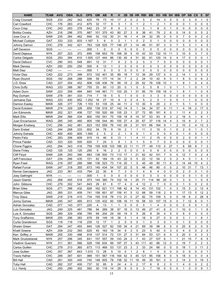| <b>NAME</b>                          | <b>TEAM</b>       | <b>AVG</b>   | <b>OBA</b>   | <b>SLG</b>   | <b>OPS</b>    | <b>GM</b>    | <b>AB</b> | $\mathsf{R}$          | н                     | 2B                      | 3B             | <b>HR</b>      | <b>RBI</b>     | <b>BB</b>          | <b>SO</b>      | HB                         | <b>SH</b>   | <b>IBB</b>              | <b>DP</b>      | <b>SB</b>      | $\mathsf{cs}$  | E                   | <b>SF</b>               |
|--------------------------------------|-------------------|--------------|--------------|--------------|---------------|--------------|-----------|-----------------------|-----------------------|-------------------------|----------------|----------------|----------------|--------------------|----------------|----------------------------|-------------|-------------------------|----------------|----------------|----------------|---------------------|-------------------------|
| Craig Counsell                       | SGS               | .233         | 282          | 342          | .625          | 76           | 73        | 10                    | 17                    | 2                       | 0              | 2              | 5              | 2                  | 14             | 3                          | 5           | 0                       | 0              | 3              | 0              |                     | 0                       |
| Carl Crawford                        | CHC               | .176         | .263         | .412         | .675          | 32           | 17        | 9                     | 3                     | 1                       | 0              | 1              | $\overline{c}$ | 1                  | 2              | 1                          | 0           | 0                       | 0              | 1              | 0              | 0                   | 0                       |
| Coco Crisp                           | CHC               | .243         | .263         | .378         | .642          | 23           | 37        | 8                     | 9                     | 3                       | 1              | 0              | 5              | 1                  | 8              | 0                          | 1           | 0                       | 0              | 0              | 0              | 0                   | 0                       |
| <b>Bobby Crosby</b>                  | <b>AZH</b>        | .216         | .296         | .370         | .667          | 101          | 370       | 43                    | 80                    | 27                      | 3              | 8              | 38             | 41                 | 79             | $\overline{2}$             | 6           | 0                       | 14             | 0              | 0              | 5                   | $\overline{2}$          |
| Jose Cruz Jr                         | SAW               | .235         | 384          | 462          | .846          | 52           | 132       | 30                    | 31                    | 16                      | $\mathbf 1$    | 4              | 24             | 32                 | 35             | $\mathbf 0$                | $\Omega$    | 0                       | $\overline{7}$ | 0              | 0              | $\overline{2}$      | 0                       |
| Michael Cuddyer                      | GAT               | .333         | .333         | .833         | 1.167         | 3            | 6         | 0                     | 2                     | 1                       | 1              | 0              | 2              | 0                  | 1              | 0                          | 0           | 0                       | 0              | 0              | 0              | 0                   | 0                       |
| Johnny Damon                         | CHC               | .278         | 342          | .421         | .763          | 128          | 525       | 77                    | 146                   | 27                      | 3              | 14             | 46             | 51                 | 87             | 3                          | $\mathbf 0$ | $\overline{7}$          | 5              | 3              | 1              | 4                   | 5                       |
| Jeff Davanon                         | SGS               | ----         | ----         | ----         | .000          | $\mathbf{1}$ | 0         | $\Omega$              | $\mathbf 0$           | 0                       | $\mathbf 0$    | $\mathbf 0$    | 0              | $\mathbf 0$        | $\mathbf 0$    | $\mathbf{0}$               | 0           | 0                       | $\mathbf 0$    | 0              | 0              | $\mathbf 0$         | 0                       |
| David Dejesus                        | <b>NYK</b>        | .257         | 323          | .372         | .695          | 158          | 653       | 76                    | 168                   | 35                      | 5              | 10             | 43             | 53                 | 132            | 10                         | 11          | 3                       | 10             | 5              | 3              | $\overline{7}$      | 0                       |
| Carlos Delgado                       | SGS               | .293         | .394         | .610         | 1.005         | 127          | 444       | 86                    | 130                   | 40                      | 4              | 31             | 82             | 61                 | 120            | 14                         | 0           | 4                       | 17             | 0              | 0              | 0                   | 1                       |
| David Dellucci                       | <b>CVC</b>        | .290         | .343         | .548         | .891          | 12           | 31        | $\overline{7}$        | 9                     | $\overline{\mathbf{c}}$ | 0              | $\overline{c}$ | 5              | 3                  | $\overline{7}$ | 0                          | 0           | 0                       | 0              | 0              | 0              | $\Omega$            | $\mathbf 1$             |
| Mark Derosa                          | <b>AZH</b>        | .250         | .250         | .250         | .500          | 6            | 12        | 1                     | 3                     | 0                       | 0              | 0              | 0              | 0                  | 3              | $\mathbf 0$                | 0           | 0                       | 0              | 0              | 0              | 0                   | 0                       |
| Matt Diaz                            | CAD               | ----         | $---$        | ----         | .000          | 1            | 0         | $\mathbf 0$           | $\mathbf 0$           | 0                       | 0              | 0              | 0              | 0                  | 0              | 0                          | 0           | 0                       | 0              | 0              | 0              | 0                   | 0                       |
| <b>Victor Diaz</b>                   | CAD               | .222         | 273          | 399          | .672          | 102          | 401       | 35                    | 89                    | 18                      | $\overline{7}$ | 13             | 39             | 29                 | 137            | $\mathbf 0$                | 0           | 2                       | 14             | 1              | $\overline{c}$ | 5                   | 3                       |
| <b>Ryan Doumit</b>                   | SGS               | .192         | .268         | .288         | .556          | 59           | 177       | 14                    | 34                    | $\overline{7}$          | $\overline{2}$ | 2              | 24             | 10                 | 42             | 9                          | 0           | $\mathbf{1}$            | 8              | 0              | 0              | 6                   | $\overline{\mathbf{c}}$ |
| J.D. Drew                            | CAD               | .227         | .354         | 452          | .806          | 126          | 436       | 76                    | 99                    | 19                      | $\overline{2}$ | 25             | 62             | 76                 | 108            | 10                         | 1           | 1                       | 8              | 1              | 0              | 4                   | 0                       |
| Chris Duffy                          | WAG               | .333         | .388         | .367         | .755          | 33           | 60        | 13                    | 20                    | 0                       | 1              | 0              | 5              | 5                  | 8              | 1                          | $\mathbf 0$ | 1                       | 1              | 1              | 0              | 1                   | 1                       |
| Adam Dunn                            | SAW               | .223         | 356          | 484          | .840          | 149          | 461       | 71                    | 103                   | 25                      | $\mathbf{1}$   | 31             | 85             | 79                 | 159            | 18                         | $\mathbf 0$ | $\mathbf{1}$            | 8              | 1              | $\mathbf{1}$   | 0                   | 4                       |
| Ray Durham                           | SAW               | .278         | .381         | .333         | .714          | 7            | 18        | 5                     | 5                     | $\mathbf 1$             | 0              | 0              | 0              | 3                  | 3              | $\mathbf 0$                | 0           | 0                       | 0              | 0              | 0              | 0                   | 0                       |
| Jermaine Dye                         | <b>WAG</b>        | .333         | .400         | .852         | 1.252         | 16           | 27        | 10                    | 9                     | $\overline{2}$          | $\Omega$       | 4              | 5              | $\overline{c}$     | 5              | 1                          | $\mathbf 0$ | 0                       | $\mathbf{1}$   | 1              | 0              | 0                   | 0                       |
| Damion Easley                        | <b>MAW</b>        | .326         | 377          | .726         | 1.103         | 53           | 135       | 25                    | 44                    | 11                      | $\overline{2}$ | 13             | 30             | 9                  | 20             | $\overline{2}$             | 0           | 1                       | 5              | 1              | 0              | $\Omega$            | 0                       |
| David Eckstein                       | <b>MAW</b>        | .274         | 329          | .326         | .655          | 139          | 519       | 67                    | 142                   | 14                      | 5              | 1              | 54             | 34                 | 57             | 9                          | 11          | 1                       | 4              | 16             | $\overline{2}$ | 17                  | 0                       |
| Jim Edmonds                          | <b>MAW</b>        | .202         | .321         | .406         | .727          | 150          | 520       | 69                    | 105                   | 23                      | 1              | 27             | 72             | 85                 | 181            | 8                          | 0           | $\mathbf{1}$            | 11             | 4              | $\overline{2}$ | $\overline{2}$      | 3                       |
| <b>Mark Ellis</b>                    | <b>MAW</b>        | .294         | 366          | .434         | .800          | 150          | 541       | 75                    | 159                   | 18                      | 8              | 14             | 57             | 53                 | 93             | 9                          | 3           | $\overline{\mathbf{c}}$ | 19             | 0              | 1              | 6                   | 1                       |
| Juan Encarnacion                     | <b>WAG</b>        | .285         | .345         | .460         | .805          | 156          | 544       | 80                    | 155                   | 27                      | 4              | 20             | 67             | 37                 | 116            | 14                         | 4           | 3                       | 15             | 9              | $\overline{2}$ | $\overline{7}$      | 2                       |
| Morgan Ensberg                       | <b>CVC</b>        | .256         | 342          | .481         | 823           | 153          | 559       | 76                    | 143                   | 29                      | 2              | 31             | 101            | 66                 | 164            | 9                          | 1           | 2                       | 10             | 2              | 4              | 13                  | 3                       |
| Darin Erstad                         | CAD               | 244          | .268         | .333         | .602          | 34           | 78        | 9                     | 19                    | $\overline{c}$          | 1              | 1              | 11             | 3                  | 10             | 0                          | 1           | 0                       | 2              | 0              | 1              | 0                   | 1                       |
| Johnny Estrada                       | CHC               | .400         | .400         | .600         | 1.000         | 2            | 5         | 2                     | $\overline{c}$        | $\mathbf 1$             | 0              | 0              | 1              | 0                  | 0              | $\mathbf 0$                | 0           | 0                       | 1              | 0              | 0              | 0                   | 0                       |
| Pedro Feliz                          | CHC               | .283         | .306         | .609         | .915          | 14           | 46        | 6                     | 13                    | 1                       | 1              | 4              | 11             | $\overline{2}$     | 15             | 0                          | $\mathbf 0$ | 0                       | $\overline{2}$ | 0              | 0              | 1                   | 1                       |
| <b>Prince Fielder</b>                | CAD               | .333         | .320         | 500          | .820          | 7            | 24        | 3                     | 8                     | 1                       | 0              | 1              | 5              | 0                  | $\overline{7}$ | $\mathbf 0$                | $\mathbf 0$ | 0                       | 0              | 0              | 0              | 0                   | 1                       |
| Chone Figgins<br><b>Steve Finley</b> | <b>JAG</b><br>CAD | .294<br>.125 | .343<br>.125 | .416<br>.125 | .759<br>.250  | 159<br>9     | 639<br>16 | 103<br>$\overline{2}$ | 188<br>$\overline{c}$ | 23<br>0                 | 11<br>0        | 11<br>0        | 77<br>0        | 49<br>0            | 110<br>6       | $\mathbf 0$<br>$\mathbf 0$ | 27<br>0     | $\mathbf{1}$<br>0       | 6<br>0         | 59<br>0        | 8<br>0         | $\overline{7}$<br>0 | 3<br>0                  |
| <b>Cliff Floyd</b>                   | <b>SAW</b>        | .226         | .293         | .390         | .683          | 138          | 500       | 73                    | 113                   | 17                      | 1              | 21             | 62             | 42                 | 101            | $\overline{7}$             | $\mathbf 0$ | 0                       | 12             | $\overline{7}$ | 0              | $\overline{c}$      | 4                       |
| Jeff Francoeur                       | GAT               | .234         | .286         | .435         | .721          | 62           | 184       | 19                    | 43                    | 22                      | 0              | 5              | 22             | 12                 | 54             | $\overline{2}$             | 0           | $\overline{c}$          | 4              | 0              | 1              | 4                   | 1                       |
| Ryan Freel                           | <b>WAG</b>        | .218         | .297         | .289         | .586          | 136          | 523       | 73                    | 114                   | 20                      | 1              | 5              | 45             | 49                 | 90             | 11                         | 6           | 0                       | 14             | 44             | 10             | 4                   | $\overline{\mathbf{c}}$ |
| <b>Rafael Furcal</b>                 | SAW               | .247         | .318         | .355         | .673          | 140          | 434       | 54                    | 107                   | 22                      | 5              | 5              | 48             | 46                 | 80             | $\mathbf 0$                | $\mathbf 0$ | 2                       | 10             | 31             | $\overline{7}$ | 13                  | 1                       |
| Nomar Garciaparra                    | <b>JAG</b>        | .233         | .361         | .433         | .794          | 22           | 30        | 8                     | $\overline{7}$        | 3                       | 0              | 1              | 4              | 6                  | 4              | $\mathbf 0$                | $\mathbf 0$ | 0                       | $\overline{2}$ | 0              | 0              | 1                   | 0                       |
| Joey Gathright                       | <b>NYK</b>        |              | $---$        | ----         | .000          | 1            | $\Omega$  | 0                     | $\Omega$              | $\Omega$                | $\Omega$       | $\mathbf 0$    | 0              | 0                  | $\Omega$       | 0                          | $\Omega$    | $\Omega$                | $\Omega$       | 0              | 1              | $\Omega$            | $\Omega$                |
| Jason Giambi                         | JAG               | .268         | .455         | .518         | .973          | 144          | 380       | 74                    | 102                   | 18                      | 1              | 25             | 71             | 114                | 98             | 20                         | 0           | 1                       | 3              | 0              | 1              | 0                   | 5                       |
| John Gibbons                         | CHC               | .279         | 302          | .541         | .843          | 29           | 61        | 6                     | 17                    | 4                       | 0              | 4              | 12             | 2                  | $\overline{7}$ | 0                          | 0           | 0                       | 1              | 0              | 0              | $\overline{2}$      | 0                       |
| <b>Brian Giles</b>                   | SGS               | .271         | .396         | .432         | .828          | 162          | 621       | 111                   | 168                   | 42                      | 8              | 14             | 43             | 131                | 102            | 1                          | 0           | 3                       | 15             | 5              | 2              | 12                  | 4                       |
| <b>Marcus Giles</b>                  | JAG               | .265         | .331         | .409         | .741          | 158          | 601       | 87                    | 159                   | 41                      | 5              | 12             | 68             | 59                 | 118            | 2                          | 9           | 1                       | 17             | 13             | 5              | 12                  | $\overline{2}$          |
| <b>Troy Glaus</b>                    | SAW               | .218         | .318         | .415         | .734          | 159          | 518       | 78                    | 113                   | 21                      | 0              | 27             | 82             | 75                 | 159            | 5                          | 0           | 0                       | 18             | 6              | 2              | 28                  | 8                       |
| Jonny Gomes                          | <b>MAW</b>        | .245         | .347         | .465         | .813          | 135          | 432       | 60                    | 106                   | 16                      | 11             | 19             | 58             | 53                 | 157            | 15                         | 0           | 0                       | 7              | 12             | 6              | 0                   |                         |
| Adrian Gonzalez                      | CAD               | .077         | .143         | .077         | .220          | 4            | 13        | 1                     | $\mathbf{1}$          | 0                       | 0              | 0              | 0              | 1                  | 4              | 0                          | 0           | 0                       | 0              | 0              | 0              | 1                   | 0                       |
| Luis Gonzalez                        | <b>JAG</b>        | .249         | 325          | .461         | .786          | 94           | 269       | 38                    | 67                    | 18                      | 0              | 13             | 49             | 27                 | 41             | 6                          | 0           | 1                       | 10             | 0              | 1              | 1                   | 6                       |
| Luis A. Gonzalez                     | SGS               | .289         | .329         | .456         | .785          | 69           | 204       | 29                    | 59                    | 19                      | 0              | 5              | 26             | 8                  | 30             | $\overline{4}$             | 5           | 0                       | 8              | 0              | 0              | 0                   | 0                       |
| Tony Graffanino                      | <b>MAW</b>        | .255         | .296         | .383         | .678          | 59           | 149       | 18                    | 38                    | 5                       | 1              | 4              | 18             | 9                  | 27             | 0                          | 0           | 0                       | 3              | 1              | $\mathbf{1}$   | 8                   | 1                       |
| Curtis Granderson                    | SGS               | .118         | .118         | .118         | .235          | 12           | 17        | 1                     | $\boldsymbol{2}$      | 0                       | 0              | 0              | 1              | 0                  | 3              | 0                          | 1           | 0                       | 1              | 0              | 0              | 0                   | 0                       |
| Shawn Green                          | <b>GAT</b>        | .294         | .347         | .493         | .840          | 126          | 527       | 82                    | 155                   | 34                      | $\overline{4}$ | 21             | 69             | 39                 | 98             | 6                          | 0           | 0                       | 25             | 6              | $\overline{c}$ | 0                   | 5                       |
| <b>Khalil Greene</b>                 | <b>AZH</b>        | .209         | .232         | .393         | .625          | 45           | 163       | 18                    | 34                    | 9                       | 3              | 5              | 23             | 5                  | 40             | 0                          | 3           | 0                       | 4              | 0              | 0              | 2                   | 0                       |
| Ken Griffey Jr                       | <b>MAW</b>        | .255         | .330         | .488         | .818          | 137          | 514       | 72                    | 131                   | 27                      | 0              | 31             | 84             | 53                 | 121            | 6                          | 0           | 3                       | 20             | 0              | 0              | 3                   | 3                       |
| Mark Grudzielanek                    | <b>NYK</b>        | .257         | .296         | .345         | .641          | 157          | 557       | 59                    | 143                   | 24                      | 2              | 7              | 43             | 27                 | 107            | 6                          | 1           | 1                       | 21             | 15             | 7              | 6                   | 5                       |
| Vladimir Guerrero                    | <b>NYK</b>        | .311         | .361         | .566         | .928          | 156          | 634       | 89                    | 197                   | 27                      | 3              | 43             | 111            | 40                 | 86             | 12                         | 0           | 2                       | 19             | 7              | 2              | $\overline{c}$      | 3                       |
| Carlos Guillen                       | <b>CHC</b>        | .279         | .313         | .360         | .673          | 113          | 469       | 53                    | 131                   | 23                      | 3              | 3              | 33             | 24                 | 66             | 0                          | 0           | 0                       | 18             | 1              | 3              | 11                  | 3                       |
| Jose Guillen<br><b>Travis Hafner</b> | CHC<br><b>CHC</b> | .357<br>.289 | .367<br>.387 | .643<br>.601 | 1.010<br>.988 | 13<br>151    | 28<br>567 | 5<br>116              | 10<br>164             | 0<br>42                 | 1<br>0         | 2<br>45        | 6<br>121       | $\mathbf{1}$<br>85 | 4<br>158       | 0<br>8                     | 0<br>0      | 0                       | 0<br>18        | 0<br>0         | 0<br>0         | 0<br>0              | 1<br>4                  |
| <b>Bill Hall</b>                     | CAD               | .261         | .300         | .440         | .740          | 148          | 605       | 78                    | 158                   | 32                      | 11             | 18             | 49             | 35                 | 161            | 0                          | 0           | 5<br>$\overline{c}$     | 14             | $\overline{c}$ | 3              | 19                  | 3                       |
| <b>Toby Hall</b>                     | CAD               | .282         | .337         | .400         | .737          | 32           | 85        | 9                     | 24                    | 4                       | 0              | 2              | 17             | 6                  | 8              | 2                          | 0           | 1                       | 4              | 0              | 0              | 2                   | $\overline{c}$          |
| J.J. Hardy                           | <b>CHC</b>        | .250         | .290         | 302          | 592           | 30           | 116       | 14                    | 29                    | 6                       | 0              | 0              | 3              | $\overline{7}$     | 18             | 0                          | 0           | 0                       | 1              | 0              | 0              | 9                   | $\mathbf{1}$            |
|                                      |                   |              |              |              |               |              |           |                       |                       |                         |                |                |                |                    |                |                            |             |                         |                |                |                |                     |                         |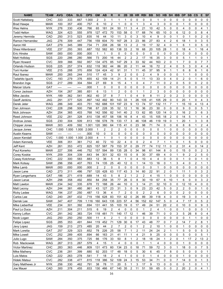| <b>NAME</b><br><b>TEAM</b>        | <b>AVG</b> | <b>OBA</b> | <b>SLG</b> | <b>OPS</b> | <b>GM</b>      | AB             | R                       | н                       | 2B                      | 3B                      | <b>HR</b>               | <b>RBI</b>     | <b>BB</b>      | <b>SO</b>      | <b>HB</b>               | <b>SH</b>      | <b>IBB</b>     | <b>DP</b>      | <b>SB</b>      | $\mathsf{cs}$  | E              | <b>SF</b>               |
|-----------------------------------|------------|------------|------------|------------|----------------|----------------|-------------------------|-------------------------|-------------------------|-------------------------|-------------------------|----------------|----------------|----------------|-------------------------|----------------|----------------|----------------|----------------|----------------|----------------|-------------------------|
| снс<br>Scott Hatteberg            | .333       | .333       | .667       | 1.000      | 2              | 3              | 1                       | 1                       |                         | 0                       | 0                       | 0              | 0              | 1              | 0                       | 0              | 0              | 0              | 0              | 0              | $\Omega$       | 0                       |
| <b>MAW</b><br><b>Brad Hawpe</b>   | .100       | .357       | .400       | .757       | 6              | 10             | 2                       | 1                       | 0                       | 0                       | 1                       | 3              | 4              | 3              | 0                       | 0              | 0              | 1              | 0              | 0              | 0              | 0                       |
| Wes Helms<br><b>NYK</b>           | .276       | .330       | .436       | .766       | 65             | 181            | 24                      | 50                      | 11                      | 3                       | 4                       | 21             | 10             | 42             | 5                       | $\mathbf 0$    | 0              | 4              | 0              | 0              | 4              | 1                       |
| <b>Todd Helton</b><br><b>WAG</b>  | .324       | .423       | .555       | .978       | 127            | 472            | 70                      | 153                     | 58                      | 0                       | 17                      | 68             | 74             | 65             | 10                      | 0              | 6              | 12             | 0              | 0              | 8              | 4                       |
| CAD<br>Jeremy Hermida             | .250       | .313       | .523       | .835       | 16             | 44             | 10                      | 11                      | 3                       | 0                       | 3                       | 10             | $\overline{4}$ | 9              | 0                       | $\Omega$       | $\mathbf{1}$   | 0              | 1              | 0              | $\overline{2}$ | 0                       |
| JAG<br>Ramon Hernandez            | .276       | .309       | 447        | .756       | 159            | 604            | 70                      | 167                     | 28                      | 3                       | 23                      | 86             | 27             | 83             | 4                       | $\overline{2}$ | 6              | 18             | 1              | 0              | 3              | 5                       |
| Aaron Hill<br><b>GAT</b>          | .279       | 345        | 389        | .734       | 71             | 208            | 26                      | 58                      | 13                      | $\overline{2}$          | $\overline{c}$          | 19             | 17             | 32             | $\overline{4}$          | 0              | 1              | 6              | 1              | 0              | 5              | 0                       |
| <b>VEE</b><br>Shea Hillenbrand    | .237       | .293       | .393       | .687       | 152            | 582            | 60                      | 138                     | 33                      | $\overline{\mathbf{c}}$ | 18                      | 68             | 20             | 105            | 28                      | 1              | 0              | 18             | 4              | $\mathbf{1}$   | 16             | 4                       |
| <b>Eric Hinske</b><br>SAW         | .000       | .000       | .000       | .000       | 1              | $\mathbf{1}$   | 0                       | 0                       | 0                       | 0                       | 0                       | 0              | 0              | 0              | $\mathbf 0$             | $\mathbf 0$    | 0              | 0              | 0              | 0              | 0              | 0                       |
| SGS<br>Matt Holliday              | .220       | .286       | .280       | .566       | 73             | 200            | 16                      | 44                      | $\overline{2}$          | $\overline{c}$          | $\overline{c}$          | 17             | 16             | 35             | 3                       | $\mathbf 0$    | 0              | 5              | 1              | $\mathbf{1}$   | 0              | $\mathbf{1}$            |
| <b>CVC</b><br><b>Ryan Howard</b>  | .309       | .366       | .592       | .957       | 134            | 475            | 85                      | 147                     | 29                      | 3                       | 33                      | 92             | 44             | 163            | $\overline{2}$          | 0              | $\mathbf{1}$   | $\overline{7}$ | 0              | 0              | $\overline{7}$ | $\overline{7}$          |
| SGS<br>Orlando Hudson             | .225       | .257       | .374       | 632        | 118            | 382            | 44                      | 86                      | 20                      | $\overline{2}$          | 11                      | 44             | 16             | 72             | $\overline{2}$          | 4              | 0              | 5              | 3              | 0              | 4              | 4                       |
| <b>VEE</b><br><b>Torii Hunter</b> | .215       | .288       | .370       | .658       | 124            | 424            | 42                      | 91                      | 31                      | 1                       | 11                      | 45             | 37             | 95             | 9                       | 1              | $\mathbf{1}$   | 6              | 8              | 6              | 1              | 6                       |
| <b>MAW</b><br>Raul Ibanez         | .200       | .265       | .244       | .510       | 17             | 45             | 3                       | 9                       | $\overline{2}$          | 0                       | 0                       | $\overline{c}$ | 4              | 9              | $\mathbf 0$             | 0              | 0              | 1              | 1              | 0              | 0              | 0                       |
| CVC<br>Tadahito Iquchi            | .193       | 279        | 376        | .655       | 42             | 109            | 14                      | 21                      | 5                       | 0                       | 5                       | 11             | 13             | 33             | $\mathbf 0$             | 4              | 0              | $\overline{2}$ | 0              | $\mathbf{1}$   | 6              | 0                       |
| SGS<br>Brandon Inge               | .217       | .289       | 304        | 594        | 27             | 69             | 9                       | 15                      | 4                       | 1                       | 0                       | 4              | 7              | 11             | 0                       | 2              | 0              | 5              | 0              | 0              | $\overline{c}$ | 0                       |
| GAT<br>Maicer Izturis             | ----       | ----       | ----       | .000       | 1              | 0              | 0                       | 0                       | 0                       | 0                       | 0                       | 0              | 0              | 0              | $\mathbf 0$             | $\mathbf 0$    | 0              | 0              | 0              | 0              | 0              | 0                       |
| <b>AZH</b><br>Conor Jackson       | .154       | 267        | 385        | 651        | 6              | 13             | 1                       | $\overline{c}$          | 0                       | 0                       | 1                       | 1              | $\overline{2}$ | 3              | $\mathbf 0$             | $\mathbf 0$    | 0              | 0              | 0              | 0              | $\mathbf 0$    | 0                       |
| NYK                               | .189       | 362        | 541        | .902       | 40             | 37             | 8                       | $\overline{7}$          | 1                       | 0                       | 4                       | 9              | 8              | 11             | $\overline{2}$          | 0              | $\overline{2}$ | 3              | 0              | 0              | 0              | 0                       |
| Mike Jacobs<br><b>JAG</b>         | .291       | 377        | .520       |            | 142            | 492            | 80                      | 143                     | 33                      |                         | 26                      | 105            | 41             | 105            | 29                      | 0              | 0              | 20             | 1              | 0              | 4              | 3                       |
| Geoff Jenkins                     |            |            |            | .897       |                |                |                         |                         |                         |                         |                         |                |                |                | 11                      | $\overline{7}$ |                |                |                |                |                |                         |
| <b>WAG</b><br>Derek Jeter         | .286       | 349        | .403       | .751       | 162            | 688            | 101                     | 197                     | 23                      | 9                       | 13                      | 74             | 57             | 132            |                         |                | $\mathbf{1}$   | 15             | 10             | 4              | 13             | $\overline{4}$          |
| снс<br>Dan Johnson                | .228       | .298       | .500       | .798       | 67             | 228            | 35                      | 52                      | 12                      | 1                       | 16                      | 36             | 23             | 30             | 0                       | 0              | 0              | 9              | 0              | 0              | 5              | 1                       |
| <b>AZH</b><br>Nick Johnson        | .254       | .365       | .403       | .768       | 142            | 556            | 82                      | 141                     | 40                      | $\overline{2}$          | 13                      | 62             | 85             | 120            | 14                      | 0              | 3              | 16             | $\overline{c}$ | 3              | 6              | 3                       |
| <b>VEE</b><br>Reed Johnson        | .232       | .281       | .328       | .610       | 138            | 457            | 58                      | 106                     | 16                      | 8                       | 4                       | 43             | 15             | 105            | 18                      | $\overline{2}$ | 0              | 14             | 5              | 1              | 1              | 4                       |
| SGS<br>Andruw Jones               | .230       | .304       | .509       | .813       | 156            | 578            | 78                      | 133                     | 17                      | 3                       | 46                      | 108            | 46             | 119            | 19                      | 0              | 1              | 20             | 1              | 3              | 3              | 8                       |
| <b>MAW</b><br>Chipper Jones       | .303       | 409        | 592        | 1.001      | 120            | 380            | 64                      | 115                     | 41                      | 0                       | 23                      | 98             | 71             | 74             | 0                       | 0              | 6              | 8              | 6              | 1              | $\overline{2}$ | 4                       |
| CHC<br>Jacque Jones               | 1.000      | 1.000      | 1.000      | 2.000      | 1              | 2              | 2                       | 2                       | 0                       | 0                       | 0                       | 0              | 0              | 0              | 1                       | 0              | 0              | 0              | 0              | 0              | 0              | 0                       |
| SAW<br>Austin Kearns              | ----       | ----       | ----       | .000       | 10             | 0              | 0                       | 0                       | 0                       | 0                       | 0                       | 0              | 0              | 0              | $\mathbf 0$             | 0              | 0              | 0              | 0              | 0              | 0              | 0                       |
| <b>CVC</b><br>Jason Kendall       | 1.000      | 1.000      | 1.000      | 2.000      | 4              | 1              | 0                       | 1                       | 0                       | 0                       | 0                       | 0              | 0              | 0              | $\mathbf 0$             | 0              | 0              | $\mathbf 0$    | 0              | 0              | 0              | 0                       |
| <b>VEE</b><br>Adam Kennedy        | .306       | .351       | .361       | .712       | 40             | 72             | 10                      | 22                      | 4                       | 0                       | 0                       | $\overline{c}$ | 4              | $\overline{7}$ | $\mathbf{1}$            | 1              | 0              | 1              | 5              | 0              | 0              | 0                       |
| <b>AZH</b><br>Jeff Kent           | .261       | 353        | 472        | .825       | 157            | 587            | 79                      | 153                     | 37                      | 0                       | 29                      | 77             | 74             | 112            | 11                      | $\mathbf 0$    | $\overline{c}$ | 31             | 4              | 0              | 14             | $\overline{\mathbf{c}}$ |
| Paul Konerko<br><b>MAW</b>        | .227       | .306       | 446        | .752       | 157            | 594            | 89                      | 135                     | 28                      | 0                       | 34                      | 98             | 61             | 144            | 8                       | $\mathbf 0$    | 0              | 15             | 0              | 0              | $\overline{2}$ | 3                       |
| <b>NYK</b><br>Corey Koskie        | .209       | 304        | .339       | 643        | 94             | 301            | 32                      | 63                      | 15                      | $\mathbf 0$             | 8                       | 30             | 37             | 69             | $\overline{4}$          | $\mathbf 0$    | $\mathbf{1}$   | 9              | $\overline{c}$ | $\overline{c}$ | 5              | 0                       |
| CHC<br>Casey Kotchman             | .222       | .300       | .583       | .883       | 12             | 36             | 5                       | 8                       | $\mathbf{1}$            | 0                       | 4                       | 10             | $\overline{4}$ | 4              | $\mathbf 0$             | $\mathbf 0$    | 0              | $\mathbf{1}$   | 0              | 0              | 1              | 0                       |
| SAW<br>Mark Kotsay                | .296       | .356       | .407       | .763       | 74             | 135            | 25                      | 40                      | 12                      | 0                       | 1                       | 14             | 13             | 16             | $\mathbf 0$             | 1              | 3              | 4              | 0              | $\overline{2}$ | $\mathbf{1}$   | $\mathbf{1}$            |
| Mike Lamb<br><b>MAW</b>           | .000       | .000       | .000       | .000       | $\overline{c}$ | $\overline{c}$ | $\mathbf 0$             | $\mathbf 0$             | 0                       | 0                       | 0                       | 0              | 0              | 1              | $\mathbf 0$             | $\mathbf 0$    | 0              | 0              | 0              | 0              | 0              | 0                       |
| CAD<br>Jason Lane                 | .273       | .311       | .486       | .797       | 120            | 428            | 63                      | 117                     | 43                      | 3                       | 14                      | 60             | 22             | 91             | $\overline{c}$          | $\mathbf 0$    | $\mathbf{1}$   | 11             | 1              | 0              | 3              | 2                       |
| Ryan Langerhans<br>GAT            | .186       | 271        | 419        | 689        | 14             | 43             | 5                       | 8                       | $\overline{2}$          | 1                       | $\overline{2}$          | $\overline{2}$ | 4              | 15             | 1                       | 0              | $\Omega$       | $\Omega$       | 0              | 0              | U              | 0                       |
| <b>AZH</b><br>Jason Larue         | .298       | .358       | .492       | .850       | 84             | 258            | 35                      | 77                      | 26                      | 0                       | 8                       | 30             | 19             | 67             | 6                       | 10             | 1              | 6              | 0              | 0              | 3              | $\overline{c}$          |
| Matt Lawton<br><b>MAW</b>         | .234       | 342        | .335       | 678        | 72             | 188            | 26                      | 44                      | 10                      | 0                       | 3                       | 14             | 21             | 32             | 10                      | 0              | 0              | 12             | 10             | 4              | 0              | 0                       |
| <b>AZH</b><br>Matt Lecroy         | .244       | .381       | .480       | .861       | 43             | 127            | 23                      | 31                      | 3                       | 0                       | 9                       | 23             | 23             | 42             | 5                       | 0              | 2              | 2              | 0              | 0              | 1              | 0                       |
| <b>WAG</b><br>Ricky Ledee         | .194       | .237       | .250       | .487       | 13             | 36             | 4                       | $\overline{7}$          | $\overline{\mathbf{c}}$ | 0                       | 0                       | 2              | 2              | 6              | 0                       | 0              | 0              | 2              | 0              | 0              | 0              | 0                       |
| CAD<br>Carlos Lee                 | .240       | .287       | .432       | .719       | 156            | 628            | 83                      | 151                     | 42                      | 0                       | 26                      | 89             | 39             | 118            | 4                       | 0              | 0              | 19             | 3              | 0              | 1              | 4                       |
| SAW<br>Derrek Lee                 | .347       | .407       | .709       | 1.116      | 160            | 643            | 135                     | 223                     | 57                      | 4                       | 56                      | 152            | 62             | 147            | 5                       | 0              | 4              | $\overline{7}$ | 17             | 0              | 5              | 2                       |
| <b>VEE</b><br>Mike Lieberthal     | .234       | .301       | .392       | .694       | 131            | 441            | 55                      | 103                     | 19                      | 0                       | 17                      | 49             | 24             | 51             | 20                      | $\overline{2}$ | 0              | 10             | 0              | 0              | 9              | 3                       |
| <b>AZH</b><br>Paul Lo Duca        | .211       | .304       | .211       | .515       | 6              | 19             | $\overline{c}$          | 4                       | 0                       | 0                       | 0                       | 1              | $\overline{c}$ | 4              | $\mathbf 1$             | 0              | 0              | $\mathbf{1}$   | 0              | 0              | 0              | 1                       |
| <b>CVC</b><br>Kenny Lofton        | .291       | .342       | .383       | .724       | 118            | 481            | 71                      | 140                     | 17                      | 12                      | $\mathbf{1}$            | 46             | 39             | 71             | 0                       | 0              | 3              | 5              | 26             | 8              | 0              | 4                       |
| <b>JAG</b><br>Nook Logan          | .250       | .250       | .250       | .500       | 11             | 4              | $\overline{\mathbf{c}}$ | $\mathbf{1}$            | 0                       | 0                       | 0                       | 0              | 0              | 0              | $\mathbf 0$             | 0              | 0              | 0              | $\mathbf{1}$   | $\mathbf{1}$   | 0              | 0                       |
| SGS<br>Felipe Lopez               | .285       | .353       | .491       | .844       | 119            | 452            | 71                      | 129                     | 30                      | 6                       | 17                      | 43             | 48             | 77             | 0                       | $\overline{7}$ | 2              | 14             | $\overline{7}$ | 2              | 8              | 1                       |
| <b>JAG</b><br>Javy Lopez          | .159       | .213       | .273       | .485       | 20             | 44             | $\overline{c}$          | $\overline{7}$          | 2                       | 0                       | $\mathbf{1}$            | $\overline{2}$ | $\overline{c}$ | 10             | $\mathbf{1}$            | 0              | 0              | 1              | 0              | 0              | 0              | 0                       |
| GAT<br>Mark Loretta               | .257       | .329       | .323       | .652       | 78             | 226            | 25                      | 58                      | 7                       | 1                       | $\overline{\mathbf{c}}$ | 11             | 24             | 24             | $\overline{\mathbf{c}}$ | $\mathbf{1}$   | $\mathbf{1}$   | 5              | 0              | 0              | 5              | 3                       |
| <b>Mike Lowell</b><br><b>CVC</b>  | .252       | .289       | .405       | .694       | 66             | 163            | 21                      | 41                      | 11                      | 1                       | 4                       | 21             | 9              | 25             | 0                       | 0              | 0              | 5              | 0              | 0              | 5              | 1                       |
| SAW<br>Julio Lugo                 | .284       | .350       | .375       | .725       | 66             | 176            | 33                      | 50                      | 8                       | 1                       | 2                       | 18             | 18             | 24             | 1                       | 2              | 0              | 1              | 17             | 2              | 13             | 2                       |
| Rob Mackowiak<br><b>WAG</b>       | .267       | .313       | .267       | .579       | 4              | 15             | $\mathbf{1}$            | $\overline{\mathbf{4}}$ | 0                       | 0                       | 0                       | 1              | 1              | 4              | 0                       | 0              | 0              | 1              | 0              | 0              | 0              | 0                       |
| Victor Martinez<br>CHC            | .283       | .363       | .446       | .809       | 131            | 473            | 60                      | 134                     | 23                      | 0                       | 18                      | 71             | 59             | 72             | 3                       | 0              | 1              | 18             | 0              | 0              | 7              | 5                       |
| <b>CVC</b><br>Mike Matheny        | .236       | .281       | .399       | .680       | 92             | 203            | 17                      | 48                      | 18                      | $\mathbf 0$             | 5                       | 30             | 6              | 45             | 7                       | 8              | 0              | 5              | 0              | 0              | 0              | 1                       |
| Luis Matos<br>CAD                 | .222       | .263       | .278       | .541       | 7              | 18             | $\overline{c}$          | 4                       | 1                       | 0                       | 0                       | 0              | 1              | 4              | 0                       | 0              | 0              | 1              | 0              | 0              | 0              | 0                       |
| <b>CVC</b><br>Hideki Matsui       | .282       | .338       | .477       | .815       | 118            | 386            | 52                      | 109                     | 24                      | 3                       | 15                      | 53             | 34             | 71             | 0                       | 0              | 7              | 14             | 0              | 0              | 1              | 3                       |
| <b>NYK</b><br>Gary Matthews Jr    | .256       | .330       | .462       | .791       | 38             | 78             | 11                      | 20                      | 5                       | 1                       | 3                       | 17             | 9              | 13             | 0                       | 0              | 0              | 0              | 1              | 0              | 1              | 1                       |
| CAD<br>Joe Mauer                  | .300       | 378        | .455       | .833       | 130            | 466            | 67                      | 140                     | 35                      | 2                       | 11                      | 51             | 59             | 65             | 0                       | 0              | $\overline{c}$ | 20             | 2              | 0              | 4              | $\mathbf{1}$            |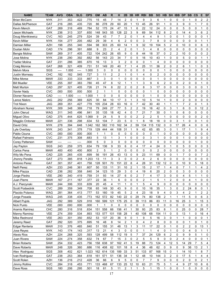| <b>NAME</b>            | <b>TEAM</b> | <b>AVG</b> | <b>OBA</b> | <b>SLG</b> | <b>OPS</b> | <b>GM</b>      | <b>AB</b>    | R              | н                       | 2B                      |                | 3B HR          | <b>RBI</b>     | <b>BB</b>      | <b>SO</b>      | <b>HB</b>      | <b>SH</b>      | <b>IBB</b>     | <b>DP</b>                | <b>SB</b>      | $\mathsf{cs}$ | E              | <b>SF</b>               |
|------------------------|-------------|------------|------------|------------|------------|----------------|--------------|----------------|-------------------------|-------------------------|----------------|----------------|----------------|----------------|----------------|----------------|----------------|----------------|--------------------------|----------------|---------------|----------------|-------------------------|
| <b>Brian McCann</b>    | <b>NYK</b>  | .311       | .353       | 422        | .775       | 15             | 45           | $\overline{7}$ | 14                      | 2                       | 0              |                | 9              | 3              | 6              |                | 0              | 0              | 0                        |                | 0             | 2              | $\overline{c}$          |
| Dallas McPherson       | <b>GAT</b>  | .216       | .285       | 435        | .720       | 86             | 278          | 29             | 60                      | 20                      | 1              | 13             | 45             | 26             | 91             | 1              | 0              | 3              | 9                        | 0              | 1             | $\overline{7}$ | 0                       |
| Kevin Mench            | GAT         | .269       | .316       | .469       | .784       | 52             | 175          | 24             | 47                      | 15                      | 1              | 6              | 22             | 12             | 24             | 0              | 0              | 0              | 5                        | 0              | 0             | 1              | 0                       |
| Jason Michaels         | <b>NYK</b>  | .236       | .313       | .337       | .650       | 148            | 543          | 55             | 128                     | 22                      | 3              | 9              | 69             | 54             | 112            | 8              | 2              | 0              | 14                       | 4              | 3             | 6              | 2                       |
| Doug Mientkiewicz      | <b>CVC</b>  | .163       | .245       | 279        | 524        | 39             | 43           | $\overline{7}$ | $\overline{7}$          | $\overline{2}$          | 0              | $\mathbf{1}$   | 4              | $\overline{4}$ | 9              | 1              | $\Omega$       | 0              | $\mathbf{1}$             | 0              | 0             | 0              | 1                       |
| <b>Kevin Millar</b>    | <b>NYK</b>  | .154       | 277        | 205        | .482       | 29             | 39           | 4              | 6                       | $\overline{2}$          | 0              | 0              | 3              | $\overline{7}$ | 8              | $\mathbf 0$    | 0              | 0              | 0                        | 0              | 0             | 1              | 1                       |
| <b>Damian Miller</b>   | <b>AZH</b>  | .198       | .255       | 340        | 594        | 98             | 303          | 25             | 60                      | 14                      | 1              | 9              | 32             | 19             | 104            | 5              | $\overline{2}$ | 0              | 10                       | 0              | 0             | 6              | 3                       |
| Dustan Mohr            | CAD         | .174       | .296       | .391       | .688       | 9              | 23           | $\overline{c}$ | $\overline{4}$          | $\overline{c}$          | 0              | $\mathbf{1}$   | 3              | 4              | 8              | $\mathbf 0$    | 0              | 0              | 0                        | 0              | 0             | $\mathbf 0$    | 0                       |
| Bengie Molina          | SAW         | .269       | .317       | .405       | .722       | 104            | 242          | 26             | 65                      | 9                       | 0              | 8              | 44             | 18             | 37             | 0              | $\overline{2}$ | 2              | 10                       | 0              | 0             | 0              | 2                       |
| Jose Molina            | <b>NYK</b>  | .238       | .290       | 392        | .682       | 56             | 143          | 23             | 34                      | $\overline{7}$          | 0              | 5              | 16             | 10             | 43             | $\mathbf{1}$   | 0              | 0              | 5                        | 0              | 0             | 1              | 1                       |
| Yadier Molina          | GAT         | .231       | .286       | 385        | .670       | 16             | 13           | 3              | 3                       | $\overline{c}$          | 0              | 0              | 0              | $\mathbf{1}$   | $\overline{4}$ | $\mathbf 0$    | 0              | 0              | 0                        | 0              | 0             | 0              | 0                       |
| Craig Monroe           | GAT         | .268       | .321       | .409       | .731       | 51             | 149          | 20             | 40                      | 7                       | 1              | 4              | 25             | 11             | 36             | $\overline{2}$ | 0              | $\overline{c}$ | 6                        | 1              | 1             | 0              | 3                       |
| <b>Melvin Mora</b>     | SGS         | ----       | 1.000      | $---$      | 1.000      | 3              | 0            | 0              | 0                       | 0                       | 0              | 0              | 0              | 0              | 0              | 1              | 0              | 0              | 0                        | 0              | 0             | 0              | 0                       |
| Justin Morneau         | CHC         | .182       | .182       | 545        | .727       | 3              | 11           | $\overline{c}$ | $\overline{\mathbf{c}}$ | $\mathbf{1}$            | 0              | $\mathbf{1}$   | 4              | 0              | $\overline{c}$ | $\mathbf 0$    | 0              | 0              | 0                        | 0              | 0             | 0              | 0                       |
| Mike Morse             | <b>MAW</b>  | .333       | .333       | 333        | .667       | 3              | 3            | 0              | $\mathbf{1}$            | 0                       | 0              | 0              | $\mathbf 0$    | $\mathbf 0$    | $\mathbf{1}$   | $\mathbf 0$    | 0              | 0              | 0                        | 0              | 0             | 0              | 0                       |
| <b>Bill Mueller</b>    | <b>VEE</b>  | .255       | .397       | .383       | .780       | 45             | 47           | 8              | 12                      | $\mathbf 1$             | 1              | 1              | 3              | 9              | 6              | $\overline{2}$ | 0              | 0              | 2                        | 0              | 0             | 1              | $\mathbf 0$             |
| <b>Matt Murton</b>     | CAD         | .297       | .321       | 405        | .726       | 21             | 74           | 8              | 22                      | $\overline{2}$          | 0              | $\overline{c}$ | 8              | 3              | 17             | $\mathbf 0$    | 0              | 0              | 3                        | 0              | 0             | 0              | 1                       |
| Xavier Nady            | <b>CVC</b>  | .000       | .500       | .000       | 500        | $\overline{2}$ | $\mathbf{1}$ | 1              | 0                       | 0                       | 0              | 0              | 0              | $\mathbf{1}$   | 0              | $\mathbf 0$    | $\Omega$       | 0              | 0                        | 0              | 0             | 0              | 0                       |
| Dioner Navarro         | CAD         | ----       | 1.000      | $---$      | 1.000      | 1              | 0            | 0              | $\mathbf 0$             | 0                       | 0              | 0              | 0              | 1              | 0              | $\mathbf 0$    | 0              | 0              | 0                        | 0              | 0             | 0              | 0                       |
| Lance Niekro           | <b>JAG</b>  | 202        | .256       | .369       | .625       | 30             | 84           | 10             | 17                      | 3                       | 1              | 3              | 10             | 5              | 14             | 1              | 0              | 0              | $\overline{2}$           | 0              | 0             | 0              | $\mathbf 0$             |
| <b>Trot Nixon</b>      | <b>JAG</b>  | .269       | .351       | .427       | .778       | 105            | 234          | 28             | 63                      | 16                      | 0              | $\overline{7}$ | 42             | 30             | 40             | $\mathbf{1}$   | 1              | 1              | $\overline{7}$           | $\overline{c}$ | 0             | 1              | 3                       |
| Abraham Nunez          | <b>NYK</b>  | .309       | .348       | 369        | .718       | 79             | 249          | 27             | 77                      | 5                       | 2              | $\overline{c}$ | 19             | 16             | 42             | $\mathbf 0$    | 3              | 1              | 6                        | 0              | 0             | 12             | $\overline{\mathbf{c}}$ |
| John Olerud            | <b>WAG</b>  | .311       | .345       | .496       | .841       | 35             | 135          | 18             | 42                      | 4                       | 0              | $\overline{7}$ | 21             | $\overline{7}$ | 30             | 0              | 1              | 0              | 6                        | 0              | 0             | 0              | 0                       |
| <b>Miquel Olivo</b>    | CAD         | 375        | .444       | 625        | 1.069      | 9              | 24           | 5              | 9                       | 0                       | 0              | $\overline{c}$ | $\overline{2}$ | $\overline{2}$ | 5              | $\mathbf{1}$   | 0              | 0              | 0                        | 0              | 0             | $\overline{2}$ | 0                       |
| Magglio Ordonez        | <b>MAW</b>  | .221       | .336       | .298       | .634       | 53             | 104          | $\overline{7}$ | 23                      | 5                       | 0              | 1              | 8              | 18             | 18             | 0              | 0              | 3              | 1                        | 0              | 0             | 1              | 0                       |
| David Ortiz            | <b>NYK</b>  | .278       | .394       | 648        | 1.042      | 162            | 582          | 110            | 162                     | 34                      | 2              | 59             | 134            | 115            | 132            | 0              | 0              | 17             | 26                       | 4              | 0             | 0              | 6                       |
| Lyle Overbay           | <b>NYK</b>  | .243       | .341       | 378        | .719       | 129            | 444          | 44             | 108                     | 31                      | 1              | 9              | 42             | 65             | 85             | 3              | 0              | 1              | 17                       | 1              | 1             | 9              | 4                       |
| Pablo Ozuna            | CVC         | .000       | .000       | .000       | .000       | 1              | 1            | 0              | 0                       | 0                       | 0              | 0              | 0              | 0              | 1              | 0              | 0              | 0              | 0                        | 0              | 0             | 0              | 0                       |
| Rafael Palmeiro        | <b>CVC</b>  | .231       | .375       | .308       | .683       | 5              | 13           | 1              | 3                       | 1                       | 0              | 0              | $\mathbf 0$    | 3              | 1              | $\mathbf 0$    | 0              | 0              | 1                        | 0              | 0             | 0              | 0                       |
| <b>Corey Patterson</b> | SAW         | ----       | ----       | ----       | .000       | 5              | 0            | 3              | 0                       | 0                       | 0              | 0              | 0              | 0              | 0              | $\mathbf 0$    | 0              | 0              | 0                        | 0              | $\mathbf{1}$  | 0              | 0                       |
| Jay Payton             | SGS         | .243       | .259       | 375        | .634       | 79             | 136          | 9              | 33                      | 6                       | 0              | 4              | 17             | 4              | 24             | $\mathbf 0$    | 1              | 0              | 5                        | 0              | 0             | 0              | 3                       |
| Carlos Pena            | <b>MAW</b>  | .400       | .400       | .400       | .800       | $\overline{2}$ | 5            | $\mathbf{1}$   | $\overline{2}$          | 0                       | 0              | 0              | 0              | 0              | $\overline{2}$ | $\mathbf 0$    | 0              | 0              | 0                        | 0              | 0             | 0              | 0                       |
| Wily Mo Pena           | CAD         | .225       | .265       | .435       | 699        | 56             | 191          | 26             | 43                      | 13                      | 0              | 9              | 23             | 11             | 69             | $\mathbf 0$    | 0              | $\mathbf{1}$   | $\overline{\mathcal{I}}$ | 0              | 0             | $\overline{7}$ | $\overline{2}$          |
| Jhonny Peralta         | GAT         | .273       | .385       | .818       | 1.203      | 13             | 11           | 3              | 3                       | 0                       | 0              | $\overline{c}$ | 4              | $\overline{2}$ | 6              | $\mathbf 0$    | $\Omega$       | 0              | 0                        | 0              | 0             | 0              | 0                       |
| Antonio Perez          | GAT         | .301       | .357       | .401       | .758       | 128            | 501          | 70             | 151                     | 22                      | 8              | 4              | 28             | 31             | 132            | 12             | 0              | 0              | 10                       | 9              | 5             | 18             | 0                       |
| Neifi Perez            | <b>AZH</b>  | .233       | .246       | .361       | .607       | 50             | 133          | 11             | 31                      | 10                      | $\overline{c}$ | 1              | 15             | $\overline{2}$ | 17             | $\mathbf{1}$   | 4              | 0              | $\overline{7}$           | 1              | $\mathbf{1}$  | 4              | 2                       |
| Mike Piazza            | CAD         | .236       | .282       | .358       | .640       | 34             | 123          | 15             | 29                      | $\mathsf 3$             | 0              | 4              | 19             | 6              | 20             | $\overline{c}$ | 0              | 0              | 3                        | 0              | 0             | 0              | 0                       |
| Jorge Piedra           | <b>VEE</b>  | 290        | .340       | 419        | 759        | 31             | 93           | 14             | 27                      | 6                       | 0              | $\overline{2}$ | $\overline{7}$ | 4              | 17             | 3              | $\Omega$       | $\Omega$       | 4                        | 5              | 1             | 1              | 0                       |
| Juan Pierre            | <b>MAW</b>  | .167       | .211       | .167       | .377       | 22             | 36           | 1              | 6                       | 0                       | 0              | 0              | 2              | 1              | 5              | 1              | 2              | 0              | 0                        | 4              | 1             | 0              | 0                       |
| A.J. Pierzynski        | <b>MAW</b>  | .244       | .306       | .333       | 639        | 20             | 45           | 4              | 11                      | 1                       | 0              | 1              | 5              | 4              | 9              | 0              | 0              | 0              | 0                        | 0              | 0             | 0              | 0                       |
| Scott Podsednik        | <b>CVC</b>  | .289       | .359       | .349       | .708       | 65             | 149          | 30             | 43                      | 9                       | 0              | 0              | 10             | 16             | 35             | 1              | 3              | 0              | 2                        | 24             | 8             | 0              | 1                       |
| Placido Polanco        | <b>WAG</b>  | .281       | .364       | .413       | .777       | 53             | 160          | 19             | 45                      | 5                       | 2              | 4              | 23             | 18             | 9              | 4              | 0              | 3              | 4                        | 2              | 1             | 2              | 2                       |
| Jorge Posada           | <b>WAG</b>  | .245       | .338       | .435       | .773       | 162            | 572          | 82             | 140                     | 22                      | 0              | 29             | 74             | 80             | 138            | $\overline{c}$ | 1              | 1              | 11                       | 5              | 0             | 6              | 3                       |
| <b>Albert Pujols</b>   | JAG         | .292       | .389       | 529        | .918       | 160            | 599          | 121            | 175                     | 25                      | 0              | 39             | 113            | 86             | 83             | 11             | 0              | 16             | 25                       | 3              | 1             | 15             | 3                       |
| <b>Nick Punto</b>      | <b>VEE</b>  | .000       | .000       | .000       | .000       | 1              | 1            | 0              | 0                       | 0                       | 0              | 0              | 0              | 0              | 0              | 0              | 0              | 0              | 0                        | 0              | 0             | 0              | 0                       |
| Aramis Ramirez         | CHC         | .280       | .316       | .518       | .834       | 151            | 558          | 66             | 156                     | 41                      | 1              | 30             | 93             | 25             | 83             | 8              | 1              | 0              | 25                       | 0              | 0             | 28             | 7                       |
| Manny Ramirez          | <b>VEE</b>  | .274       | .359       | .534       | .893       | 153            | 577          | 101            | 158                     | 28                      | 1              | 40             | 108            | 68             | 154            | 11             | 0              | 5              | 13                       | 1              | 0             | 16             | 4                       |
| Mike Redmond           | <b>VEE</b>  | .263       | .301       | .350       | .652       | 53             | 137          | 20             | 36                      | 9                       | 0              | $\mathbf{1}$   | 9              | 5              | 16             | 3              | 0              | $\mathbf{1}$   | 1                        | 0              | 0             | $\mathbf 0$    | $\mathbf{1}$            |
| Jeremy Reed            | <b>GAT</b>  | .292       | .320       | .375       | .695       | 16             | 48           | 8              | 14                      | $\overline{\mathbf{c}}$ | 1              | 0              | 4              | $\overline{c}$ | 8              | 0              | 0              | 0              | 0                        | 1              | 0             | 1              | 0                       |
| Edgar Renteria         | <b>MAW</b>  | .310       | .376       | .465       | .840       | 51             | 155          | 31             | 48                      | 13                      | 1              | 3              | 11             | 17             | 22             | 0              | 1              | 0              | 2                        | 2              | 0             | 13             | 1                       |
| Jose Reyes             | <b>NYK</b>  | .143       | .174       | .143       | .317       | 13             | 21           | 4              | 3                       | 0                       | 0              | 0              | $\mathbf{1}$   | $\mathbf{1}$   | 4              | $\mathbf 0$    | $\mathbf{1}$   | 0              | 0                        | 4              | 0             | 1              | $\mathbf{1}$            |
| <b>Alexis Rios</b>     | <b>AZH</b>  | .224       | .268       | .325       | .593       | 128            | 499          | 58             | 112                     | 19                      | 5              | 7              | 37             | 24             | 129            | 6              | $\overline{c}$ | 0              | 9                        | 9              | 5             | 1              | 0                       |
| Juan Rivera            | SAW         | .224       | .274       | .358       | .632       | 74             | 67           | $\overline{7}$ | 15                      | 3                       | 0              | 2              | 5              | 5              | 9              | 0              | 0              | 2              | 4                        | 0              | 0             | 0              | 1                       |
| <b>Brian Roberts</b>   | SAW         | .254       | .332       | .423       | .756       | 158            | 638          | 97             | 162                     | 41                      | 5              | 19             | 88             | 73             | 124            | 4              | 12             | 5              | 14                       | 29             | 7             | 5              | 4                       |
| Dave Roberts           | <b>MAW</b>  | .248       | .326       | .360       | .686       | 116            | 408          | 62             | 101                     | 18                      | 8              | 4              | 36             | 48             | 62             | 0              | 9              | 0              | 9                        | 36             | 13            | $\overline{2}$ | 1                       |
| Alex Rodriguez         | SGS         | .308       | .402       | .621       | 1.023      | 162            | 614          | 135            | 189                     | 33                      | 3              | 51             | 133            | 87             | 168            | 15             | 0              | 1              | 14                       | 10             | 1             | 8              | 7                       |
| Ivan Rodriguez         | <b>GAT</b>  | .238       | .253       | .364       | .618       | 161            | 571          | 51             | 136                     | 34                      | 1              | 12             | 48             | 10             | 144            | 3              | $\overline{c}$ | 0              | 17                       | 5              | 1             | 4              | 4                       |
| Scott Rolen            | <b>AZH</b>  | .136       | .216       | .212       | .428       | 36             | 66           | 6              | 9                       | 5                       | 0              | 0              | $\overline{7}$ | $\overline{7}$ | 9              | $\mathbf 0$    | 0              | 0              | $\overline{c}$           | 0              | 0             | $\overline{2}$ | $\mathbf{1}$            |
| Jimmy Rollins          | <b>CVC</b>  | .284       | .318       | .453       | .771       | 133            | 468          | 67             | 133                     | 25                      | 12             | 10             | 63             | 21             | 75             | 5              | 1              | 4              | 9                        | 27             | 10            | 8              | 6                       |
| Dave Ross              | SGS         | .180       | .206       | .295       | .501       | 18             | 61           | 5              | 11                      | 2                       | 1              | 1              | 5              | 1              | 15             | $\mathbf{1}$   | 0              | 0              | $\mathbf{1}$             | 0              | 0             | 0              | $\mathsf{O}$            |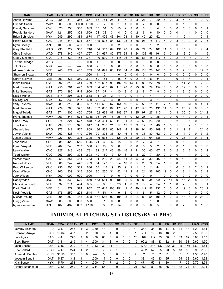| <b>NAME</b>            | <b>TEAM</b> | <b>AVG</b> | <b>OBA</b> | <b>SLG</b> | <b>OPS</b> | <b>GM</b>      | <b>AB</b>      | R              | н              | 2B             | 3B             | HR.          | <b>RBI</b>  | <b>BB</b>      | <b>SO</b>      | HВ             | <b>SH</b>      | <b>IBB</b>     | <b>DP</b> | <b>SB</b>      | <b>CS</b>      | Е              | <b>SF</b>      |
|------------------------|-------------|------------|------------|------------|------------|----------------|----------------|----------------|----------------|----------------|----------------|--------------|-------------|----------------|----------------|----------------|----------------|----------------|-----------|----------------|----------------|----------------|----------------|
| Aaron Rowand           | <b>WAG</b>  | .255       | .310       | .366       | .677       | 63             | 161            | 26             | 41             | 5              | 2              | 3            | 21          | $\overline{7}$ | 29             | 6              | 2              | 3              | 5         | 4              | 1              | 0              | 0              |
| Olmedo Saenz           | <b>MAW</b>  | .500       | .500       | 1.000      | 1.500      | 2              | 2              | 0              | 1              | 1              | 0              | 0            | 2           | 0              | 0              | 0              | 0              | 0              | 1         | 0              | 0              | 0              | $\mathbf 0$    |
| <b>Freddy Sanchez</b>  | CVC         | .323       | .353       | .516       | .869       | 13             | 31             | 3              | 10             | 2              | 2              | 0            | 6           | 1              | 4              | 1              | 0              | 0              | 1         | 0              | 0              | 1              | 1              |
| Reggie Sanders         | SAW         | .121       | .256       | 303        | .559       | 21             | 33             | 3              | 4              | 0              | 0              | 2            | 6           | 6              | 10             | 0              | 0              | 0              | 1         | 1              | 0              | 0              | $\mathbf 0$    |
| <b>Brian Schneider</b> | <b>NYK</b>  | .249       | .290       | .384       | .674       | 117            | 406            | 43             | 101            | 23             | 1              | 10           | 45          | 20             | 62             | 4              | 4              | 1              | 19        | 1              | 1              | $\overline{2}$ | 1              |
| <b>Richie Sexson</b>   | CAD         | .248       | 343        | 524        | .867       | 145            | 525            | 84             | 130            | 25             | 3              | 38           | 97          | 75             | 170            | 4              | 0              | 3              | 10        | 0              | 0              | $\overline{7}$ | 5              |
| <b>Ryan Shealy</b>     | <b>AZH</b>  | .400       | .500       | .400       | .900       | 3              | 5              | 0              | $\overline{2}$ | 0              | 0              | 0            | $\mathbf 0$ | 1              | $\overline{c}$ | 0              | 0              | 0              | 0         | 0              | 0              | 0              | $\mathbf 0$    |
| <b>Gary Sheffield</b>  | <b>WAG</b>  | .231       | 329        | .386       | .716       | 154            | 567            | 64             | 131            | 26             | 1              | 20           | 74          | 74             | 101            | 11             | 0              | 1              | 15        | 4              | 1              | 4              | 4              |
| <b>Chris Shelton</b>   | <b>WAG</b>  | .278       | .340       | 457        | .797       | 161            | 637            | 80             | 177            | 34             | 4              | 24           | 102         | 58             | 161            | 5              | 0              | $\overline{c}$ | 12        | 0              | 0              | 1              | 5              |
| <b>Grady Sizemore</b>  | <b>CVC</b>  | .275       | .334       | 453        | .787       | 140            | 530            | 78             | 146            | 26             | $\overline{7}$ | 18           | 81          | 45             | 117            | 5              | $\overline{2}$ | 2              | 18        | 18             | $\overline{7}$ | 0              | $\overline{7}$ |
| <b>Terrmel Sledge</b>  | <b>WAG</b>  | ----       | ----       | ----       | .000       | 1              | 0              | 0              | 0              | 0              | 0              | 0            | $\mathbf 0$ | 0              | 0              | 0              | 0              | 0              | 0         | 0              | 0              | 0              | $\mathbf 0$    |
| J.T. Snow              | <b>NYK</b>  | ----       | ----       | ----       | .000       | $\overline{c}$ | 0              | 0              | $\mathbf 0$    | $\mathbf 0$    | 0              | 0            | $\mathbf 0$ | 0              | 0              | 0              | 0              | 0              | 0         | 0              | 0              | 0              | $\mathbf 0$    |
| Alfonso Soriano        | VEE         | .240       | .274       | 485        | .759       | 158            | 629            | 88             | 151            | 34             | 0              | 40           | 106         | 26             | 148            | 6              | 0              | 2              | 9         | 13             | 1              | 17             | $\overline{7}$ |
| <b>Shannon Stewart</b> | GAT         | ----       | ----       | ----       | .000       | $\mathbf{1}$   | 0              | 1              | 0              | 0              | 0              | 0            | $\mathbf 0$ | $\mathbf 0$    | 0              | 0              | 0              | 0              | 0         | 0              | 0              | 0              | $\mathbf 0$    |
| Corey Sullivan         | VEE         | 293        | .331       | 360        | .691       | 50             | 164            | 19             | 48             | 5              | 0              | 2            | 13          | 8              | 34             | $\overline{2}$ | 1              | 0              | 3         | 4              | 1              | 0              | 1              |
| Ichiro Suzuki          | <b>CVC</b>  | .292       | .318       | 441        | .759       | 162            | 657            | 90             | 192            | 19             | 14             | 17           | 83          | 22             | 78             | 5              | 13             | 1              | 11        | 25             | 15             | $\overline{c}$ | 5              |
| Mark Sweeney           | GAT         | .255       | .361       | 447        | .809       | 134            | 463            | 67             | 118            | 20             | 0              | 23           | 68          | 79             | 154            | 0              | 0              | 0              | 12        | 8              | 0              | 0              | 3              |
| Mike Sweeney           | GAT         | .270       | .386       | 514        | .900       | 37             | 37             | 4              | 10             | 3              | 0              | 2            | 8           | $\overline{7}$ | 8              | 0              | 0              | 1              | 3         | 0              | 0              | 0              | $\mathbf 0$    |
| <b>Nick Swisher</b>    | SGS         | .174       | 296        | 391        | .688       | 14             | 23             | $\overline{2}$ | $\overline{4}$ | $\overline{2}$ | $\Omega$       | $\mathbf{1}$ | 3           | $\overline{4}$ | $\overline{7}$ | 0              | 0              | 1              | 1         | 0              | 0              | $\Omega$       | $\mathbf 0$    |
| So Taguchi             | NYK         | 267        | 333        | .267       | .600       | 25             | 30             | 3              | 8              | 0              | 0              | 0            | 3           | 3              | 1              | 0              | 0              | 0              | 0         | 0              | 0              | 0              | $\mathbf 0$    |
| <b>Willy Taveras</b>   | <b>SAW</b>  | .289       | 312        | 355        | .667       | 141            | 532            | 67             | 154            | 16             | $\overline{2}$ | 5            | 50          | 11             | 110            | $\overline{7}$ | 10             | $\mathbf 0$    | 6         | 37             | 8              | 4              |                |
| Mark Teixeira          | GAT         | 279        | .366       | 575        | .941       | 162            | 638            | 106            | 178            | 46             | 1              | 47           | 126         | 75             | 131            | 14             | 0              | 7              | 23        | 4              | 0              | 3              | 3              |
| Miguel Tejada          | GAT         | .274       | .305       | .450       | .755       | 162            | 669            | 87             | 183            | 37             | 3              | 25           | 97          | 27             | 110            | 4              | 0              | 3              | 30        | 5              | 0              | 24             | $\overline{c}$ |
| <b>Frank Thomas</b>    | <b>MAW</b>  | .263       | .343       | 674        | 1.016      | 36             | 95             | 18             | 25             | 3              | 0              | 12           | 26          | 12             | 25             | 0              | 0              | 0              | 4         | 0              | 0              | 0              | 1              |
| Chad Tracy             | SGS         | .274       | .321       | .527       | .848       | 123            | 431            | 53             | 118            | 31             | 3              | 24           | 56          | 26             | 80             | 5              | 0              | 2              | 8         | 1              | 0              | 6              | $\overline{2}$ |
| Jose Uribe             | CAD         | .239       | .273       | .345       | .617       | 81             | 238            | 21             | 57             | 12             | $\overline{2}$ | 3            | 17          | 11             | 48             | 1              | 5              | $\mathbf{1}$   | 3         | $\overline{c}$ | 1              | 6              | 3              |
| <b>Chase Utley</b>     | <b>WAG</b>  | .276       | 342        | 527        | .869       | 136            | 533            | 85             | 147            | 44             | 3              | 28           | 94          | 50             | 109            | $\overline{7}$ | 0              | 1              | 12        | 7              | 1              | 24             | 6              |
| Javier Valentin        | SAW         | .262       | 326        | 410        | .736       | 99             | 305            | 35             | 80             | 16             | 1              | 9            | 35          | 30             | 62             | 0              | 0              | 2              | 14        | 0              | 0              | 3              | $\overline{2}$ |
| <b>Jason Varitek</b>   | <b>MAW</b>  | .227       | .309       | .396       | .705       | 146            | 533            | 79             | 121            | 26             | 2              | 20           | 71          | 64             | 136            | 1              | 0              | 0              | 23        | 1              | 0              | 3              | 4              |
| Jose Vidro             | снс         | .385       | .429       | 615        | 1.044      | 21             | 39             | 6              | 15             | 3              | 0              | 2            | 7           | 3              | 7              | 0              | 0              | 0              | 1         | 0              | 0              | 0              | 0              |
| Omar Vizquel           | <b>VEE</b>  | .207       | .343       | 207        | .550       | 40             | 29             | 3              | 6              | 0              | 0              | 0            | 5           | 5              | 2              | 1              | 0              | 0              | 1         | 0              | 0              | 0              | 0              |
| Larry Walker           | <b>CVC</b>  | .227       | 348        | 433        | .781       | 82             | 247            | 46             | 56             | 16             | $\mathbf 1$    | 11           | 35          | 40             | 67             | $\overline{7}$ | 0              | $\overline{2}$ | 6         | $\overline{c}$ | 0              | 5              | $\overline{2}$ |
| <b>Todd Walker</b>     | <b>CVC</b>  | .267       | 299        | 393        | .693       | 49             | 150            | 17             | 40             | 6              | $\overline{2}$ | 3            | 22          | $\overline{7}$ | 20             | 0              | 0              | 0              | 1         | 1              | 0              | $\overline{2}$ | 0              |
| Vernon Wells           | CAD         | .258       | 351        | 411        | .763       | 91             | 209            | 29             | 54             | 11             | 3              | 5            | 33          | 30             | 45             | $\mathbf{1}$   | 1              | 0              | 10        | $\mathbf 0$    | 0              | 0              | $\overline{2}$ |
| Rondell White          | <b>VEE</b>  | .305       | 342        | .446       | .789       | 64             | 177            | 16             | 54             | 10             | $\mathbf 0$    | 5            | 28          | 9              | 24             | 1              | 0              | 0              | 5         | 0              | 0              | 0              | $\mathbf 0$    |
| <b>Brad Wilkerson</b>  | CHC         | .236       | .305       | .331       | .636       | 57             | 148            | 19             | 35             | 9              | 1              | 1            | 15          | 11             | 44             | 4              | $\mathbf 1$    | 0              | 6         | 2              | $\overline{c}$ | 0              | $\mathbf{1}$   |
| <b>Craig Wilson</b>    | CHC         | .200       | .339       | 315        | .654       | 85             | 260            | 31             | 52             | 11             | $\overline{c}$ | 5            | 24          | 36             | 100            | 19             | 0              | 0              | 8         | 1              | 0              | 6              | $\mathbf{1}$   |
| Jack Wilson            | <b>NYK</b>  | .000       | .000       | .000       | .000       | 4              | $\overline{7}$ | 0              | 0              | 0              | 0              | 0            | 0           | 0              | 1              | 0              | 0              | 0              | 0         | 0              | 0              | $\Omega$       | $\Omega$       |
| Randy Winn             | <b>JAG</b>  | .296       | .339       | 520        | .859       | 153            | 611            | 99             | 181            | 35             | 9              | 28           | 80          | 34             | 99             | 7              | 14             | 0              | 15        | 22             | 8              | 0              | 3              |
| Chris Woodward         | <b>VEE</b>  | .337       | .371       | .494       | .865       | 32             | 83             | 13             | 28             | 4              | 0              | 3            | 8           | 4              | 24             | 1              | 1              | 0              | 2         | 0              | 0              | 0              | 1              |
| David Wright           | <b>VEE</b>  | .314       | .377       | 574        | .952       | 157            | 618            | 108            | 194            | 41             | 0              | 40           | 119         | 58             | 132            | 6              | 0              | 0              | 19        | 3              | 0              | 26             | $\overline{c}$ |
| Kevin Youkilis         | <b>GAT</b>  | .176       | .250       | .294       | .544       | 17             | 51             | 4              | 9              | 3              | 0              | 1            | 6           | 5              | 12             | 0              | 0              | 0              | 1         | 0              | 0              | 0              | 0              |
| Michael Young          | <b>VEE</b>  | .294       | .350       | .458       | .808       | 161            | 666            | 92             | 196            | 33             | $\sqrt{2}$     | 24           | 89          | 54             | 106            | 4              | 0              | 5              | 18        | 6              | 0              | 23             | $\overline{2}$ |
| Gregg Zaun             | SAW         | .000       | .500       | .000       | .500       | 3              | 1              | 0              | 0              | 0              | 0              | 0            | 0           | 1              | 0              | 0              | 0              | 0              | 0         | 0              | 0              | 0              | 0              |
| Ryan Zimmerman         | <b>AZH</b>  | .467       | .467       | .633       | 1.100      | 8              | 30             | 2              | 14             | 5              | 0              | 0            | 6           | 0              | 5              | 0              | 0              | 0              | 2         | 0              | 0              | 1              | 0              |

# INDIVIDUAL PITCHING STATISTICS (BY ALPHA)

| <b>NAME</b>           | <b>TEAM</b> | <b>ERA</b> | OPF<br>PAV | W |    | <b>PCT</b> | G  | GS | <b>CG</b> | <b>SH</b> | <b>SV</b> | GF | <b>IP</b> | н   | R              | ER  | ΗR | <b>BB</b> | κ   | HR/9 | K/BB |
|-----------------------|-------------|------------|------------|---|----|------------|----|----|-----------|-----------|-----------|----|-----------|-----|----------------|-----|----|-----------|-----|------|------|
| Jeremy Accardo        | CAD         | 3.47       | .255       |   |    | 250        | 18 |    |           |           |           | 10 | 36.       | 36  | 18             | 14  |    |           | 18  | .20  | .64  |
| <b>Bronson Arroyo</b> | CAD         | 19.64      | .487       |   |    | 000        | 3  |    |           |           |           |    |           | 19  | 16             | 16  |    | h         | 5   | 2.50 | 0.83 |
| Luis Ayala            | CAD         | 4.41       | .296       | 4 | 6  | .400       | 63 |    |           |           |           | 26 | 102       | 19  | 55             | 50  | 10 | 33        | 62  | 0.90 | .88  |
| <b>Scott Baker</b>    | GAT         | 3.11       | .249       | 4 |    | .500       | 34 |    |           |           |           | 16 | 92.2      | 88  | 33             | 32  | 6  | 30        | 51  | 0.60 | 1.70 |
| Josh Beckett          | AZH         | 6.16       | .299       | 3 | 18 | 143        | 31 | 31 |           |           |           |    | 178.      | 213 | 37،            | 122 | 31 | 95        | 156 | l.60 | .64  |
| <b>Eric Bedard</b>    | SGS         | 4.17       | .274       | 4 |    | 667        |    |    |           |           |           |    | 49.2      | 52  | 25             | 23  |    | 13        | 50  | 0.90 | 3.85 |
| Armando Benitez       | <b>CHC</b>  | 31.50      | .583       |   |    | -----      | 5  |    |           |           |           |    |           |     |                |     |    |           |     | 4.50 | 0.20 |
| Joaquin Benoit        | GAT         | 5.87       | .312       |   |    | .500       |    |    |           |           |           | 4  | 38.7      | 49  | 33             | 25  |    | 25        | 33  | 2.60 | 1.32 |
| Kris Benson           | <b>NYK</b>  | 5.70       | .278       |   |    | .000       |    |    |           |           |           |    | 47        | 52  | 3 <sup>1</sup> | 30  | 14 |           | 26  | 2.70 | 3.71 |
| Rafael Betancourt     | <b>AZH</b>  | 3.42       | .259       | 5 |    | 714        | 56 |    |           |           |           | 21 | 92        | 89  | 38             | 35  |    | 32        | 74  | 1.10 | 2.31 |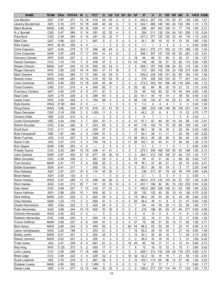| <b>NAME</b>                        | <b>TEAM</b>       | <b>ERA</b>   | <b>OPPAV</b> | W                     | L                       | <b>PCT</b>   | G                    | <b>GS</b> | CG             | <b>SH</b>      | <b>SV</b>        | <b>GF</b>                   | IP           | н                     | R                   | <b>ER</b>    | <b>HR</b>      | <b>BB</b>               | Κ                     | <b>HR/9</b>  | K/BB         |
|------------------------------------|-------------------|--------------|--------------|-----------------------|-------------------------|--------------|----------------------|-----------|----------------|----------------|------------------|-----------------------------|--------------|-----------------------|---------------------|--------------|----------------|-------------------------|-----------------------|--------------|--------------|
| Joe Blanton                        | GAT               | 4.97         | .271         | 13                    | 18                      | .419         | 40                   | 40        | 2              | 0              | 0                | 0                           | 240.2        | 257                   | 142                 | 133          | 50             | 87                      | 128                   | 1.90         | 1.47         |
| Jeremy Bonderman                   | AZH               | 5.18         | .279         | 12                    | 18                      | .400         | 40                   | 40        | 5              | 1              | 0                | 0                           | 243.1        | 266                   | 148                 | 140          | 30             | 105                     | 184                   | 1.10         | 1.75         |
| Mark Buehrle                       | MAW               | 4.95         | 307          | 18                    | 16                      | 529          | 41                   | 41        | 10             | $\overline{2}$ | 0                | $\mathbf 0$                 | 289          | 357                   | 163                 | 159          | 31             | 77                      | 178                   | 1.00         | 2.31         |
| A.J. Burnett                       | CAD               | 5.47         | .269         | 9                     | 14                      | .391         | 32                   | 32        | 4              | 0              | 0                | $\mathbf 0$                 | 204          | 211                   | 132                 | 124          | 24             | 101                     | 226                   | 1.10         | 2.24         |
| Paul Byrd                          | CAD               | 4.36         | .284         | 9                     | 14                      | 391          | 32                   | 32        | 11             | 1              | 0                | $\mathbf 0$                 | 247.2        | 277                   | 125                 | 120          | 30             | 45                      | 119                   | 1.10         | 2.64         |
| <b>Matt Cain</b>                   | GAT               | 4.98         | .223         | $\overline{c}$        | $\mathbf{1}$            | 667          | 5                    | 5         | $\mathbf 0$    | 0              | 0                | $\mathbf 0$                 | 34.1         | 29                    | 19                  | 19           | 6              | 13                      | 25                    | 1.60         | 1.92         |
| Kiko Calero                        | <b>NYK</b>        | 20.25        | .250         | $\mathbf 0$           | 0                       | ----         | $\mathbf{1}$         | 0         | $\mathbf 0$    | 0              | $\mathbf 0$      | $\mathbf 0$                 | 1.1          | $\mathbf{1}$          | 3                   | 3            | 0              | $\overline{\mathbf{c}}$ | 0                     | 0.00         | 0.00         |
| Chris Capuano                      | GAT               | 6.00         | .279         | 9                     | 17                      | 346          | 40                   | 40        | 4              | 0              | $\mathbf 0$      | $\mathbf 0$                 | 244.1        | 273                   | 171                 | 163          | 51             | 131                     | 189                   | 1.90         | 1.44         |
| <b>Chris Carpenter</b>             | SAW               | 3.97         | .258         | 17                    | 17                      | .500         | 41                   | 41        | 13             | 1              | 0                | 0                           | 306.1        | 307                   | 147                 | 135          | 45             | 93                      | 261                   | 1.30         | 2.81         |
| Giovanni Carrara                   | <b>NYK</b>        | 8.00         | .297         | $\overline{c}$        | 3                       | .400         | 31                   | 0         | 0              | 0              | $\overline{2}$   | 18                          | 54           | 66                    | 51                  | 48           | 8              | 30                      | 47                    | 1.30         | 1.57         |
| <b>Hector Carrasco</b>             | <b>CVC</b>        | 1.74         | .176         | 7                     | 9                       | 438          | 57                   | 0         | 0              | 0              | 12               | 42                          | 140          | 85                    | 35                  | 27           | 12             | 62                      | 115                   | 0.80         | 1.85         |
| Shawn Chacon                       | MAW               | 4.67         | .242         | 13                    | 10                      | 565          | 33                   | 33        | 5              | 1              | 0                | 0                           | 204.1        | 187                   | 109                 | 106          | 34             | 83                      | 115                   | 1.50         | 1.39         |
| Roger Clemens                      | <b>NYK</b>        | 3.85         | .239         | 18                    | 14                      | 563          | 41                   | 41        | 16             | 1              | $\mathbf 0$      | 0                           | 313          | 283                   | 142                 | 134          | 32             | 106                     | 274                   | 0.90         | 2.58         |
| <b>Matt Clement</b>                | <b>NYK</b>        | 5.62         | .284         | 11                    | 17                      | .393         | 34                   | 33        | 6              | 1              | 0                | 1                           | 209.2        | 239                   | 140                 | 131          | 32             | 85                      | 163                   | 1.40         | 1.92         |
| <b>Bartolo Colon</b>               | <b>MAW</b>        | 4.99         | .283         | 16                    | 15                      | 516          | 40                   | 40        | 10             | 0              | 0                | $\mathbf 0$                 | 276          | 309                   | 164                 | 153          | 42             | 77                      | 201                   | 1.40         | 2.61         |
| Jose Contreras                     | SGS               | 5.46         | .283         | 12                    | 16                      | 429          | 40                   | 40        | $\overline{7}$ | 0              | 0                | $\mathbf 0$                 | 273.2        | 302                   | 181                 | 166          | 48             | 116                     | 200                   | 1.60         | 1.72         |
| Chad Cordero                       | CAD               | 3.51         | .215         | 4                     | 4                       | .500         | 62                   | 0         | 0              | 0              | 6                | 25                          | 82           | 64                    | 36                  | 32           | 10             | 21                      | 72                    | 1.10         | 3.43         |
| Francisco Cordero                  | <b>GAT</b>        | 4.93         | .276         | 8                     | 9                       | .471         | 81                   | 0         | 0              | 0              | $\mathbf{1}$     | 23                          | 95           | 102                   | 60                  | 52           | 10             | 54                      | 104                   | 0.90         | 1.93         |
| <b>Neal Cotts</b>                  | <b>AZH</b>        | 2.79         | .226         | $\overline{c}$        | 5                       | .286         | 50                   | 0         | $\mathbf 0$    | $\mathbf 0$    | 3                | 20                          | 61.1         | 50                    | 19                  | 19           | 3              | 38                      | 50                    | 0.40         | 1.32         |
| Jesse Crain                        | <b>NYK</b>        | 3.30         | .228         | $\overline{c}$        | 11                      | .154         | 69                   | 0         | $\mathbf 0$    | 0              | 9                | 36                          | 120          | 102                   | 47                  | 44           | 22             | 41                      | 36                    | 1.70         | 0.88         |
| <b>Kyle Davies</b>                 | WAG               | 21.60        | .444         | 0                     | 0                       | ----         | $\mathbf{1}$         | 0         | 0              | 0              | 0                | $\mathbf 0$                 | 1.2          | 4                     | 4                   | 4            | $\mathbf{1}$   | $\overline{c}$          | 3                     | 5.40         | 1.50         |
| Doug Davis                         | <b>WAG</b>        | 4.68         | .229         | 21                    | 13                      | .618         | 41                   | 41        | 10             | 3              | 0                | 0                           | 269          | 233                   | 144                 | 140          | 36             | 124                     | 241                   | 1.20         | 1.94         |
| Ryan Dempster                      | CAD               | 2.19         | .236         | $\overline{c}$        | 0                       | 1.000        | 11                   | 0         | 0              | 0              | $\overline{2}$   | 5                           | 24.2         | 21                    | 6                   | 6            | $\overline{2}$ | 13                      | 23                    | 0.70         | 1.77         |
| Octavio Dotel                      | <b>VEE</b>        | 2.25         | .412         | 0                     | 0                       | ----         | 3                    | 0         | 0              | 0              | 0                | 1                           | 4            | 7                     | 1                   | $\mathbf{1}$ | 1              | 0                       | 6                     | 2.30         | ---          |
| Justin Duchscherer                 | <b>VEE</b>        | 3.24         | .236         | 3                     | $\overline{7}$          | .300         | 61                   | 0         | 0              | 0              | 5                | 31                          | 97.1         | 87                    | 40                  | 35           | 14             | 34                      | 99                    | 1.30         | 2.91         |
| Kelvim Escobar                     | CHC               | 5.34         | .262         | 8                     | $\overline{7}$          | .533         | 63                   | 0         | $\mathbf 0$    | 0              | 6                | 40                          | 118          | 120                   | 74                  | 70           | 20             | 69                      | 129                   | 1.50         | 1.87         |
| Scott Eyre                         | CVC               | 2.11         | .196         | 1                     | 4                       | .200         | 47                   | 0         | $\mathbf 0$    | 0              | 1                | 20                          | 68.1         | 48                    | 18                  | 16           | $\overline{c}$ | 38                      | 64                    | 0.30         | 1.68         |
| Kyle Farnsworth                    | <b>VEE</b>        | 1.97         | .160         | 2                     | 0                       | 1.000        | 31                   | 0         | 0              | 0              | $\mathbf{1}$     | 17                          | 50.1         | 28                    | 11                  | 11           | $\overline{7}$ | 23                      | 58                    | 1.30         | 2.52         |
| <b>Brian Fuentes</b>               | JAG               | 4.15         | .207         | 5                     | 3                       | 625          | 61                   | 0         | 0              | 0              | 13               | 26                          | 60.2         | 46                    | 28                  | 28           | 9              | 26                      | 64                    | 1.30         | 2.46         |
| <b>Aaron Fultz</b>                 | <b>JAG</b>        | 3.07         | .210         | 9                     | 3                       | .750         | 76                   | 0         | 0              | 0              | 11               | 26                          | 120.1        | 91                    | 43                  | 41           | 17             | 30                      | 93                    | 1.30         | 3.10         |
| Eric Gagne<br><b>Freddy Garcia</b> | SAW<br><b>CVC</b> | 3.86<br>5.20 | .250<br>.284 | 0<br>13               | 0<br>19                 | ----<br>.406 | $\overline{2}$<br>41 | 0<br>41   | 0<br>4         | 0<br>0         | $\mathbf 0$<br>0 | $\mathbf{1}$<br>$\mathbf 0$ | 2.1<br>275.1 | $\overline{2}$<br>309 | $\mathbf{1}$<br>166 | 1<br>159     | 0<br>55        | 1<br>93                 | $\overline{2}$<br>198 | 0.00<br>1.80 | 2.00<br>2.13 |
| John Garland                       | <b>SAW</b>        | 4.97         | .300         | 21                    | 10                      | .677         | 40                   | 40        | 10             | 1              | $\mathbf 0$      | $\mathbf 0$                 | 264.1        | 313                   | 155                 | 146          | 37             | 65                      | 115                   | 1.30         | 1.77         |
| Mike Gonzalez                      | CHC               | 4.58         | .236         | 2                     | $\mathbf{1}$            | .667         | 35                   | 0         | 0              | 0              | 8                | 21                          | 55           | 47                    | 31                  | 28           | 3              | 49                      | 62                    | 0.50         | 1.27         |
| Tom Gordon                         | <b>MAW</b>        | 2.41         | .177         | 5                     | $\overline{\mathbf{4}}$ | 556          | 52                   | 0         | 0              | 0              | 4                | 19                          | 78.1         | 47                    | 24                  | 21           | 3              | 29                      | 70                    | 0.30         | 2.41         |
| Eddie Guardado                     | SGS               | 8.41         | .317         | $\mathbf{1}$          | 1                       | .500         | 16                   | 0         | 0              | 0              | $\mathbf 0$      | $\overline{2}$              | 20.1         | 26                    | 19                  | 19           | 5              | 5                       | 17                    | 2.20         | 3.40         |
| <b>Roy Halladay</b>                | <b>AZH</b>        | 2.97         | .237         | 15                    | 6                       | .714         | 30                   | 30        | 11             | 2              | $\mathbf 0$      | 0                           | 239          | 213                   | 87                  | 79           | 24             | 39                      | 178                   | 0.90         | 4.56         |
| <b>Brad Halsev</b>                 | <b>AZH</b>        | 0.00         | 125          | 0                     | $\Omega$                | ----         | 1                    | 0         | $\Omega$       | $\Omega$       | $\Omega$         | $\Omega$                    | 2.1          | 1                     | 0                   | 0            | $\Omega$       | 0                       | 0                     | 0.00         | ---          |
| Aaron Harang                       | <b>WAG</b>        | 4.97         | .289         | 11                    | 13                      | .458         | 40                   | 40        | 6              | 2              | 0                | 0                           | 240.2        | 275                   | 143                 | 133          | 34             | 67                      | 167                   | 1.30         | 2.49         |
| Rich Harden                        | SGS               | 3.22         | .210         | 20                    | $\overline{7}$          | .741         | 33                   | 33        | 14             | 6              | 0                | 0                           | 251.1        | 189                   | 92                  | 90           | 15             | 103                     | 235                   | 0.50         | 2.28         |
| Dan Haren                          | CHC               | 6.99         | .327         | $\overline{7}$        | 15                      | .318         | 31                   | 31        | 5              | 1              | 0                | 0                           | 190.2        | 262                   | 158                 | 148          | 41             | 63                      | 159                   | 1.90         | 2.52         |
| Aaron Heilman                      | <b>AZH</b>        | 2.66         | .255         | 10                    | $\mathbf{1}$            | .909         | 62                   | 0         | 0              | 0              | 2                | 26                          | 132          | 125                   | 40                  | 39           | 10             | 43                      | 126                   | 0.70         | 2.93         |
| <b>Rick Helling</b>                | <b>MAW</b>        | 2.61         | .225         | 5                     | $\mathsf 3$             | .625         | 38                   | 0         | 0              | 0              | 0                | 19                          | 96.2         | 80                    | 33                  | 28           | 6              | 34                      | 80                    | 0.60         | 2.35         |
| Clay Hensley                       | SAW               | 1.23         | .173         | $\mathbf{2}^{\prime}$ | 2                       | 500          | 41                   | 0         | 0              | 0              | 5                | 20                          | 58.2         | 35                    | 11                  | 8            | 3              | 21                      | 41                    | 0.50         | 1.95         |
| Dustin Hermanson                   | <b>VEE</b>        | 4.83         | .223         | $\overline{c}$        | 3                       | .400         | 34                   | 0         | 0              | 0              | 0                | $\overline{7}$              | 54           | 44                    | 29                  | 29           | 11             | 22                      | 39                    | 1.80         | 1.77         |
| Felix Hernandez                    | SGS               | 3.88         | .244         | 15                    | 10                      | .600         | 30                   | 30        | 9              | 0              | 0                | 0                           | 216          | 198                   | 95                  | 93           | 21             | 84                      | 217                   | 0.90         | 2.58         |
| Orlando Hernandez                  | <b>WAG</b>        | 4.50         | .303         | 0                     | 0                       | ----         | 5                    | 0         | 0              | 0              | 0                | 0                           | 8            | 10                    | 5                   | 4            | 1              | 6                       | 9                     | 1.10         | 1.50         |
| Roberto Hernandez                  | CHC               | 4.09         | .240         | 0                     | 1                       | .000         | 14                   | 0         | 0              | 0              | 6                | 11                          | 22           | 18                    | 11                  | 10           | 0              | 12                      | 17                    | 0.00         | 1.42         |
| Trevor Hoffman                     | <b>MAW</b>        | 3.00         | .237         | 4                     | 6                       | .400         | 61                   | 0         | 0              | 0              | 4                | 27                          | 75           | 68                    | 31                  | 25           | 13             | 17                      | 63                    | 1.60         | 3.71         |
| <b>Bob Howry</b>                   | <b>MAW</b>        | 3.80         | .243         | 5                     | 6                       | .455         | 62                   | 0         | 0              | 0              | 26               | 44                          | 68.2         | 63                    | 32                  | 29           | $\overline{7}$ | 22                      | 47                    | 0.90         | 2.14         |
| Jason Isringhausen                 | SAW               | 3.20         | .168         | 5                     | 1                       | .833         | 41                   | 0         | 0              | 0              | 7                | $16\,$                      | 50.2         | 29                    | 19                  | 18           | 5              | 27                      | 40                    | 0.90         | 1.48         |
| <b>Bobby Jenks</b>                 | <b>MAW</b>        | 8.41         | .341         | 0                     | 3                       | .000         | 22                   | 0         | 0              | 0              | 3                | 14                          | 20.1         | 30                    | 25                  | 19           | 7              | 11                      | 29                    | 3.10         | 2.64         |
| Randy Johnson                      | MAW               | 5.02         | .261         | 0                     | $\overline{c}$          | .000         | 4                    | 4         | 0              | 0              | 0                | 0                           | 28.2         | 30                    | 16                  | 16           | 5              | 5                       | 31                    | 1.60         | 6.20         |
| Todd Jones                         | <b>JAG</b>        | 2.47         | .239         | 8                     | $\overline{4}$          | .667         | 61                   | 0         | 0              | 0              | 19               | 43                          | 62           | 54                    | 17                  | 17           | 4              | 15                      | 41                    | 0.60         | 2.73         |
| Ray King                           | <b>NYK</b>        | 11.25        | .373         | 0                     | $\overline{c}$          | .000         | 17                   | 0         | 0              | 0              | 1                | 6                           | 12           | 19                    | 15                  | 15           | 5              | 10                      | 5                     | 3.80         | 0.50         |
| John Lackey                        | <b>CVC</b>        | 4.28         | .289         | 17                    | 18                      | .486         | 41                   | 41        | 7              | 0              | 0                | $\mathbf 0$                 | 269.1        | 312                   | 142                 | 128          | 25             | 118                     | 272                   | 0.80         | 2.31         |
| <b>Brad Lidge</b>                  | <b>CVC</b>        | 3.08         | .222         | 3                     | $\overline{4}$          | 429          | 42                   | 0         | 0              | 0              | 18               | 32                          | 52.2         | 42                    | 18                  | 18           | 7              | 21                      | 59                    | 1.20         | 2.81         |
| Scott Linebrink                    | <b>VEE</b>        | 4.78         | .276         | 6                     | 3                       | .667         | 58                   | 0         | 0              | 0              | 0                | 12                          | 105.1        | 115                   | 65                  | 56           | 12             | 27                      | 95                    | 1.00         | 3.52         |
| Esteban Loaiza                     | <b>MAW</b>        | 4.50         | .362         | 1                     | 0                       | 1.000        | 3                    | 3         | 0              | 0              | 0                | 0                           | 14           | 21                    | 11                  | 7            | 1              | 6                       | 7                     | 0.60         | 1.17         |
| Derek Lowe                         | <b>VEE</b>        | 5.14         | .277         | 12 15                 |                         | .444         | 33                   | 33        | 4              | 2              | 0                | 0                           | 199.2        | 217                   | 127                 | 114          | 39             | 71                      | 124                   | 1.80         | 1.75         |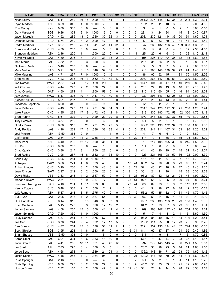| <b>NAME</b>             | <b>TEAM</b> | <b>ERA</b> | <b>OPPAV</b> | W                       | L                       | <b>PCT</b> | G              | <b>GS</b> | CG             | <b>SH</b>               | <b>SV</b>      | <b>GF</b>      | IP    | H              | R              | <b>ER</b>      | <b>HR</b>               | <b>BB</b>      | Κ              | <b>HR/9</b> | K/BB |
|-------------------------|-------------|------------|--------------|-------------------------|-------------------------|------------|----------------|-----------|----------------|-------------------------|----------------|----------------|-------|----------------|----------------|----------------|-------------------------|----------------|----------------|-------------|------|
| Noah Lowry              | GAT         | 5.11       | .282         | 16                      | 16                      | 500        | 41             | 41        | $\overline{7}$ | 1                       | 0              | 0              | 251.2 | 276            | 148            | 143            | 36                      | 92             | 215            | 1.30        | 2.34 |
| Ryan Madson             | AZH         | 6.59       | .345         | 1                       | 0                       | 1.000      | $\overline{7}$ | 0         | 0              | 0                       | 0              | 3              | 13.2  | 20             | 11             | 10             | 3                       | 2              | 9              | 2.00        | 4.50 |
| Ron Mahay               | <b>NYK</b>  | 0.00       | .308         | 0                       | $\mathbf 0$             | ----       | 3              | 0         | 0              | 0                       | 0              | $\mathbf 0$    | 3     | 4              | $\mathbf{1}$   | 0              | 0                       | 2              | 1              | 0.00        | 0.50 |
| Gary Majewski           | SGS         | 9.26       | .354         | $\overline{2}$          | $\mathbf 0$             | 1.000      | 16             | 0         | 0              | 0                       | 0              | 5              | 23.1  | 34             | 24             | 24             | 1                       | 15             | 13             | 0.40        | 0.87 |
| Jason Marquis           | CAD         | 4.92       | .285         | 13                      | 12                      | .520       | 32             | 32        | 3              | 0                       | 0              | $\mathbf 0$    | 208.1 | 230            | 121            | 114            | 36                      | 90             | 94             | 1.60        | 1.04 |
| Damaso Marte            | CAD         | 5.74       | .280         | 3                       | $\overline{2}$          | .600       | 47             | 0         | 0              | 0                       | 1              | 17             | 47    | 51             | 33             | 30             | $\overline{7}$          | 31             | 44             | 1.30        | 1.42 |
| Pedro Martinez          | <b>NYK</b>  | 3.27       | 212          | 25                      | 14                      | 641        | 41             | 41        | 31             | 4                       | 0              | $\mathbf 0$    | 347   | 268            | 132            | 126            | 49                      | 109            | 333            | 1.30        | 3.06 |
| <b>Brandon McCarthy</b> | CHC         | 4.50       | .230         | 0                       | 0                       | ----       | 5              | 0         | 0              | 0                       | 1              | 3              | 16    | 14             | 8              | 8              | 4                       | 3              | 12             | 2.30        | 4.00 |
| <b>Brandon Medders</b>  | <b>AZH</b>  | 2.16       | .220         | 1                       | 1                       | .500       | 25             | 0         | 0              | 0                       | 1              | 11             | 25    | 20             | 6              | 6              | 3                       | 9              | 22             | 1.10        | 2.44 |
| Kevin Millwood          | GAT         | 4.80       | .295         | 8                       | 11                      | .421       | 33             | 33        | $\overline{2}$ | 0                       | $\mathbf 0$    | $\mathbf 0$    | 195   | 226            | 110            | 104            | 35                      | 72             | 135            | 1.60        | 1.88 |
| <b>Matt Morris</b>      | <b>JAG</b>  | 7.82       | .295         | 0                       | 3                       | .000       | 6              | 6         | 0              | 0                       | 0              | 0              | 25.1  | 31             | 26             | 22             | 8                       | 6              | 10             | 2.80        | 1.67 |
| Guillermo Mota          | <b>NYK</b>  | 5.40       | .250         | 0                       | 0                       | ----       | 4              | 0         | 0              | 0                       | 0              | 3              | 5     | 5              | 3              | 3              | 0                       | 2              | 4              | 0.00        | 2.00 |
| Mark Mulder             | CAD         | 5.91       | 328          | 8                       | 15                      | .348       | 32             | 32        | $\overline{7}$ | 0                       | 0              | 0              | 210   | 286            | 148            | 138            | 32                      | 79             | 91             | 1.40        | 1.15 |
| Mike Mussina            | <b>JAG</b>  | 4.71       | .267         | $\overline{7}$          | 0                       | 1.000      | 15             | 15        | 1              | 0                       | $\mathbf 0$    | $\mathbf 0$    | 86    | 90             | 52             | 45             | 14                      | 31             | 70             | 1.50        | 2.26 |
| <b>Brett Myers</b>      | <b>CVC</b>  | 4.23       | .238         | 16                      | 13                      | .552       | 42             | 42        | 13             | 1                       | 0              | 0              | 293.1 | 263            | 147            | 138            | 51                      | 107            | 300            | 1.60        | 2.80 |
| Joe Nathan              | <b>WAG</b>  | 2.57       | .174         | 9                       | 12                      | 429        | 117            | 0         | 0              | 0                       | 2              | 30             | 164.1 | 101            | 50             | 47             | 14                      | 40             | 219            | 0.80        | 5.48 |
| Will Ohman              | SGS         | 4.44       | .240         | $\overline{\mathbf{c}}$ | $\overline{c}$          | 500        | 27             | 0         | 0              | 0                       | $\mathbf{1}$   | 9              | 26.1  | 24             | 16             | 13             | 6                       | 16             | 28             | 2.10        | 1.75 |
| Chad Orvella            | GAT         | 4.50       | .271         | 4                       | $\mathbf{1}$            | .800       | 58             | 0         | 0              | 0                       | 3              | 22             | 110   | 115            | 60             | 55             | 10                      | 46             | 94             | 0.80        | 2.04 |
| Roy Oswalt              | <b>WAG</b>  | 5.17       | .308         | 10                      | 14                      | 417        | 40             | 40        | 5              | 3                       | 0              | $\mathbf 0$    | 230   | 293            | 143            | 132            | 25                      | 72             | 172            | 1.00        | 2.39 |
| Akinori Otsuka          | CHC         | 5.01       | .287         | 0                       | 1                       | .000       | 18             | 0         | $\mathbf 0$    | 0                       | 0              | 5              | 23.1  | 25             | 13             | 13             | 0                       | 16             | 23             | 0.00        | 1.44 |
| Jonathan Papelbon       | <b>VEE</b>  | 6.00       | .345         | 0                       | 0                       | ----       | 9              | 0         | 0              | 0                       | 0              | $\overline{2}$ | 12    | 19             | 11             | 8              | 1                       | 6              | 18             | 0.80        | 3.00 |
| John Patterson          | SGS         | 4.49       | .270         | 13                      | 14                      | .481       | 34             | 34        | 9              | 1                       | 0              | $\mathbf 0$    | 234.1 | 249            | 126            | 117            | 30                      | 71             | 230            | 1.20        | 3.24 |
| Jake Peavy              | CHC         | 4.95       | .269         | 17                      | 19                      | .472       | 42             | 42        | 14             | 0                       | 0              | 0              | 313   | 330            | 180            | 172            | 59                      | 102            | 350            | 1.70        | 3.43 |
| <b>Brad Penny</b>       | CHC         | 5.61       | .302         | 9                       | 12                      | 429        | 29             | 29        | 8              | 1                       | $\mathbf 0$    | 0              | 197.1 | 243            | 133            | 123            | 37                      | 55             | 140            | 1.70        | 2.55 |
| <b>Troy Percival</b>    | CAD         | 3.37       | .250         | 0                       | 0                       | ----       | 6              | 0         | 0              | 0                       | 0              | $\overline{c}$ | 5.1   | 5              | $\overline{c}$ | $\overline{c}$ | 1                       | 2              | 5              | 1.70        | 2.50 |
| <b>Odalis Perez</b>     | CHC         | 6.88       | 315          | 6                       | 20                      | .231       | 29             | 29        | 5              | 0                       | 0              | 0              | 172.2 | 223            | 136            | 132            | 34                      | 59             | 108            | 1.80        | 1.83 |
| <b>Andy Pettitte</b>    | JAG         | 4.16       | .269         | 17                      | 12                      | 586        | 38             | 38        | 4              | 2                       | 0              | 0              | 231.1 | 241            | 111            | 107            | 31                      | 63             | 190            | 1.20        | 3.02 |
| Joel Pineiro            | AZH         | 13.50      | .368         | 0                       | 0                       | ----       | 1              | 1         | 0              | 0                       | 0              | $\mathbf 0$    | 4     | 7              | 6              | 6              | 3                       | 0              | $\overline{c}$ | 6.80        | ---  |
| <b>Cliff Politte</b>    | JAG         | 2.84       | .197         | 11                      | 3                       | .786       | 79             | 0         | 0              | 0                       | 3              | 22             | 114   | 79             | 41             | 36             | 19                      | 35             | 105            | 1.50        | 3.00 |
| <b>Mark Prior</b>       | <b>AZH</b>  | 4.40       | .262         | 12                      | 12                      | .500       | 31             | 31        | 8              | 0                       | 0              | 0              | 215   | 217            | 108            | 105            | 36                      | 80             | 245            | 1.50        | 3.06 |
| J.J. Putz               | SGS         | 0.00       | .200         | 0                       | 0                       | ----       | $\mathbf{1}$   | 0         | 0              | 0                       | 0              | 1              | 1.1   | 1              | 0              | 0              | 0                       | 0              | 1              | 0.00        | ---  |
| <b>Chad Qualls</b>      | CHC         | 3.86       | .247         | 3                       | $\mathbf{1}$            | .750       | 22             | 0         | 0              | 0                       | 0              | 13             | 44.1  | 40             | 20             | 19             | $\overline{7}$          | 15             | 31             | 1.40        | 2.07 |
| <b>Brad Radke</b>       | <b>CVC</b>  | 3.96       | .257         | 15                      | 8                       | .652       | 31             | 31        | 10             | $\mathbf 0$             | $\mathbf 0$    | $\mathbf 0$    | 223   | 221            | 106            | 98             | 50                      | 36             | 122            | 2.00        | 3.39 |
| Chris Ray               | SGS         | 4.96       | .254         | $\mathbf{1}$            | $\mathbf 0$             | 1.000      | 18             | 0         | 0              | 0                       | $\mathbf 0$    | 6              | 16.1  | 15             | 11             | 9              | 3                       | $\overline{7}$ | 16             | 1.70        | 2.29 |
| Al Reyes                | SAW         | 3.68       | .221         | 4                       | 8                       | .333       | 48             | 0         | 0              | 0                       | 18             | 41             | 63.2  | 52             | 30             | 26             | 8                       | 29             | 65             | 1.10        | 2.24 |
| <b>Arthur Rhodes</b>    | CHC         | 3.10       | .206         | 3                       | $\overline{\mathbf{c}}$ | .600       | 43             | 0         | 0              | 0                       | 3              | 24             | 52.1  | 40             | 22             | 18             | 8                       | 17             | 40             | 1.40        | 2.35 |
| Juan Rincon             | SAW         | 2.97       | 212          | 0                       | $\overline{c}$          | .000       | 26             | 0         | 0              | 0                       | $\overline{2}$ | 16             | 30.1  | 24             | 11             | 10             | $\mathbf{1}$            | 15             | 38             | 0.30        | 2.53 |
| David Riske             | <b>VEE</b>  | 3.83       | 243          | 4                       | $\overline{2}$          | 667        | 52             | $\Omega$  | $\Omega$       | 0                       | 3              | 25             | 98.2  | 89             | 42             | 42             | 21                      | 24             | 48             | 1.90        | 2.00 |
| Mariano Rivera          | <b>WAG</b>  | 2.31       | .188         | 5                       | 9                       | 357        | 77             | 0         | 0              | 0                       | 23             | 51             | 97.1  | 65             | 27             | 25             | 9                       | 29             | 94             | 0.80        | 3.24 |
| Francisco Rodriguez     | CAD         | 4.10       | .261         | 1                       | 11                      | .083       | 60             | 0         | 0              | 0                       | 23             | 44             | 68    | 69             | 33             | 31             | 9                       | 32             | 112            | 1.20        | 3.50 |
| Kenny Rogers            | <b>CVC</b>  | 5.48       | .303         | 2                       | 2                       | .500       | $\overline{7}$ | 7         | 1              | 0                       | 0              | 0              | 44.1  | 54             | 28             | 27             | 6                       | 18             | 12             | 1.20        | 0.67 |
| J.C. Romero             | AZH         | 5.37       | .248         | 3                       | 5                       | .375       | 42             | 0         | 0              | 0                       | 0              | 12             | 53.2  | 50             | 35             | 32             | 10                      | 31             | 45             | 1.70        | 1.45 |
| B.J. Ryan               | GAT         | 2.05       | .216         | 4                       | $\overline{c}$          | .667       | 54             | 0         | 0              | 0                       | 30             | 39             | 66    | 51             | 21             | 15             | 1                       | 31             | 90             | 0.10        | 2.90 |
| C.C. Sabathia           | <b>VEE</b>  | 6.14       | .318         | 8                       | 15                      | .348       | 33             | 33        | 3              | 0                       | 0              | $\mathbf 0$    | 180.1 | 236            | 133            | 123            | 28                      | 79             | 158            | 1.40        | 2.00 |
| Ervin Santana           | <b>JAG</b>  | 5.15       | .273         | 3                       | 3                       | .500       | 12             | 12        | 2              | 0                       | 0              | 0              | 64.2  | 70             | 39             | 37             | 8                       | 29             | 38             | 1.10        | 1.31 |
| Johan Santana           | <b>JAG</b>  | 4.58       | .250         | 15                      | 10                      | .600       | 41             | 41        | 4              | 0                       | 0              | 0              | 269   | 263            | 147            | 137            | 45                      | 76             | 254            | 1.50        | 3.34 |
| Jason Schmidt           | CAD         | 7.20       | .350         | $\mathbf{1}$            | 0                       | 1.000      | $\mathbf{1}$   | 1         | 0              | 0                       | $\pmb{0}$      | 0              | 5     | $\overline{7}$ | 4              | 4              | $\overline{\mathbf{c}}$ | 4              | 6              | 3.60        | 1.50 |
| Rudy Seanez             | <b>JAG</b>  | 4.37       | .244         | 7                       | $\mathbf{1}$            | .875       | 67             | 0         | 0              | 0                       | 2              | 20             | 94.2  | 85             | 49             | 46             | 13                      | 34             | 116            | 1.20        | 3.41 |
| Jae Seo                 | SGS         | 3.76       | .244         | 9                       | $\overline{\mathbf{4}}$ | .692       | 17             | 17        | 5              | $\overline{\mathbf{c}}$ | 0              | 0              | 119.2 | 111            | 55             | 50             | 12                      | 23             | 75             | 0.90        | 3.26 |
| <b>Ben Sheets</b>       | CHC         | 4.87       | .264         | 15                      | 13                      | .536       | 31             | 31        | 11             | 1                       | 0              | $\mathbf 0$    | 229.1 | 237            | 135            | 124            | 41                      | 37             | 224            | 1.60        | 6.05 |
| Scot Shields            | SGS         | 3.95       | .203         | 4                       | 8                       | .333       | 54             | 0         | 0              | 0                       | 16             | 34             | 84.1  | 60             | 37             | 37             | 4                       | 51             | 95             | 0.40        | 1.86 |
| <b>Brian Shouse</b>     | <b>VEE</b>  | 13.50      | .393         | 0                       | 0                       | ----       | 5              | 0         | 0              | 0                       | 0              | 0              | 5.1   | 11             | 9              | 8              | 1                       | 7              | 6              | 1.70        | 0.86 |
| Aaron Small             | <b>JAG</b>  | 6.91       | .304         | 3                       | 6                       | .333       | 18             | 10        | 0              | 0                       | 0              | 1              | 57.1  | 73             | 47             | 44             | 7                       | 23             | 36             | 1.10        | 1.57 |
| John Smoltz             | <b>JAG</b>  | 4.41       | .255         | 18                      | 11                      | .621       | 40             | 40        | 12             | 3                       | 0              | 0              | 292   | 279            | 145            | 143            | 48                      | 86             | 221            | 1.50        | 2.57 |
| lan Snell               | <b>AZH</b>  | 7.85       | .295         | 0                       | $\overline{\mathbf{4}}$ | .000       | 5              | 5         | 1              | 0                       | 0              | 0              | 28.2  | 33             | 28             | 25             | 5                       | 14             | 21             | 1.60        | 1.50 |
| Jorge Sosa              | <b>AZH</b>  | 4.68       | .271         | 7                       | 11                      | .389       | 24             | 24        | 3              | 0                       | 0              | 0              | 136.2 | 143            | 86             | 71             | 25                      | 53             | 75             | 1.60        | 1.42 |
| Justin Speier           | <b>WAG</b>  | 4.48       | .253         | 4                       | $\overline{7}$          | .364       | 96             | $\pmb{0}$ | 0              | 0                       | 4              | 21             | 120.2 | 117            | 60             | 60             | 21                      | 34             | 111            | 1.60        | 3.26 |
| Russ Springer           | <b>GAT</b>  | 2.16       | .185         | 0                       | 0                       | ----       | 4              | 0         | 0              | 0                       | 0              | $\overline{2}$ | 8.1   | 5              | 2              | 2              | 1                       | 4              | 11             | 1.10        | 2.75 |
| <b>Chris Spurling</b>   | <b>VEE</b>  | 6.50       | .275         | 3                       | $\overline{c}$          | .600       | 27             | 0         | 0              | 0                       | 0              | 9              | 45.2  | 50             | 35             | 33             | 13                      | 21             | 19             | 2.60        | 0.90 |
| <b>Huston Street</b>    | <b>VEE</b>  | 2.32       | .150         | 3                       | $\overline{c}$          | .600       | 47             | 0         | 0              | 0                       | 32             | 46             | 54.1  | 28             | 14             | 14             | 3                       | 28             | 72             | 0.50        | 2.57 |
|                         |             |            |              |                         |                         |            |                |           |                |                         |                |                |       |                |                |                |                         |                |                |             |      |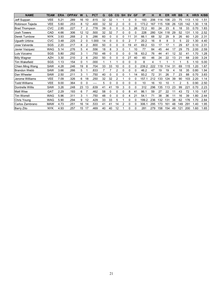| <b>NAME</b>          | TEAM       | <b>ERA</b> | <b>OPPAV</b> | W              |    | <b>PCT</b> | G  | <b>GS</b> | CG             | <b>SH</b> | <b>SV</b> | <b>GF</b> | IP        | н   | R   | ER  | <b>HR</b> | <b>BB</b>      | Κ   | HR/9 | K/BB |
|----------------------|------------|------------|--------------|----------------|----|------------|----|-----------|----------------|-----------|-----------|-----------|-----------|-----|-----|-----|-----------|----------------|-----|------|------|
| Jeff Suppan          | <b>VEE</b> | 5.21       | .289         | 16             | 10 | .615       | 32 | 32        |                |           | 0         | 0         | 183       | 206 | 114 | 106 | 23        | 75             | 113 | 1.10 | 1.51 |
| Robinson Tejeda      | <b>VEE</b> | 5.60       | 253          | 8              | 12 | .400       | 32 | 32        | $\overline{2}$ | 0         | 0         | 0         | 173.2     | 167 | 115 | 108 | 26        | 120            | 142 | 1.30 | 1.18 |
| <b>Brad Thompson</b> | <b>CVC</b> | 2.85       | 227          |                | 2  | .778       | 39 | 0         | 0              | 0         | 3         | 26        | 72.2      | 60  | 24  | 23  | 6         | 18             | 33  | 0.70 | 1.83 |
| <b>Josh Towers</b>   | CAD        | 4.66       | .306         | 12             | 12 | .500       | 32 | 32        | 7              | 0         | 0         | 0         | 228       | 280 | 124 | 118 | 29        | 52             | 131 | 1.10 | 2.52 |
| Derek Turnbow        | <b>NYK</b> | 3.93       | 268          | $\overline{2}$ | 5  | .286       | 60 | 0         | 0              | 0         | 11        | 31        | 66.1      | 68  | 32  | 29  | 9         | 26             | 60  | 1.20 | 2.31 |
| Ugueth Urbina        | <b>CVC</b> | 3.48       | .225         | $\overline{c}$ | 0  | 1.000      | 14 | 0         | 0              | 0         | 2         |           | 20.2      | 16  | 8   | 8   | 3         | 5              | 22  | 1.30 | 4.40 |
| Jose Valverde        | SGS        | 2.20       | 217          | 8              | 2  | .800       | 50 | 0         | 0              | 0         | 19        | 41        | 69.2      | 53  | 17  | 17  |           | 29             | 67  | 0.10 | 2.31 |
| Javier Vazquez       | <b>WAG</b> | 5.14       | .276         | 5              | 4  | .556       | 18 | 8         | 3              | 0         |           | 10        | 77        | 84  | 45  | 44  | 17        | 29             | 75  | 2.00 | 2.59 |
| Luis Vizcaino        | SGS        | 5.80       | .292         | 3              |    | .750       | 48 | 0         | 0              | 0         | 0         | 18        | 63.2      | 76  | 44  | 41  | 12        | 32             | 41  | 1.70 | 1.28 |
| <b>Billy Wagner</b>  | <b>AZH</b> | 3.30       | .210         | $\overline{c}$ | 6  | .250       | 50 | 0         | 0              | 0         | 27        | 40        | 60        | 46  | 24  | 22  | 13        | 21             | 68  | 2.00 | 3.24 |
| <b>Tim Wakefield</b> | SGS        | 1.13       | .154         | 0              |    | .000       |    | 1         | 1              | 0         | 0         | $\Omega$  | 8         | 4   |     |     |           |                | 5   | 1.10 | 5.00 |
| Chien Ming Wang      | SAW        | 4.28       | .246         | 19             | 8  | .704       | 33 | 33        | 10             | 0         | 0         | 0         | 239<br>.2 | 222 | 19  | 14  | 31        | 69             | 115 | 1.20 | 1.67 |
| <b>Brandon Webb</b>  | SAW        | 3.66       | 266          | 5              |    | .833       |    | 7         | 2              | 0         | 0         | 0         | 46.2      | 47  | 19  | 19  | 4         | 18             | 35  | 0.80 | 1.94 |
| Dan Wheeler          | SAW        | 2.50       | .211         | 3              |    | 750        | 40 | 0         | 0              | 0         |           | 14        | 93.2      | 72  | 31  | 26  |           | 23             | 88  | 0.70 | 3.83 |
| Jerome Williams      | <b>VEE</b> | 7.09       | .326         | 6              | 18 | 250        | 32 | 32        | $\overline{2}$ |           | 0         | $\Omega$  | 157.1     | 212 | 133 | 124 | 39        | 90             | 103 | 2.20 | 1.14 |
| <b>Todd Williams</b> | <b>VEE</b> | 9.00       | .364         | 0              | 0  |            | 5  | 0         | 0              | 0         | 0         | $\Omega$  | 10        | 16  | 10  | 10  |           | $\overline{2}$ | 5   | 0.90 | 2.50 |
| Dontrelle Willis     | SAW        | 3.26       | .248         | 23             | 13 | 639        | 41 | 41        | 19             | 3         | 0         | 0         | 312       | 296 | 135 | 13  | 23        | 99             | 221 | 0.70 | 2.23 |
| <b>Matt Wise</b>     | <b>GAT</b> | 2.29       | .193         | 6              |    | .462       | 58 | 0         | 0              | 0         | 8         | 41        | 86.1      | 59  | 27  | 22  | 11        | 43             | 72  | 1.10 | 1.67 |
| <b>Tim Worrell</b>   | <b>WAG</b> | 5.96       | .311         | 3              |    | .750       | 48 | 0         | 0              | 0         | 4         | 21        | 54.1      | 71  | 38  | 36  | 11        | 16             | 39  | 1.80 | 2.44 |
| Chris Young          | <b>WAG</b> | 5.90       | .294         | 9              | 12 | .429       | 33 | 33        | 5              |           | 0         | 0         | 199.2     | 236 | 132 | 131 | 38        | 62             | 176 | 1.70 | 2.84 |
| Carlos Zambrano      | <b>MAW</b> | 4.73       | 251          | 16             | 14 | 533        | 41 | 41        | 14             | 2         | 0         | 0         | 306.      | 295 | 173 | 161 | 48        | 149            | 291 | 1.40 | 1.95 |
| Barry Zito           | <b>NYK</b> | 4.93       | 257          | 15             | 17 | .469       | 40 | 40        | 12             |           | 0         | 0         | 281       | 279 | 158 | 154 | 49        | 121            | 200 | 1.60 | 1.65 |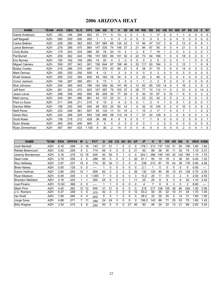# 2006 ARIZONA HEAT

| <b>NAME</b>            | <b>TEAM</b> | <b>AVG</b> | <b>OBA</b> | <b>SLG</b> | <b>OPS</b> | <b>GM</b> | AB  | R  | н   | 2B | 3B | <b>HR</b> | <b>RBI</b> | <b>BB</b>      | <b>SO</b> | <b>HB</b> | <b>SH</b>      | <b>IBB</b>     | <b>DP</b>      | <b>SB</b> | <b>CS</b>   | Е  | <b>SF</b> |
|------------------------|-------------|------------|------------|------------|------------|-----------|-----|----|-----|----|----|-----------|------------|----------------|-----------|-----------|----------------|----------------|----------------|-----------|-------------|----|-----------|
| <b>Garret Anderson</b> | <b>AZH</b>  | .183       | .194       | .268       | .462       | 31        | 71  | 5  | 13  | 3  | 0  |           | 5          |                | 17        | 0         | 0              |                |                | 0         | 0           | 0  | 0         |
| Jeff Bagwell           | <b>AZH</b>  | .000       | .000       | .000       | .000       |           |     | 0  | 0   | 0  | 0  | 0         | 0          | 0              | 0         | 0         | 0              | 0              | 0              | 0         | 0           | 0  | 0         |
| Carlos Beltran         | <b>AZH</b>  | .229       | .290       | .363       | .653       | 157       | 584 | 69 | 134 | 33 | 3  | 13        | 46         | 47             | 127       | 3         | 8              | 3              | 13             | 9         | 8           | 8  |           |
| Lance Berkman          | <b>AZH</b>  | .279       | .389       | .475       | .864       | 147       | 530 | 74 | 148 | 37 |    | 21        | 84         | 87             | 90        | 9         | 0              | 4              | 21             | 3         | $\Omega$    | 4  | 2         |
| <b>Chris Burke</b>     | <b>AZH</b>  | .179       | .253       | .333       | .586       | 50        | 78  | 20 | 14  |    |    | 2         | 6          |                | 18        |           | 2              | 0              | 3              | 2         | 3           | 0  |           |
| Pat Burrell            | <b>AZH</b>  | .259       | .362       | .424       | .786       | 157       | 583 | 69 | 151 | 30 | 0  | 22        | 73         | 94             | 169       |           | 0              | 0              | 18             | 0         | $\Omega$    | 6  |           |
| <b>IEric Bvrnes</b>    | <b>AZH</b>  | .100       | .182       | .100       | .282       | 14        | 20  | 4  | 2   |    |    | 0         | 0          | 2              | 6         | 0         |                | 0              |                |           | 0           | 0  | 0         |
| Miquel Cabrera         | <b>AZH</b>  | .309       | .357       | 543        | .901       | 158       | 644 | 87 | 199 | 46 | 3  | 33        | 117        | 50             | 164       | 3         | 0              | 3              | 12             |           |             | 6  | 8         |
| <b>Bobby Crosby</b>    | <b>AZH</b>  | .216       | 296        | .370       | .667       | 101       | 370 | 43 | 80  | 27 | 3  | 8         | 38         | 41             | 79        | 2         | 6              | 0              | 14             | 0         | 0           | 5  | 2         |
| Mark Derosa            | <b>AZH</b>  | 250        | 250        | .250       | .500       | 6         | 12  | 1  | 3   | 0  | 0  | 0         | 0          | $\Omega$       | 3         | 0         | 0              | 0              | $\Omega$       | 0         | $\Omega$    | 0  | 0         |
| Khalil Greene          | <b>AZH</b>  | .209       | 232        | 393        | .625       | 45        | 163 | 18 | 34  | 9  | 3  | 5         | 23         | 5              | 40        | 0         | 3              | 0              | 4              | 0         | 0           | 2  | 0         |
| Conor Jackson          | <b>AZH</b>  | .154       | 267        | 385        | .651       | 6         | 13  |    | 2   | 0  | 0  |           |            | $\overline{2}$ | 3         | 0         | $\mathbf 0$    | 0              | $\Omega$       | 0         | 0           | 0  | 0         |
| Nick Johnson           | <b>AZH</b>  | .254       | .365       | .403       | .768       | 142       | 556 | 82 | 141 | 40 | 2  | 13        | 62         | 85             | 120       | 14        |                | 3              | 16             | 2         | 3           | 6  | 3         |
| Jeff Kent              | <b>AZH</b>  | .261       | .353       | .472       | .825       | 157       | 587 | 79 | 153 | 37 |    | 29        | 77         | 74             | 112       | 11        | $\mathbf 0$    | $\overline{2}$ | 31             | 4         | $\Omega$    | 14 | 2         |
| Jason Larue            | AZH         | .298       | .358       | .492       | .850       | 84        | 258 | 35 | 77  | 26 | 0  | 8         | 30         | 19             | 67        | 6         | 10             |                | 6              | 0         | 0           | 3  | 2         |
| <b>Matt Lecroy</b>     | <b>AZH</b>  | .244       | .381       | .480       | .861       | 43        | 127 | 23 | 31  | 3  | 0  | 9         | 23         | 23             | 42        | 5         | 0              | 2              | $\overline{2}$ | 0         | 0           |    | 0         |
| Paul Lo Duca           | <b>AZH</b>  | .211       | .304       | .211       | .515       | 6         | 19  | 2  | 4   | 0  | 0  | 0         |            | 2              | 4         |           | 0              | 0              |                | 0         | 0           | 0  |           |
| Damian Miller          | <b>AZH</b>  | .198       | 255        | 340        | .594       | 98        | 303 | 25 | 60  | 14 |    | 9         | 32         | 19             | 104       | 5         | $\overline{c}$ | $\Omega$       | 10             | 0         | $\mathbf 0$ | 6  | 3         |
| Neifi Perez            | <b>AZH</b>  | .233       | 246        | .361       | .607       | 50        | 133 | 11 | 31  | 10 |    |           | 15         | 2              | 17        |           | 4              | 0              |                |           |             | 4  | 2         |
| <b>Alexis Rios</b>     | <b>AZH</b>  | .224       | 268        | .325       | .593       | 128       | 499 | 58 | 112 | 19 | 5  |           | 37         | 24             | 129       | 6         | 2              | 0              | 9              | 9         | 5           |    | 0         |
| <b>Scott Rolen</b>     | <b>AZH</b>  | .136       | 216        | .212       | .428       | 36        | 66  | 6  | 9   | 5  | 0  | 0         |            |                | 9         | 0         | 0              | 0              | 2              | 0         | $\Omega$    | 2  |           |
| <b>Ryan Shealy</b>     | <b>AZH</b>  | .400       | .500       | .400       | .900       | 3         | 5   | 0  | 2   | 0  | 0  | 0         | 0          |                | 2         | 0         | 0              | 0              | 0              | 0         | 0           | 0  | 0         |
| Ryan Zimmerman         | <b>AZH</b>  | 467        | .467       | .633       | 1.100      | 8         | 30  | 2  | 14  | 5  |    | 0         | 6          | 0              | 5         | 0         | 0              | 0              | 2              | 0         | 0           |    | 0         |

| <b>NAME</b>             | <b>TEAM</b> | <b>ERA</b> | <b>OPPAV</b> | W  |    | <b>PCT</b> | G  | <b>GS</b> | CG | <b>SH</b> | <b>SV</b> | <b>GF</b> | IP    | н   | R   | ER  | <b>HR</b> | BB  | ĸ            | HR/9             | K/BB |
|-------------------------|-------------|------------|--------------|----|----|------------|----|-----------|----|-----------|-----------|-----------|-------|-----|-----|-----|-----------|-----|--------------|------------------|------|
| Josh Beckett            | <b>AZH</b>  | 6.16       | .299         | 3  | 18 | .143       | 31 | 31        |    | 0         |           |           | 178.  | 213 | 137 | 122 | -31       | 95  | 156          | .60              | 1.64 |
| Rafael Betancourt       | <b>AZH</b>  | 3.42       | 259          | 5  | 2  | 714        | 56 | 0         | 0  |           |           | 21        | 92    | 89  | 38  | 35  | 11        | 32  | 74           | 1.10             | 2.31 |
| Jeremy Bonderman        | <b>AZH</b>  | 5.18       | .279         | 12 | 18 | .400       | 40 | 40        | 5  |           |           |           | 243.  | 266 | 148 | 140 | 30        | 105 | 184          | 1.10             | 1.75 |
| <b>Neal Cotts</b>       | <b>AZH</b>  | 2.79       | .226         | 2  | 5  | .286       | 50 | ი         | 0  | 0         | 3         | 20        | 61.1  | 50  | 19  | 19  | 3         | 38  | 50           | 0.40             | 1.32 |
| Roy Halladay            | <b>AZH</b>  | 2.97       | 237          | 15 | 6  | .714       | 30 | 30        |    | 2         | 0         | $\Omega$  | 239   | 213 | 87  | 79  | 24        | 39  | 178          | 0.90             | 4.56 |
| <b>Brad Halsey</b>      | <b>AZH</b>  | 0.00       | 125          | 0  | 0  | ----       |    | 0         | 0  | 0         | 0         | 0         | 2.1   |     | 0   |     | 0         | 0   | 0            | 0.00             |      |
| Aaron Heilman           | <b>AZH</b>  | 2.66       | .255         | 10 |    | .909       | 62 | 0         | 0  | 0         | 2         | 26        | 132   | 125 | 40  | 39  | 10        | 43  | 126          | 0.70             | 2.93 |
| Ryan Madson             | <b>AZH</b>  | 6.59       | .345         |    |    | .000       |    | 0         | 0  | 0         |           | 3         | 13.2  | 20  | 11  | 10  | 3         | 2   | 9            | 2.00             | 4.50 |
| <b>IBrandon Medders</b> | <b>AZH</b>  | 2.16       | 220          |    |    | 500        | 25 | 0         | 0  | ი         |           | 11        | 25    | 20  | 6   | 6   | 3         | 9   | 22           | $\overline{.10}$ | 2.44 |
| Joel Pineiro            | <b>AZH</b>  | 13.50      | .368         | 0  | 0  | ----       |    |           | 0  | 0         |           | 0         | 4     |     | 6   | 6   | 3         | 0   | 2            | 6.80             |      |
| <b>Mark Prior</b>       | <b>AZH</b>  | 4.40       | 262          | 12 | 12 | 500        | 31 | 31        | 8  | 0         |           | 0         | 215   | 217 | 108 | 105 | 36        | 80  | 245          | .50              | 3.06 |
| J.C. Romero             | <b>AZH</b>  | 5.37       | .248         | 3  | 5  | 375        | 42 |           | 0  |           |           | 12        | 53.2  | 50  | 35  | 32  | 10        | 31  | 45           | .70              | 1.45 |
| lan Snell               | <b>AZH</b>  | 7.85       | .295         | 0  | 4  | .000       | 5  | 5         |    | 0         |           |           | 28.2  | 33  | 28  | 25  | 5         | 14  | $2^{\prime}$ | .60              | 1.50 |
| Jorge Sosa              | AZH         | 4.68       | .271         |    |    | 389        | 24 | 24        | 3  | 0         |           |           | 136.2 | 143 | 86  | 71  | 25        | 53  | 75           | .60              | 1.42 |
| <b>Billy Wagner</b>     | AZH         | 3.30       | .210         | 2  | 6  | 250        | 50 | 0         | 0  | 0         | 27        | 40        | 60    | 46  | 24  | 22  | 13        | 21  | 68           | 2.00             | 3.24 |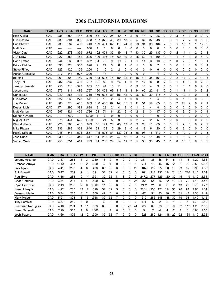# 2006 CALIFORNIA DRAGONS

| <b>NAME</b>            | <b>TEAM</b> | <b>AVG</b> | <b>OBA</b> | <b>SLG</b> | <b>OPS</b> | <b>GM</b> | <b>AB</b> | R              | н   | 2B             | 3B | <b>HR</b> | <b>RBI</b>  | <b>BB</b> | <b>SO</b> | HВ             | <b>SH</b> | <b>IBB</b>     | <b>DP</b> | <b>SB</b>      | <b>CS</b>      | Е              | <b>SF</b>      |
|------------------------|-------------|------------|------------|------------|------------|-----------|-----------|----------------|-----|----------------|----|-----------|-------------|-----------|-----------|----------------|-----------|----------------|-----------|----------------|----------------|----------------|----------------|
| <b>Rich Aurilia</b>    | CAD         | 288        | .353       | .447       | .800       | 53        | 170       | 25             | 49  | 5              | 2  | 6         | 18          | 17        | 26        | 0              | 0         | 3              | 5         |                | 0              | 2              | 0              |
| Luis Castillo          | CAD         | 239        | .304       | 355        | .658       | 107       | 372       | 43             | 89  | 18             | 5  | 5         | 32          | 37        | 48        | $\Omega$       | 6         |                |           | 2              | 3              | 5              | 6              |
| <b>Eric Chavez</b>     | CAD         | .230       | .287       | .456       | .743       | 139       | 491       | 62             | 113 | 24             | 0  | 29        | 91          | 38        | 104       | 2              | 0         |                | 15        |                |                | 12             | $\overline{c}$ |
| <b>Matt Diaz</b>       | CAD         | ----       | ----       | ----       | .000       |           | 0         | 0              | 0   | 0              | 0  | 0         | 0           | 0         | 0         | 0              | 0         | 0              | 0         | 0              | 0              | 0              | 0              |
| <b>Victor Diaz</b>     | CAD         | .222       | .273       | .399       | .672       | 102       | 401       | 35             | 89  | 18             |    | 13        | 39          | 29        | 137       | 0              | 0         | $\overline{2}$ | 14        |                | $\overline{2}$ | 5              | 3              |
| J.D. Drew              | CAD         | 227        | .354       | .452       | .806       | 126       | 436       | 76             | 99  | 19             | 2  | 25        | 62          | 76        | 108       | 10             |           |                | 8         |                | 0              | 4              | 0              |
| Darin Erstad           | CAD         | 244        | .268       | .333       | .602       | 34        | 78        | 9              | 19  | 2              |    |           | 11          | 3         | 10        | 0              |           | 0              | 2         | 0              |                | 0              |                |
| <b>Prince Fielder</b>  | CAD         | .333       | .320       | 500        | .820       | 7         | 24        | 3              | 8   |                | 0  |           | 5           | 0         | 7         | 0              | 0         | 0              | 0         | 0              | 0              | 0              |                |
| <b>Steve Finlev</b>    | CAD         | .125       | .125       | .125       | .250       | 9         | 16        | 2              | 2   | 0              | 0  | 0         | 0           | 0         | 6         | 0              | 0         | 0              | 0         | 0              | 0              | 0              | 0              |
| <b>Adrian Gonzalez</b> | CAD         | .077       | .143       | 077        | .220       | 4         | 13        |                |     | 0              | 0  | 0         | 0           | 1         | 4         | 0              | 0         | 0              | 0         | 0              | 0              |                | 0              |
| <b>Bill Hall</b>       | CAD         | .261       | .300       | .440       | .740       | 148       | 605       | 78             | 158 | 32             | 11 | 18        | 49          | 35        | 161       | $\mathbf{0}$   | 0         | $\overline{2}$ | 14        | $\overline{2}$ | 3              | 19             | 3              |
| <b>Toby Hall</b>       | CAD         | 282        | .337       | .400       | .737       | 32        | 85        | 9              | 24  | 4              | 0  | 2         | 17          | 6         | 8         | $\overline{2}$ | 0         | 1              | 4         | 0              | 0              | $\overline{c}$ | $\overline{c}$ |
| Jeremy Hermida         | CAD         | .250       | .313       | .523       | .835       | 16        | 44        | 10             | 11  | 3              | 0  | 3         | 10          | 4         | 9         | 0              | 0         |                | 0         |                | 0              | 2              | 0              |
| Jason Lane             | CAD         | .273       | .311       | .486       | .797       | 120       | 428       | 63             | 117 | 43             | 3  | 14        | 60          | 22        | 91        | $\overline{2}$ | 0         |                | 11        |                | 0              | 3              | $\overline{2}$ |
| Carlos Lee             | CAD         | .240       | .287       | .432       | .719       | 156       | 628       | 83             | 151 | 42             | 0  | 26        | 89          | 39        | 118       | 4              | 0         | 0              | 19        | 3              | 0              |                | 4              |
| Luis Matos             | CAD         | 222        | .263       | .278       | .541       | 7         | 18        | $\overline{2}$ | 4   |                | 0  | 0         | $\Omega$    | 1         | 4         | 0              | 0         | 0              |           | 0              | 0              | 0              | 0              |
| Joe Mauer              | CAD         | .300       | .378       | .455       | .833       | 130       | 466       | 67             | 140 | 35             | 2  | 11        | 51          | 59        | 65        | 0              | 0         | 2              | 20        | 2              | 0              | 4              |                |
| Dustan Mohr            | CAD         | .174       | 296        | .391       | .688       | 9         | 23        | 2              | 4   | 2              | 0  |           | 3           | 4         | 8         | 0              | 0         | 0              | $\Omega$  | 0              | 0              | 0              | $\Omega$       |
| <b>Matt Murton</b>     | CAD         | 297        | .321       | .405       | .726       | 21        | 74        | 8              | 22  | $\overline{2}$ | 0  | 2         | 8           | 3         | 17        | $\mathbf{0}$   | 0         | 0              | 3         | 0              | 0              | 0              |                |
| <b>Dioner Navarro</b>  | CAD         | ----       | 1.000      | ----       | 1.000      | 1         | $\Omega$  | $\Omega$       | 0   | 0              | 0  | 0         | $\mathbf 0$ | 1         | 0         | 0              | 0         | 0              | 0         | 0              | 0              | 0              | 0              |
| Miguel Olivo           | CAD         | .375       | .444       | 625        | 1.069      | 9         | 24        | 5              | 9   | 0              | 0  | 2         | 2           | 2         | 5         |                | 0         | 0              | 0         | 0              | 0              | 2              | 0              |
| Wily Mo Pena           | CAD         | .225       | .265       | .435       | .699       | 56        | 191       | 26             | 43  | 13             | 0  | 9         | 23          | 11        | 69        | 0              | 0         |                |           | 0              | 0              | 7              | 2              |
| Mike Piazza            | CAD         | 236        | 282        | 358        | .640       | 34        | 123       | 15             | 29  | 3              | 0  | 4         | 19          | 6         | 20        | $\overline{2}$ | 0         | 0              | 3         | 0              | 0              | 0              | $\Omega$       |
| Richie Sexson          | CAD         | .248       | .343       | .524       | .867       | 145       | 525       | 84             | 130 | 25             | 3  | 38        | 97          | 75        | 170       | 4              | 0         | 3              | 10        | 0              | 0              | 7              | 5              |
| Jose Uribe             | CAD         | .239       | .273       | .345       | .617       | 81        | 238       | 21             | 57  | 12             | 2  | 3         | 17          | 11        | 48        |                | 5         |                | 3         | $\overline{c}$ |                | 6              | 3              |
| Vernon Wells           | CAD         | 258        | .351       | 411        | .763       | 91        | 209       | 29             | 54  | 11             | 3  | 5         | 33          | 30        | 45        |                |           | 0              | 10        | $\Omega$       | 0              | 0              | $\overline{2}$ |

| <b>NAME</b>           | <b>TEAM</b> | <b>ERA</b> | <b>OPPAV</b> | W                 |    | <b>PCT</b> | G  | <b>GS</b> | CG       | <b>SH</b> | <b>SV</b> | <b>GF</b> | IP    | н   | R   | ER  | ΗR | <b>BB</b> | Κ   | HR/9 | K/BB |
|-----------------------|-------------|------------|--------------|-------------------|----|------------|----|-----------|----------|-----------|-----------|-----------|-------|-----|-----|-----|----|-----------|-----|------|------|
| Jeremy Accardo        | CAD         | 3.47       | 255          |                   | 3  | .250       | 18 | 0         | 0        | 0         | 2         | 10        | 36.1  | 36  | 18  | 14  | 5  | 11        | 18  | l.20 | 1.64 |
| <b>Bronson Arroyo</b> | CAD         | 19.64      | .487         | 0                 |    | .000       | 3  |           | 0        | 0         |           |           | 7.1   | 19  | 16  | 16  |    | 6         | 5   | 2.50 | 0.83 |
| Luis Ayala            | CAD         | 4.41       | .296         | 4                 | 6  | .400       | 63 | 0         | 0        | 0         | 3         | 26        | 102   | 19  | 55  | 50  | 10 | 33        | 62  | 0.90 | 1.88 |
| A.J. Burnett          | CAD         | 5.47       | 269          | 9                 | 14 | .391       | 32 | 32        | 4        | 0         |           |           | 204   | 211 | 32  | 24  | 24 | 101       | 226 | .10  | 2.24 |
| Paul Byrd             | CAD         | 4.36       | .284         | 9                 | 14 | .391       | 32 | 32        |          |           |           |           | 247.2 | 277 | 125 | 120 | 30 | 45        | 119 | 1.10 | 2.64 |
| <b>Chad Cordero</b>   | CAD         | 3.51       | 215          | 4                 | 4  | .500       | 62 | 0         | 0        | 0         | 6         | 25        | 82    | 64  | 36  | 32  | 10 | 21        | 72  | 1.10 | 3.43 |
| <b>Ryan Dempster</b>  | CAD         | 2.19       | .236         | 2                 | 0  | 000.1      | 11 | 0         | $\Omega$ | 0         |           | 5         | 24.2  | 21  | 6   | 6   |    | 13        | 23  | 0.70 | 1.77 |
| Jason Marquis         | CAD         | 4.92       | 285          | 13                | 12 | .520       | 32 | 32        | 3        | 0         |           |           | 208.  | 230 | 121 | 14  | 36 | 90        | 94  | 1.60 | 1.04 |
| Damaso Marte          | CAD         | 5.74       | .280         | 3                 | 2  | .600       | 47 | 0         | 0        | 0         |           | 17        | 47    | 51  | 33  | 30  |    | 31        | 44  | 1.30 | 1.42 |
| <b>Mark Mulder</b>    | CAD         | 5.91       | .328         | 8                 | 15 | .348       | 32 | 32        |          | υ         |           | 0         | 210   | 286 | 148 | 138 | 32 | 79        | 91  | l.40 | 1.15 |
| <b>Troy Percival</b>  | CAD         | 3.37       | .250         | 0                 | 0  |            | 6  | 0         | 0        | 0         |           | 2         | 5.1   | 5   | 2   |     |    | 2         | 5   | 1.70 | 2.50 |
| Francisco Rodriguez   | CAD         | 4.10       | .261         |                   |    | .083       | 60 | 0         | $\Omega$ | 0         | 23        | 44        | 68    | 69  | 33  | 31  | 9  | 32        | 112 | .20  | 3.50 |
| Jason Schmidt         | CAD         | 7.20       | .350         |                   | 0  | 1.000      |    |           | 0        | 0         |           | 0         | 5     |     | 4   | 4   |    | 4         | 6   | 3.60 | 1.50 |
| <b>Josh Towers</b>    | CAD         | 4.66       | .306         | $12 \overline{ }$ | 12 | .500       | 32 | 32        |          | 0         |           | 0         | 228   | 280 | 124 | 118 | 29 | 52        | 131 | 1.10 | 2.52 |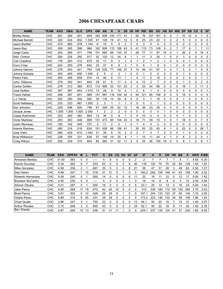# 2006 CHESAPEAKE CRABS

| <b>NAME</b>            | <b>TEAM</b> | <b>AVG</b> | <b>OBA</b> | <b>SLG</b> | <b>OPS</b> | <b>GM</b> | <b>AB</b> | R   | н   | 2B | 3B       | <b>HR</b> | <b>RBI</b>   | <b>BB</b>      | <b>SO</b> | HB           | <b>SH</b> | <b>IBB</b>     | <b>DP</b>      | <b>SB</b>      | $\mathbf{c}\mathbf{s}$ | E              | <b>SF</b>      |
|------------------------|-------------|------------|------------|------------|------------|-----------|-----------|-----|-----|----|----------|-----------|--------------|----------------|-----------|--------------|-----------|----------------|----------------|----------------|------------------------|----------------|----------------|
| <b>Bobby Abreu</b>     | <b>CHC</b>  | .281       | .394       | .451       | .844       | 162       | 608       | 100 | 171 | 41 |          | 20        | 76           | 107            | 161       | 9            | 0         |                | 10             | 12             | 4                      |                | 5              |
| <b>Michael Barrett</b> | CHC         | .320       | .424       | .602       | 1.025      | 41        | 128       | 19  | 41  | 12 | 0        | 8         | 25           | 23             | 22        | 0            | 0         | $\overline{2}$ | 5              | 0              | 0                      | 6              | $\Omega$       |
| <b>Jason Bartlett</b>  | <b>CHC</b>  | .474       | .565       | 579        | 1.144      | 6         | 19        | 5   | 9   | 2  | 0        | 0         | 3            | 4              | 4         | 0            | 0         | 0              | 0              | 0              | 0                      | 0              | 0              |
| Jason Bay              | CHC         | .309       | 385        | 599        | .984       | 162       | 608       | 115 | 188 | 43 | 5        | 41        | 115          | 73             | 149       | 9            | 2         | 7              | 17             | 8              |                        | $\overline{7}$ | 11             |
| Jorge Cantu            | CHC         | .253       | .285       | .471       | .756       | 151       | 565       | 66  | 143 | 37 |          | 28        | 77           | 11             | 97        | 14           | 0         |                | 26             | $\overline{2}$ | 0                      | 16             | 0              |
| Alex Cintron           | CHC         | 200        | 226        | 292        | .517       | 52        | 120       | 12  | 24  | 6  |          |           | 11           | 3              | 20        |              | 0         | 0              | 3              | 0              | 0                      | 5              | 0              |
| Carl Crawford          | CHC         | .176       | .263       | 412        | .675       | 32        | 17        | 9   | 3   |    | 0        |           | 2            |                | 2         |              | 0         | 0              | $\Omega$       |                | 0                      | 0              | 0              |
| Coco Crisp             | CHC         | 243        | 263        | 378        | .642       | 23        | 37        | 8   | 9   | 3  |          | 0         | 5            |                | 8         | 0            |           | 0              | 0              | 0              | 0                      | 0              | 0              |
| Johnny Damon           | CHC         | .278       | .342       | .421       | .763       | 128       | 525       | 77  | 146 | 27 | 3        | 14        | 46           | 51             | 87        | 3            | 0         | 7              | 5              | 3              |                        | 4              | 5              |
| Johnny Estrada         | CHC         | 400        | .400       | 600        | 1.000      | 2         | 5         | 2   | 2   |    | 0        | 0         |              | 0              | 0         | $\Omega$     | 0         | 0              |                | 0              | 0                      | 0              | 0              |
| Pedro Feliz            | <b>CHC</b>  | .283       | .306       | .609       | .915       | 14        | 46        | 6   | 13  |    |          | 4         | 11           | 2              | 15        | $\mathbf{0}$ | 0         | 0              | $\overline{2}$ | 0              | 0                      |                |                |
| Gibbons<br>John        | CHC         | 279        | 302        | 541        | .843       | 29        | 61        | 6   | 17  | 4  | 0        | 4         | 12           | $\overline{2}$ | 7         | $\Omega$     | 0         | 0              |                | 0              | 0                      | $\overline{2}$ | $\Omega$       |
| <b>Carlos Guillen</b>  | CHC         | .279       | .313       | .360       | .673       | 113       | 469       | 53  | 131 | 23 | 3        | 3         | 33           | 24             | 66        | $\Omega$     | 0         | 0              | 18             |                | 3                      | 11             | 3              |
| Jose Guillen           | CHC         | .357       | .367       | 643        | 1.010      | 13        | 28        | 5   | 10  | 0  |          | 2         | 6            |                | 4         | 0            | 0         | 0              | $\Omega$       | 0              | 0                      | 0              |                |
| <b>Travis Hafner</b>   | CHC         | .289       | .387       | .601       | .988       | 151       | 567       | 116 | 164 | 42 | 0        | 45        | 121          | 85             | 158       | 8            | 0         | 5              | 18             | 0              | 0                      | 0              | 4              |
| J.J. Hardy             | CHC         | 250        | .290       | 302        | .592       | 30        | 116       | 14  | 29  | 6  | 0        | 0         | 3            | 7              | 18        | 0            | 0         | 0              |                | 0              | 0                      | 9              |                |
| Scott Hatteberg        | CHC         | .333       | .333       | .667       | 1.000      | 2         | 3         | 1   | 1   |    | 0        | 0         | $\mathbf{0}$ | $\Omega$       |           | 0            | 0         | 0              | $\Omega$       | 0              | 0                      | 0              | 0              |
| Dan Johnson            | CHC         | 228        | .298       | 500        | .798       | 67        | 228       | 35  | 52  | 12 |          | 16        | 36           | 23             | 30        | $\Omega$     | 0         | 0              | 9              | 0              | 0                      | 5              |                |
| Jacque Jones           | CHC         | 1.000      | .000       | 1.000      | 2.000      |           | 2         | 2   | 2   | 0  | 0        | 0         | 0            | 0              | 0         |              | 0         | 0              | 0              | 0              | 0                      | 0              | 0              |
| Casey Kotchman         | CHC         | 222        | .300       | 583        | .883       | 12        | 36        | 5   | 8   |    | 0        | 4         | 10           | 4              | 4         | $\Omega$     | 0         | 0              |                | 0              | 0                      |                | $\Omega$       |
| <b>Victor Martinez</b> | CHC         | .283       | .363       | 446        | .809       | 131       | 473       | 60  | 134 | 23 | $\Omega$ | 18        | 71           | 59             | 72        | 3            | 0         |                | 18             | 0              | 0                      |                | 5              |
| Justin Morneau         | CHC         | .182       | .182       | 545        | .727       | 3         | 11        | 2   | 2   |    | 0        |           | 4            | 0              | 2         | 0            | 0         | 0              | 0              | 0              | 0                      | 0              | 0              |
| Aramis Ramirez         | CHC         | .280       | .316       | .518       | .834       | 151       | 558       | 66  | 156 | 41 |          | 30        | 93           | 25             | 83        | 8            |           | 0              | 25             | 0              | 0                      | 28             | $\overline{7}$ |
| Jose Vidro             | CHC         | .385       | .429       | .615       | 1.044      | 21        | 39        | 6   | 15  | 3  | 0        | 2         | 7            | 3              |           | 0            | 0         | 0              |                | 0              | 0                      | 0              | 0              |
| <b>Brad Wilkerson</b>  | CHC         | 236        | .305       | .331       | .636       | 57        | 148       | 19  | 35  | 9  |          |           | 15           | 11             | 44        | 4            |           | 0              | 6              | 2              | $\overline{2}$         | 0              |                |
| Craig Wilson           | CHC         | 200        | .339       | 315        | .654       | 85        | 260       | 31  | 52  | 11 | 2        | 5         | 24           | 36             | 100       | 19           | 0         | 0              | 8              |                | 0                      | 6              |                |

| <b>NAME</b>             | <b>TEAM</b> | <b>ERA</b> | <b>OPPAV</b> | W  |    | <b>PCT</b> | G  | GS | $_{\rm CG}$ | <b>SH</b> | <b>SV</b> | GF | IP    | н   | R   | <b>ER</b> | HR  | <b>BB</b> | κ   | HR/9 | K/BB |
|-------------------------|-------------|------------|--------------|----|----|------------|----|----|-------------|-----------|-----------|----|-------|-----|-----|-----------|-----|-----------|-----|------|------|
| Armando Benitez         | <b>CHC</b>  | 31.50      | .583         | 0  |    |            | 5  | 0  | 0           |           |           | 2  |       |     |     |           |     | 5         |     | 4.50 | 0.20 |
| Kelvim Escobar          | <b>CHC</b>  | 5.34       | .262         | 8  |    | 533.       | 63 | 0  | 0           |           | 6         | 40 | 118   | 120 | 74  | 70        | 20  | 69        | 129 | .50  | .87  |
| Mike Gonzalez           | <b>CHC</b>  | 4.58       | 236          | 2  |    | .667       | 35 |    |             |           | 8         | 21 | 55    | 47  | 31  | 28        | 3   | 49        | 62  | 0.50 | .27  |
| Dan Haren               | <b>CHC</b>  | 6.99       | .327         |    | 15 | .318       | 31 | 31 | 5           |           |           | O  | 190.2 | 262 | 158 | 148       | 41  | 63        | 159 | .90  | 2.52 |
| Roberto Hernandez       | <b>CHC</b>  | 4.09       | .240         | 0  |    | .000       | 14 | 0  | 0           |           | 6         |    | 22    | 18  | . 1 | 10        | 0   | 12        | 17  | 0.00 | l.42 |
| <b>Brandon McCarthy</b> | <b>CHC</b>  | 4.50       | .230         | 0  |    | ----       | 5  | O  |             |           |           | 3  | 16    | 14  | 8   | 8         | 4   | 3         | 12  | 2.30 | 4.00 |
| Akinori Otsuka          | <b>CHC</b>  | 5.01       | 287          | 0  |    | .000       | 18 | 0  | 0           |           |           | 5  | 23.1  | 25  | 13  | 13        |     | 16        | 23  | 0.00 | .44  |
| Jake Peavy              | <b>CHC</b>  | 4.95       | .269         | 17 | 19 | .472       | 42 | 42 | 14          |           |           | 0  | 313   | 330 | 180 | 172       | 59  | 102       | 350 | .70  | 3.43 |
| <b>Brad Penny</b>       | <b>CHC</b>  | 5.61       | .302         | 9  | 12 | .429       | 29 | 29 | 8           |           |           |    | 197.1 | 243 | 133 | 123       | 37  | 55        | 140 | .70  | 2.55 |
| <b>Odalis Perez</b>     | <b>CHC</b>  | 6.88       | .315         | 6  | 20 | .231       | 29 | 29 | 5           |           |           |    | 172.2 | 223 | 36  | 132       | 34  | 59        | 108 | .80  | 1.83 |
| <b>Chad Qualls</b>      | <b>CHC</b>  | 3.86       | 247          | 3  |    | .750       | 22 | 0  | 0           |           |           | 13 | 44.   | 40  | 20  | 19        |     | 15        | 31  | .40  | 2.07 |
| <b>Arthur Rhodes</b>    | <b>CHC</b>  | 3.10       | 206          | 3  | 2  | .600       | 43 | 0  | 0           | 0         | 3         | 24 | 52.1  | 40  | 22  | 18        | 8   | 17        | 40  | .40  | 2.35 |
| <b>Ben Sheets</b>       | <b>CHC</b>  | 4.87       | 264          | 15 | 13 | 536        | 31 | 31 |             |           |           |    | 229.  | 237 | 35  | 124       | -41 | 37        | 224 | .60  | 6.05 |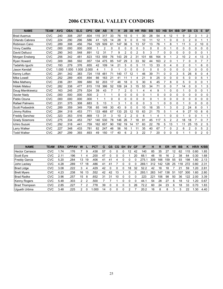# 2006 CENTRAL VALLEY CONDORS

| <b>NAME</b>           | <b>TEAM</b> | <b>AVG</b> | <b>OBA</b> | <b>SLG</b> | <b>OPS</b> | GM             | AB  | R  | н        | 2Β | 3B | <b>HR</b> | <b>RBI</b> | <b>BB</b> | <b>SO</b> | HВ       | SΗ       | <b>IBB</b>     | <b>DP</b> | <b>SB</b> | CS          | Е              | <b>SF</b>      |
|-----------------------|-------------|------------|------------|------------|------------|----------------|-----|----|----------|----|----|-----------|------------|-----------|-----------|----------|----------|----------------|-----------|-----------|-------------|----------------|----------------|
| <b>Brad Ausmus</b>    | <b>CVC</b>  | .240       | .308       | .297       | .604       | 115            | 317 | 33 | 76       | 15 | 0  |           | 30         | 28        | 54        | 4        | 12       |                | 9         | 2         | 3           |                | 2              |
| Orlando Cabrera       | <b>CVC</b>  | .224       | 290        | 296        | .586       | 41             | 125 | 14 | 28       | 9  | 0  | 0         | 10         | 11        | 12        |          | 0        | 0              | 3         | 2         | 0           |                |                |
| Robinson Cano         | <b>CVC</b>  | .289       | .308       | .456       | .764       | 129            | 509 | 61 | 147      | 36 | 5  | 13        | 57         | 13        | 76        |          | 8        |                | 11        | 3         | 2           | 10             | 0              |
| Vinny Castilla        | <b>CVC</b>  | .000       | .000       | .000       | .000       |                |     | 0  | 0        | 0  | 0  | 0         | 0          | 0         | 0         | 0        |          | 0              | $\Omega$  | 0         | 0           | 0              |                |
| David Dellucci        | <b>CVC</b>  | .290       | .343       | .548       | .891       | 12             | 31  | 7  | 9        | 2  | 0  | 2         | 5          | 3         | 7         | 0        | $\Omega$ | $\Omega$       | $\Omega$  | 0         | $\Omega$    | 0              |                |
| Morgan Ensberg        | <b>CVC</b>  | .256       | .342       | .481       | .823       | 153            | 559 | 76 | 143      | 29 | 2  | 31        | 101        | 66        | 164       | 9        |          | 2              | 10        | 2         | 4           | 13             | 3              |
| <b>Ryan Howard</b>    | <b>CVC</b>  | .309       | .366       | .592       | .957       | 134            | 475 | 85 | 147      | 29 | 3  | 33        | 92         | 44        | 163       | 2        | 0        |                |           | 0         | 0           |                |                |
| Tadahito Iquchi       | <b>CVC</b>  | .193       | .279       | .376       | .655       | 42             | 109 | 14 | 21       | 5  | 0  | 5         | 11         | 13        | 33        | 0        | 4        | 0              | 2         | 0         |             | 6              | 0              |
| Jason Kendall         | <b>CVC</b>  | 000.       | .000       | 1.000      | 2.000      | 4              |     | 0  | 1        | 0  | 0  | 0         | $\Omega$   | $\Omega$  | 0         | $\Omega$ | $\Omega$ | $\Omega$       | $\Omega$  | 0         | $\Omega$    | 0              | 0              |
| Kenny Lofton          | <b>CVC</b>  | .291       | .342       | .383       | .724       | 118            | 481 | 71 | 140      | 17 | 12 |           | 46         | 39        | 71        | 0        | 0        | 3              | 5         | 26        | 8           | 0              | 4              |
| <b>Mike Lowell</b>    | <b>CVC</b>  | .252       | 289        | .405       | .694       | 66             | 163 | 21 | 41       | 11 |    | 4         | 21         | 9         | 25        | 0        | $\Omega$ | 0              | 5         | 0         | $\Omega$    | 5              |                |
| <b>Mike Matheny</b>   | <b>CVC</b>  | 236        | .281       | 399        | .680       | 92             | 203 | 17 | 48       | 18 | 0  | 5         | 30         | 6         | 45        |          | 8        | 0              | 5         | 0         | $\mathbf 0$ | 0              |                |
| Hideki Matsui         | <b>CVC</b>  | .282       | 338        | .477       | .815       | 118            | 386 | 52 | 109      | 24 | 3  | 15        | 53         | 34        | 71        | 0        | 0        | 7              | 14        | 0         | $\mathbf 0$ |                | 3              |
| Doug Mientkiewicz     | <b>CVC</b>  | 163        | 245        | 279        | .524       | 39             | 43  |    |          | 2  | 0  |           | 4          | 4         | 9         |          | 0        | 0              |           | 0         | $\Omega$    | 0              |                |
| Xavier Nady           | <b>CVC</b>  | .000       | .500       | .000       | .500       | $\overline{2}$ |     | 1  | $\Omega$ | 0  | 0  | 0         | 0          |           | 0         | 0        | $\Omega$ | 0              | 0         | 0         | $\Omega$    | 0              | 0              |
| Pablo Ozuna           | <b>CVC</b>  | .000       | .000       | .000       | .000       | 1              |     | 0  | $\Omega$ | 0  | 0  | 0         | 0          | $\Omega$  |           | 0        | 0        | 0              | 0         | 0         | $\Omega$    | 0              | 0              |
| Rafael Palmeiro       | <b>CVC</b>  | .231       | .375       | .308       | .683       | 5              | 13  | 1  | 3        |    | 0  | 0         | 0          | 3         |           | 0        | 0        | 0              |           | 0         | $\Omega$    | 0              | 0              |
| Scott Podsednik       | <b>CVC</b>  | .289       | .359       | .349       | .708       | 65             | 149 | 30 | 43       | 9  | 0  | 0         | 10         | 16        | 35        |          | 3        | 0              |           | 24        | 8           | 0              |                |
| <b>Jimmy Rollins</b>  | <b>CVC</b>  | .284       | .318       | .453       | .771       | 133            | 468 | 67 | 133      | 25 | 12 | 10        | 63         | 21        | 75        | 5        |          | 4              | 9         | 27        | 10          | 8              | 6              |
| <b>Freddy Sanchez</b> | <b>CVC</b>  | .323       | .353       | .516       | .869       | 13             | 31  | 3  | 10       |    |    | 0         | 6          |           | 4         |          |          | 0              |           | 0         | 0           |                |                |
| <b>Grady Sizemore</b> | <b>CVC</b>  | .275       | .334       | .453       | .787       | 140            | 530 | 78 | 146      | 26 |    | 18        | 81         | 45        | 117       | 5        | 2        | $\overline{2}$ | 18        | 18        |             | 0              |                |
| Ichiro Suzuki         | <b>CVC</b>  | .292       | .318       | .441       | .759       | 162            | 657 | 90 | 192      | 19 | 14 | 17        | 83         | 22        | 78        | 5        | 13       |                | 11        | 25        | 15          | 2              | 5              |
| <b>Larry Walker</b>   | <b>CVC</b>  | 227        | .348       | .433       | .781       | 82             | 247 | 46 | 56       | 16 |    | 11        | 35         | 40        | 67        |          | 0        | 2              | 6         | 2         | $\Omega$    | 5              | $\overline{2}$ |
| <b>Todd Walker</b>    | <b>CVC</b>  | 267        | 299        | 393        | .693       | 49             | 150 | 17 | 40       | 6  |    | 3         | 22         |           | 20        | 0        |          | 0              |           |           | 0           | $\overline{c}$ | 0              |

| <b>NAME</b>            | <b>TEAM</b> | <b>ERA</b> | <b>OPPAV</b> | w  |    | <b>PCT</b> | G  | GS | CG | <b>SH</b> | <b>SV</b> | GF | <b>IP</b> | н   | R   | ER  | HR | BB  |     | HR/9 | K/BB |
|------------------------|-------------|------------|--------------|----|----|------------|----|----|----|-----------|-----------|----|-----------|-----|-----|-----|----|-----|-----|------|------|
| <b>Hector Carrasco</b> | <b>CVC</b>  | .74        | .176         |    | 9  | .438       | 57 |    |    |           | 12        | 42 | 140       | 85  | 35  |     | 12 | 62  | 115 | 0.80 | 1.85 |
| Scott Eyre             | <b>CVC</b>  | 2.11       | .196         |    | 4  | 200        | 47 |    |    |           |           | 20 | 68.1      | 48  | 18  | 16  |    | 38  | 64  | 0.30 | 1.68 |
| <b>Freddy Garcia</b>   | <b>CVC</b>  | 5.20       | .284         | 13 | 19 | .406       | 41 | 41 | 4  |           |           |    | 275.      | 309 | 166 | 159 | 55 | 93  | 198 | .80  | 2.13 |
| John Lackey            | <b>CVC</b>  | 4.28       | .289         | 17 | 18 | .486       | 41 | 41 |    |           |           |    | 269.      | 312 | 142 | 128 | 25 | 118 | 272 | 0.80 | 2.31 |
| <b>Brad Lidge</b>      | <b>CVC</b>  | 3.08       | .222         |    | 4  | 429        | 42 |    |    |           | 18        | 32 | 52.2      | 42  | 18  | 18  |    | 21  | 59  | .20  | 2.81 |
| <b>Brett Myers</b>     | <b>CVC</b>  | 4.23       | .238         | 16 | 13 | 552        | 42 | 42 | 13 |           |           |    | 293.      | 263 | 147 | 138 | 51 | 107 | 30C | .60  | 2.80 |
| <b>Brad Radke</b>      | CVC         | 3.96       | 257          | 15 | 8  | 652        | 31 | 31 | 10 |           |           |    | 223       | 221 | 106 | 98  | 50 | 36  | 122 | 2.00 | 3.39 |
| <b>Kenny Rogers</b>    | <b>CVC</b>  | 5.48       | .303         |    |    | .500       |    |    |    |           |           |    | 44.1      | 54  | 28  | 27  | 6  | 18  | 12  | .20  | 0.67 |
| <b>Brad Thompson</b>   | <b>CVC</b>  | 2.85       | .227         |    |    | 778        | 39 |    |    |           |           | 26 | 72.2      | 60  | 24  | 23  | 6  | 18  | 33  | 0.70 | 1.83 |
| Uqueth Urbina          | <b>CVC</b>  | 3.48       | .225         |    |    | .000       | 14 |    |    |           |           |    | 20.2      | 16  | 8   | 8   | 3  | 5   | 22  | .30  | 4.40 |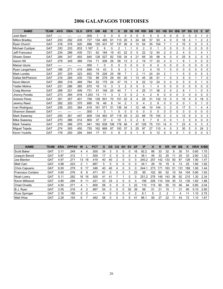# 2006 GALAPAGOS TORTOISES

| <b>NAME</b>           | <b>TEAM</b> | <b>AVG</b> | <b>OBA</b> | <b>SLG</b> | <b>OPS</b> | <b>GM</b> | <b>AB</b> | R   | н        | 2B             | 3B | <b>HR</b>      | <b>RBI</b> | <b>BB</b>      | <b>SO</b> | <b>HB</b>      | <b>SH</b> | <b>IBB</b>     | <b>DP</b> | <b>SB</b> | CS       | Е  | <b>SF</b>      |
|-----------------------|-------------|------------|------------|------------|------------|-----------|-----------|-----|----------|----------------|----|----------------|------------|----------------|-----------|----------------|-----------|----------------|-----------|-----------|----------|----|----------------|
| Josh Bard             | <b>GAT</b>  | ----       |            | ----       | .000       |           | 0         | 0   | 0        | 0              | 0  | 0              | 0          | 0              | 0         | 0              | 0         | 0              | 0         | 0         | 0        |    | 0              |
| <b>Milton Bradley</b> | <b>GAT</b>  | .233       | .292       | .435       | .727       | 134       | 485       | 61  | 113      | 20             | 3  | 24             | 68         | 37             | 93        | 4              | 0         | 0              | 18        | 4         |          | 2  | $\overline{2}$ |
| Ryan Church           | <b>GAT</b>  | .318       | 376        | 520        | .896       | 120       | 431       | 57  | 137      | 36             | 6  | 13             | 54         | 35             | 104       | 7              |           | $\overline{2}$ | 10        | 2         | 0        | 3  | 3              |
| Michael Cuddyer       | <b>GAT</b>  | .333       | .333       | .833       | 1.167      | 3         | 6         | 0   | 2        |                |    | 0              | 2          | 0              |           | $\Omega$       | 0         | 0              | 0         | 0         | 0        | 0  | 0              |
| Jeff Francoeur        | <b>GAT</b>  | .234       | 286        | .435       | .721       | 62        | 184       | 19  | 43       | 22             | 0  | 5              | 22         | 12             | 54        | 2              | 0         | $\overline{2}$ | 4         | 0         |          | 4  |                |
| Shawn Green           | <b>GAT</b>  | 294        | 347        | .493       | .840       | 126       | 527       | 82  | 155      | 34             | 4  | 21             | 69         | 39             | 98        | 6              | $\Omega$  | 0              | 25        | 6         | 2        | 0  | 5              |
| Aaron Hill            | <b>GAT</b>  | .279       | 345        | .389       | .734       | 71        | 208       | 26  | 58       | 13             |    | 2              | 19         | 17             | 32        | 4              | 0         |                | 6         |           | 0        | 5  | 0              |
| Maicer Izturis        | <b>GAT</b>  | ----       | ----       | ----       | .000       |           | O         | 0   | 0        | $\Omega$       | 0  | 0              | 0          | 0              | 0         | $\Omega$       | 0         | 0              | 0         | 0         | 0        | 0  | O              |
| Ryan Langerhans       | <b>GAT</b>  | .186       | .271       | .419       | .689       | 14        | 43        | 5   | 8        | $\overline{2}$ |    | $\overline{2}$ | 2          | 4              | 15        |                | 0         | $\Omega$       | 0         | 0         | 0        | 0  | 0              |
| <b>Mark Loretta</b>   | <b>GAT</b>  | 257        | 329        | 323        | .652       | 78        | 226       | 25  | 58       |                |    | 2              |            | 24             | 24        | 2              |           |                | 5         | 0         | $\Omega$ | 5  | 3              |
| Dallas McPherson      | <b>GAT</b>  | .216       | 285        | .435       | .720       | 86        | 278       | 29  | 60       | 20             |    | 13             | 45         | 26             | 91        |                | 0         | 3              | 9         | 0         |          | 7  | 0              |
| <b>Kevin Mench</b>    | <b>GAT</b>  | 269        | .316       | .469       | .784       | 52        | 175       | 24  | 47       | 15             |    | 6              | 22         | 12             | 24        | $\Omega$       | 0         | $\mathbf 0$    | 5         | 0         | 0        |    | 0              |
| Yadier Molina         | <b>GAT</b>  | 231        | 286        | .385       | .670       | 16        | 13        | 3   | 3        | $\mathfrak{p}$ | 0  | 0              | 0          |                | 4         | $\Omega$       | 0         | 0              | 0         | 0         | $\Omega$ | 0  | 0              |
| <b>Craig Monroe</b>   | <b>GAT</b>  | 268        | .321       | .409       | .731       | 51        | 149       | 20  | 40       |                |    | 4              | 25         | 11             | 36        | $\overline{2}$ | 0         | $\overline{2}$ | 6         |           |          | 0  | 3              |
| Jhonny Peralta        | <b>GAT</b>  | .273       | 385        | .818       | 1.203      | 13        | 11        | 3   | 3        | $\Omega$       | 0  | 2              | 4          | $\overline{2}$ | 6         | $\Omega$       | $\Omega$  | 0              | 0         | 0         | 0        | 0  | 0              |
| Antonio Perez         | <b>GAT</b>  | .301       | 357        | .401       | .758       | 128       | 501       | 70  | 151      | 22             | 8  | 4              | 28         | 31             | 132       | 12             | 0         | 0              | 10        | 9         | 5        | 18 | $\Omega$       |
| Jeremy Reed           | <b>GAT</b>  | .292       | 320        | .375       | .695       | 16        | 48        | 8   | 14       | 2              |    | 0              | 4          | $\overline{2}$ | 8         | $\Omega$       | 0         | 0              | 0         |           | 0        |    | 0              |
| Ivan Rodriguez        | <b>GAT</b>  | .238       | .253       | .364       | .618       | 161       | 571       | 51  | 136      | 34             |    | 12             | 48         | 10             | 144       | 3              |           | $\Omega$       | 17        | 5         |          | 4  | 4              |
| Shannon Stewart       | <b>GAT</b>  | ----       | ----       | ----       | .000       |           | 0         |     | $\Omega$ | 0              | U  | 0              | 0          | 0              | 0         | $\Omega$       | 0         | $\Omega$       | 0         | 0         | 0        | 0  | 0              |
| <b>Mark Sweenev</b>   | <b>GAT</b>  | .255       | .361       | .447       | .809       | 134       | 463       | 67  | 118      | 20             | 0  | 23             | 68         | 79             | 154       | $\Omega$       | 0         | $\Omega$       | 12        | 8         | 0        | 0  | 3              |
| <b>Mike Sweenev</b>   | <b>GAT</b>  | .270       | .386       | .514       | .900       | 37        | 37        | 4   | 10       | 3              | 0  | $\overline{2}$ | 8          |                | 8         | $\Omega$       | 0         |                | 3         | 0         | 0        | 0  | $\Omega$       |
| <b>Mark Teixeira</b>  | <b>GAT</b>  | .279       | .366       | .575       | .941       | 162       | 638       | 106 | 178      | 46             |    | 47             | 126        | 75             | 131       | 14             | 0         |                | 23        | 4         | 0        | 3  | 3              |
| Miguel Tejada         | <b>GAT</b>  | .274       | 305        | .450       | .755       | 162       | 669       | 87  | 183      | 37             | 3  | 25             | 97         | 27             | 110       | 4              | 0         | 3              | 30        | 5         | 0        | 24 | 2              |
| <b>Kevin Youkilis</b> | <b>GAT</b>  | .176       | 250        | 294        | .544       | 17        | 51        | 4   | 9        | 3              |    |                | 6          | 5              | 12        | 0              | ŋ         | 0              |           | n         | U        | 0  | <sup>0</sup>   |

| <b>NAME</b>          | <b>TEAM</b>     | <b>ERA</b> | <b>OPPAV</b> | W  |    | <b>PCT</b> | G  | GS | CG | <b>SH</b> | <b>SV</b> | <b>GF</b> | <b>IP</b> | н   | R   | ER  | ΗR | BB  | к   | HR/9 | K/BB |
|----------------------|-----------------|------------|--------------|----|----|------------|----|----|----|-----------|-----------|-----------|-----------|-----|-----|-----|----|-----|-----|------|------|
| Scott Baker          | <b>GAT</b>      | 3.11       | .249         | 4  | 4  | .500       | 34 | 3  |    | 0         |           | 16        | 92.2      | 88  | 33  | 32  | 6  | 30  | -51 | 0.60 | 1.70 |
| Joaquin Benoit       | GA <sub>1</sub> | 5.87       | .312         |    |    | .500       | 17 |    |    | U         |           | 4         | 38.1      | 49  | 33  | 25  | 11 | 25  | 33  | 2.60 | 1.32 |
| Joe Blanton          | GAT             | 4.97       | .271         | 13 | 18 | .419       | 40 | 40 |    | υ         |           |           | 240.2     | 257 | 142 | 133 | 50 | 87  | 128 | l.90 | 1.47 |
| <b>Matt Cain</b>     | GAT             | 4.98       | .223         |    |    | 667        | 5  | 5  |    | ი         | o         |           | 34.1      | 29  | 19  | 19  | 6  | 13  | 25  | .60  | 1.92 |
| Chris Capuano        | <b>GAT</b>      | 6.00       | .279         | 9  | 17 | 346        | 40 | 40 | 4  | 0         | o         |           | 244.      | 273 | 171 | 163 | 51 | 131 | 189 | 1.90 | 1.44 |
| Francisco Cordero    | <b>GAT</b>      | 4.93       | .276         | 8  | 9  | .471       | 81 |    | 0  |           |           | 23        | 95        | 102 | 60  | 52  | 10 | 54  | 104 | 0.90 | 1.93 |
| Noah Lowry           | <b>GAT</b>      | 5.11       | .282         | 16 | 16 | .500       | 41 | 41 |    |           |           |           | 251.2     | 276 | 148 | 143 | 36 | 92  | 215 | 1.30 | 2.34 |
| Kevin Millwood       | <b>GAT</b>      | 4.80       | .295         | 8  |    | .421       | 33 | 33 | 2  | Ω         | 0         |           | 195       | 226 | 110 | 104 | 35 | 72  | 135 | .60  | 1.88 |
| Chad Orvella         | <b>GAT</b>      | 4.50       | .271         | 4  |    | .800       | 58 | 0  | 0  | 0         | 3         | 22        | 110       | 15  | 60  | 55  | 10 | 46  | 94  | 0.80 | 2.04 |
| B.J. Ryan            | <b>GAT</b>      | 2.05       | .216         | 4  |    | .667       | 54 |    |    | 0         | 30        | 39        | 66        | 51  | 21  | 15  |    | 31  | 90  | 0.10 | 2.90 |
| <b>Russ Springer</b> | <b>GAT</b>      | 2.16       | .185         | 0  | 0  | ----       | 4  |    |    | 0         |           |           | 8.1       | 5   | 2   | っ   |    | 4   |     | .10  | 2.75 |
| <b>Matt Wise</b>     | GAT             | 2.29       | .193         | 6  |    | .462       | 58 |    | 0  | 0         | 8         | 41        | 86.1      | 59  | 27  | 22  | 11 | 43  | 72  | 1.10 | 1.67 |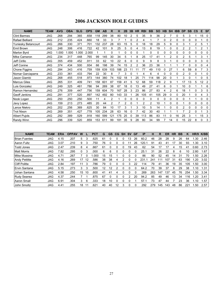# 2006 JACKSON HOLE GUIDES

| <b>NAME</b>          | <b>TEAM</b> | <b>AVG</b> | <b>OBA</b> | <b>SLG</b> | <b>OPS</b> | <b>GM</b> | <b>AB</b> | R   | н   | 2Β       | 3B | <b>HR</b>      | <b>RBI</b> | <b>BB</b> | <b>SO</b> | <b>HB</b> | <b>SH</b> | <b>IBB</b> | <b>DP</b> | <b>SB</b>      | CS | Е              | <b>SF</b> |
|----------------------|-------------|------------|------------|------------|------------|-----------|-----------|-----|-----|----------|----|----------------|------------|-----------|-----------|-----------|-----------|------------|-----------|----------------|----|----------------|-----------|
| <b>Clint Barmes</b>  | <b>JAG</b>  | 268        | .294       | 365        | .658       | 118       | 299       | 38  | 80  | 10       | 2  | 5              | 35         | 9         | 36        |           |           |            | 5         | 3              |    | 15             | $\Omega$  |
| Rafael Belliard      | <b>JAG</b>  | .212       | .235       | .424       | .660       | 18        | 33        | 3   | 7   |          | 0  | $\overline{2}$ | 4          |           | 7         | 0         |           | 0          | $\Omega$  | 0              | 0  |                | $\Omega$  |
| Yuniesky Betancourt  | <b>JAG</b>  | .266       | .330       | .371       | .701       | 132       | 237       | 28  | 63  | 15       | 5  | 0              | 18         | 18        | 29        | 5         | 9         | 0          | 3         |                | 2  | 5              |           |
| Emil Brown           | <b>JAG</b>  | .248       | .306       | .416       | .722       | 42        | 101       | 9   | 25  | 5        | 0  | 4              | 13         | 8         | 19        |           | 0         | 0          |           | 2              |    | $\overline{2}$ |           |
| <b>Marlon Byrd</b>   | <b>JAG</b>  | 1.000      | .000       | .000       | 2.000      |           |           | 0   |     | $\Omega$ | 0  | $\Omega$       |            | $\Omega$  | 0         | 0         |           | $\Omega$   | $\Omega$  | 0              | 0  | 0              | $\Omega$  |
| Mike Cameron         | <b>JAG</b>  | 234        | 317        | 448        | .765       | 99        | 145       | 30  | 34  | 5        |    | 8              | 25         | 17        | 41        |           |           | 0          | 2         | 5              |    | 3              |           |
| Jeff Cirillo         | <b>JAG</b>  | .355       | .459       | 452        | .911       | 33        | 62        | 10  | 22  | 6        | 0  | 0              | 9          | 9         | 8         | 3         |           | 0          | 0         | 0              | 0  | 3              | 0         |
| Jeff Conine          | <b>JAG</b>  | .374       | .434       | 500        | .934       | 66        | 198       | 39  | 74  | 15       |    | 2              | 36         | 23        | 36        |           |           |            |           | 0              | 0  | 0              |           |
| Chone Figgins        | <b>JAG</b>  | 294        | .343       | .416       | .759       | 159       | 639       | 103 | 188 | 23       | 11 | 11             | 77         | 49        | 110       | 0         | 27        |            | 6         | 59             | 8  |                | 3         |
| Nomar Garciaparra    | <b>JAG</b>  | 233        | .361       | .433       | .794       | 22        | 30        | 8   |     | 3        | 0  |                |            | 6         | 4         | 0         |           | 0          |           | 0              | U  |                | 0         |
| Jason Giambi         | <b>JAG</b>  | .268       | .455       | .518       | .973       | 144       | 380       | 74  | 102 | 18       |    | 25             | 71         | 114       | 98        | 20        |           |            | 3         | U              |    | 0              | 5         |
| <b>Marcus Giles</b>  | <b>JAG</b>  | .265       | .331       | 409        | .741       | 158       | 601       | 87  | 159 | 41       | 5  | 12             | 68         | 59        | 18        | 2         | 9         |            | 17        | 13             | 5  | 12             | 2         |
| Luis Gonzalez        | <b>JAG</b>  | 249        | .325       | .461       | .786       | 94        | 269       | 38  | 67  | 18       | 0  | 13             | 49         | 27        | 41        | 6         |           |            | 10        |                |    |                | 6         |
| Ramon Hernandez      | <b>JAG</b>  | .276       | .309       | .447       | .756       | 159       | 604       | 70  | 167 | 28       | 3  | 23             | 86         | 27        | 83        | 4         | 2         | 6          | 18        |                | 0  | 3              | 5         |
| <b>Geoff Jenkins</b> | <b>JAG</b>  | .291       | .377       | 520        | .897       | 142       | 492       | 80  | 143 | 33       |    | 26             | 105        | 41        | 105       | 29        | 0         | 0          | 20        |                | 0  | 4              | 3         |
| Nook Logan           | <b>JAG</b>  | 250        | .250       | 250        | .500       | 11        | 4         | 2   |     | 0        | 0  | 0              | 0          | 0         | 0         | 0         | 0         | 0          | 0         |                |    | 0              | 0         |
| Javy Lopez           | <b>JAG</b>  | .159       | .213       | 273        | .485       | 20        | 44        | 2   |     | 2        | 0  |                | 2          | 2         | 10        |           |           | 0          |           | 0              | 0  | 0              | 0         |
| Lance Niekro         | <b>JAG</b>  | .202       | .256       | .369       | .625       | 30        | 84        | 10  | 17  |          |    | 3              | 10         | 5         | 14        |           | 0         | 0          | 2         | 0              | 0  | 0              | 0         |
| <b>Trot Nixon</b>    | <b>JAG</b>  | 269        | .351       | .427       | .778       | 105       | 234       | 28  | 63  | 16       | 0  |                | 42         | 30        | 40        |           |           |            |           | $\overline{c}$ | 0  |                | 3         |
| <b>Albert Pujols</b> | <b>JAG</b>  | .292       | .389       | .529       | .918       | 160       | 599       | 121 | 175 | 25       |    | 39             | 113        | 86        | 83        | 11        |           | 16         | 25        | 3              |    | 15             | 3         |
| Randy Winn           | <b>JAG</b>  | 296        | .339       | 520        | .859       | 153       | 611       | 99  | 181 | 35       | 9  | 28             | 80         | 34        | 99        |           | 14        | 0          | 15        | 22             | 8  | $\Omega$       | 3         |

| <b>NAME</b>          | <b>TEAM</b> | <b>ERA</b> | <b>OPPAV</b> | W  |    | <b>PCT</b> | G  | GS | CG | <b>SH</b> | <b>SV</b> | <b>GF</b> | <b>IP</b> | н   | R   | ER  | ΗR | <b>BB</b> | κ   | HR/9 | K/BB |
|----------------------|-------------|------------|--------------|----|----|------------|----|----|----|-----------|-----------|-----------|-----------|-----|-----|-----|----|-----------|-----|------|------|
| <b>Brian Fuentes</b> | JAG         | 4.15       | .207         | 5  | 3  | .625       | 61 |    |    |           | 13        | 26        | 60.2      | 46  | 28  | 28  | 9  | 26        | 64  | .30  | 2.46 |
| Aaron Fultz          | JAG         | 3.07       | .210         | 9  | 3  | 750        | 76 |    |    | ი         |           | 26        | 120.      | 91  | 43  | 41  | 17 | 30        | 93  | .30  | 3.10 |
| Todd Jones           | JAG         | 2.47       | .239         | 8  | 4  | .667       | 61 | 0  |    | 0         | 19        | 43        | 62        | 54  | 17  | 17  | 4  | 15        | 41  | 0.60 | 2.73 |
| <b>Matt Morris</b>   | JAG         | 7.82       | .295         | 0  | 3  | .000       | 6  | 6  | 0  | 0         |           | 0         | 25.1      | 31  | 26  | 22  | 8  | 6         | 10  | 2.80 | 1.67 |
| Mike Mussina         | JAG         | 4.71       | .267         |    | O  | .000       | 15 | 15 |    |           |           |           | 86        | 90  | 52  | 45  | 14 | 31        | 70  | .50  | 2.26 |
| Andy Pettitte        | JAG         | 4.16       | .269         | 17 | 12 | .586       | 38 | 38 | 4  |           |           |           | 231       | 241 |     | 107 | 31 | 63        | 190 | .20  | 3.02 |
| <b>Cliff Politte</b> | JAG         | 2.84       | .197         | 11 | 3  | .786       | 79 | 0  | 0  | 0         | 3         | 22        | 114       | 79  | 41  | 36  | 19 | 35        | 105 | .50  | 3.00 |
| Ervin Santana        | JAG         | 5.15       | .273         | 3  | 3  | .500       | 12 | 12 | 2  | U         |           |           | 64.2      | 70  | 39  | 37  | 8  | 29        | 38  | .10  | 1.31 |
| Uohan Santana        | JAG         | 4.58       | .250         | 15 | 10 | .600       | 41 | 41 | 4  | 0         |           |           | 269       | 263 | 147 | 137 | 45 | 76        | 254 | .50  | 3.34 |
| <b>Rudy Seanez</b>   | JAG         | 4.37       | 244          |    |    | .875       | 67 |    | 0  | ი         |           | 20        | 94.2      | 85  | 49  | 46  | 13 | 34        | 116 | .20  | 3.41 |
| Aaron Small          | JAG         | 6.91       | .304         | 3  | 6  | .333       | 18 | 10 | O  |           |           |           | 57.1      | 73  | 47  | 44  |    | 23        | 36  | .10  | 1.57 |
| John Smoltz          | JAG         | 4.41       | .255         | 18 |    | .621       | 40 | 40 | 12 | 3         |           |           | 292       | 279 | 145 | 143 | 48 | 86        | 221 | .50  | 2.57 |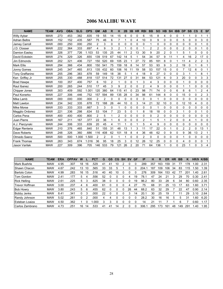# 2006 MALIBU WAVE

| <b>NAME</b>            | <b>TEAM</b> | <b>AVG</b> | <b>OBA</b> | <b>SLG</b> | <b>OPS</b> | <b>GM</b>      | <b>AB</b>      | R        | н              | 2B             | 3B       | <b>HR</b> | <b>RBI</b>     | <b>BB</b>    | <b>SO</b>      | <b>HB</b>      | <b>SH</b> | <b>IBB</b>  | <b>DP</b>      | <b>SB</b> | $\mathsf{cs}$ | Е              | <b>SF</b> |
|------------------------|-------------|------------|------------|------------|------------|----------------|----------------|----------|----------------|----------------|----------|-----------|----------------|--------------|----------------|----------------|-----------|-------------|----------------|-----------|---------------|----------------|-----------|
| <b>Willy Aybar</b>     | <b>MAW</b>  | .273       | .453       | .382       | .835       | 19             | 55             | 14       | 15             | 6              | 0        | 0         | 6              | 15           | 8              | 4              | 0         | 0           |                |           | 0             |                |           |
| <b>Adrian Beltre</b>   | <b>MAW</b>  | .152       | .152       | .435       | .587       | 75             | 46             | 6        | 7              | 1              | 0        | 4         | 10             | $\Omega$     | 9              | 0              | 0         | 0           | 5              | 0         | 0             | 3              | $\Omega$  |
| <b>Jamey Carroll</b>   | <b>MAW</b>  | .000       | .250       | .000       | 250        | 2              | 3              | 0        | 0              | $\Omega$       | $\Omega$ | 0         | $\Omega$       |              | 0              | 0              | 0         | 0           | 0              | 0         | 0             |                | 0         |
| J.D. Closser           | <b>MAW</b>  | 222        | .364       | .333       | .697       | 4              | 9              | 3        | 2              |                | 0        | 0         |                | 2            | 2              | 0              | 0         | 0           | $\overline{2}$ | 0         | 0             |                | 0         |
| <b>Damion Easley</b>   | <b>MAW</b>  | .326       | .377       | .726       | 1.103      | 53             | 135            | 25       | 44             | 11             | 2        | 13        | 30             | 9            | 20             | $\overline{2}$ | 0         | 1           | 5              |           | 0             | 0              | $\Omega$  |
| David Eckstein         | <b>MAW</b>  | .274       | .329       | .326       | .655       | 139            | 519            | 67       | 142            | 14             | 5        |           | 54             | 34           | 57             | 9              | 11        | 1           | 4              | 16        | 2             | 17             | 0         |
| Jim Edmonds            | <b>MAW</b>  | 202        | .321       | 406        | .727       | 150            | 520            | 69       | 105            | 23             |          | 27        | 72             | 85           | 181            | 8              | 0         | 1           | 11             | 4         | 2             | 2              | 3         |
| <b>Mark Ellis</b>      | <b>MAW</b>  | 294        | .366       | .434       | .800       | 150            | 541            | 75       | 159            | 18             | 8        | 14        | 57             | 53           | 93             | 9              | 3         | 2           | 19             | 0         | 1             | 6              |           |
| Jonny Gomes            | <b>MAW</b>  | .245       | .347       | 465        | .813       | 135            | 432            | 60       | 106            | 16             | 11       | 19        | 58             | 53           | 157            | 15             | 0         | 0           |                | 12        | 6             | 0              |           |
| <b>Tony Graffanino</b> | <b>MAW</b>  | 255        | 296        | .383       | .678       | 59             | 149            | 18       | 38             | 5              |          | 4         | 18             | 9            | 27             | 0              | 0         | 0           | 3              |           |               | 8              |           |
| Ken Griffey Jr         | <b>MAW</b>  | .255       | .330       | .488       | .818       | 137            | 514            | 72       | 131            | 27             | $\Omega$ | 31        | 84             | 53           | 121            | 6              | 0         | 3           | 20             | 0         | 0             | 3              | 3         |
| <b>Brad Hawpe</b>      | <b>MAW</b>  | .100       | .357       | .400       | .757       | 6              | 10             | 2        | 1              | 0              | 0        |           | 3              | 4            | 3              | 0              | 0         | 0           |                | 0         | 0             | 0              | 0         |
| Raul Ibanez            | <b>MAW</b>  | .200       | .265       | .244       | .510       | 17             | 45             | 3        | 9              | $\overline{2}$ | 0        | 0         | 2              | 4            | 9              | 0              | 0         | 0           |                |           | 0             | 0              | 0         |
| <b>Chipper Jones</b>   | <b>MAW</b>  | .303       | .409       | 592        | 1.001      | 120            | 380            | 64       | 115            | 41             | 0        | 23        | 98             | 71           | 74             | $\mathbf{0}$   | 0         | 6           | 8              | 6         |               | $\overline{2}$ | 4         |
| Paul Konerko           | <b>MAW</b>  | 227        | .306       | .446       | .752       | 157            | 594            | 89       | 135            | 28             | 0        | 34        | 98             | 61           | 144            | 8              | 0         | 0           | 15             | 0         | 0             | 2              | 3         |
| Mike Lamb              | <b>MAW</b>  | .000       | .000       | .000       | .000       | 2              | 2              | 0        | 0              | 0              | 0        | 0         | 0              | 0            | 1              | $\Omega$       | 0         | 0           | 0              | 0         | 0             | 0              | 0         |
| <b>Matt Lawton</b>     | <b>MAW</b>  | 234        | .342       | 335        | .678       | 72             | 188            | 26       | 44             | 10             | $\Omega$ | 3         | 14             | 21           | 32             | 10             | 0         | 0           | 12             | 10        | 4             | 0              | 0         |
| <b>Mike Morse</b>      | <b>MAW</b>  | .333       | .333       | 333        | .667       | 3              | 3              | 0        | 1              | $\Omega$       | 0        | 0         | 0              | 0            | 1              | 0              | 0         | 0           | 0              | 0         | 0             | 0              | 0         |
| Magglio Ordonez        | <b>MAW</b>  | .221       | .336       | .298       | .634       | 53             | 104            | 7        | 23             | 5              | 0        |           | 8              | 18           | 18             | 0              | 0         | 3           |                | 0         | 0             |                | 0         |
| <b>Carlos Pena</b>     | <b>MAW</b>  | .400       | .400       | .400       | .800       | $\overline{c}$ | 5              | 1        | $\overline{2}$ | 0              | 0        | 0         | $\Omega$       | $\Omega$     | $\overline{2}$ | 0              | 0         | $\mathbf 0$ | 0              | 0         | 0             | 0              | 0         |
| Juan Pierre            | <b>MAW</b>  | .167       | .211       | .167       | .377       | 22             | 36             |          | 6              | 0              | 0        | 0         | 2              |              | 5              | 1              | 2         | 0           | 0              | 4         |               | 0              | 0         |
| A.J. Pierzynski        | <b>MAW</b>  | .244       | .306       | .333       | .639       | 20             | 45             | 4        | 11             |                | 0        |           | 5              | 4            | 9              | 0              | 0         | $\mathbf 0$ | $\mathbf 0$    | 0         | 0             | 0              | $\Omega$  |
| Edgar Renteria         | <b>MAW</b>  | .310       | .376       | .465       | .840       | 51             | 155            | 31       | 48             | 13             |          | 3         | 11             | 17           | 22             | 0              |           | 0           | $\overline{2}$ | 2         | 0             | 13             | 1         |
| Dave Roberts           | <b>MAW</b>  | .248       | 326        | .360       | .686       | 116            | 408            | 62       | 101            | 18             | 8        | 4         | 36             | 48           | 62             | $\mathbf 0$    | 9         | 0           | 9              | 36        | 13            | $\overline{2}$ |           |
| Olmedo Saenz           | <b>MAW</b>  | .500       | .500       | 1.000      | 1.500      | 2              | $\overline{c}$ | $\Omega$ | 1              |                | $\Omega$ | 0         | $\overline{2}$ | $\mathbf{0}$ | 0              | 0              | 0         | 0           |                | 0         | 0             | 0              | $\Omega$  |
| <b>Frank Thomas</b>    | <b>MAW</b>  | 263        | .343       | .674       | 1.016      | 36             | 95             | 18       | 25             | 3              | 0        | 12        | 26             | 12           | 25             | 0              | 0         | 0           | 4              | 0         | 0             | 0              |           |
| <b>Jason Varitek</b>   | <b>MAW</b>  | 227        | .309       | 396        | .705       | 146            | 533            | 79       | 121            | 26             |          | 20        | 71             | 64           | 136            |                | 0         | 0           | 23             |           | 0             | 3              | 4         |

| <b>NAME</b>           | <b>TEAM</b> | <b>ERA</b> | <b>OPPAV</b> | w  |    | <b>PCT</b> | G  | GS | <b>CG</b> | <b>SH</b> | <b>SV</b> | GF | ΙP   | н   | R   | ER  | ΗR | BB  |     | HR/9 | K/BB |
|-----------------------|-------------|------------|--------------|----|----|------------|----|----|-----------|-----------|-----------|----|------|-----|-----|-----|----|-----|-----|------|------|
| Mark Buehrle          | <b>MAW</b>  | 4.95       | .307         | 18 | 16 | .529       | 41 | 41 | 10        |           |           |    | 289  | 357 | 163 | 159 | 31 |     | 178 | .00  | 2.31 |
| <b>Shawn Chacon</b>   | <b>MAW</b>  | 4.67       | 242          | 13 | 10 | .565       | 33 | 33 | 5         |           |           |    | 204. | 187 | 109 | 106 | 34 | 83  | 115 | .50  | 1.39 |
| Bartolo Colon         | <b>MAW</b>  | 4.99       | 283          | 16 | 15 | .516       | 40 | 40 | 10        |           |           |    | 276  | 309 | 64  | 153 | 42 |     | 20٬ | .40  | 2.61 |
| Tom Gordon            | <b>MAW</b>  | 2.41       | .177         | 5. | 4  | 556        | 52 |    |           |           | 4         | 19 | 78.1 | 47  | 24  | 21  |    | 29  | 70  | 0.30 | 2.41 |
| <b>Rick Helling</b>   | <b>MAW</b>  | 2.61       | .225         | 5  |    | 625        | 38 |    |           |           |           | 19 | 96.2 | 80  | 33  | 28  | 6  | 34  | 80  | 0.60 | 2.35 |
| <b>Trevor Hoffman</b> | <b>MAW</b>  | 3.00       | .237         | 4  | 6  | .400       | 61 |    |           |           | 4         | 27 | 75   | 68  | 31  | 25  | 13 |     | 63  | .60  | 3.71 |
| <b>Bob Howry</b>      | <b>MAW</b>  | 3.80       | .243         | 5  | 6  | .455       | 62 |    |           | O         | 26        | 44 | 68.2 | 63  | 32  | 29  |    | 22  | 47  | 0.90 | 2.14 |
| <b>Bobby Jenks</b>    | <b>MAW</b>  | 8.41       | .341         | 0  |    | .000       | 22 |    |           |           | 3         | 14 | 20.1 | 30  | 25  | 19  |    |     | 29  | 3.10 | 2.64 |
| Randy Johnson         | <b>MAW</b>  | 5.02       | 261          | 0  |    | .000       | 4  | 4  |           |           |           |    | 28.2 | 30  | 16  | 16  | 5  | 5   | 31  | .60  | 6.20 |
| Esteban Loaiza        | <b>MAW</b>  | 4.50       | .362         |    |    | .000       | з  |    |           |           |           |    | 14   |     |     |     |    | 6   |     | 0.60 | 1.17 |
| Carlos Zambrano       | <b>MAW</b>  | 4.73       | 251          | 16 | 14 | .533       | 41 | 41 | 14        |           |           |    | 306. | 295 | 173 | 161 | 48 | 149 | 291 | .40  | l.95 |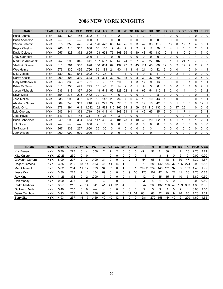# 2006 NEW YORK KNIGHTS

| <b>NAME</b>              | <b>TEAM</b> | <b>AVG</b> | <b>OBA</b> | <b>SLG</b> | <b>OPS</b> | <b>GM</b> | AB       | R        | н        | 2B             | 3B             | <b>HR</b> | <b>RBI</b> | <b>BB</b> | <b>SO</b> | <b>HB</b>      | <b>SH</b> | <b>IBB</b>     | <b>DP</b> | <b>SB</b> | CS             | Е              | <b>SF</b> |
|--------------------------|-------------|------------|------------|------------|------------|-----------|----------|----------|----------|----------------|----------------|-----------|------------|-----------|-----------|----------------|-----------|----------------|-----------|-----------|----------------|----------------|-----------|
| <b>Russ Adams</b>        | <b>NYK</b>  | .182       | .438       | .455       | .892       | 7         | 11       | 1        | 2        | 0              | 0              |           | 2          | 4         |           |                | 0         | 0              |           | 0         | 0              | 0              | 0         |
| <b>Brian Anderson</b>    | <b>NYK</b>  |            |            |            | .000       |           | $\Omega$ | 0        | $\Omega$ | 0              | 0              | 0         | 0          | 0         | 0         | 0              | 0         | 0              | $\Omega$  | 0         | $\Omega$       | 0              | 0         |
| <b>Wilson Betemit</b>    | <b>NYK</b>  | .315       | .359       | .425       | .784       | 126       | 473      | 63       | 149      | 25             | 9              | 3         | 42         | 33        | 118       | 0              | 17        | 0              | 12        |           | 4              | 5              |           |
| Royce Clayton            | <b>NYK</b>  | 265        | .313       | .355       | .668       | 66        | 166      | 19       | 44       |                |                | 2         | 17         | 12        | 39        | 0              | 4         |                | 5         | 0         | $\overline{c}$ | 3              |           |
| David Deiesus            | <b>NYK</b>  | .257       | 323        | .372       | .695       | 158       | 653      | 76       | 168      | 35             | 5              | 10        | 43         | 53        | 132       | 10             | 11        | 3              | 10        | 5         | 3              |                | 0         |
| <b>Joey Gathright</b>    | <b>NYK</b>  | ----       | ----       | ----       | .000       |           | 0        | $\Omega$ | $\Omega$ | 0              | 0              | 0         | 0          | $\Omega$  | 0         | 0              | 0         | 0              | $\Omega$  | 0         |                | 0              | 0         |
| <b>Mark Grudzielanek</b> | <b>NYK</b>  | 257        | 296        | 345        | .641       | 157       | 557      | 59       | 143      | 24             |                |           | 43         | 27        | 107       | 6              |           | 1              | 21        | 15        |                | 6              | 5         |
| <b>Vladimir Guerrero</b> | <b>NYK</b>  | .311       | .361       | 566        | .928       | 156       | 634      | 89       | 197      | 27             | 3              | 43        | 111        | 40        | 86        | 12             |           | 2              | 19        |           | 2              | 2              | 3         |
| <b>Wes Helms</b>         | <b>NYK</b>  | 276        | 330        | .436       | .766       | 65        | 181      | 24       | 50       | 11             | 3              | 4         | 21         | 10        | 42        | 5              | $\Omega$  | 0              | 4         | 0         | $\Omega$       | 4              |           |
| Mike Jacobs              | <b>NYK</b>  | .189       | .362       | 541        | .902       | 40        | 37       | 8        | 7        |                | 0              | 4         | 9          | 8         | 11        | $\overline{2}$ | 0         | $\overline{2}$ | 3         | 0         | $\Omega$       | 0              | 0         |
| Corey Koskie             | <b>NYK</b>  | 209        | 304        | 339        | .643       | 94        | 301      | 32       | 63       | 15             | 0              | 8         | 30         | 37        | 69        | 4              | 0         | 1              | 9         | 2         | 2              | 5              | 0         |
| <b>Gary Matthews Jr</b>  | <b>NYK</b>  | 256        | .330       | .462       | .791       | 38        | 78       | 11       | 20       | 5              |                | 3         | 17         | 9         | 13        | 0              | 0         | 0              | 0         |           | $\Omega$       |                |           |
| <b>Brian McCann</b>      | <b>NYK</b>  | .311       | 353        | .422       | .775       | 15        | 45       | 7        | 14       | $\overline{2}$ | 0              |           | 9          | 3         | 6         | 1              | 0         | 0              | 0         |           | 0              | $\overline{2}$ | 2         |
| Jason Michaels           | <b>NYK</b>  | 236        | .313       | 337        | .650       | 148       | 543      | 55       | 128      | 22             | 3              | 9         | 69         | 54        | 112       | 8              | 2         | 0              | 14        | 4         | 3              | 6              | 2         |
| <b>Kevin Millar</b>      | <b>NYK</b>  | 154        | 277        | .205       | .482       | 29        | 39       | 4        | 6        | 2              | 0              | 0         | 3          | 7         | 8         | 0              | $\Omega$  | 0              | 0         | 0         | 0              |                |           |
| Jose Molina              | <b>NYK</b>  | 238        | 290        | 392        | .682       | 56        | 143      | 23       | 34       |                | 0              | 5         | 16         | 10        | 43        |                | 0         | 0              | 5         | 0         | $\Omega$       |                |           |
| <b>Abraham Nunez</b>     | <b>NYK</b>  | 309        | 348        | 369        | .718       | 79        | 249      | 27       | 77       | 5              | $\overline{2}$ | 2         | 19         | 16        | 42        | 0              | 3         | 1              | 6         | 0         | 0              | 12             | 2         |
| David Ortiz              | <b>NYK</b>  | 278        | .394       | 648        | 1.042      | 162       | 582      | 110      | 162      | 34             | 2              | 59        | 134        | 115       | 132       | 0              | 0         | 17             | 26        | 4         | 0              | 0              | 6         |
| Lyle Overbay             | <b>NYK</b>  | 243        | .341       | 378        | .719       | 129       | 444      | 44       | 108      | 31             |                | 9         | 42         | 65        | 85        | 3              | 0         |                | 17        |           |                | 9              | 4         |
| <b>Jose Reves</b>        | <b>NYK</b>  | .143       | .174       | .143       | .317       | 13        | 21       | 4        | 3        | 0              | 0              | 0         |            |           | 4         | 0              |           | 0              | $\Omega$  | 4         | 0              |                |           |
| Brian Schneider          | <b>NYK</b>  | 249        | 290        | .384       | .674       | 117       | 406      | 43       | 101      | 23             |                | 10        | 45         | 20        | 62        | 4              | 4         | 1              | 19        |           | 1              | $\overline{2}$ |           |
| J.T. Snow                | <b>NYK</b>  | ----       |            | ----       | .000       | 2         | 0        | 0        | 0        | 0              | 0              | 0         | 0          | 0         | 0         | 0              | 0         | 0              | 0         | 0         | 0              | 0              | 0         |
| So Taguchi               | <b>NYK</b>  | 267        | .333       | 267        | .600       | 25        | 30       | 3        | 8        | 0              | 0              | 0         | 3          | 3         | 1         | 0              | 0         | 0              | 0         | 0         | $\Omega$       | 0              | 0         |
| <b>Jack Wilson</b>       | <b>NYK</b>  | .000       | .000       | .000       | .000       | 4         |          | 0        | 0        | 0              | ŋ              | 0         | 0          | $\Omega$  |           | 0              | ŋ         | 0              | 0         | ŋ         | 0              | 0              | 0         |

| <b>NAME</b>          | <b>TEAM</b> | <b>ERA</b> | <b>OPPAV</b> | W  |    | <b>PCT</b> | G  | GS | CG | <b>SH</b> | <b>SV</b> | <b>GF</b> | <b>IP</b> | н   | R   | ER  | ΗR | BB  | к   | HR/9 | K/BB |
|----------------------|-------------|------------|--------------|----|----|------------|----|----|----|-----------|-----------|-----------|-----------|-----|-----|-----|----|-----|-----|------|------|
| Kris Benson          | <b>NYK</b>  | 5.70       | .278         | 0  | 4  | .000       |    |    |    | O         |           |           | 47.1      | 52  | 31  | 30  | 14 |     | 26  | 2.70 | 3.71 |
| Kiko Calero          | <b>NYK</b>  | 20.25      | .250         | 0  |    | -----      |    |    |    | U         |           |           |           |     | 3   | 3   |    |     | 0   | 0.00 | 0.00 |
| Giovanni Carrara     | <b>NYK</b>  | 8.00       | .297         | 2  | 3  | .400       | 31 |    |    | υ         |           | 18        | 54        | 66  | 51  | 48  | 8  | 30  | 47  | 1.30 | 1.57 |
| <b>Roger Clemens</b> | <b>NYK</b>  | 3.85       | .239         | 18 | 14 | 563        | 41 | 41 | 16 |           |           |           | 313       | 283 | 142 | 134 | 32 | 106 | 274 | 0.90 | 2.58 |
| <b>Matt Clement</b>  | <b>NYK</b>  | 5.62       | .284         | 11 | 17 | .393       | 34 | 33 | 6  |           |           |           | 209.      | 239 | 140 | 131 | 32 | 85  | 163 | .40  | 1.92 |
| Jesse Crain          | <b>NYK</b>  | 3.30       | .228         | 2  |    | 154        | 69 | 0  | 0  | 0         | 9         | 36        | 120       | 102 | 47  | 44  | 22 | 41  | 36  | 1.70 | 0.88 |
| Ray King             | <b>NYK</b>  | 11.25      | .373         | 0  |    | .000       | 17 | 0  |    |           |           | 6         | 12        | 19  | 15  | 15  | 5  | 10  | 5   | 3.80 | 0.50 |
| Ron Mahav            | <b>NYK</b>  | 0.00       | .308         | 0  | 0  | -----      | 3  | 0  | 0  | 0         | 0         |           | 3         | 4   |     | n   | 0  | 2   |     | 0.00 | 0.50 |
| Pedro Martinez       | <b>NYK</b>  | 3.27       | .212         | 25 | 14 | .641       | 41 | 41 | 31 | 4         |           |           | 347       | 268 | 132 | 126 | 49 | 109 | 333 | 1.30 | 3.06 |
| Guillermo Mota       | <b>NYK</b>  | 5.40       | .250         | 0  |    | -----      | 4  |    |    | 0         |           |           | 5         | 5   | 3   | 3   |    | 2   | 4   | 0.00 | 2.00 |
| Derek Turnbow        | <b>NYK</b>  | 3.93       | .268         | 2  | 5  | 286        | 60 |    |    | 0         |           | 31        | 66.1      | 68  | 32  | 29  | 9  | 26  | 60  | .20  | 2.31 |
| <b>Barry Zito</b>    | <b>NYK</b>  | 4.93       | 257          | 15 | 17 | .469       | 40 | 40 | 12 |           | 0         |           | 281       | 279 | 158 | 154 | 49 | 121 | 200 | 1.60 | 1.65 |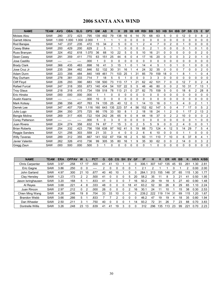# 2006 SANTA ANA WIND

| <b>NAME</b>            | <b>TEAM</b> | <b>AVG</b> | <b>OBA</b> | <b>SLG</b> | <b>OPS</b> | <b>GM</b> | <b>AB</b> | R   | н           | 2B           | 3B       | <b>HR</b>      | <b>RBI</b>     | <b>BB</b> | <b>SO</b> | <b>HB</b>      | <b>SH</b>      | <b>IBB</b>     | <b>DP</b>    | <b>SB</b>      | <b>CS</b>      | E              | <b>SF</b>      |
|------------------------|-------------|------------|------------|------------|------------|-----------|-----------|-----|-------------|--------------|----------|----------------|----------------|-----------|-----------|----------------|----------------|----------------|--------------|----------------|----------------|----------------|----------------|
| Moises Alou            | <b>SAW</b>  | .280       | .372       | .423       | .795       | 139       | 492       | 79  | 138         | 16           | 6        | 14             | 70             | 68        | 63        | 5              | 0              | 0              | 12           | 0              | 0              | 8              | 2              |
| <b>Garrett Atkins</b>  | SAW         | 1.000      | 1.000      | .000       | 2.000      |           |           | 1   | 1           | $\mathbf{0}$ | 0        | 0              | 0              | 0         | 0         | $\mathbf{0}$   | 0              | $\mathbf 0$    | 0            | $\Omega$       | $\Omega$       | 0              | $\Omega$       |
| Rod Barajas            | <b>SAW</b>  | .147       | 237        | .235       | .472       | 15        | 34        | 2   | 5           | $\Omega$     | 0        |                | $\overline{2}$ | 4         | 7         | $\Omega$       | 2              | $\mathbf 0$    |              | 0              | $\Omega$       | 0              | 0              |
| Casey Blake            | <b>SAW</b>  | .200       | .429       | .200       | .629       | 2         | 5         |     | 1           | 0            | 0        | 0              | 0              | 2         | 1         | $\mathbf 0$    | 0              | $\mathbf 0$    | 0            |                | 0              |                | 0              |
| Russ Branyan           | <b>SAW</b>  | .324       | .452       | .618       | 1.070      | 36        | 68        | 10  | 22          | 5            | 0        | 5              | 10             | 16        | 21        | $\Omega$       | 0              | $\Omega$       | $\mathbf{0}$ | $\Omega$       | $\Omega$       | $\overline{2}$ | $\mathbf{0}$   |
| Sean Casey             | <b>SAW</b>  | .291       | .359       | .411       | .770       | 63        | 151       | 25  | 44          | 6            | 0        | 4              | 17             | 16        | 20        | $\mathbf{0}$   | 0              | $\mathbf 0$    | 3            | $\overline{c}$ | $\Omega$       |                | 0              |
| Jose Castillo          | <b>SAW</b>  | ----       | ----       | ----       | .000       |           | 0         | 0   | 0           | 0            | 0        | 0              | 0              | 0         | 0         | $\mathbf 0$    | 0              | $\mathbf 0$    | 0            | 0              | 0              | 0              | 0              |
| <b>Brady Clark</b>     | SAW         | .366       | 435        | .463       | .898       | 16        | 41        | 3   | 15          |              | 0        |                | 14             | 4         | 5         |                | 0              | 1              | $\Omega$     |                | 0              | 0              | 0              |
| Jose Cruz Jr           | <b>SAW</b>  | .235       | .384       | .462       | .846       | 52        | 132       | 30  | 31          | 16           |          | 4              | 24             | 32        | 35        | $\Omega$       | 0              | $\Omega$       | 7            | 0              | 0              | $\overline{2}$ | 0              |
| Adam Dunn              | SAW         | .223       | 356        | 484        | .840       | 149       | 461       | 71  | 103         | 25           |          | 31             | 85             | 79        | 159       | 18             | 0              |                | 8            |                |                | 0              | 4              |
| Ray Durham             | SAW         | .278       | .381       | 333        | .714       | 7         | 18        | 5   | 5           |              | 0        | 0              | $\Omega$       | 3         | 3         | $\mathbf{0}$   | 0              | $\Omega$       | $\Omega$     | $\Omega$       | 0              | 0              | $\Omega$       |
| <b>Cliff Floyd</b>     | <b>SAW</b>  | .226       | .293       | .390       | .683       | 138       | 500       | 73  | 113         |              |          | 21             | 62             | 42        | 101       | $\overline{7}$ | 0              | 0              | 12           |                | $\Omega$       | $\overline{2}$ | 4              |
| Rafael Furcal          | <b>SAW</b>  | .247       | .318       | .355       | .673       | 140       | 434       | 54  | 107         | 22           | 5        | 5              | 48             | 46        | 80        | 0              | 0              | 2              | 10           | 31             |                | 13             |                |
| <b>Troy Glaus</b>      | <b>SAW</b>  | .218       | .318       | .415       | .734       | 159       | 518       | 78  | 113         | 21           | 0        | 27             | 82             | 75        | 159       | 5              | 0              | $\mathbf 0$    | 18           | 6              | $\overline{c}$ | 28             | 8              |
| Eric Hinske            | <b>SAW</b>  | .000       | .000       | .000       | .000       | 1         |           | 0   | $\mathbf 0$ | $\Omega$     | 0        | 0              | $\Omega$       | 0         | 0         | $\mathbf{0}$   | 0              | $\mathbf 0$    | $\Omega$     | 0              | 0              | 0              | O              |
| <b>Austin Kearns</b>   | SAW         | ----       | ----       | ----       | .000       | 10        | 0         | 0   | 0           | $\Omega$     | 0        | 0              | 0              | 0         | 0         | $\mathbf{0}$   | 0              | 0              | 0            | 0              | 0              | 0              | 0              |
| <b>Mark Kotsay</b>     | <b>SAW</b>  | .296       | .356       | .407       | .763       | 74        | 135       | 25  | 40          | 12           | 0        | 1              | 14             | 13        | 16        | $\Omega$       | 1              | 3              | 4            | 0              | $\overline{2}$ |                | 1              |
| Derrek Lee             | SAW         | .347       | .407       | .709       | 1.116      | 160       | 643       | 135 | 223         | 57           | 4        | 56             | 152            | 62        | 147       | 5              | 0              | 4              |              | 17             | 0              | 5              | $\overline{c}$ |
| Julio Lugo             | <b>SAW</b>  | .284       | .350       | .375       | .725       | 66        | 176       | 33  | 50          | 8            |          | 2              | 18             | 18        | 24        |                | 2              | 0              |              | 17             | 2              | 13             | $\overline{c}$ |
| Bengie Molina          | <b>SAW</b>  | .269       | .317       | .405       | .722       | 104       | 242       | 26  | 65          | 9            | 0        | 8              | 44             | 18        | 37        | $\mathbf 0$    | $\overline{c}$ | $\overline{2}$ | 10           | 0              | 0              | 0              | $\overline{c}$ |
| <b>Corey Patterson</b> | <b>SAW</b>  | ----       | ----       | ----       | .000       | 5         | 0         | 3   | 0           | 0            | 0        | 0              | 0              | 0         | 0         | 0              | 0              | 0              | 0            | 0              | 1              | 0              | 0              |
| Juan Rivera            | SAW         | .224       | 274        | 358        | .632       | 74        | 67        | 7   | 15          | 3            | 0        | $\overline{2}$ | 5              | 5         | 9         | $\Omega$       | $\Omega$       | $\overline{2}$ | 4            | 0              | $\Omega$       | 0              |                |
| <b>Brian Roberts</b>   | <b>SAW</b>  | .254       | .332       | .423       | .756       | 158       | 638       | 97  | 162         | 41           | 5        | 19             | 88             | 73        | 124       | 4              | 12             | 5              | 14           | 29             | 7              | 5              | 4              |
| Reggie Sanders         | SAW         | .121       | 256        | .303       | .559       | 21        | 33        | 3   | 4           | $\Omega$     | 0        | 2              | 6              | 6         | 10        | 0              | 0              | 0              |              |                | 0              | 0              | 0              |
| <b>Willy Taveras</b>   | <b>SAW</b>  | .289       | .312       | 355        | .667       | 141       | 532       | 67  | 154         | 16           | 2        | 5              | 50             | 11        | 110       | $\overline{7}$ | 10             | 0              | 6            | 37             | 8              | 4              |                |
| Javier Valentin        | <b>SAW</b>  | .262       | .326       | .410       | .736       | 99        | 305       | 35  | 80          | 16           |          | 9              | 35             | 30        | 62        | $\mathbf 0$    | 0              | 2              | 14           | 0              | 0              | 3              | 2              |
| Gregg Zaun             | <b>SAW</b>  | .000       | .500       | .000       | .500       | 3         |           | 0   | 0           | 0            | $\Omega$ | $\Omega$       | 0              |           | 0         | $\Omega$       | 0              | 0              | 0            | 0              | 0              | 0              | $\Omega$       |

| <b>NAME</b>            | <b>TEAM</b> | <b>ERA</b> | <b>OPPAV</b> | W  |    | <b>PCT</b> | G  | <b>GS</b> | CG           | <b>SH</b> | <b>SV</b> | GF | IP    | н   | R   | ER  | <b>HR</b> | <b>BB</b> | Κ   | HR/9 | K/BB |
|------------------------|-------------|------------|--------------|----|----|------------|----|-----------|--------------|-----------|-----------|----|-------|-----|-----|-----|-----------|-----------|-----|------|------|
| <b>Chris Carpenter</b> | <b>SAW</b>  | 3.97       | 258          | 17 | 17 | .500       | 41 | 41        | 13           |           |           |    | 306.  | 307 | 47  | 135 | 45        | 93        | 261 | .30  | 2.81 |
| Eric Gagne             | <b>SAW</b>  | 3.86       | .250         | 0  | 0  |            |    | 0         | 0            | 0         |           |    | 2.1   |     |     |     |           |           | 2   | 0.00 | 2.00 |
| John Garland           | <b>SAW</b>  | 4.97       | .300         | 21 | 10 | .67.       | 40 | 40        | 10           |           |           |    | 264.  | 313 | 155 | 146 | 37        | 65        | 15  | .30  | 1.77 |
| Clay Hensley           | SAW         | 1.23       | .173         |    |    | .500       | 41 |           |              |           | 5         | 20 | 58.2  | 35  | 11  | 8   | 3         | 21        | 41  | 0.50 | 1.95 |
| Jason Isringhausen     | <b>SAW</b>  | 3.20       | .168         | 5  |    | .833       | 41 |           |              |           |           | 16 | 50.2  | 29  | 19  | 18  | 5         | 27        | 40  | 0.90 | 1.48 |
| Al Reyes               | <b>SAW</b>  | 3.68       | .221         | 4  | 8  | .333       | 48 |           |              | Ω         | 18        | 41 | 63.2  | 52  | 30  | 26  | 8         | 29        | 65  | 1.10 | 2.24 |
| Juan Rincon            | <b>SAW</b>  | 2.97       | .212         | 0  |    | .000       | 26 |           | 0            | U         |           | 16 | 30.7  | 24  | 11  | 10  |           | 15        | 38  | 0.30 | 2.53 |
| Chien Ming Wang        | <b>SAW</b>  | 4.28       | .246         | 19 | 8  | .704       | 33 | 33        | 10           |           |           |    | 239.2 | 222 | 19  | 14  | 31        | 69        | 115 | 1.20 | 1.67 |
| Brandon Webb           | <b>SAW</b>  | 3.66       | .266         | 5  |    | .833       |    |           |              | Ω         |           |    | 46.2  | 47  | 19  | 19  | 4         | 18        | 35  | 0.80 | 1.94 |
| Dan Wheeler            | <b>SAW</b>  | 2.50       | .211         | 3  |    | 750        | 40 | n         | <sup>0</sup> |           |           | 14 | 93.2  | 72  | 31  | 26  |           | 23        | 88  | 0.70 | 3.83 |
| Dontrelle Willis       | <b>SAW</b>  | 3.26       | .248         | 23 | 13 | .639       | 41 | 41        | 19           | 3         |           |    | 312   | 296 | 35  | 13  | 23        | 99        | 221 | .70  | 2.23 |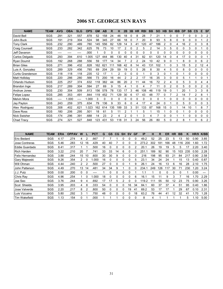# 2006 ST. GEORGE SUN RAYS

| <b>NAME</b>           | <b>TEAM</b> | <b>AVG</b> | <b>OBA</b> | <b>SLG</b> | <b>OPS</b> | <b>GM</b> | AB  | R   | н   | 2B | 3B | <b>HR</b>      | <b>RBI</b> | <b>BB</b> | <b>SO</b> | <b>HB</b> | <b>SH</b> | <b>IBB</b> | <b>DP</b> | <b>SB</b> | CS             | Е  | <b>SF</b>      |
|-----------------------|-------------|------------|------------|------------|------------|-----------|-----|-----|-----|----|----|----------------|------------|-----------|-----------|-----------|-----------|------------|-----------|-----------|----------------|----|----------------|
| David Bell            | SGS         | .291       | .321       | 557        | .878       | 52        | 158 | 24  | 46  | 18 |    | 8              | 28         |           | 21        |           |           | 0          |           |           |                | 3  | 2              |
| John Buck             | SGS         | .191       | 219        | 304        | .524       | 98        | 345 | 27  | 66  | 18 | 0  |                | 20         | 8         | 93        | 5         | 8         | 0          | 9         | 0         | 0              |    | 2              |
| <b>Tony Clark</b>     | SGS         | .232       | 290        | .489       | .780       | 145       | 556 | 82  | 129 | 14 | 3  | 41             | 120        | 47        | 186       | 2         | 0         | 4          | 16        | 2         | 0              | 3  | 8              |
| <b>Craig Counsell</b> | SGS         | .233       | .282       | .342       | .625       | 76        | 73  | 10  | 17  |    |    | 2              | 5          | 2         | 14        | 3         | 5         | 0          | O         | 3         | 0              |    | <sup>0</sup>   |
| Jeff Davanon          | SGS         | ----       |            |            | .000       |           | 0   | 0   | 0   | 0  | 0  | 0              | 0          | 0         | 0         | 0         | 0         | 0          | 0         | 0         | 0              | 0  | 0              |
| Carlos Delgado        | SGS         | .293       | .394       | .610       | 1.005      | 127       | 444 | 86  | 130 | 40 | 4  | 31             | 82         | 61        | 120       | 14        | 0         | 4          | 17        | 0         | 0              | 0  |                |
| <b>Ryan Doumit</b>    | SGS         | .192       | 268        | .288       | .556       | 59        | 177 | 14  | 34  |    |    | 2              | 24         | 10        | 42        | 9         |           |            | 8         | 0         | 0              | 6  |                |
| <b>Brian Giles</b>    | SGS         | .271       | 396        | .432       | .828       | 162       | 62' | 111 | 168 | 42 | 8  | 14             | 43         | 131       | 102       |           |           | 3          | 15        | 5         | $\overline{2}$ | 12 | 4              |
| Luis A. Gonzalez      | SGS         | .289       | .329       | .456       | .785       | 69        | 204 | 29  | 59  | 19 | 0  | 5              | 26         | 8         | 30        | 4         | 5         | 0          | 8         | 0         | 0              | 0  | 0              |
| Curtis Granderson     | SGS         | .118       | .118       | .118       | 235        | 12        | 17  |     | 2   | 0  | 0  | 0              |            | 0         | 3         | 0         |           | 0          |           | 0         | 0              | 0  | 0              |
| <b>Matt Holliday</b>  | SGS         | .220       | 286        | 280        | .566       | 73        | 200 | 16  | 44  |    |    | $\overline{2}$ | 17         | 16        | 35        | 3         |           | 0          | 5         |           |                | 0  |                |
| Orlando Hudson        | SGS         | .225       | 257        | .374       | .632       | 118       | 382 | 44  | 86  | 20 | 2  | 11             | 44         | 16        | 72        | 2         | 4         | 0          | 5         | 3         | $\Omega$       | 4  | 4              |
| Brandon Inge          | SGS         | .217       | 289        | .304       | .594       | 27        | 69  | 9   | 15  |    |    | 0              | 4          |           | 11        | 0         | 2         | 0          | 5         | 0         | 0              | 2  | 0              |
| Andruw Jones          | SGS         | .230       | .304       | 509        | .813       | 156       | 578 | 78  | 133 |    |    | 46             | 108        | 46        | 119       | 19        |           |            | 20        |           | 3              | 3  | 8              |
| Felipe Lopez          | SGS         | .285       | 353        | .491       | .844       | 119       | 452 |     | 129 | 30 | 6  | 17             | 43         | 48        | 77        | ი         |           | 2          | 14        |           | 2              | 8  |                |
| <b>Melvin Mora</b>    | SGS         | ----       | .000       | ----       | 1.000      | 3         | 0   | 0   | 0   | 0  | 0  | 0              | 0          | 0         | 0         |           |           | 0          | 0         | 0         | 0              | 0  | 0              |
| Jay Payton            | SGS         | .243       | 259        | .375       | .634       | 79        | 136 | 9   | 33  | 6  | 0  | 4              | 17         | 4         | 24        | 0         |           | 0          | 5         | 0         | 0              | 0  | 3              |
| Alex Rodriquez        | SGS         | .308       | .402       | .621       | 1.023      | 162       | 614 | 135 | 189 | 33 | 3  | 51             | 133        | 87        | 168       | 15        |           |            | 14        | 10        |                | 8  |                |
| Dave Ross             | SGS         | .180       | 206        | .295       | .501       | 18        | 61  | 5   | 11  |    |    |                | 5          |           | 15        |           | 0         | 0          |           | 0         | 0              | 0  | 0              |
| <b>Nick Swisher</b>   | SGS         | .174       | .296       | .391       | .688       | 14        | 23  | 2   | 4   |    |    |                | 3          | 4         |           | 0         | $\Omega$  |            |           | 0         | $\Omega$       | 0  | 0              |
| <b>Chad Tracy</b>     | SGS         | 274        | 321        | 527        | .848       | 123       | 431 | 53  | 118 | 31 | 3  | 24             | 56         | 26        | 80        | 5         |           | 2          | 8         |           | U              | 6  | $\overline{2}$ |

| <b>NAME</b>            | TEAM | <b>ERA</b> | <b>OPPAV</b> | W                    |    | <b>PCT</b> | G  | <b>GS</b> | CG | <b>SH</b> | <b>SV</b>    | <b>GF</b> | IP    | н   | R   | <b>ER</b> | <b>HR</b> | <b>BB</b> | K   | HR/9 | K/BB |
|------------------------|------|------------|--------------|----------------------|----|------------|----|-----------|----|-----------|--------------|-----------|-------|-----|-----|-----------|-----------|-----------|-----|------|------|
| <b>Eric Bedard</b>     | SGS  | 4.17       | .274         | 4                    |    | .667       |    |           |    | 0         |              | 0         | 49.2  | 52  | 25  | 23        | 5         | 13        | 50  | 0.90 | 3.85 |
| Jose Contreras         | SGS  | 5.46       | .283         | 12                   | 16 | .429       | 40 | 40        |    | 0         |              |           | 273.2 | 302 | 181 | 166       | 48        | 116       | 200 | 1.60 | 1.72 |
| IEddie Guardado        | SGS  | 8.41       | .317         |                      |    | .500       | 16 | 0         | 0  |           |              |           | 20.   | 26  | 19  | 19        | 5         | 5         |     | 2.20 | 3.40 |
| Rich Harden            | SGS  | 3.22       | .210         | 20                   |    | .741       | 33 | 33        | 14 | 6         |              |           | 251.1 | 189 | 92  | 90        | 15        | 103       | 235 | 0.50 | 2.28 |
| <b>Felix Hernandez</b> | SGS  | 3.88       | 244          | 15                   | 10 | .600       | 30 | 30        | 9  | 0         | <sup>0</sup> | 0         | 216   | 198 | 95  | 93        | 21        | 84        | 217 | 0.90 | 2.58 |
| Gary Majewski          | SGS  | 9.26       | .354         | $\mathbf{2}^{\circ}$ | 0  | .000       | 16 | 0         | 0  |           |              | 5         | 23.1  | 34  | 24  | 24        |           | 15        | 13  | 0.40 | 0.87 |
| Will Ohman             | SGS  | 4.44       | .240         | 2                    |    | .500       | 27 | 0         | 0  |           |              | 9         | 26.1  | 24  | 16  | 13        | 6         | 16        | 28  | 2.10 | 1.75 |
| John Patterson         | SGS  | 4.49       | .270         | 13                   | 14 | .481       | 34 | 34        | 9  |           | 0            | 0         | 234.1 | 249 | 126 | 117       | 30        |           | 230 | .20  | 3.24 |
| J.J. Putz              | SGS  | 0.00       | .200         | 0                    | 0  | ----       |    | 0         | 0  | 0         |              |           |       |     | O   |           |           |           |     | 0.00 | ---  |
| Chris Ray              | SGS  | 4.96       | .254         |                      | 0  | 1.000      | 18 | 0         | 0  | 0         |              | 6         | 16.1  | 15  | 11  | 9         | 3         |           | 16  | 1.70 | 2.29 |
| Jae Seo                | SGS  | 3.76       | 244          | 9                    | 4  | .692       | 17 | 17        | 5  | 2         | <sup>0</sup> | $\Omega$  | 119.2 | 111 | 55  | 50        | 12        | 23        | 75  | 0.90 | 3.26 |
| Shields<br>Scot        | SGS  | 3.95       | .203         | 4                    | 8  | .333       | 54 | 0         | 0  | 0         | 16           | 34        | 84.1  | 60  | 37  | 37        | 4         | 51        | 95  | 0.40 | 1.86 |
| Jose Valverde          | SGS  | 2.20       | .217         | 8                    | 2  | .800       | 50 | 0         | 0  | 0         | 19           | 41        | 69.2  | 53  | 17  | 17        |           | 29        | 67  | 0.10 | 2.31 |
| ILuis Vizcaino         | SGS  | 5.80       | 292          | 3                    |    | 750        | 48 | 0         | 0  | 0         | 0            | 18        | 63.2  | 76  | 44  | 41        | 12        | 32        | 41  | 1.70 | 1.28 |
| <b>Tim Wakefield</b>   | SGS  | 1.13       | .154         | 0                    |    | .000       |    |           |    |           |              | 0         | 8     | 4   |     |           |           |           | 5   | 1.10 | 5.00 |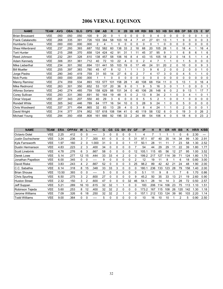# 2006 VERNAL EQUINOX

| <b>NAME</b>              | <b>TEAM</b> | <b>AVG</b> | <b>OBA</b> | <b>SLG</b> | <b>OPS</b> | <b>GM</b>      | <b>AB</b> | R        | н   | 2B       | 3B | <b>HR</b>     | <b>RBI</b> | <b>BB</b> | <b>SO</b> | <b>HB</b>      | <b>SH</b> | <b>IBB</b> | <b>DP</b> | <b>SB</b> | <b>CS</b> | Е  | <b>SF</b>      |
|--------------------------|-------------|------------|------------|------------|------------|----------------|-----------|----------|-----|----------|----|---------------|------------|-----------|-----------|----------------|-----------|------------|-----------|-----------|-----------|----|----------------|
| <b>Brian Broussard</b>   | <b>VEE</b>  | .050       | .050       | .050       | .100       | 9              | 20        | 0        |     | 0        | 0  | 0             | 0          | 0         | 4         | 0              |           | 0          | 0         |           |           |    | 0              |
| <b>Frank Catalanotto</b> | <b>VEE</b>  | .268       | .335       | .391       | .726       | 103            | 384       | 58       | 103 | 18       |    |               | 41         | 27        | 61        | 13             |           |            | 9         | 0         | $\Omega$  | 0  | 3              |
| Humberto Cota            | <b>VEE</b>  | .000       | .000       | .000       | .000       | $\overline{2}$ | 4         |          | 0   | $\Omega$ |    | 0             | 0          | 0         |           | 0              |           | 0          | 0         | 0         | 0         | 0  | 0              |
| Shea Hillenbrand         | <b>VEE</b>  | .237       | .293       | .393       | .687       | 152            | 582       | 60       | 138 | 33       | 2  | 18            | 68         | 20        | 105       | 28             |           | 0          | 18        | 4         |           | 16 | 4              |
| Torii Hunter             | <b>VEE</b>  | .215       | .288       | .370       | .658       | 124            | 424       | 42       | 91  | 31       |    |               | 45         | 37        | 95        | 9              |           |            | 6         | 8         | 6         |    | 6              |
| Reed Johnson             | VEE         | .232       | .281       | .328       | .610       | 138            | 457       | 58       | 106 | 16       | 8  | 4             | 43         | 15        | 105       | 18             |           | 0          | 14        | 5         |           |    | 4              |
| Adam Kennedy             | <b>VEE</b>  | .306       | .351       | .361       | .712       | 40             | 72        | 10       | 22  | 4        | 0  | 0             | 2          | 4         |           |                |           | $\Omega$   |           | 5         | $\Omega$  | 0  | 0              |
| Mike Lieberthal          | <b>VEE</b>  | .234       | .301       | .392       | .694       | 131            | 441       | 55       | 103 | 19       | 0  | 17            | 49         | 24        | 51        | 20             |           | 0          | 10        | 0         | 0         | 9  | 3              |
| <b>Bill Mueller</b>      | <b>VEE</b>  | 255        | 397        | .383       | .780       | 45             | 47        | 8        | 12  |          |    |               | 3          | 9         | 6         | 2              |           | 0          |           | 0         |           |    | 0              |
| Jorge Piedra             | VEE         | .290       | .340       | .419       | .759       | 31             | 93        | 14       | 27  | 6        | 0  | 2             |            | 4         | 17        | 3              |           | 0          | 4         | 5         |           |    | 0              |
| Nick Punto               | <b>VEE</b>  | .000       | .000       | .000       | .000       |                |           | $\Omega$ | 0   | O        |    | 0             | 0          | $\Omega$  | 0         | 0              |           | $\Omega$   | 0         | 0         | 0         | 0  | 0              |
| Manny Ramirez            | <b>VEE</b>  | .274       | .359       | .534       | .893       | 153            | 577       | 101      | 158 | 28       |    | 40            | 108        | 68        | 154       | 11             |           | 5          | 13        |           | 0         | 16 | 4              |
| Mike Redmond             | <b>VEE</b>  | 263        | .301       | .350       | .652       | 53             | 137       | 20       | 36  | 9        |    |               | 9          | 5         | 16        | 3              |           |            |           |           |           | 0  |                |
| Alfonso Soriano          | VEE         | .240       | .274       | .485       | .759       | 158            | 629       | 88       | 151 | 34       | 0  | 40            | 106        | 26        | 148       | 6              |           | 2          | 9         | 13        |           | 17 |                |
| <b>Corey Sullivan</b>    | <b>VEE</b>  | 293        | .331       | 360        | .691       | 50             | 164       | 19       | 48  | 5        |    | $\mathcal{P}$ | 13         | 8         | 34        | $\overline{2}$ |           | $\Omega$   | 3         | 4         |           | 0  |                |
| <b>Omar Vizquel</b>      | <b>VEE</b>  | 207        | .343       | 207        | .550       | 40             | 29        | 3        | 6   | $\Omega$ | 0  | 0             | 5          | 5         | 2         |                | 0         | $\Omega$   |           | 0         | $\Omega$  | 0  | 0              |
| Rondell White            | <b>VEE</b>  | .305       | .342       | .446       | .789       | 64             | 177       | 16       | 54  | 10       | 0  | 5             | 28         | 9         | 24        |                |           | $\Omega$   | 5         | 0         | 0         | 0  | 0              |
| Chris Woodward           | VEE         | .337       | .371       | .494       | .865       | 32             | 83        | 13       | 28  |          | 0  | 3             | 8          | 4         | 24        |                |           | $\Omega$   | 2         | 0         | U         | 0  |                |
| David Wright             | <b>VEE</b>  | .314       | 377        | .574       | .952       | 157            | 618       | 108      | 194 | 41       |    | 40            | 119        | 58        | 132       | 6              |           | 0          | 19        | 3         | $\Omega$  | 26 | 2              |
| Michael Young            | <b>VEE</b>  | 294        | .350       | .458       | .808       | 161            | 666       | 92       | 196 | 33       | 2  | 24            | 89         | 54        | 106       | 4              | 0         | 5          | 18        | 6         | $\Omega$  | 23 | $\overline{2}$ |

| <b>NAME</b>          | <b>TEAM</b> | <b>ERA</b> | <b>OPPAV</b> | W              |    | <b>PCT</b> | G  | <b>GS</b> | <b>CG</b> | <b>SH</b> | <b>SV</b>    | <b>GF</b> | IP    | н   | R   | <b>ER</b> | <b>HR</b> | BB  | Κ   | HR/9 | K/BB |
|----------------------|-------------|------------|--------------|----------------|----|------------|----|-----------|-----------|-----------|--------------|-----------|-------|-----|-----|-----------|-----------|-----|-----|------|------|
| <b>Octavio Dotel</b> | <b>VEE</b>  | 2.25       | .412         | 0              | 0  |            | 3  | 0         | 0         |           |              |           | 4     |     |     |           |           |     | 6   | 2.30 |      |
| Justin Duchscherer   | VEE         | 3.24       | .236         | 3              |    | .300       | 61 |           | 0         | 0         | 5            | 31        | 97.1  | 87  | 40  | 35        | 14        | 34  | 99  | 1.30 | 2.91 |
| Kyle Farnsworth      | <b>VEE</b>  | 1.97       | .160         | $\overline{2}$ | 0  | 0.000      | 31 | 0         | 0         | 0         |              | 17        | 50.1  | 28  | 11  | 11        |           | 23  | 58  | l.30 | 2.52 |
| Dustin Hermanson     | <b>VEE</b>  | 4.83       | .223         | $\overline{2}$ | 3  | .400       | 34 | 0         | 0         |           |              |           | 54    | 44  | 29  | 29        | 11        | 22  | 39  | 1.80 | 1.77 |
| Scott Linebrink      | <b>VEE</b>  | 4.78       | .276         | 6              | 3  | .667       | 58 | 0         |           |           |              | 12        | 105.  | 15  | 65  | 56        | 12        | 27  | 95  | 1.00 | 3.52 |
| Derek Lowe           | VEE         | 5.14       | .277         | 12             | 15 | .444       | 33 | 33        | 4         |           |              |           | 199.2 | 217 | 127 | 14        | 39        |     | 124 | 1.80 | 1.75 |
| Jonathan Papelbon    | <b>VEE</b>  | 6.00       | .345         | 0              |    |            | 9  | 0         | 0         |           |              |           | 12    | 19  | 11  | 8         |           | 6   | 18  | 0.80 | 3.00 |
| David Riske          | <b>VEE</b>  | 3.83       | .243         | 4              |    | .667       | 52 | 0         | 0         | 0         | 3            | 25        | 98.2  | 89  | 42  | 42        | 21        | 24  | 48  | 1.90 | 2.00 |
| C.C. Sabathia        | <b>VEE</b>  | 6.14       | .318         | 8              | 15 | .348       | 33 | 33        | 3         | 0         |              | O         | 180.  | 236 | 33  | 123       | 28        | 79  | 158 | 1.40 | 2.00 |
| Brian Shouse         | VEE         | 13.50      | .393         | 0              |    |            | 5  | ი         | 0         |           |              |           | 5.1   | 11  | 9   | 8         |           |     | 6   | 1.70 | 0.86 |
| Chris Spurling       | VEE         | 6.50       | .275         | 3              |    | .600       | 27 | 0         | 0         | ი         |              | 9         | 45.2  | 50  | 35  | 33        | 13        | 21  | 19  | 2.60 | 0.90 |
| <b>Huston Street</b> | <b>VEE</b>  | 2.32       | .150         | 3              |    | .600       | 47 | ი         | 0         |           | 32           | 46        | 54.1  | 28  | 14  | 14        | з         | 28  | 72  | 0.50 | 2.57 |
| Jeff Suppan          | VEE         | 5.21       | 289          | 16             | 10 | .615       | 32 | 32        |           |           | o            | 0         | 183   | 206 | 114 | 106       | 23        | 75  | 113 | 1.10 | 1.51 |
| Robinson Tejeda      | <b>VEE</b>  | 5.60       | 253          | 8              | 12 | .400       | 32 | 32        | 2         | 0         | <sup>0</sup> | 0         | 173.2 | 167 | 15  | 108       | 26        | 120 | 142 | 1.30 | 1.18 |
| Jerome Williams      | <b>VEE</b>  | 7.09       | .326         | 6              | 18 | .250       | 32 | 32        | 2         |           |              |           | 157.  | 212 | 33  | 124       | 39        | 90  | 103 | 2.20 | 1.14 |
| <b>Todd Williams</b> | VEE         | 9.00       | 364          | 0              |    |            | 5  | 0         |           |           |              |           | 10    | 16  | 10  | 10        |           | 2   | 5   | 0.90 | 2.50 |